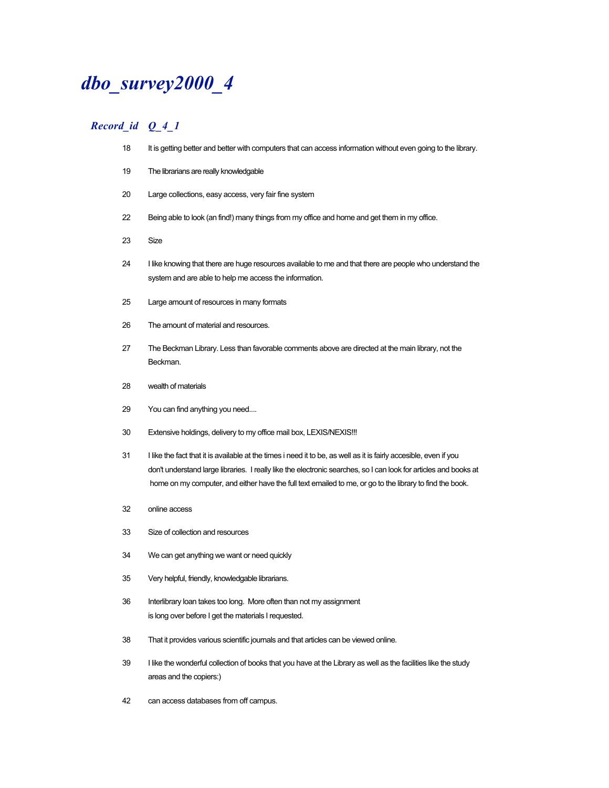# *dbo\_survey2000\_4*

- 18 It is getting better and better with computers that can access information without even going to the library.
- The librarians are really knowledgable
- Large collections, easy access, very fair fine system
- Being able to look (an find!) many things from my office and home and get them in my office.
- Size
- I like knowing that there are huge resources available to me and that there are people who understand the system and are able to help me access the information.
- Large amount of resources in many formats
- The amount of material and resources.
- 27 The Beckman Library. Less than favorable comments above are directed at the main library, not the Beckman.
- wealth of materials
- You can find anything you need....
- Extensive holdings, delivery to my office mail box, LEXIS/NEXIS!!!
- 31 I like the fact that it is available at the times i need it to be, as well as it is fairly accesible, even if you don't understand large libraries. I really like the electronic searches, so I can look for articles and books at home on my computer, and either have the full text emailed to me, or go to the library to find the book.
- online access
- Size of collection and resources
- We can get anything we want or need quickly
- Very helpful, friendly, knowledgable librarians.
- Interlibrary loan takes too long. More often than not my assignment is long over before I get the materials I requested.
- That it provides various scientific journals and that articles can be viewed online.
- I like the wonderful collection of books that you have at the Library as well as the facilities like the study areas and the copiers:)
- can access databases from off campus.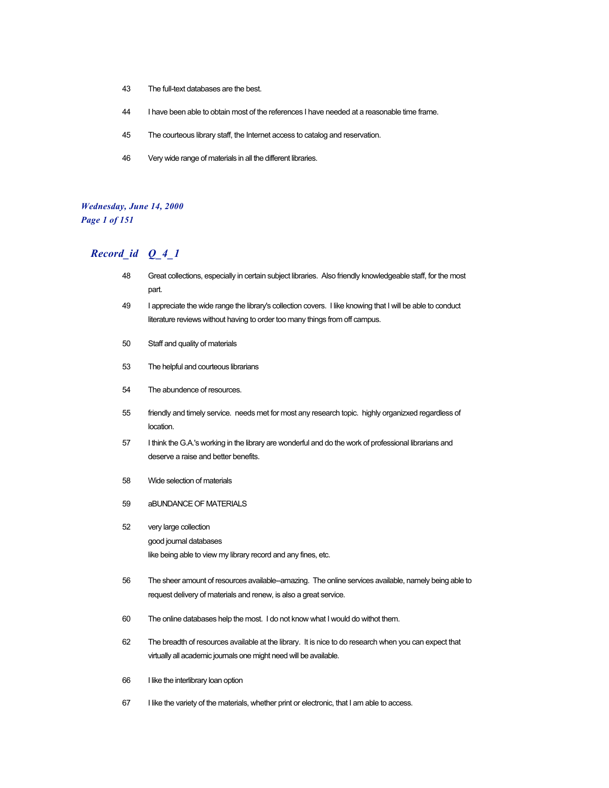- 43 The full-text databases are the best.
- 44 I have been able to obtain most of the references I have needed at a reasonable time frame.
- 45 The courteous library staff, the Internet access to catalog and reservation.
- 46 Very wide range of materials in all the different libraries.

#### *Wednesday, June 14, 2000 Page 1 of 151*

- 48 Great collections, especially in certain subject libraries. Also friendly knowledgeable staff, for the most part.
- 49 I appreciate the wide range the library's collection covers. I like knowing that I will be able to conduct literature reviews without having to order too many things from off campus.
- 50 Staff and quality of materials
- 53 The helpful and courteous librarians
- 54 The abundence of resources.
- 55 friendly and timely service. needs met for most any research topic. highly organizxed regardless of location.
- 57 I think the G.A.'s working in the library are wonderful and do the work of professional librarians and deserve a raise and better benefits.
- 58 Wide selection of materials
- 59 aBUNDANCE OF MATERIALS
- 52 very large collection good journal databases like being able to view my library record and any fines, etc.
- 56 The sheer amount of resources available--amazing. The online services available, namely being able to request delivery of materials and renew, is also a great service.
- 60 The online databases help the most. I do not know what I would do withot them.
- 62 The breadth of resources available at the library. It is nice to do research when you can expect that virtually all academic journals one might need will be available.
- 66 I like the interlibrary loan option
- 67 I like the variety of the materials, whether print or electronic, that I am able to access.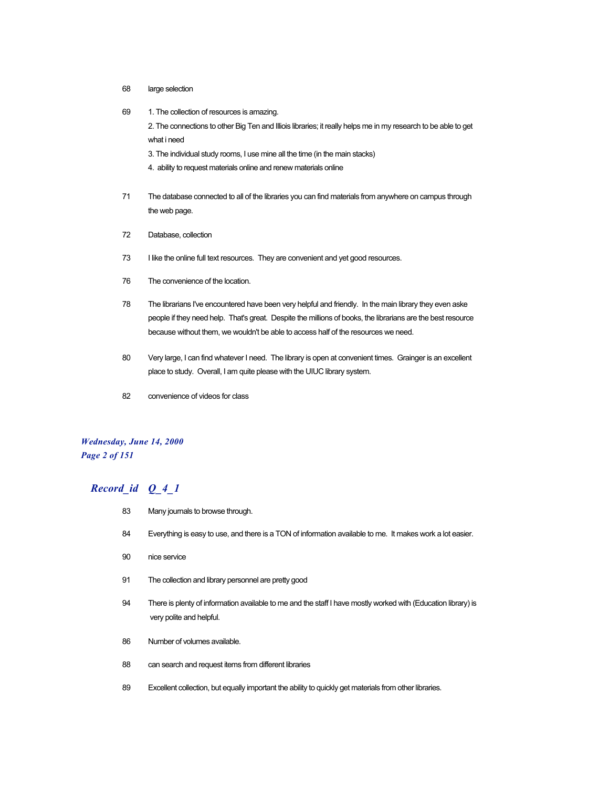- 68 large selection
- 69 1. The collection of resources is amazing.

2. The connections to other Big Ten and Illiois libraries; it really helps me in my research to be able to get what i need

- 3. The individual study rooms, I use mine all the time (in the main stacks)
- 4. ability to request materials online and renew materials online
- 71 The database connected to all of the libraries you can find materials from anywhere on campus through the web page.
- 72 Database, collection
- 73 I like the online full text resources. They are convenient and yet good resources.
- 76 The convenience of the location.
- 78 The librarians I've encountered have been very helpful and friendly. In the main library they even aske people if they need help. That's great. Despite the millions of books, the librarians are the best resource because without them, we wouldn't be able to access half of the resources we need.
- 80 Very large, I can find whatever I need. The library is open at convenient times. Grainger is an excellent place to study. Overall, I am quite please with the UIUC library system.
- 82 convenience of videos for class

#### *Wednesday, June 14, 2000 Page 2 of 151*

- 83 Many journals to browse through.
- 84 Everything is easy to use, and there is a TON of information available to me. It makes work a lot easier.
- 90 nice service
- 91 The collection and library personnel are pretty good
- 94 There is plenty of information available to me and the staff I have mostly worked with (Education library) is very polite and helpful.
- 86 Number of volumes available.
- 88 can search and request items from different libraries
- 89 Excellent collection, but equally important the ability to quickly get materials from other libraries.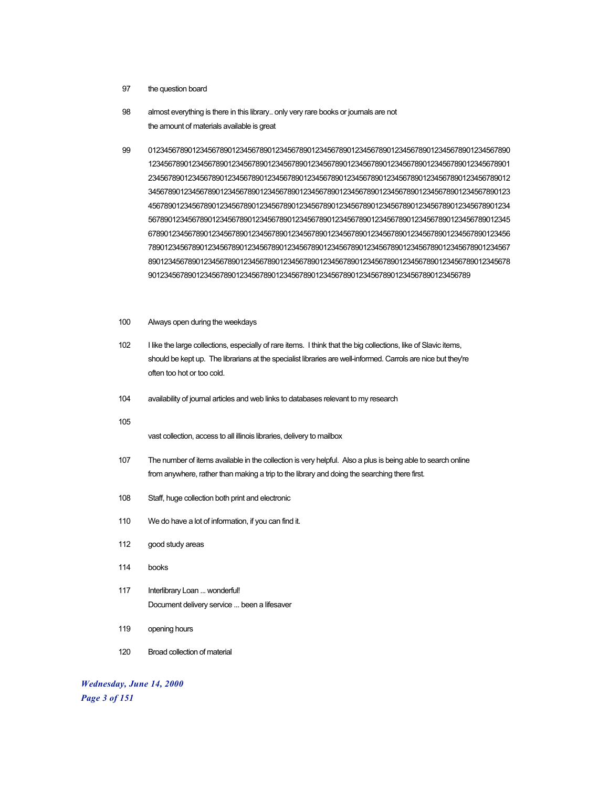- the question board
- almost everything is there in this library.. only very rare books or journals are not the amount of materials available is great
- 0123456789012345678901234567890123456789012345678901234567890123456789012345678901234567890
- Always open during the weekdays
- I like the large collections, especially of rare items. I think that the big collections, like of Slavic items, should be kept up. The librarians at the specialist libraries are well-informed. Carrols are nice but they're often too hot or too cold.
- availability of journal articles and web links to databases relevant to my research
- 

vast collection, access to all illinois libraries, delivery to mailbox

- The number of items available in the collection is very helpful. Also a plus is being able to search online from anywhere, rather than making a trip to the library and doing the searching there first.
- Staff, huge collection both print and electronic
- We do have a lot of information, if you can find it.
- good study areas
- books
- 117 Interlibrary Loan ... wonderful! Document delivery service ... been a lifesaver
- opening hours
- Broad collection of material

*Wednesday, June 14, 2000 Page 3 of 151*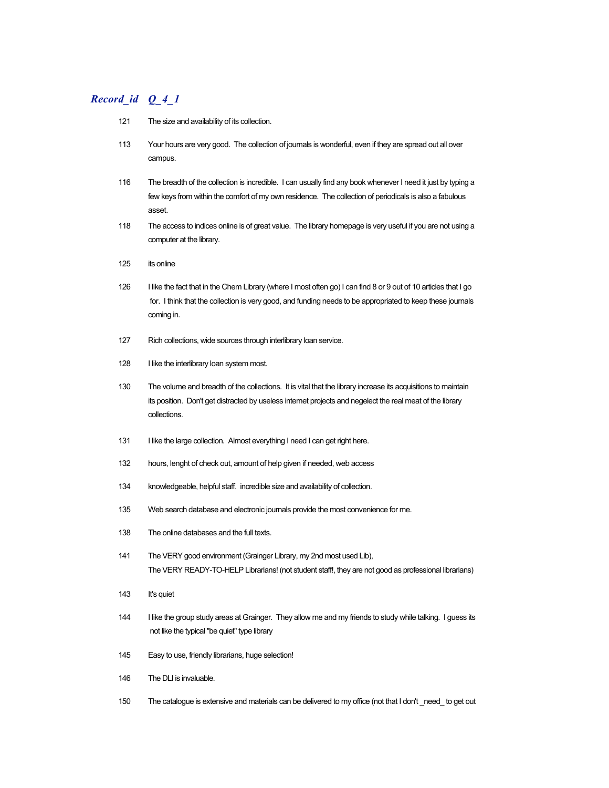- 121 The size and availability of its collection.
- 113 Your hours are very good. The collection of journals is wonderful, even if they are spread out all over campus.
- 116 The breadth of the collection is incredible. I can usually find any book whenever I need it just by typing a few keys from within the comfort of my own residence. The collection of periodicals is also a fabulous asset.
- 118 The access to indices online is of great value. The library homepage is very useful if you are not using a computer at the library.
- 125 its online
- 126 I like the fact that in the Chem Library (where I most often go) I can find 8 or 9 out of 10 articles that I go for. I think that the collection is very good, and funding needs to be appropriated to keep these journals coming in.
- 127 Rich collections, wide sources through interlibrary loan service.
- 128 I like the interlibrary loan system most.
- 130 The volume and breadth of the collections. It is vital that the library increase its acquisitions to maintain its position. Don't get distracted by useless internet projects and negelect the real meat of the library collections.
- 131 I like the large collection. Almost everything I need I can get right here.
- 132 hours, lenght of check out, amount of help given if needed, web access
- 134 knowledgeable, helpful staff. incredible size and availability of collection.
- 135 Web search database and electronic journals provide the most convenience for me.
- 138 The online databases and the full texts.
- 141 The VERY good environment (Grainger Library, my 2nd most used Lib), The VERY READY-TO-HELP Librarians! (not student staff!, they are not good as professional librarians)
- 143 It's quiet
- 144 I like the group study areas at Grainger. They allow me and my friends to study while talking. I guess its not like the typical "be quiet" type library
- 145 Easy to use, friendly librarians, huge selection!
- 146 The DLI is invaluable.
- 150 The catalogue is extensive and materials can be delivered to my office (not that I don't \_need\_ to get out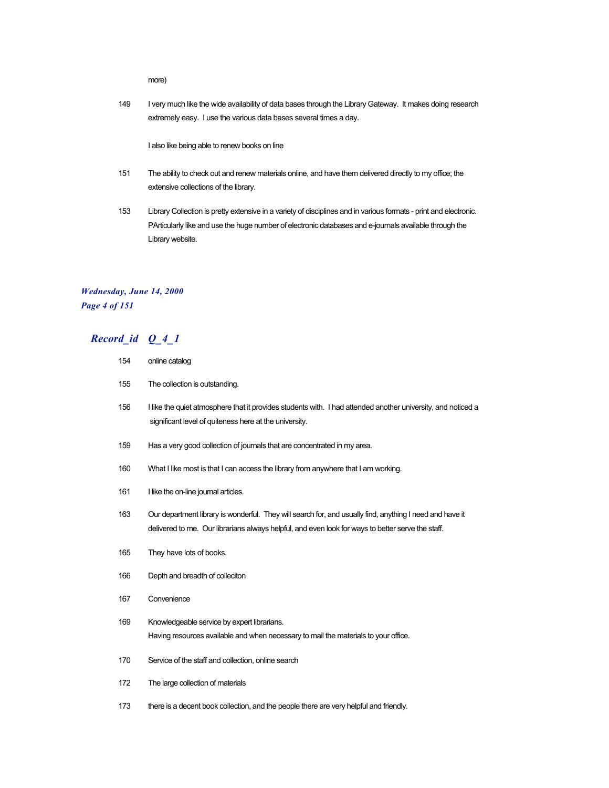more)

149 I very much like the wide availability of data bases through the Library Gateway. It makes doing research extremely easy. I use the various data bases several times a day.

I also like being able to renew books on line

- 151 The ability to check out and renew materials online, and have them delivered directly to my office; the extensive collections of the library.
- 153 Library Collection is pretty extensive in a variety of disciplines and in various formats print and electronic. PArticularly like and use the huge number of electronic databases and e-journals available through the Library website.

## *Wednesday, June 14, 2000 Page 4 of 151*

| 154 | online catalog                                                                                                                                                                                                |  |
|-----|---------------------------------------------------------------------------------------------------------------------------------------------------------------------------------------------------------------|--|
| 155 | The collection is outstanding.                                                                                                                                                                                |  |
| 156 | I like the quiet atmosphere that it provides students with. I had attended another university, and noticed a<br>significant level of quiteness here at the university.                                        |  |
| 159 | Has a very good collection of journals that are concentrated in my area.                                                                                                                                      |  |
| 160 | What I like most is that I can access the library from anywhere that I am working.                                                                                                                            |  |
| 161 | I like the on-line journal articles.                                                                                                                                                                          |  |
| 163 | Our department library is wonderful. They will search for, and usually find, anything I need and have it<br>delivered to me. Our librarians always helpful, and even look for ways to better serve the staff. |  |
| 165 | They have lots of books.                                                                                                                                                                                      |  |
| 166 | Depth and breadth of colleciton                                                                                                                                                                               |  |
| 167 | Convenience                                                                                                                                                                                                   |  |
| 169 | Knowledgeable service by expert librarians.<br>Having resources available and when necessary to mail the materials to your office.                                                                            |  |
| 170 | Service of the staff and collection, online search                                                                                                                                                            |  |
| 172 | The large collection of materials                                                                                                                                                                             |  |
| 173 | there is a decent book collection, and the people there are very helpful and friendly.                                                                                                                        |  |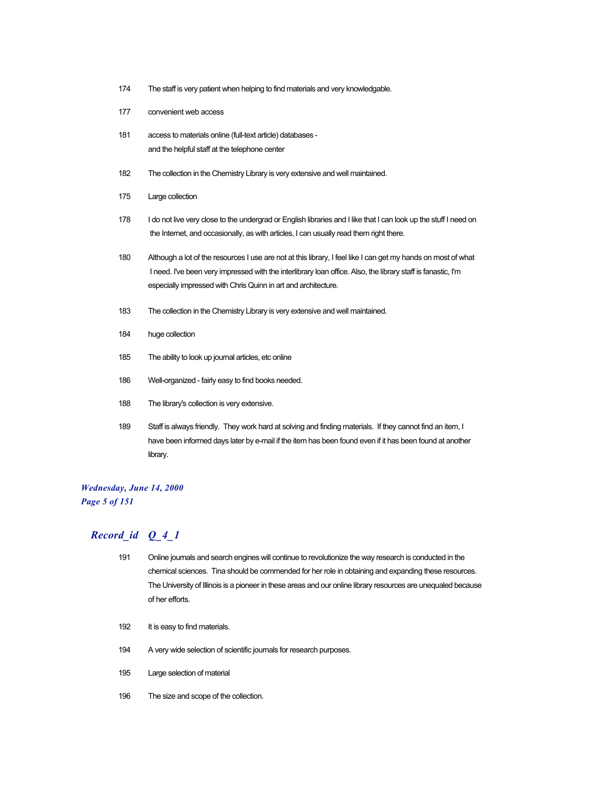- 174 The staff is very patient when helping to find materials and very knowledgable.
- 177 convenient web access
- 181 access to materials online (full-text article) databases and the helpful staff at the telephone center
- 182 The collection in the Chemistry Library is very extensive and well maintained.
- 175 Large collection
- 178 I do not live very close to the undergrad or English libraries and I like that I can look up the stuff I need on the Internet, and occasionally, as with articles, I can usually read them right there.
- 180 Although a lot of the resources I use are not at this library, I feel like I can get my hands on most of what I need. I've been very impressed with the interlibrary loan office. Also, the library staff is fanastic, I'm especially impressed with Chris Quinn in art and architecture.
- 183 The collection in the Chemistry Library is very extensive and well maintained.
- 184 huge collection
- 185 The ability to look up journal articles, etc online
- 186 Well-organized fairly easy to find books needed.
- 188 The library's collection is very extensive.
- 189 Staff is always friendly. They work hard at solving and finding materials. If they cannot find an item, I have been informed days later by e-mail if the item has been found even if it has been found at another library.

#### *Wednesday, June 14, 2000 Page 5 of 151*

- 191 Online journals and search engines will continue to revolutionize the way research is conducted in the chemical sciences. Tina should be commended for her role in obtaining and expanding these resources. The University of Illinois is a pioneer in these areas and our online library resources are unequaled because of her efforts.
- 192 It is easy to find materials.
- 194 A very wide selection of scientific journals for research purposes.
- 195 Large selection of material
- 196 The size and scope of the collection.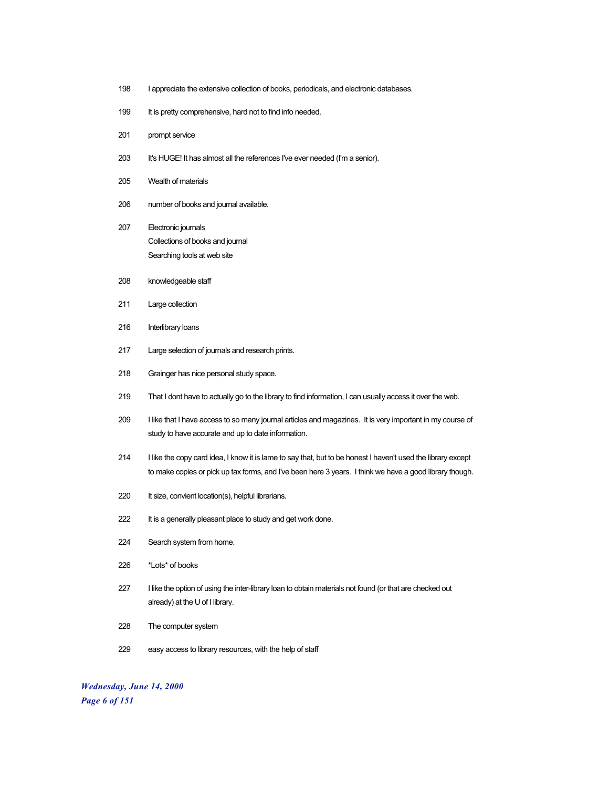- I appreciate the extensive collection of books, periodicals, and electronic databases.
- 199 It is pretty comprehensive, hard not to find info needed.
- prompt service
- 203 It's HUGE! It has almost all the references I've ever needed (I'm a senior).
- Wealth of materials
- number of books and journal available.
- Electronic journals Collections of books and journal Searching tools at web site
- knowledgeable staff
- Large collection
- Interlibrary loans
- Large selection of journals and research prints.
- Grainger has nice personal study space.
- That I dont have to actually go to the library to find information, I can usually access it over the web.
- I like that I have access to so many journal articles and magazines. It is very important in my course of study to have accurate and up to date information.
- I like the copy card idea, I know it is lame to say that, but to be honest I haven't used the library except to make copies or pick up tax forms, and I've been here 3 years. I think we have a good library though.
- 220 It size, convient location(s), helpful librarians.
- 222 It is a generally pleasant place to study and get work done.
- Search system from home.
- \*Lots\* of books
- I like the option of using the inter-library loan to obtain materials not found (or that are checked out already) at the U of I library.
- The computer system
- easy access to library resources, with the help of staff

*Wednesday, June 14, 2000 Page 6 of 151*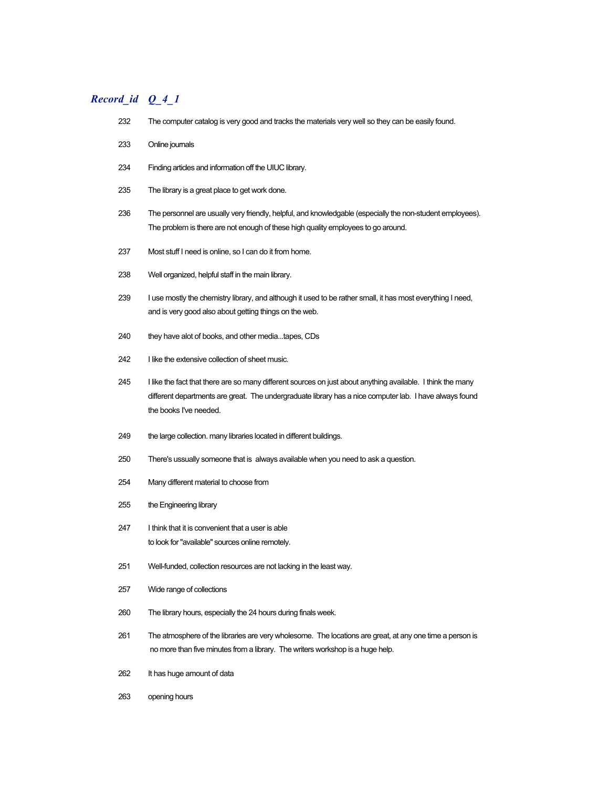- The computer catalog is very good and tracks the materials very well so they can be easily found.
- Online journals
- Finding articles and information off the UIUC library.
- The library is a great place to get work done.
- The personnel are usually very friendly, helpful, and knowledgable (especially the non-student employees). The problem is there are not enough of these high quality employees to go around.
- Most stuff I need is online, so I can do it from home.
- Well organized, helpful staff in the main library.
- I use mostly the chemistry library, and although it used to be rather small, it has most everything I need, and is very good also about getting things on the web.
- they have alot of books, and other media...tapes, CDs
- 242 I like the extensive collection of sheet music.
- I like the fact that there are so many different sources on just about anything available. I think the many different departments are great. The undergraduate library has a nice computer lab. I have always found the books I've needed.
- 249 the large collection. many libraries located in different buildings.
- There's ussually someone that is always available when you need to ask a question.
- Many different material to choose from
- the Engineering library
- I think that it is convenient that a user is able to look for "available" sources online remotely.
- Well-funded, collection resources are not lacking in the least way.
- Wide range of collections
- The library hours, especially the 24 hours during finals week.
- The atmosphere of the libraries are very wholesome. The locations are great, at any one time a person is no more than five minutes from a library. The writers workshop is a huge help.
- It has huge amount of data
- opening hours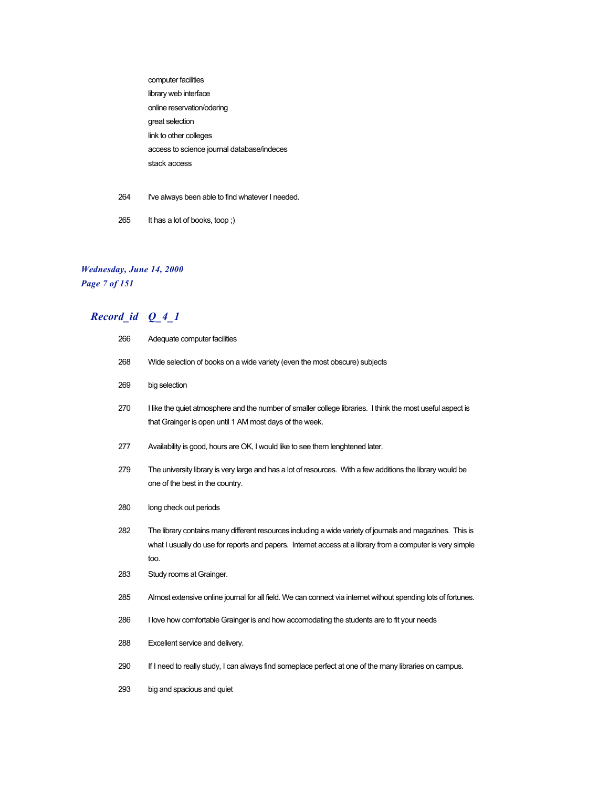computer facilities library web interface online reservation/odering great selection link to other colleges access to science journal database/indeces stack access

- 264 I've always been able to find whatever I needed.
- 265 It has a lot of books, toop ;)

## *Wednesday, June 14, 2000 Page 7 of 151*

| 266 | Adequate computer facilities                                                                                                                                                                                                   |  |
|-----|--------------------------------------------------------------------------------------------------------------------------------------------------------------------------------------------------------------------------------|--|
| 268 | Wide selection of books on a wide variety (even the most obscure) subjects                                                                                                                                                     |  |
| 269 | big selection                                                                                                                                                                                                                  |  |
| 270 | I like the quiet atmosphere and the number of smaller college libraries. I think the most useful aspect is<br>that Grainger is open until 1 AM most days of the week.                                                          |  |
| 277 | Availability is good, hours are OK, I would like to see them lenghtened later.                                                                                                                                                 |  |
| 279 | The university library is very large and has a lot of resources. With a few additions the library would be<br>one of the best in the country.                                                                                  |  |
| 280 | long check out periods                                                                                                                                                                                                         |  |
| 282 | The library contains many different resources including a wide variety of journals and magazines. This is<br>what I usually do use for reports and papers. Internet access at a library from a computer is very simple<br>too. |  |
| 283 | Study rooms at Grainger.                                                                                                                                                                                                       |  |
| 285 | Almost extensive online journal for all field. We can connect via internet without spending lots of fortunes.                                                                                                                  |  |
| 286 | I love how comfortable Grainger is and how accomodating the students are to fit your needs                                                                                                                                     |  |
| 288 | Excellent service and delivery.                                                                                                                                                                                                |  |
| 290 | If I need to really study, I can always find someplace perfect at one of the many libraries on campus.                                                                                                                         |  |
| 293 | big and spacious and quiet                                                                                                                                                                                                     |  |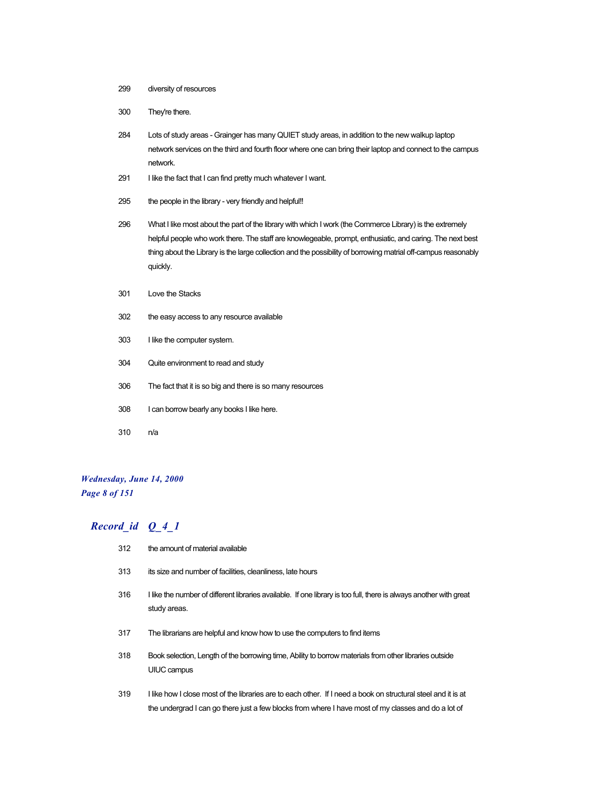- 299 diversity of resources
- 300 They're there.
- 284 Lots of study areas Grainger has many QUIET study areas, in addition to the new walkup laptop network services on the third and fourth floor where one can bring their laptop and connect to the campus network.
- 291 I like the fact that I can find pretty much whatever I want.
- 295 the people in the library very friendly and helpful!!
- 296 What I like most about the part of the library with which I work (the Commerce Library) is the extremely helpful people who work there. The staff are knowlegeable, prompt, enthusiatic, and caring. The next best thing about the Library is the large collection and the possibility of borrowing matrial off-campus reasonably quickly.
- 301 Love the Stacks
- 302 the easy access to any resource available
- 303 I like the computer system.
- 304 Quite environment to read and study
- 306 The fact that it is so big and there is so many resources
- 308 I can borrow bearly any books I like here.
- 310 n/a

#### *Wednesday, June 14, 2000 Page 8 of 151*

- 312 the amount of material available
- 313 its size and number of facilities, cleanliness, late hours
- 316 I like the number of different libraries available. If one library is too full, there is always another with great study areas.
- 317 The librarians are helpful and know how to use the computers to find items
- 318 Book selection, Length of the borrowing time, Ability to borrow materials from other libraries outside UIUC campus
- 319 I like how I close most of the libraries are to each other. If I need a book on structural steel and it is at the undergrad I can go there just a few blocks from where I have most of my classes and do a lot of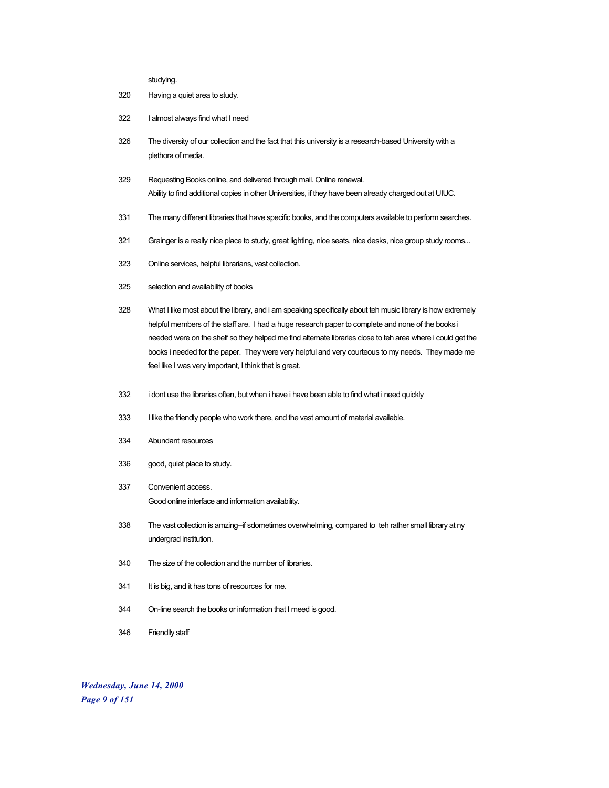studying.

- 320 Having a quiet area to study.
- 322 I almost always find what I need
- 326 The diversity of our collection and the fact that this university is a research-based University with a plethora of media.
- 329 Requesting Books online, and delivered through mail. Online renewal. Ability to find additional copies in other Universities, if they have been already charged out at UIUC.
- 331 The many different libraries that have specific books, and the computers available to perform searches.
- 321 Grainger is a really nice place to study, great lighting, nice seats, nice desks, nice group study rooms...
- 323 Online services, helpful librarians, vast collection.
- 325 selection and availability of books
- 328 What I like most about the library, and i am speaking specifically about teh music library is how extremely helpful members of the staff are. I had a huge research paper to complete and none of the books i needed were on the shelf so they helped me find alternate libraries close to teh area where i could get the books i needed for the paper. They were very helpful and very courteous to my needs. They made me feel like I was very important, I think that is great.
- 332 i dont use the libraries often, but when i have i have been able to find what i need quickly
- 333 I like the friendly people who work there, and the vast amount of material available.
- 334 Abundant resources
- 336 good, quiet place to study.
- 337 Convenient access. Good online interface and information availability.
- 338 The vast collection is amzing--if sdometimes overwhelming, compared to teh rather small library at ny undergrad institution.
- 340 The size of the collection and the number of libraries.
- 341 It is big, and it has tons of resources for me.
- 344 On-line search the books or information that I meed is good.
- 346 Friendlly staff

*Wednesday, June 14, 2000 Page 9 of 151*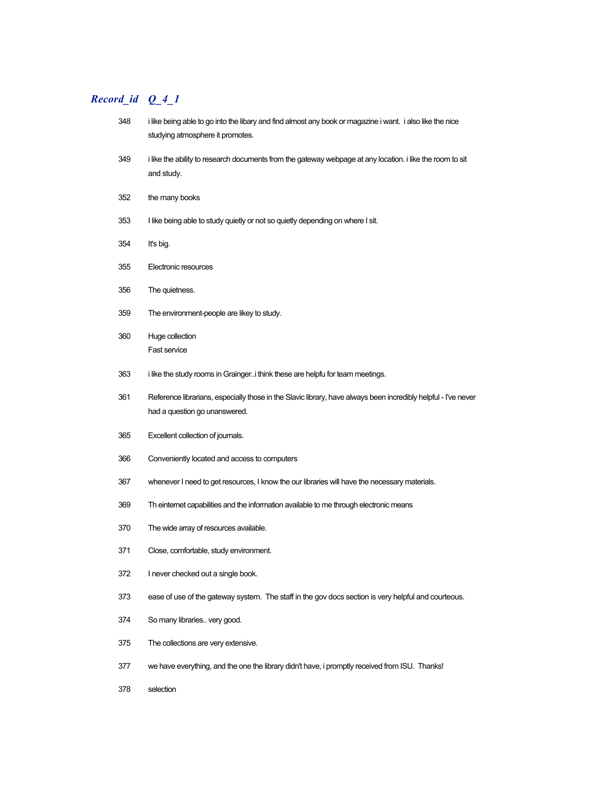## *Record\_id Q\_4\_1*

| 348 | i like being able to go into the libary and find almost any book or magazine i want. i also like the nice<br>studying atmosphere it promotes.   |  |
|-----|-------------------------------------------------------------------------------------------------------------------------------------------------|--|
| 349 | i like the ability to research documents from the gateway webpage at any location. I like the room to sit<br>and study.                         |  |
| 352 | the many books                                                                                                                                  |  |
| 353 | I like being able to study quietly or not so quietly depending on where I sit.                                                                  |  |
| 354 | It's big.                                                                                                                                       |  |
| 355 | Electronic resources                                                                                                                            |  |
| 356 | The quietness.                                                                                                                                  |  |
| 359 | The environment-people are likey to study.                                                                                                      |  |
| 360 | Huge collection<br>Fast service                                                                                                                 |  |
| 363 | i like the study rooms in Graingeri think these are helpfu for team meetings.                                                                   |  |
| 361 | Reference librarians, especially those in the Slavic library, have always been incredibly helpful - I've never<br>had a question go unanswered. |  |
| 365 | Excellent collection of journals.                                                                                                               |  |
| 366 | Conveniently located and access to computers                                                                                                    |  |
| 367 | whenever I need to get resources, I know the our libraries will have the necessary materials.                                                   |  |
| 369 | Th einternet capabilities and the information available to me through electronic means                                                          |  |
| 370 | The wide array of resources available.                                                                                                          |  |
| 371 | Close, comfortable, study environment.                                                                                                          |  |
| 372 | I never checked out a single book.                                                                                                              |  |
| 373 | ease of use of the gateway system. The staff in the gov docs section is very helpful and courteous.                                             |  |
| 374 | So many libraries very good.                                                                                                                    |  |
| 375 | The collections are very extensive.                                                                                                             |  |
| 377 | we have everything, and the one the library didn't have, i promptly received from ISU. Thanks!                                                  |  |

selection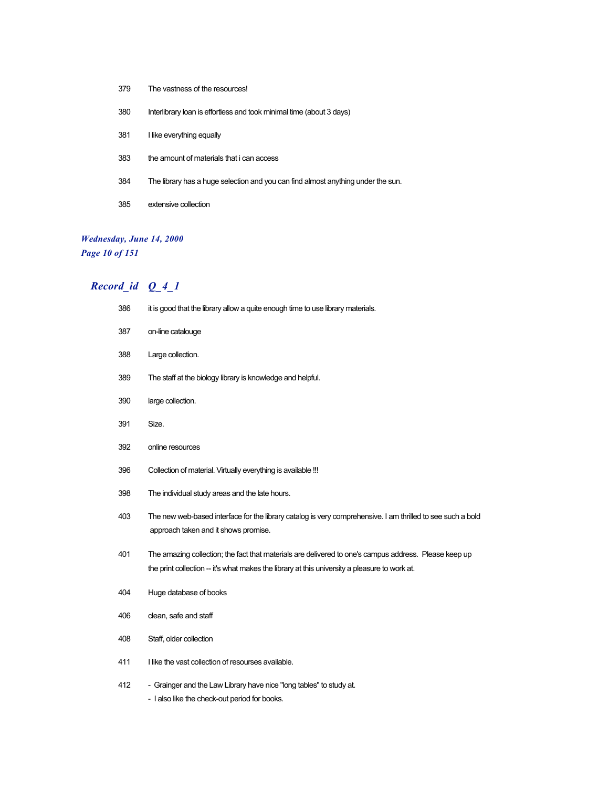- The vastness of the resources!
- Interlibrary loan is effortless and took minimal time (about 3 days)
- 381 I like everything equally
- the amount of materials that i can access
- The library has a huge selection and you can find almost anything under the sun.
- extensive collection

# *Wednesday, June 14, 2000*

*Page 10 of 151*

| 386 | it is good that the library allow a quite enough time to use library materials.                                                                                                                        |  |
|-----|--------------------------------------------------------------------------------------------------------------------------------------------------------------------------------------------------------|--|
| 387 | on-line catalouge                                                                                                                                                                                      |  |
| 388 | Large collection.                                                                                                                                                                                      |  |
| 389 | The staff at the biology library is knowledge and helpful.                                                                                                                                             |  |
| 390 | large collection.                                                                                                                                                                                      |  |
| 391 | Size.                                                                                                                                                                                                  |  |
| 392 | online resources                                                                                                                                                                                       |  |
| 396 | Collection of material. Virtually everything is available !!!                                                                                                                                          |  |
| 398 | The individual study areas and the late hours.                                                                                                                                                         |  |
| 403 | The new web-based interface for the library catalog is very comprehensive. I am thrilled to see such a bold<br>approach taken and it shows promise.                                                    |  |
| 401 | The amazing collection; the fact that materials are delivered to one's campus address. Please keep up<br>the print collection -- it's what makes the library at this university a pleasure to work at. |  |
| 404 | Huge database of books                                                                                                                                                                                 |  |
| 406 | clean, safe and staff                                                                                                                                                                                  |  |
| 408 | Staff, older collection                                                                                                                                                                                |  |
| 411 | I like the vast collection of resourses available.                                                                                                                                                     |  |
| 412 | - Grainger and the Law Library have nice "long tables" to study at.<br>- I also like the check-out period for books.                                                                                   |  |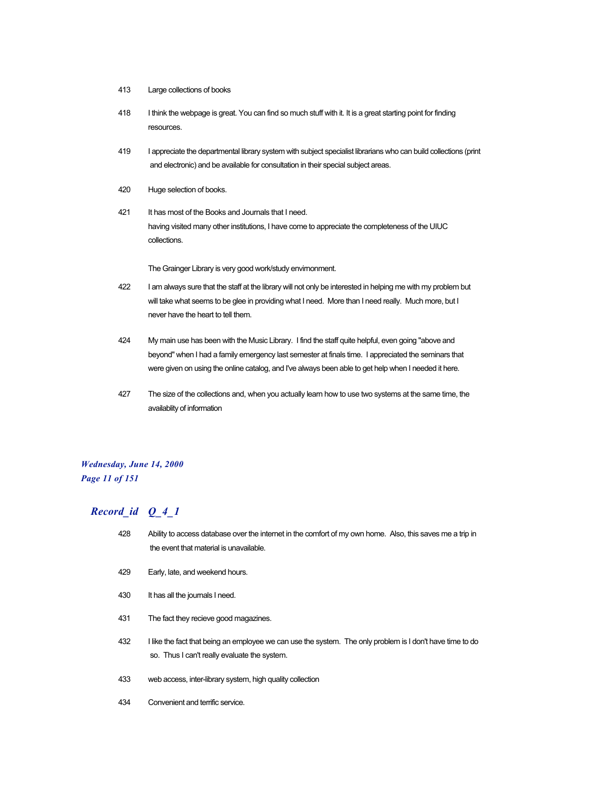- 413 Large collections of books
- 418 I think the webpage is great. You can find so much stuff with it. It is a great starting point for finding resources.
- 419 I appreciate the departmental library system with subject specialist librarians who can build collections (print and electronic) and be available for consultation in their special subject areas.
- 420 Huge selection of books.
- 421 It has most of the Books and Journals that I need. having visited many other institutions, I have come to appreciate the completeness of the UIUC collections.

The Grainger Library is very good work/study envirnonment.

- 422 I am always sure that the staff at the library will not only be interested in helping me with my problem but will take what seems to be glee in providing what I need. More than I need really. Much more, but I never have the heart to tell them.
- 424 My main use has been with the Music Library. I find the staff quite helpful, even going "above and beyond" when I had a family emergency last semester at finals time. I appreciated the seminars that were given on using the online catalog, and I've always been able to get help when I needed it here.
- 427 The size of the collections and, when you actually learn how to use two systems at the same time, the availablity of information

#### *Wednesday, June 14, 2000 Page 11 of 151*

- 428 Ability to access database over the internet in the comfort of my own home. Also, this saves me a trip in the event that material is unavailable.
- 429 Early, late, and weekend hours.
- 430 It has all the journals I need.
- 431 The fact they recieve good magazines.
- 432 I like the fact that being an employee we can use the system. The only problem is I don't have time to do so. Thus I can't really evaluate the system.
- 433 web access, inter-library system, high quality collection
- 434 Convenient and terrific service.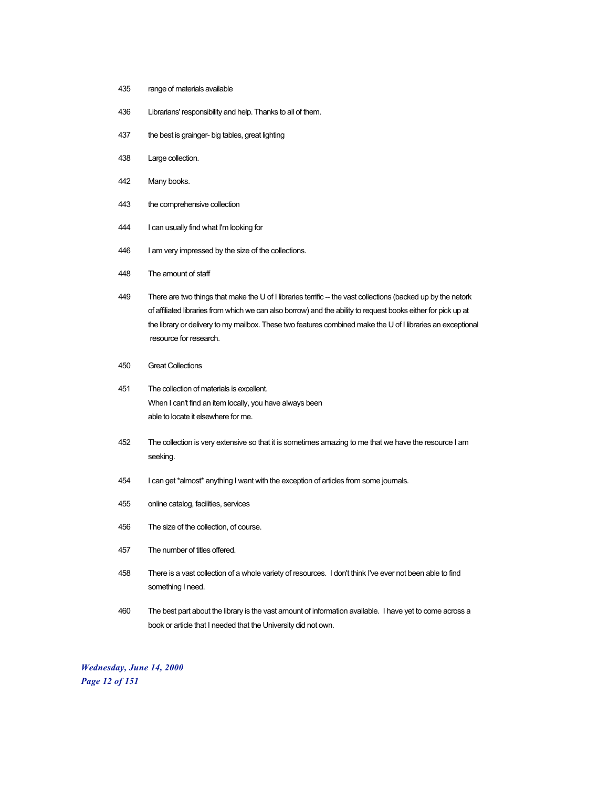- 435 range of materials available
- 436 Librarians' responsibility and help. Thanks to all of them.
- 437 the best is grainger- big tables, great lighting
- 438 Large collection.
- 442 Many books.
- 443 the comprehensive collection
- 444 I can usually find what I'm looking for
- 446 I am very impressed by the size of the collections.
- 448 The amount of staff
- 449 There are two things that make the U of I libraries terrific -- the vast collections (backed up by the netork of affiliated libraries from which we can also borrow) and the ability to request books either for pick up at the library or delivery to my mailbox. These two features combined make the U of I libraries an exceptional resource for research.
- 450 Great Collections
- 451 The collection of materials is excellent. When I can't find an item locally, you have always been able to locate it elsewhere for me.
- 452 The collection is very extensive so that it is sometimes amazing to me that we have the resource I am seeking.
- 454 I can get \*almost\* anything I want with the exception of articles from some journals.
- 455 online catalog, facilities, services
- 456 The size of the collection, of course.
- 457 The number of titles offered.
- 458 There is a vast collection of a whole variety of resources. I don't think I've ever not been able to find something I need.
- 460 The best part about the library is the vast amount of information available. I have yet to come across a book or article that I needed that the University did not own.

*Wednesday, June 14, 2000 Page 12 of 151*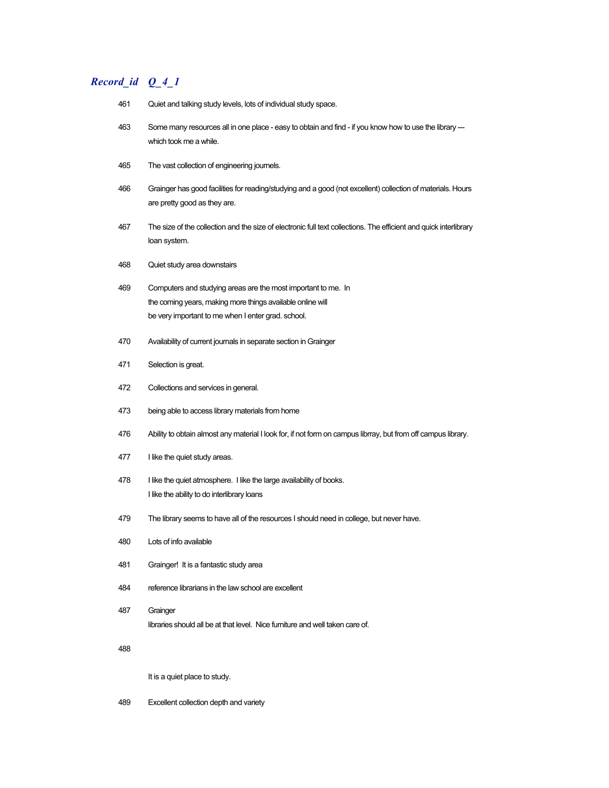## *Record\_id Q\_4\_1*

- Quiet and talking study levels, lots of individual study space.
- Some many resources all in one place easy to obtain and find if you know how to use the library -- which took me a while.
- The vast collection of engineering journels.
- Grainger has good facilities for reading/studying and a good (not excellent) collection of materials. Hours are pretty good as they are.
- The size of the collection and the size of electronic full text collections. The efficient and quick interlibrary loan system.
- Quiet study area downstairs
- Computers and studying areas are the most important to me. In the coming years, making more things available online will be very important to me when I enter grad. school.
- Availability of current journals in separate section in Grainger
- Selection is great.
- Collections and services in general.
- being able to access library materials from home
- Ability to obtain almost any material I look for, if not form on campus librray, but from off campus library.
- 477 I like the quiet study areas.
- 478 I like the quiet atmosphere. I like the large availability of books. I like the ability to do interlibrary loans
- The library seems to have all of the resources I should need in college, but never have.
- Lots of info available
- Grainger! It is a fantastic study area
- reference librarians in the law school are excellent
- Grainger libraries should all be at that level. Nice furniture and well taken care of.

It is a quiet place to study.

Excellent collection depth and variety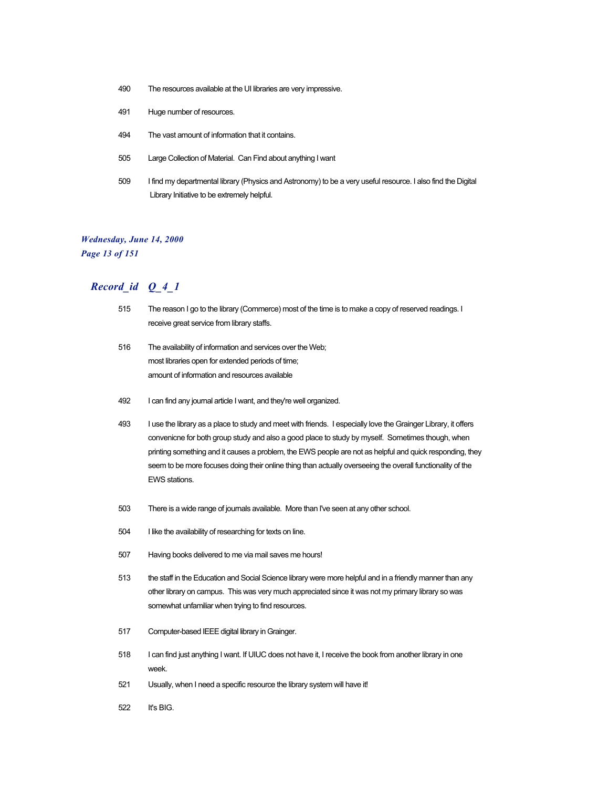- 490 The resources available at the UI libraries are very impressive.
- 491 Huge number of resources.
- 494 The vast amount of information that it contains.
- 505 Large Collection of Material. Can Find about anything I want
- 509 I find my departmental library (Physics and Astronomy) to be a very useful resource. I also find the Digital Library Initiative to be extremely helpful.

## *Wednesday, June 14, 2000*

*Page 13 of 151*

- 515 The reason I go to the library (Commerce) most of the time is to make a copy of reserved readings. I receive great service from library staffs.
- 516 The availability of information and services over the Web; most libraries open for extended periods of time; amount of information and resources available
- 492 I can find any journal article I want, and they're well organized.
- 493 I use the library as a place to study and meet with friends. I especially love the Grainger Library, it offers convenicne for both group study and also a good place to study by myself. Sometimes though, when printing something and it causes a problem, the EWS people are not as helpful and quick responding, they seem to be more focuses doing their online thing than actually overseeing the overall functionality of the EWS stations.
- 503 There is a wide range of journals available. More than I've seen at any other school.
- 504 I like the availability of researching for texts on line.
- 507 Having books delivered to me via mail saves me hours!
- 513 the staff in the Education and Social Science library were more helpful and in a friendly manner than any other library on campus. This was very much appreciated since it was not my primary library so was somewhat unfamiliar when trying to find resources.
- 517 Computer-based IEEE digital library in Grainger.
- 518 I can find just anything I want. If UIUC does not have it, I receive the book from another library in one week.
- 521 Usually, when I need a specific resource the library system will have it!
- 522 It's BIG.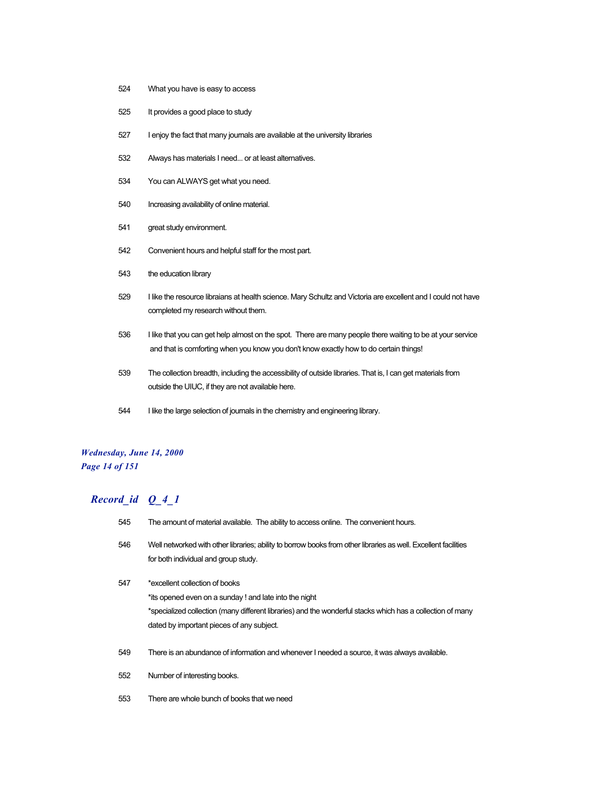- What you have is easy to access
- It provides a good place to study
- I enjoy the fact that many journals are available at the university libraries
- Always has materials I need... or at least alternatives.
- You can ALWAYS get what you need.
- Increasing availability of online material.
- great study environment.
- Convenient hours and helpful staff for the most part.
- the education library
- I like the resource libraians at health science. Mary Schultz and Victoria are excellent and I could not have completed my research without them.
- I like that you can get help almost on the spot. There are many people there waiting to be at your service and that is comforting when you know you don't know exactly how to do certain things!
- The collection breadth, including the accessibility of outside libraries. That is, I can get materials from outside the UIUC, if they are not available here.
- I like the large selection of journals in the chemistry and engineering library.

#### *Wednesday, June 14, 2000 Page 14 of 151*

- The amount of material available. The ability to access online. The convenient hours. Well networked with other libraries; ability to borrow books from other libraries as well. Excellent facilities for both individual and group study. \*excellent collection of books \*its opened even on a sunday ! and late into the night \*specialized collection (many different libraries) and the wonderful stacks which has a collection of many dated by important pieces of any subject. There is an abundance of information and whenever I needed a source, it was always available. Number of interesting books.
- There are whole bunch of books that we need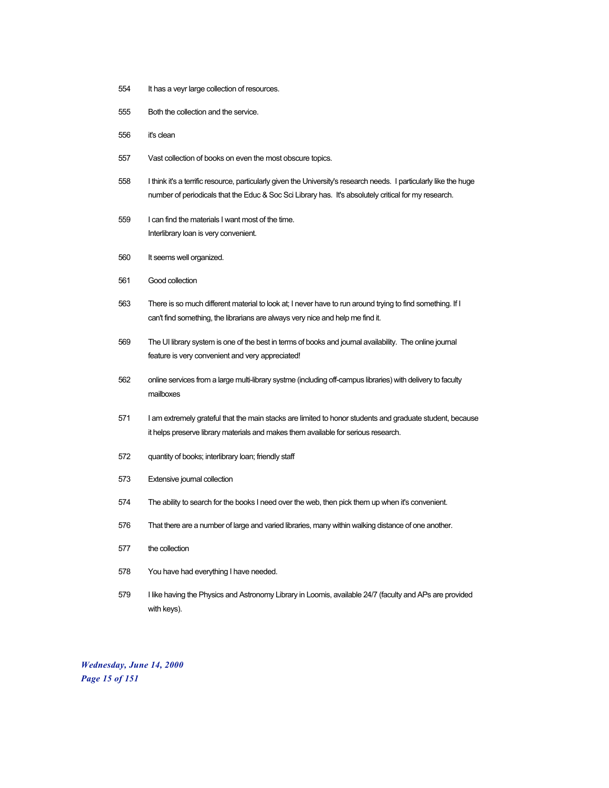- It has a veyr large collection of resources.
- Both the collection and the service.
- it's clean
- Vast collection of books on even the most obscure topics.
- I think it's a terrific resource, particularly given the University's research needs. I particularly like the huge number of periodicals that the Educ & Soc Sci Library has. It's absolutely critical for my research.
- I can find the materials I want most of the time. Interlibrary loan is very convenient.
- It seems well organized.
- Good collection
- There is so much different material to look at; I never have to run around trying to find something. If I can't find something, the librarians are always very nice and help me find it.
- The UI library system is one of the best in terms of books and journal availability. The online journal feature is very convenient and very appreciated!
- online services from a large multi-library systme (including off-campus libraries) with delivery to faculty mailboxes
- I am extremely grateful that the main stacks are limited to honor students and graduate student, because it helps preserve library materials and makes them available for serious research.
- quantity of books; interlibrary loan; friendly staff
- Extensive journal collection
- The ability to search for the books I need over the web, then pick them up when it's convenient.
- That there are a number of large and varied libraries, many within walking distance of one another.
- the collection
- You have had everything I have needed.
- I like having the Physics and Astronomy Library in Loomis, available 24/7 (faculty and APs are provided with keys).

*Wednesday, June 14, 2000 Page 15 of 151*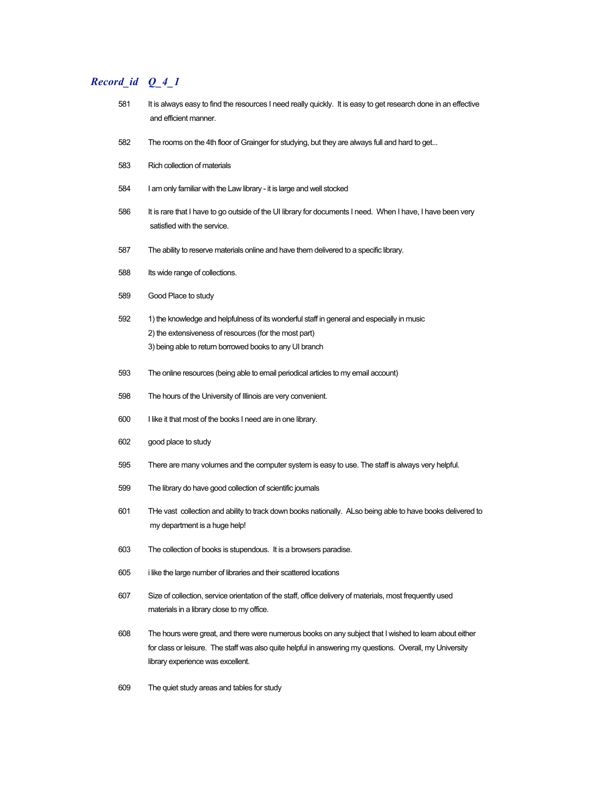- 581 It is always easy to find the resources I need really quickly. It is easy to get research done in an effective and efficient manner.
- The rooms on the 4th floor of Grainger for studying, but they are always full and hard to get...
- Rich collection of materials
- I am only familiar with the Law library it is large and well stocked
- 586 It is rare that I have to go outside of the UI library for documents I need. When I have, I have been very satisfied with the service.
- The ability to reserve materials online and have them delivered to a specific library.
- Its wide range of collections.
- Good Place to study
- 1) the knowledge and helpfulness of its wonderful staff in general and especially in music 2) the extensiveness of resources (for the most part) 3) being able to return borrowed books to any UI branch
- The online resources (being able to email periodical articles to my email account)
- The hours of the University of Illinois are very convenient.
- I like it that most of the books I need are in one library.
- good place to study
- There are many volumes and the computer system is easy to use. The staff is always very helpful.
- The library do have good collection of scientific journals
- THe vast collection and ability to track down books nationally. ALso being able to have books delivered to my department is a huge help!
- The collection of books is stupendous. It is a browsers paradise.
- i like the large number of libraries and their scattered locations
- Size of collection, service orientation of the staff, office delivery of materials, most frequently used materials in a library close to my office.
- The hours were great, and there were numerous books on any subject that I wished to learn about either for class or leisure. The staff was also quite helpful in answering my questions. Overall, my University library experience was excellent.
- The quiet study areas and tables for study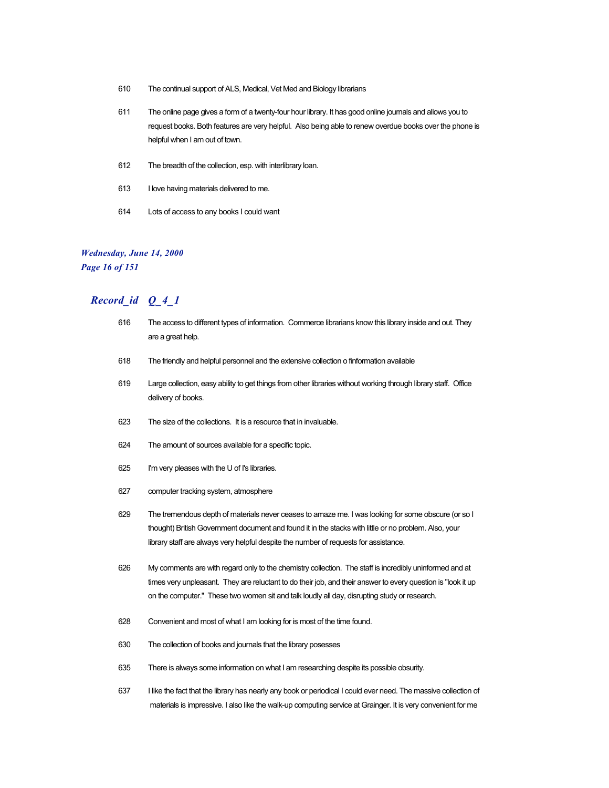- 610 The continual support of ALS, Medical, Vet Med and Biology librarians
- 611 The online page gives a form of a twenty-four hour library. It has good online journals and allows you to request books. Both features are very helpful. Also being able to renew overdue books over the phone is helpful when I am out of town.
- 612 The breadth of the collection, esp. with interlibrary loan.
- 613 I love having materials delivered to me.
- 614 Lots of access to any books I could want

#### *Wednesday, June 14, 2000*

*Page 16 of 151*

- 616 The access to different types of information. Commerce librarians know this library inside and out. They are a great help.
- 618 The friendly and helpful personnel and the extensive collection o finformation available
- 619 Large collection, easy ability to get things from other libraries without working through library staff. Office delivery of books.
- 623 The size of the collections. It is a resource that in invaluable.
- 624 The amount of sources available for a specific topic.
- 625 I'm very pleases with the U of I's libraries.
- 627 computer tracking system, atmosphere
- 629 The tremendous depth of materials never ceases to amaze me. I was looking for some obscure (or so I thought) British Government document and found it in the stacks with little or no problem. Also, your library staff are always very helpful despite the number of requests for assistance.
- 626 My comments are with regard only to the chemistry collection. The staff is incredibly uninformed and at times very unpleasant. They are reluctant to do their job, and their answer to every question is "look it up on the computer." These two women sit and talk loudly all day, disrupting study or research.
- 628 Convenient and most of what I am looking for is most of the time found.
- 630 The collection of books and journals that the library posesses
- 635 There is always some information on what I am researching despite its possible obsurity.
- 637 I like the fact that the library has nearly any book or periodical I could ever need. The massive collection of materials is impressive. I also like the walk-up computing service at Grainger. It is very convenient for me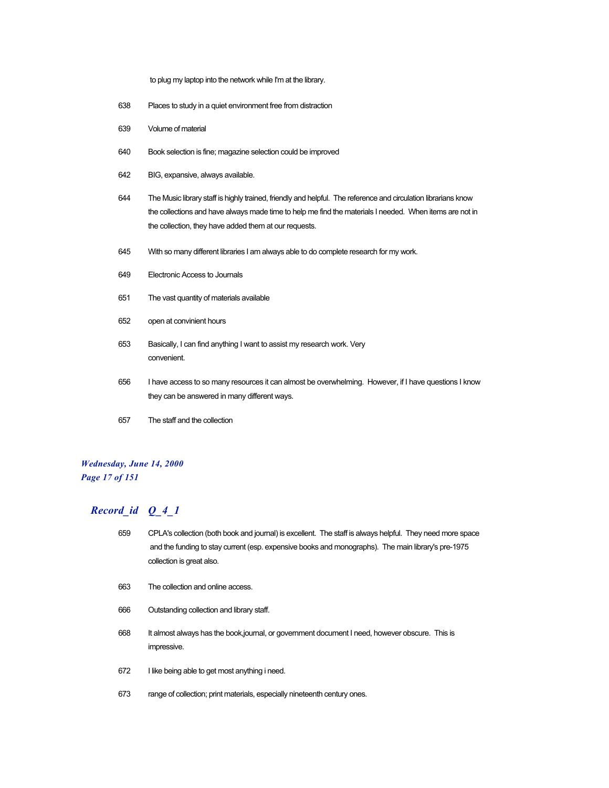to plug my laptop into the network while I'm at the library.

- Places to study in a quiet environment free from distraction
- Volume of material
- Book selection is fine; magazine selection could be improved
- BIG, expansive, always available.
- The Music library staff is highly trained, friendly and helpful. The reference and circulation librarians know the collections and have always made time to help me find the materials I needed. When items are not in the collection, they have added them at our requests.
- With so many different libraries I am always able to do complete research for my work.
- Electronic Access to Journals
- The vast quantity of materials available
- open at convinient hours
- Basically, I can find anything I want to assist my research work. Very convenient.
- I have access to so many resources it can almost be overwhelming. However, if I have questions I know they can be answered in many different ways.
- The staff and the collection

#### *Wednesday, June 14, 2000 Page 17 of 151*

- CPLA's collection (both book and journal) is excellent. The staff is always helpful. They need more space and the funding to stay current (esp. expensive books and monographs). The main library's pre-1975 collection is great also.
- The collection and online access.
- Outstanding collection and library staff.
- It almost always has the book,journal, or government document I need, however obscure. This is impressive.
- I like being able to get most anything i need.
- range of collection; print materials, especially nineteenth century ones.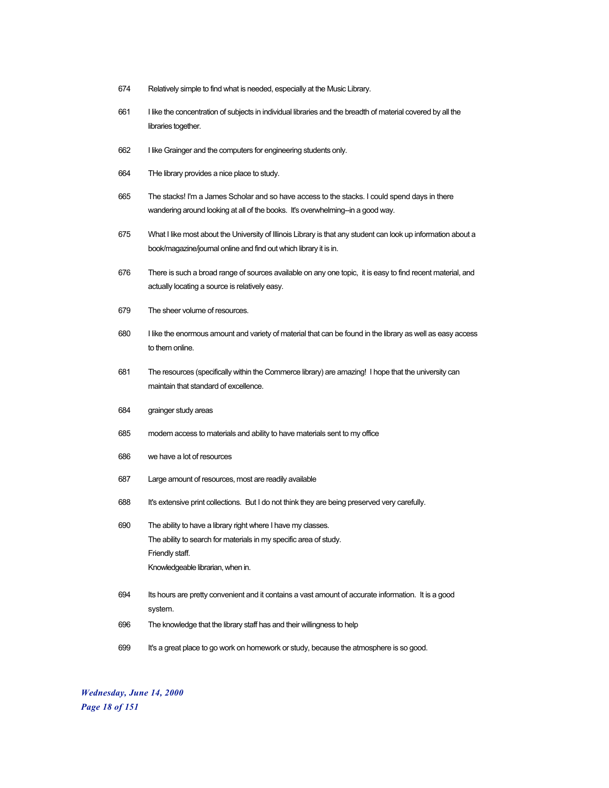- 674 Relatively simple to find what is needed, especially at the Music Library.
- 661 I like the concentration of subjects in individual libraries and the breadth of material covered by all the libraries together.
- 662 I like Grainger and the computers for engineering students only.
- 664 THe library provides a nice place to study.
- 665 The stacks! I'm a James Scholar and so have access to the stacks. I could spend days in there wandering around looking at all of the books. It's overwhelming-in a good way.
- 675 What I like most about the University of Illinois Library is that any student can look up information about a book/magazine/journal online and find out which library it is in.
- 676 There is such a broad range of sources available on any one topic, it is easy to find recent material, and actually locating a source is relatively easy.
- 679 The sheer volume of resources.
- 680 I like the enormous amount and variety of material that can be found in the library as well as easy access to them online.
- 681 The resources (specifically within the Commerce library) are amazing! I hope that the university can maintain that standard of excellence.
- 684 grainger study areas
- 685 modem access to materials and ability to have materials sent to my office
- 686 we have a lot of resources
- 687 Large amount of resources, most are readily available
- 688 It's extensive print collections. But I do not think they are being preserved very carefully.
- 690 The ability to have a library right where I have my classes. The ability to search for materials in my specific area of study. Friendly staff. Knowledgeable librarian, when in.
- 694 Its hours are pretty convenient and it contains a vast amount of accurate information. It is a good system.
- 696 The knowledge that the library staff has and their willingness to help
- 699 It's a great place to go work on homework or study, because the atmosphere is so good.

*Wednesday, June 14, 2000 Page 18 of 151*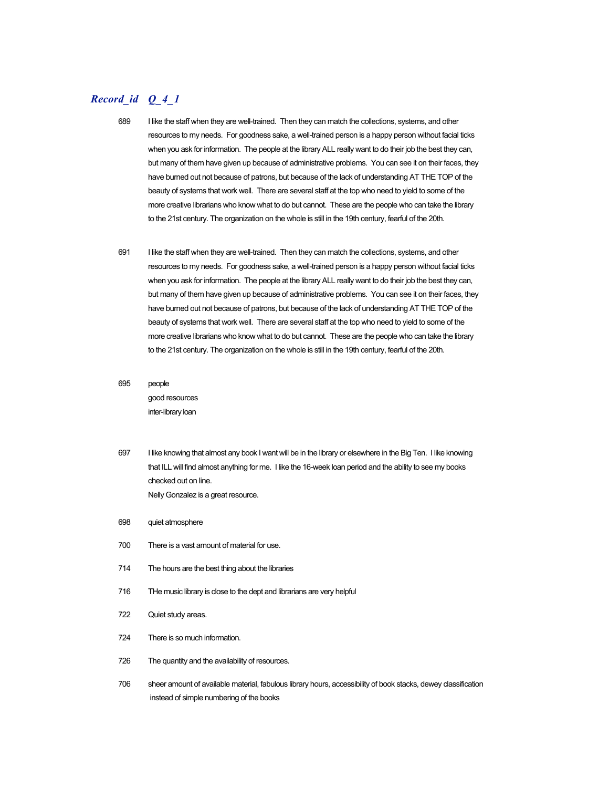- 689 I like the staff when they are well-trained. Then they can match the collections, systems, and other resources to my needs. For goodness sake, a well-trained person is a happy person without facial ticks when you ask for information. The people at the library ALL really want to do their job the best they can, but many of them have given up because of administrative problems. You can see it on their faces, they have burned out not because of patrons, but because of the lack of understanding AT THE TOP of the beauty of systems that work well. There are several staff at the top who need to yield to some of the more creative librarians who know what to do but cannot. These are the people who can take the library to the 21st century. The organization on the whole is still in the 19th century, fearful of the 20th.
- 691 I like the staff when they are well-trained. Then they can match the collections, systems, and other resources to my needs. For goodness sake, a well-trained person is a happy person without facial ticks when you ask for information. The people at the library ALL really want to do their job the best they can, but many of them have given up because of administrative problems. You can see it on their faces, they have burned out not because of patrons, but because of the lack of understanding AT THE TOP of the beauty of systems that work well. There are several staff at the top who need to yield to some of the more creative librarians who know what to do but cannot. These are the people who can take the library to the 21st century. The organization on the whole is still in the 19th century, fearful of the 20th.
- 695 people good resources inter-library loan
- 697 I like knowing that almost any book I want will be in the library or elsewhere in the Big Ten. I like knowing that ILL will find almost anything for me. I like the 16-week loan period and the ability to see my books checked out on line. Nelly Gonzalez is a great resource.
- 698 quiet atmosphere
- 700 There is a vast amount of material for use.
- 714 The hours are the best thing about the libraries
- 716 THe music library is close to the dept and librarians are very helpful
- 722 Quiet study areas.
- 724 There is so much information.
- 726 The quantity and the availability of resources.
- 706 sheer amount of available material, fabulous library hours, accessibility of book stacks, dewey classification instead of simple numbering of the books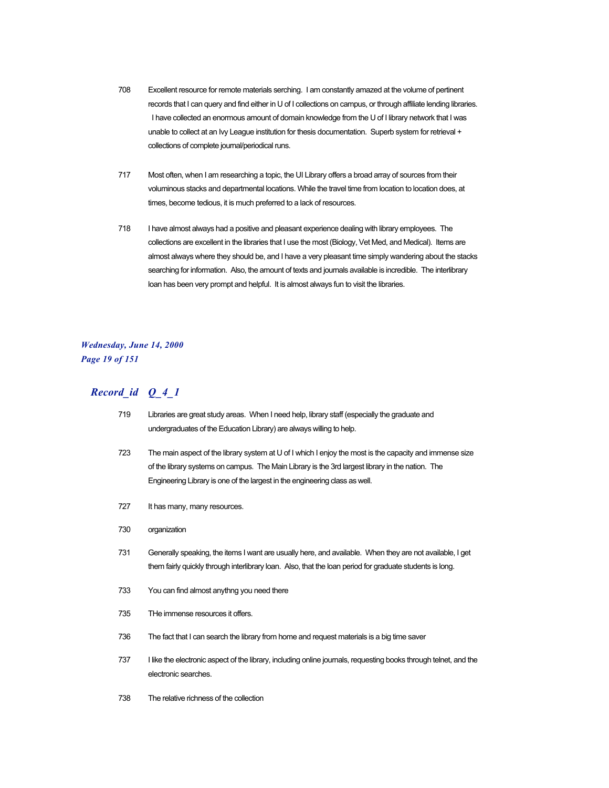- 708 Excellent resource for remote materials serching. I am constantly amazed at the volume of pertinent records that I can query and find either in U of I collections on campus, or through affiliate lending libraries. I have collected an enormous amount of domain knowledge from the U of I library network that I was unable to collect at an Ivy League institution for thesis documentation. Superb system for retrieval + collections of complete journal/periodical runs.
- 717 Most often, when I am researching a topic, the UI Library offers a broad array of sources from their voluminous stacks and departmental locations. While the travel time from location to location does, at times, become tedious, it is much preferred to a lack of resources.
- 718 I have almost always had a positive and pleasant experience dealing with library employees. The collections are excellent in the libraries that I use the most (Biology, Vet Med, and Medical). Items are almost always where they should be, and I have a very pleasant time simply wandering about the stacks searching for information. Also, the amount of texts and journals available is incredible. The interlibrary loan has been very prompt and helpful. It is almost always fun to visit the libraries.

### *Wednesday, June 14, 2000 Page 19 of 151*

- 719 Libraries are great study areas. When I need help, library staff (especially the graduate and undergraduates of the Education Library) are always willing to help.
- 723 The main aspect of the library system at U of I which I enjoy the most is the capacity and immense size of the library systems on campus. The Main Library is the 3rd largest library in the nation. The Engineering Library is one of the largest in the engineering class as well.
- 727 It has many, many resources.
- 730 organization
- 731 Generally speaking, the items I want are usually here, and available. When they are not available, I get them fairly quickly through interlibrary loan. Also, that the loan period for graduate students is long.
- 733 You can find almost anythng you need there
- 735 THe immense resources it offers.
- 736 The fact that I can search the library from home and request materials is a big time saver
- 737 I like the electronic aspect of the library, including online journals, requesting books through telnet, and the electronic searches.
- 738 The relative richness of the collection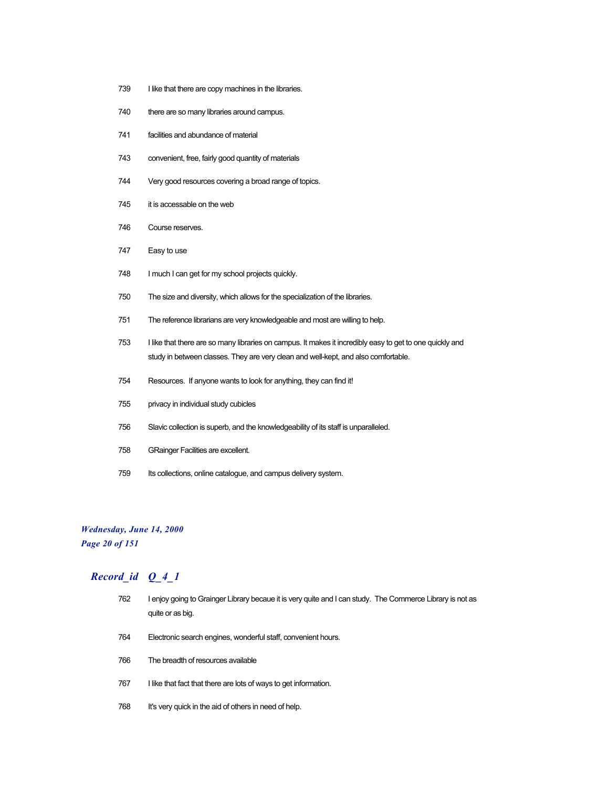- 739 I like that there are copy machines in the libraries.
- there are so many libraries around campus.
- facilities and abundance of material
- convenient, free, fairly good quantity of materials
- Very good resources covering a broad range of topics.
- it is accessable on the web
- Course reserves.
- Easy to use
- I much I can get for my school projects quickly.
- The size and diversity, which allows for the specialization of the libraries.
- The reference librarians are very knowledgeable and most are willing to help.
- I like that there are so many libraries on campus. It makes it incredibly easy to get to one quickly and study in between classes. They are very clean and well-kept, and also comfortable.
- Resources. If anyone wants to look for anything, they can find it!
- privacy in individual study cubicles
- Slavic collection is superb, and the knowledgeability of its staff is unparalleled.
- GRainger Facilities are excellent.
- Its collections, online catalogue, and campus delivery system.

#### *Wednesday, June 14, 2000 Page 20 of 151*

- I enjoy going to Grainger Library becaue it is very quite and I can study. The Commerce Library is not as quite or as big.
- Electronic search engines, wonderful staff, convenient hours.
- The breadth of resources available
- 767 I like that fact that there are lots of ways to get information.
- 768 It's very quick in the aid of others in need of help.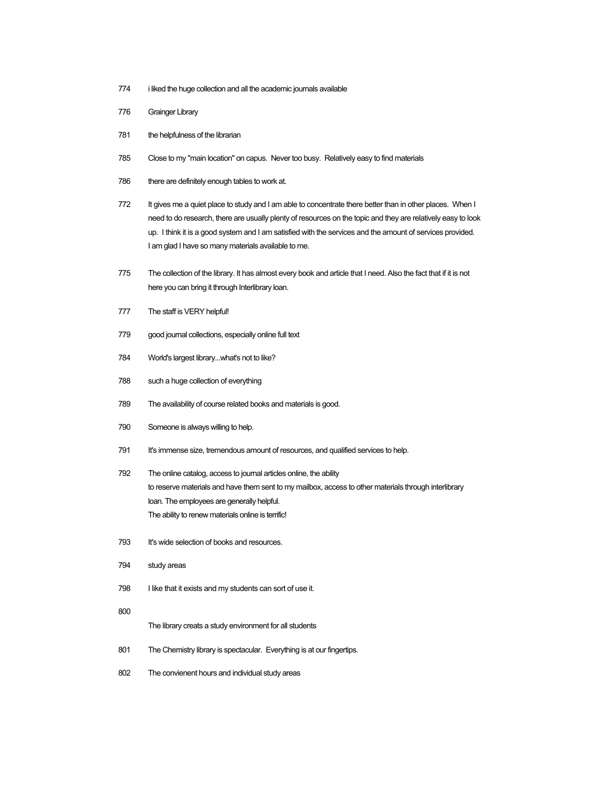- 774 i liked the huge collection and all the academic journals available
- 776 Grainger Library
- 781 the helpfulness of the librarian
- 785 Close to my "main location" on capus. Never too busy. Relatively easy to find materials
- 786 there are definitely enough tables to work at.
- 772 It gives me a quiet place to study and I am able to concentrate there better than in other places. When I need to do research, there are usually plenty of resources on the topic and they are relatively easy to look up. I think it is a good system and I am satisfied with the services and the amount of services provided. I am glad I have so many materials available to me.
- 775 The collection of the library. It has almost every book and article that I need. Also the fact that if it is not here you can bring it through Interlibrary loan.
- 777 The staff is VERY helpful!
- 779 good journal collections, especially online full text
- 784 World's largest library...what's not to like?
- 788 such a huge collection of everything
- 789 The availability of course related books and materials is good.
- 790 Someone is always willing to help.
- 791 It's immense size, tremendous amount of resources, and qualified services to help.
- 792 The online catalog, access to journal articles online, the ability to reserve materials and have them sent to my mailbox, access to other materials through interlibrary loan. The employees are generally helpful. The ability to renew materials online is terrific!
- 793 It's wide selection of books and resources.
- 794 study areas
- 798 I like that it exists and my students can sort of use it.
- 800

The library creats a study environment for all students

- 801 The Chemistry library is spectacular. Everything is at our fingertips.
- 802 The convienent hours and individual study areas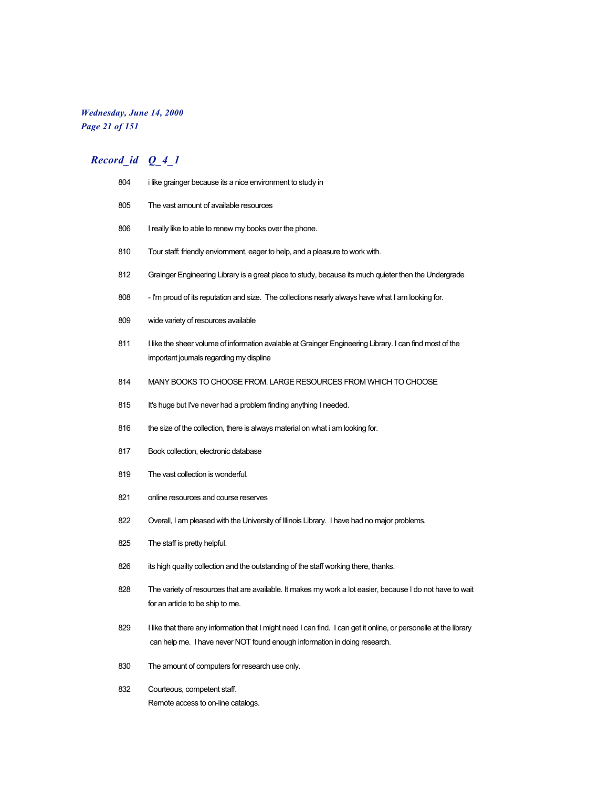## *Wednesday, June 14, 2000 Page 21 of 151*

| 804 | i like grainger because its a nice environment to study in                                                                                                                                     |  |
|-----|------------------------------------------------------------------------------------------------------------------------------------------------------------------------------------------------|--|
| 805 | The vast amount of available resources                                                                                                                                                         |  |
| 806 | I really like to able to renew my books over the phone.                                                                                                                                        |  |
| 810 | Tour staff: friendly enviornment, eager to help, and a pleasure to work with.                                                                                                                  |  |
| 812 | Grainger Engineering Library is a great place to study, because its much quieter then the Undergrade                                                                                           |  |
| 808 | - I'm proud of its reputation and size. The collections nearly always have what I am looking for.                                                                                              |  |
| 809 | wide variety of resources available                                                                                                                                                            |  |
| 811 | I like the sheer volume of information avalable at Grainger Engineering Library. I can find most of the<br>important journals regarding my displine                                            |  |
| 814 | MANY BOOKS TO CHOOSE FROM. LARGE RESOURCES FROM WHICH TO CHOOSE                                                                                                                                |  |
| 815 | It's huge but I've never had a problem finding anything I needed.                                                                                                                              |  |
| 816 | the size of the collection, there is always material on what i am looking for.                                                                                                                 |  |
| 817 | Book collection, electronic database                                                                                                                                                           |  |
| 819 | The vast collection is wonderful.                                                                                                                                                              |  |
| 821 | online resources and course reserves                                                                                                                                                           |  |
| 822 | Overall, I am pleased with the University of Illinois Library. I have had no major problems.                                                                                                   |  |
| 825 | The staff is pretty helpful.                                                                                                                                                                   |  |
| 826 | its high quailty collection and the outstanding of the staff working there, thanks.                                                                                                            |  |
| 828 | The variety of resources that are available. It makes my work a lot easier, because I do not have to wait<br>for an article to be ship to me.                                                  |  |
| 829 | I like that there any information that I might need I can find. I can get it online, or personelle at the library<br>can help me. I have never NOT found enough information in doing research. |  |
| 830 | The amount of computers for research use only.                                                                                                                                                 |  |
| 832 | Courteous, competent staff.<br>Remote access to on-line catalogs.                                                                                                                              |  |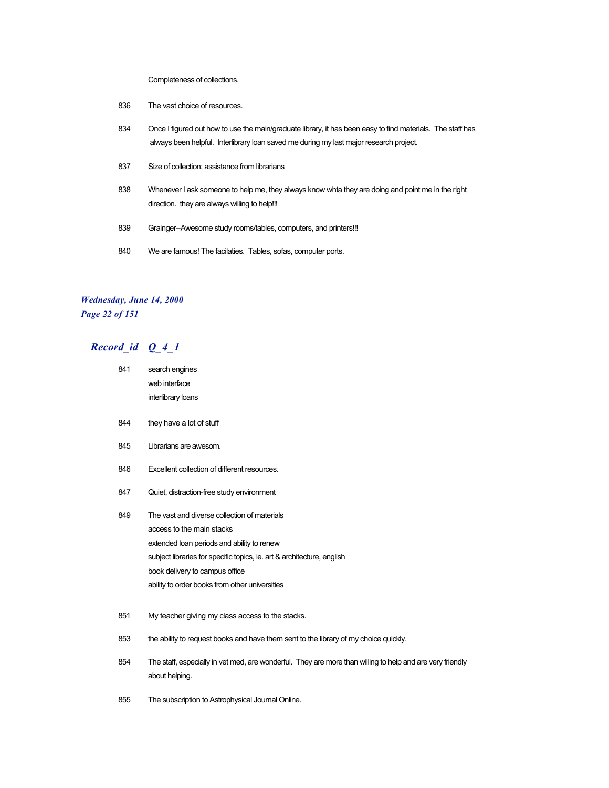Completeness of collections.

- 836 The vast choice of resources.
- 834 Once I figured out how to use the main/graduate library, it has been easy to find materials. The staff has always been helpful. Interlibrary loan saved me during my last major research project.
- 837 Size of collection; assistance from librarians
- 838 Whenever I ask someone to help me, they always know whta they are doing and point me in the right direction. they are always willing to help!!!
- 839 Grainger--Awesome study rooms/tables, computers, and printers!!!
- 840 We are famous! The facilaties. Tables, sofas, computer ports.

#### *Wednesday, June 14, 2000 Page 22 of 151*

## *Record\_id Q\_4\_1*

| 841 | search engines                                                                                                              |  |
|-----|-----------------------------------------------------------------------------------------------------------------------------|--|
|     | web interface                                                                                                               |  |
|     | interlibrary loans                                                                                                          |  |
| 844 | they have a lot of stuff                                                                                                    |  |
| 845 | Librarians are awesom.                                                                                                      |  |
| 846 | Excellent collection of different resources.                                                                                |  |
| 847 | Quiet, distraction-free study environment                                                                                   |  |
| 849 | The vast and diverse collection of materials                                                                                |  |
|     | access to the main stacks                                                                                                   |  |
|     | extended loan periods and ability to renew                                                                                  |  |
|     | subject libraries for specific topics, ie. art & architecture, english                                                      |  |
|     | book delivery to campus office                                                                                              |  |
|     | ability to order books from other universities                                                                              |  |
| 851 | My teacher giving my class access to the stacks.                                                                            |  |
| 853 | the ability to request books and have them sent to the library of my choice quickly.                                        |  |
| 854 | The staff, especially in vet med, are wonderful. They are more than willing to help and are very friendly<br>about helping. |  |

855 The subscription to Astrophysical Journal Online.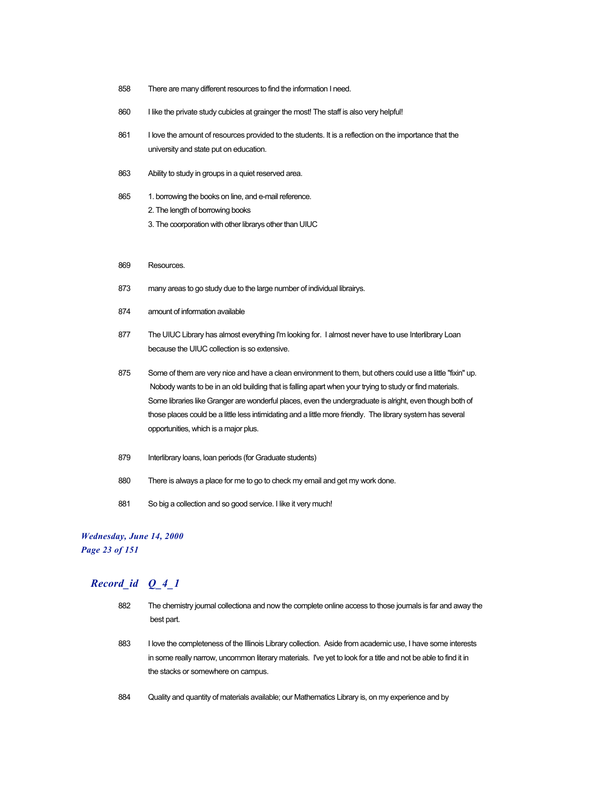- 858 There are many different resources to find the information I need.
- 860 I like the private study cubicles at grainger the most! The staff is also very helpful!
- 861 I love the amount of resources provided to the students. It is a reflection on the importance that the university and state put on education.
- 863 Ability to study in groups in a quiet reserved area.
- 865 1. borrowing the books on line, and e-mail reference.
	- 2. The length of borrowing books
	- 3. The coorporation with other librarys other than UIUC
- 869 Resources.
- 873 many areas to go study due to the large number of individual librairys.
- 874 amount of information available
- 877 The UIUC Library has almost everything I'm looking for. I almost never have to use Interlibrary Loan because the UIUC collection is so extensive.
- 875 Some of them are very nice and have a clean environment to them, but others could use a little "fixin" up. Nobody wants to be in an old building that is falling apart when your trying to study or find materials. Some libraries like Granger are wonderful places, even the undergraduate is alright, even though both of those places could be a little less intimidating and a little more friendly. The library system has several opportunities, which is a major plus.
- 879 Interlibrary loans, loan periods (for Graduate students)
- 880 There is always a place for me to go to check my email and get my work done.
- 881 So big a collection and so good service. I like it very much!

#### *Wednesday, June 14, 2000*

*Page 23 of 151*

- 882 The chemistry journal collectiona and now the complete online access to those journals is far and away the best part.
- 883 I love the completeness of the Illinois Library collection. Aside from academic use, I have some interests in some really narrow, uncommon literary materials. I've yet to look for a title and not be able to find it in the stacks or somewhere on campus.
- 884 Quality and quantity of materials available; our Mathematics Library is, on my experience and by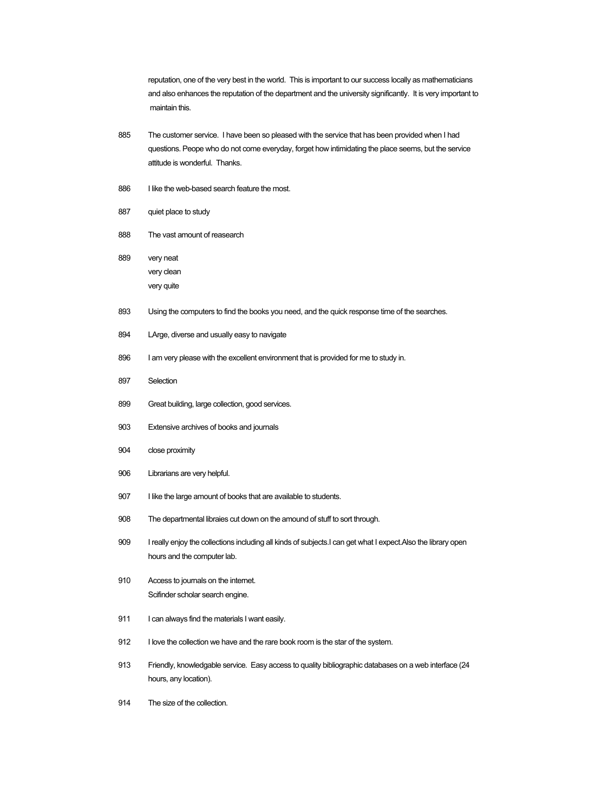reputation, one of the very best in the world. This is important to our success locally as mathematicians and also enhances the reputation of the department and the university significantly. It is very important to maintain this.

- 885 The customer service. I have been so pleased with the service that has been provided when I had questions. Peope who do not come everyday, forget how intimidating the place seems, but the service attitude is wonderful. Thanks.
- 886 I like the web-based search feature the most.
- 887 quiet place to study
- 888 The vast amount of reasearch
- 889 very neat very clean very quite
- 893 Using the computers to find the books you need, and the quick response time of the searches.
- 894 LArge, diverse and usually easy to navigate
- 896 I am very please with the excellent environment that is provided for me to study in.
- 897 Selection
- 899 Great building, large collection, good services.
- 903 Extensive archives of books and journals
- 904 close proximity
- 906 Librarians are very helpful.
- 907 I like the large amount of books that are available to students.
- 908 The departmental libraies cut down on the amound of stuff to sort through.
- 909 I really enjoy the collections including all kinds of subjects.I can get what I expect.Also the library open hours and the computer lab.
- 910 Access to journals on the internet. Scifinder scholar search engine.
- 911 I can always find the materials I want easily.
- 912 I love the collection we have and the rare book room is the star of the system.
- 913 Friendly, knowledgable service. Easy access to quality bibliographic databases on a web interface (24 hours, any location).
- 914 The size of the collection.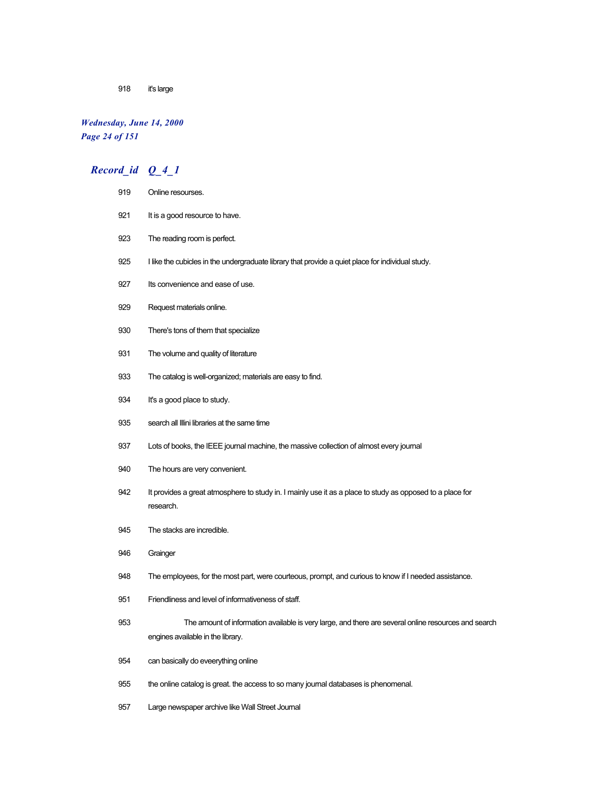it's large

## *Wednesday, June 14, 2000 Page 24 of 151*

## *Record\_id Q\_4\_1*

| 919 | Online resourses.                                                                                                                         |  |
|-----|-------------------------------------------------------------------------------------------------------------------------------------------|--|
| 921 | It is a good resource to have.                                                                                                            |  |
| 923 | The reading room is perfect.                                                                                                              |  |
| 925 | I like the cubicles in the undergraduate library that provide a quiet place for individual study.                                         |  |
| 927 | Its convenience and ease of use.                                                                                                          |  |
| 929 | Request materials online.                                                                                                                 |  |
| 930 | There's tons of them that specialize                                                                                                      |  |
| 931 | The volume and quality of literature                                                                                                      |  |
| 933 | The catalog is well-organized; materials are easy to find.                                                                                |  |
| 934 | It's a good place to study.                                                                                                               |  |
| 935 | search all Illini libraries at the same time                                                                                              |  |
| 937 | Lots of books, the IEEE journal machine, the massive collection of almost every journal                                                   |  |
| 940 | The hours are very convenient.                                                                                                            |  |
| 942 | It provides a great atmosphere to study in. I mainly use it as a place to study as opposed to a place for<br>research.                    |  |
| 945 | The stacks are incredible.                                                                                                                |  |
| 946 | Grainger                                                                                                                                  |  |
| 948 | The employees, for the most part, were courteous, prompt, and curious to know if I needed assistance.                                     |  |
| 951 | Friendliness and level of informativeness of staff.                                                                                       |  |
| 953 | The amount of information available is very large, and there are several online resources and search<br>engines available in the library. |  |
| 954 | can basically do eveerything online                                                                                                       |  |
| 955 | the online catalog is great. the access to so many journal databases is phenomenal.                                                       |  |

Large newspaper archive like Wall Street Journal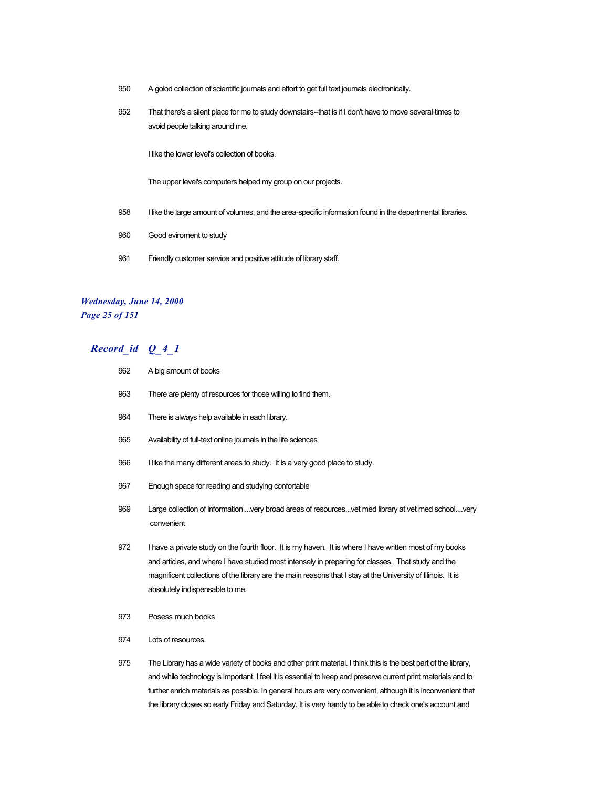- 950 A goiod collection of scientific journals and effort to get full text journals electronically.
- 952 That there's a silent place for me to study downstairs--that is if I don't have to move several times to avoid people talking around me.

I like the lower level's collection of books.

The upper level's computers helped my group on our projects.

- 958 I like the large amount of volumes, and the area-specific information found in the departmental libraries.
- 960 Good eviroment to study
- 961 Friendly customer service and positive attitude of library staff.

#### *Wednesday, June 14, 2000 Page 25 of 151*

## *Record\_id Q\_4\_1*

- 962 A big amount of books
- 963 There are plenty of resources for those willing to find them.
- 964 There is always help available in each library.
- 965 Availability of full-text online journals in the life sciences
- 966 I like the many different areas to study. It is a very good place to study.
- 967 Enough space for reading and studying confortable
- 969 Large collection of information....very broad areas of resources...vet med library at vet med school....very convenient
- 972 I have a private study on the fourth floor. It is my haven. It is where I have written most of my books and articles, and where I have studied most intensely in preparing for classes. That study and the magnificent collections of the library are the main reasons that I stay at the University of Illinois. It is absolutely indispensable to me.
- 973 Posess much books
- 974 Lots of resources.

975 The Library has a wide variety of books and other print material. I think this is the best part of the library, and while technology is important, I feel it is essential to keep and preserve current print materials and to further enrich materials as possible. In general hours are very convenient, although it is inconvenient that the library closes so early Friday and Saturday. It is very handy to be able to check one's account and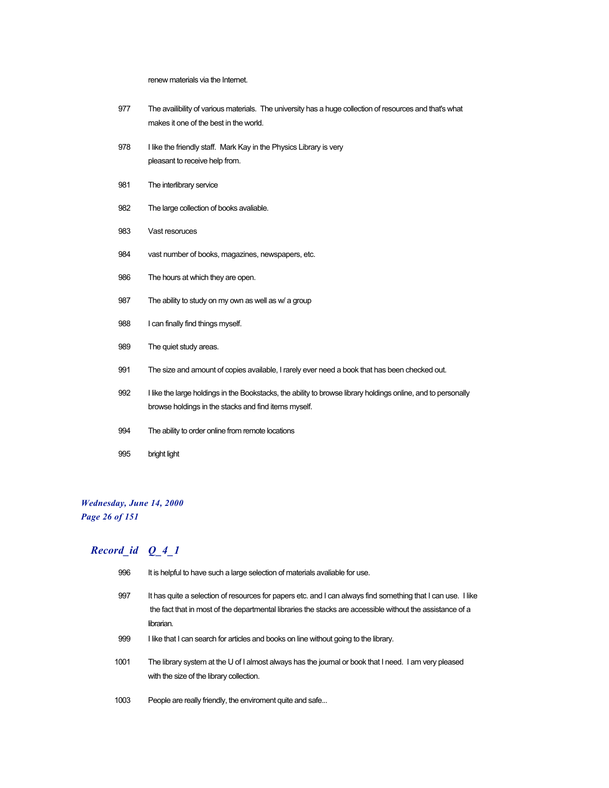renew materials via the Internet.

| 977 |                                        | The availibility of various materials. The university has a huge collection of resources and that's what |
|-----|----------------------------------------|----------------------------------------------------------------------------------------------------------|
|     | makes it one of the best in the world. |                                                                                                          |

- 978 I like the friendly staff. Mark Kay in the Physics Library is very pleasant to receive help from.
- 981 The interlibrary service
- 982 The large collection of books avaliable.
- 983 Vast resoruces
- 984 vast number of books, magazines, newspapers, etc.
- 986 The hours at which they are open.
- 987 The ability to study on my own as well as w/ a group
- 988 I can finally find things myself.
- 989 The quiet study areas.
- 991 The size and amount of copies available, I rarely ever need a book that has been checked out.
- 992 I like the large holdings in the Bookstacks, the ability to browse library holdings online, and to personally browse holdings in the stacks and find items myself.
- 994 The ability to order online from remote locations
- 995 bright light

#### *Wednesday, June 14, 2000 Page 26 of 151*

- 996 It is helpful to have such a large selection of materials avaliable for use.
- 997 It has quite a selection of resources for papers etc. and I can always find something that I can use. I like the fact that in most of the departmental libraries the stacks are accessible without the assistance of a librarian.
- 999 I like that I can search for articles and books on line without going to the library.
- 1001 The library system at the U of I almost always has the journal or book that I need. I am very pleased with the size of the library collection.
- 1003 People are really friendly, the enviroment quite and safe...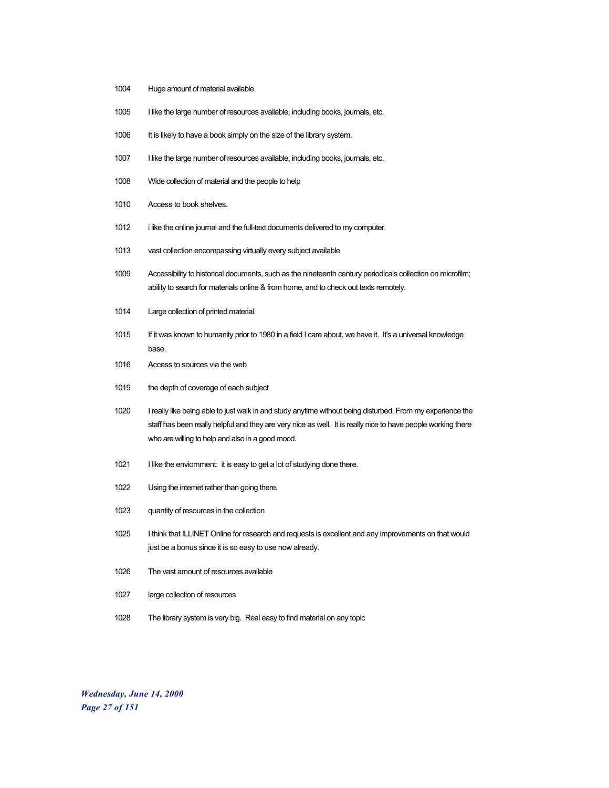- Huge amount of material available.
- I like the large number of resources available, including books, journals, etc.
- 1006 It is likely to have a book simply on the size of the library system.
- 1007 I like the large number of resources available, including books, journals, etc.
- Wide collection of material and the people to help
- Access to book shelves.
- i like the online journal and the full-text documents delivered to my computer.
- vast collection encompassing virtually every subject available
- Accessibility to historical documents, such as the nineteenth century periodicals collection on microfilm; ability to search for materials online & from home, and to check out texts remotely.
- Large collection of printed material.
- If it was known to humanity prior to 1980 in a field I care about, we have it. It's a universal knowledge base.
- Access to sources via the web
- the depth of coverage of each subject
- I really like being able to just walk in and study anytime without being disturbed. From my experience the staff has been really helpful and they are very nice as well. It is really nice to have people working there who are willing to help and also in a good mood.
- 1021 I like the enviornment: it is easy to get a lot of studying done there.
- Using the internet rather than going there.
- quantity of resources in the collection
- I think that ILLINET Online for research and requests is excellent and any improvements on that would just be a bonus since it is so easy to use now already.
- The vast amount of resources available
- large collection of resources
- The library system is very big. Real easy to find material on any topic

*Wednesday, June 14, 2000 Page 27 of 151*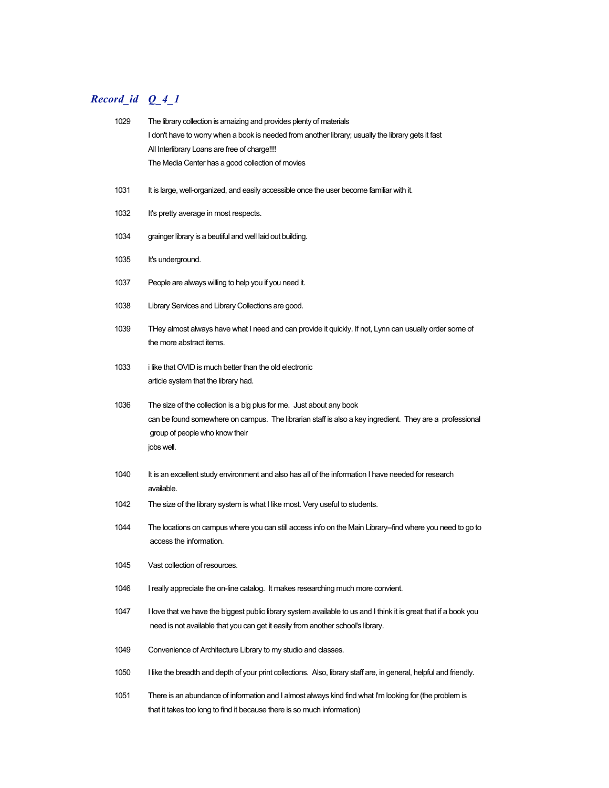| 1029 | The library collection is amaizing and provides plenty of materials                                                                                                                                                             |
|------|---------------------------------------------------------------------------------------------------------------------------------------------------------------------------------------------------------------------------------|
|      | I don't have to worry when a book is needed from another library; usually the library gets it fast                                                                                                                              |
|      | All Interlibrary Loans are free of charge!!!!                                                                                                                                                                                   |
|      | The Media Center has a good collection of movies                                                                                                                                                                                |
| 1031 | It is large, well-organized, and easily accessible once the user become familiar with it.                                                                                                                                       |
| 1032 | It's pretty average in most respects.                                                                                                                                                                                           |
| 1034 | grainger library is a beutiful and well laid out building.                                                                                                                                                                      |
| 1035 | It's underground.                                                                                                                                                                                                               |
| 1037 | People are always willing to help you if you need it.                                                                                                                                                                           |
| 1038 | Library Services and Library Collections are good.                                                                                                                                                                              |
| 1039 | THey almost always have what I need and can provide it quickly. If not, Lynn can usually order some of<br>the more abstract items.                                                                                              |
| 1033 | i like that OVID is much better than the old electronic<br>article system that the library had.                                                                                                                                 |
| 1036 | The size of the collection is a big plus for me. Just about any book<br>can be found somewhere on campus. The librarian staff is also a key ingredient. They are a professional<br>group of people who know their<br>jobs well. |
| 1040 | It is an excellent study environment and also has all of the information I have needed for research<br>available.                                                                                                               |
| 1042 | The size of the library system is what I like most. Very useful to students.                                                                                                                                                    |
| 1044 | The locations on campus where you can still access info on the Main Library--find where you need to go to<br>access the information.                                                                                            |
| 1045 | Vast collection of resources.                                                                                                                                                                                                   |
| 1046 | I really appreciate the on-line catalog. It makes researching much more convient.                                                                                                                                               |
| 1047 | I love that we have the biggest public library system available to us and I think it is great that if a book you                                                                                                                |
|      | need is not available that you can get it easily from another school's library.                                                                                                                                                 |
| 1049 | Convenience of Architecture Library to my studio and classes.                                                                                                                                                                   |
| 1050 | I like the breadth and depth of your print collections. Also, library staff are, in general, helpful and friendly.                                                                                                              |
| 1051 | There is an abundance of information and I almost always kind find what I'm looking for (the problem is<br>that it takes too long to find it because there is so much information)                                              |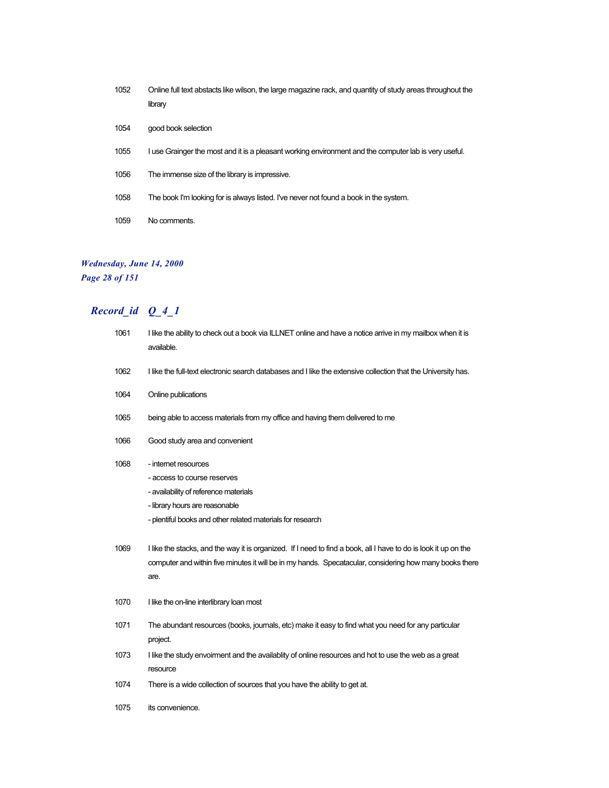- 1052 Online full text abstacts like wilson, the large magazine rack, and quantity of study areas throughout the library
- 1054 good book selection
- 1055 I use Grainger the most and it is a pleasant working environment and the computer lab is very useful.
- 1056 The immense size of the library is impressive.
- 1058 The book I'm looking for is always listed. I've never not found a book in the system.
- 1059 No comments.

#### *Wednesday, June 14, 2000 Page 28 of 151*

| 1061 | I like the ability to check out a book via ILLNET online and have a notice arrive in my mailbox when it is<br>available. |
|------|--------------------------------------------------------------------------------------------------------------------------|
| 1062 | I like the full-text electronic search databases and I like the extensive collection that the University has.            |
| 1064 | Online publications                                                                                                      |
| 1065 | being able to access materials from my office and having them delivered to me                                            |
| 1066 | Good study area and convenient                                                                                           |
| 1068 | - internet resources                                                                                                     |
|      | - access to course reserves                                                                                              |
|      | - availability of reference materials                                                                                    |
|      | - library hours are reasonable                                                                                           |
|      | - plentiful books and other related materials for research                                                               |
| 1069 | I like the stacks, and the way it is organized. If I need to find a book, all I have to do is look it up on the          |
|      | computer and within five minutes it will be in my hands. Specatacular, considering how many books there                  |
|      | are.                                                                                                                     |
| 1070 | I like the on-line interlibrary loan most                                                                                |
| 1071 | The abundant resources (books, journals, etc) make it easy to find what you need for any particular                      |
|      | project.                                                                                                                 |
| 1073 | I like the study envoirment and the availablity of online resources and hot to use the web as a great                    |
|      | resource                                                                                                                 |
| 1074 | There is a wide collection of sources that you have the ability to get at.                                               |
| 1075 | its convenience.                                                                                                         |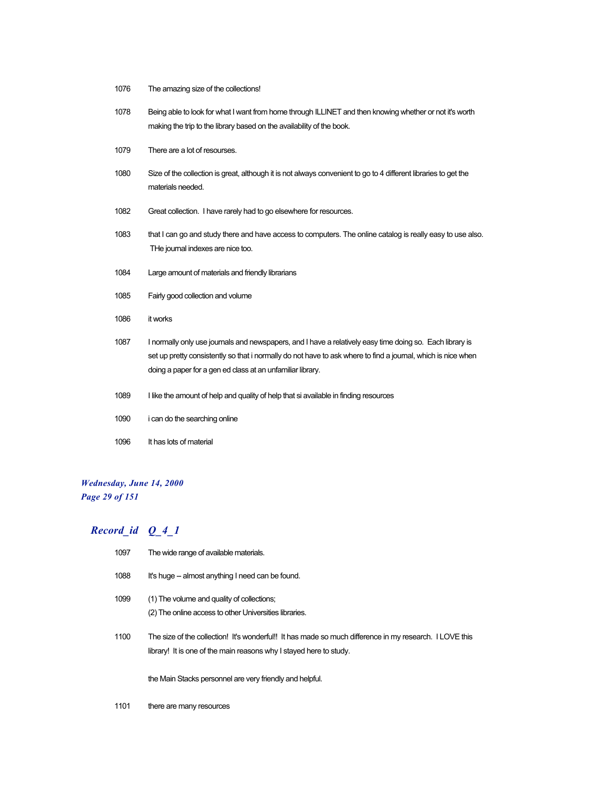- 1076 The amazing size of the collections!
- 1078 Being able to look for what I want from home through ILLINET and then knowing whether or not it's worth making the trip to the library based on the availability of the book.
- 1079 There are a lot of resourses.
- 1080 Size of the collection is great, although it is not always convenient to go to 4 different libraries to get the materials needed.
- 1082 Great collection. I have rarely had to go elsewhere for resources.
- 1083 that I can go and study there and have access to computers. The online catalog is really easy to use also. THe journal indexes are nice too.
- 1084 Large amount of materials and friendly librarians
- 1085 Fairly good collection and volume
- 1086 it works
- 1087 I normally only use journals and newspapers, and I have a relatively easy time doing so. Each library is set up pretty consistently so that i normally do not have to ask where to find a journal, which is nice when doing a paper for a gen ed class at an unfamiliar library.
- 1089 I like the amount of help and quality of help that si available in finding resources
- 1090 i can do the searching online
- 1096 It has lots of material

#### *Wednesday, June 14, 2000 Page 29 of 151*

#### *Record\_id Q\_4\_1*

- 1097 The wide range of available materials.
- 1088 It's huge -- almost anything I need can be found.
- 1099 (1) The volume and quality of collections; (2) The online access to other Universities libraries.
- 1100 The size of the collection! It's wonderful!! It has made so much difference in my research. I LOVE this library! It is one of the main reasons why I stayed here to study.

the Main Stacks personnel are very friendly and helpful.

1101 there are many resources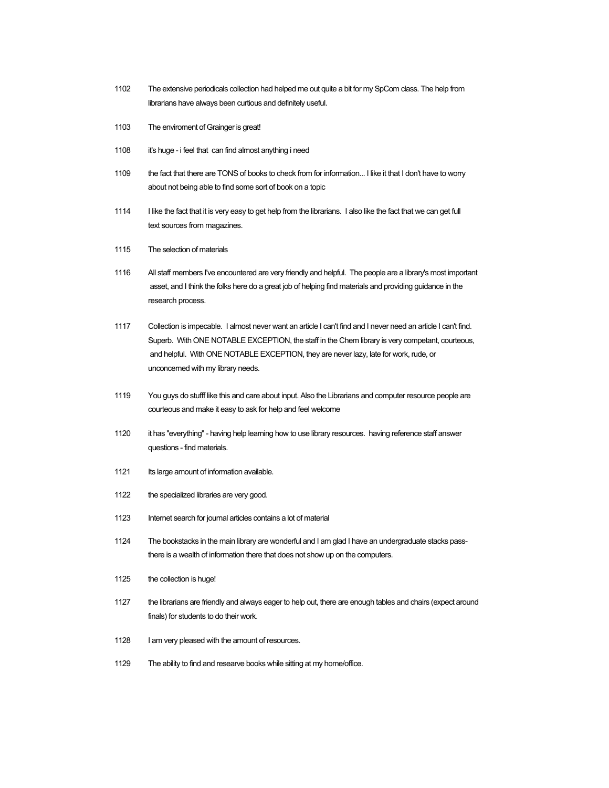- 1102 The extensive periodicals collection had helped me out quite a bit for my SpCom class. The help from librarians have always been curtious and definitely useful.
- 1103 The enviroment of Grainger is great!
- 1108 it's huge i feel that can find almost anything i need
- 1109 the fact that there are TONS of books to check from for information... I like it that I don't have to worry about not being able to find some sort of book on a topic
- 1114 I like the fact that it is very easy to get help from the librarians. I also like the fact that we can get full text sources from magazines.
- 1115 The selection of materials
- 1116 All staff members I've encountered are very friendly and helpful. The people are a library's most important asset, and I think the folks here do a great job of helping find materials and providing guidance in the research process.
- 1117 Collection is impecable. I almost never want an article I can't find and I never need an article I can't find. Superb. With ONE NOTABLE EXCEPTION, the staff in the Chem library is very competant, courteous, and helpful. With ONE NOTABLE EXCEPTION, they are never lazy, late for work, rude, or unconcerned with my library needs.
- 1119 You guys do stufff like this and care about input. Also the Librarians and computer resource people are courteous and make it easy to ask for help and feel welcome
- 1120 it has "everything" having help learning how to use library resources. having reference staff answer questions - find materials.
- 1121 Its large amount of information available.
- 1122 the specialized libraries are very good.
- 1123 Internet search for journal articles contains a lot of material
- 1124 The bookstacks in the main library are wonderful and I am glad I have an undergraduate stacks passthere is a wealth of information there that does not show up on the computers.
- 1125 the collection is huge!
- 1127 the librarians are friendly and always eager to help out, there are enough tables and chairs (expect around finals) for students to do their work.
- 1128 I am very pleased with the amount of resources.
- 1129 The ability to find and researve books while sitting at my home/office.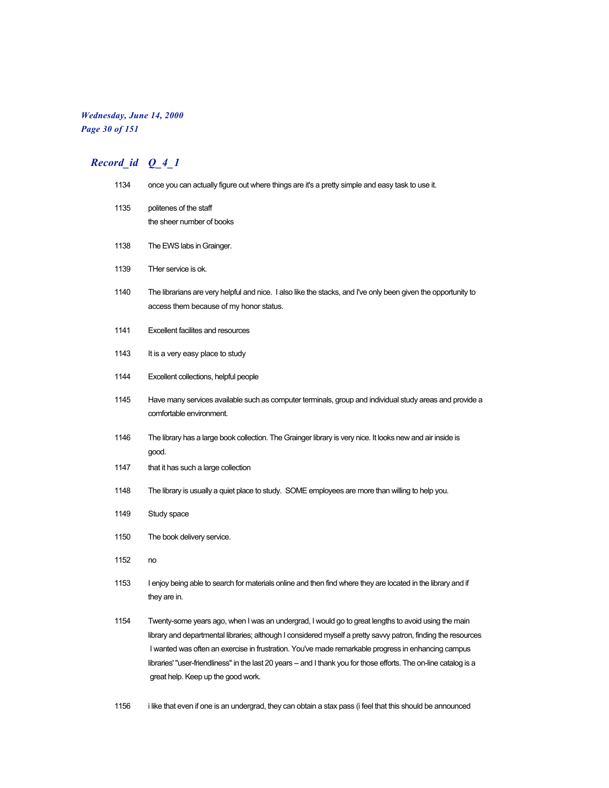#### *Wednesday, June 14, 2000 Page 30 of 151*

# *Record\_id Q\_4\_1*

| 1134 | once you can actually figure out where things are it's a pretty simple and easy task to use it.                                                                                                                                                                                                                                                                                                                                                                                        |
|------|----------------------------------------------------------------------------------------------------------------------------------------------------------------------------------------------------------------------------------------------------------------------------------------------------------------------------------------------------------------------------------------------------------------------------------------------------------------------------------------|
| 1135 | politenes of the staff                                                                                                                                                                                                                                                                                                                                                                                                                                                                 |
|      | the sheer number of books                                                                                                                                                                                                                                                                                                                                                                                                                                                              |
| 1138 | The EWS labs in Grainger.                                                                                                                                                                                                                                                                                                                                                                                                                                                              |
| 1139 | THer service is ok.                                                                                                                                                                                                                                                                                                                                                                                                                                                                    |
| 1140 | The librarians are very helpful and nice. I also like the stacks, and I've only been given the opportunity to<br>access them because of my honor status.                                                                                                                                                                                                                                                                                                                               |
| 1141 | <b>Excellent facilites and resources</b>                                                                                                                                                                                                                                                                                                                                                                                                                                               |
| 1143 | It is a very easy place to study                                                                                                                                                                                                                                                                                                                                                                                                                                                       |
| 1144 | Excellent collections, helpful people                                                                                                                                                                                                                                                                                                                                                                                                                                                  |
| 1145 | Have many services available such as computer terminals, group and individual study areas and provide a<br>comfortable environment.                                                                                                                                                                                                                                                                                                                                                    |
| 1146 | The library has a large book collection. The Grainger library is very nice. It looks new and air inside is<br>good.                                                                                                                                                                                                                                                                                                                                                                    |
| 1147 | that it has such a large collection                                                                                                                                                                                                                                                                                                                                                                                                                                                    |
| 1148 | The library is usually a quiet place to study. SOME employees are more than willing to help you.                                                                                                                                                                                                                                                                                                                                                                                       |
| 1149 | Study space                                                                                                                                                                                                                                                                                                                                                                                                                                                                            |
| 1150 | The book delivery service.                                                                                                                                                                                                                                                                                                                                                                                                                                                             |
| 1152 | no                                                                                                                                                                                                                                                                                                                                                                                                                                                                                     |
| 1153 | I enjoy being able to search for materials online and then find where they are located in the library and if<br>they are in.                                                                                                                                                                                                                                                                                                                                                           |
| 1154 | Twenty-some years ago, when I was an undergrad, I would go to great lengths to avoid using the main<br>library and departmental libraries; although I considered myself a pretty savvy patron, finding the resources<br>I wanted was often an exercise in frustration. You've made remarkable progress in enhancing campus<br>libraries' "user-friendliness" in the last 20 years -- and I thank you for those efforts. The on-line catalog is a<br>great help. Keep up the good work. |

1156 i like that even if one is an undergrad, they can obtain a stax pass (i feel that this should be announced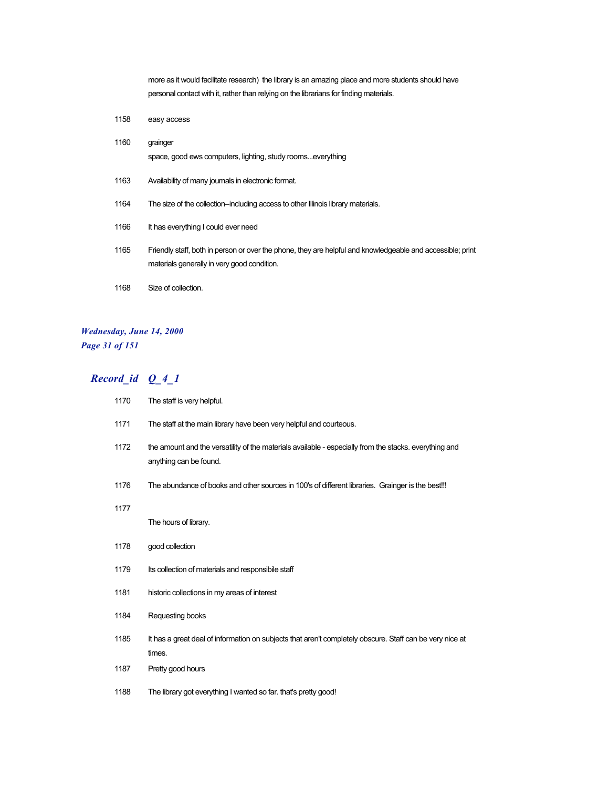more as it would facilitate research) the library is an amazing place and more students should have personal contact with it, rather than relying on the librarians for finding materials.

1158 easy access 1160 grainger space, good ews computers, lighting, study rooms...everything 1163 Availability of many journals in electronic format. 1164 The size of the collection--including access to other Illinois library materials. 1166 It has everything I could ever need 1165 Friendly staff, both in person or over the phone, they are helpful and knowledgeable and accessible; print materials generally in very good condition. 1168 Size of collection.

#### *Wednesday, June 14, 2000 Page 31 of 151*

| 1170 | The staff is very helpful.                                                                                                       |
|------|----------------------------------------------------------------------------------------------------------------------------------|
| 1171 | The staff at the main library have been very helpful and courteous.                                                              |
| 1172 | the amount and the versatility of the materials available - especially from the stacks, everything and<br>anything can be found. |
| 1176 | The abundance of books and other sources in 100's of different libraries. Grainger is the best!!!                                |
| 1177 | The hours of library.                                                                                                            |
| 1178 | good collection                                                                                                                  |
| 1179 | Its collection of materials and responsibile staff                                                                               |
| 1181 | historic collections in my areas of interest                                                                                     |
| 1184 | Requesting books                                                                                                                 |
| 1185 | It has a great deal of information on subjects that aren't completely obscure. Staff can be very nice at<br>times.               |
| 1187 | Pretty good hours                                                                                                                |
| 1188 | The library got everything I wanted so far. that's pretty good!                                                                  |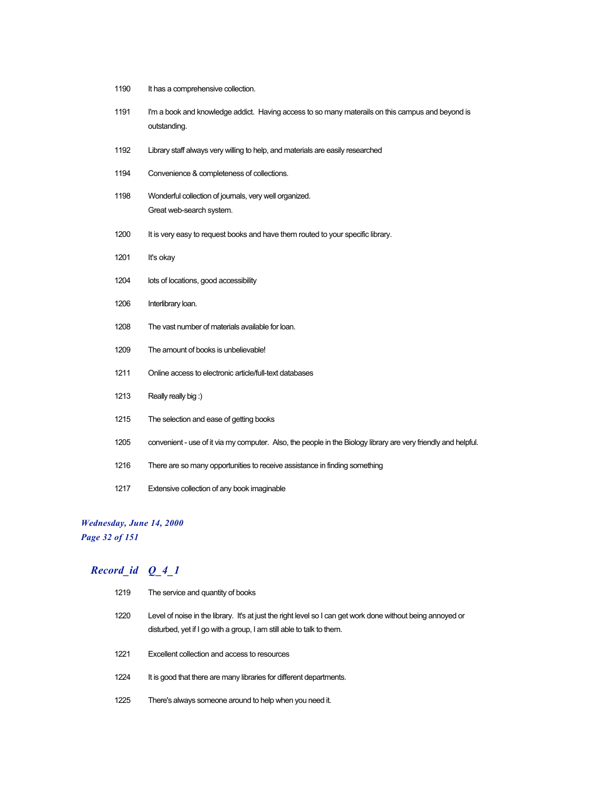| 1190 | It has a comprehensive collection.                                                                               |
|------|------------------------------------------------------------------------------------------------------------------|
| 1191 | I'm a book and knowledge addict. Having access to so many materails on this campus and beyond is<br>outstanding. |
| 1192 | Library staff always very willing to help, and materials are easily researched                                   |
| 1194 | Convenience & completeness of collections.                                                                       |
| 1198 | Wonderful collection of journals, very well organized.<br>Great web-search system.                               |
| 1200 | It is very easy to request books and have them routed to your specific library.                                  |
| 1201 | It's okay                                                                                                        |
| 1204 | lots of locations, good accessibility                                                                            |
| 1206 | Interlibrary loan.                                                                                               |
| 1208 | The vast number of materials available for loan.                                                                 |
| 1209 | The amount of books is unbelievable!                                                                             |
| 1211 | Online access to electronic article/full-text databases                                                          |
| 1213 | Really really big:)                                                                                              |
| 1215 | The selection and ease of getting books                                                                          |
| 1205 | convenient - use of it via my computer. Also, the people in the Biology library are very friendly and helpful.   |
| 1216 | There are so many opportunities to receive assistance in finding something                                       |
| 1217 | Extensive collection of any book imaginable                                                                      |

# *Wednesday, June 14, 2000*

*Page 32 of 151*

| 1219 | The service and quantity of books                                                                                                                                                    |
|------|--------------------------------------------------------------------------------------------------------------------------------------------------------------------------------------|
| 1220 | Level of noise in the library. It's at just the right level so I can get work done without being annoyed or<br>disturbed, yet if I go with a group, I am still able to talk to them. |
| 1221 | Excellent collection and access to resources                                                                                                                                         |
| 1224 | It is good that there are many libraries for different departments.                                                                                                                  |
| 1225 | There's always someone around to help when you need it.                                                                                                                              |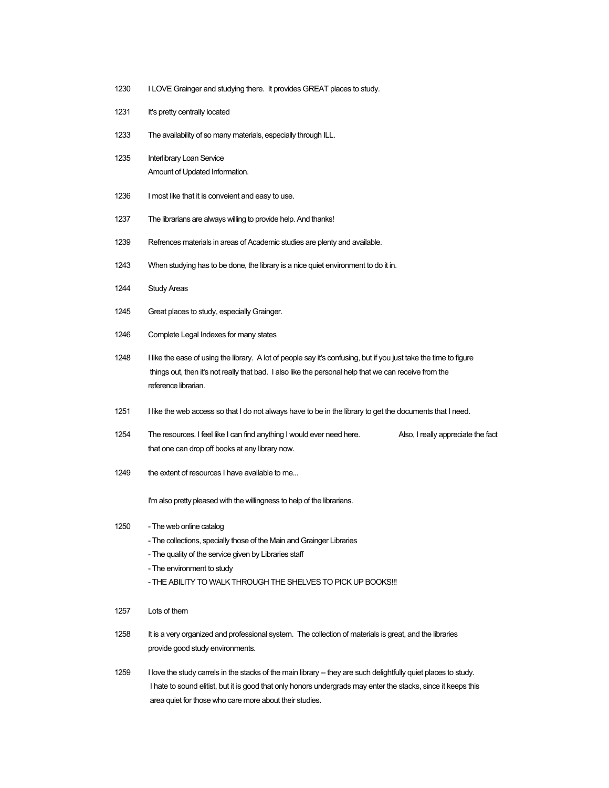- 1230 I LOVE Grainger and studying there. It provides GREAT places to study.
- 1231 It's pretty centrally located
- 1233 The availability of so many materials, especially through ILL.
- 1235 Interlibrary Loan Service Amount of Updated Information.
- 1236 I most like that it is conveient and easy to use.
- 1237 The librarians are always willing to provide help. And thanks!
- 1239 Refrences materials in areas of Academic studies are plenty and available.
- 1243 When studying has to be done, the library is a nice quiet environment to do it in.
- 1244 Study Areas
- 1245 Great places to study, especially Grainger.
- 1246 Complete Legal Indexes for many states
- 1248 I like the ease of using the library. A lot of people say it's confusing, but if you just take the time to figure things out, then it's not really that bad. I also like the personal help that we can receive from the reference librarian.
- 1251 I like the web access so that I do not always have to be in the library to get the documents that I need.
- 1254 The resources. I feel like I can find anything I would ever need here. Also, I really appreciate the fact that one can drop off books at any library now.
- 1249 the extent of resources I have available to me...

I'm also pretty pleased with the willingness to help of the librarians.

- 1250 The web online catalog
	- The collections, specially those of the Main and Grainger Libraries
	- The quality of the service given by Libraries staff
	- The environment to study
	- THE ABILITY TO WALK THROUGH THE SHELVES TO PICK UP BOOKS!!!
- 1257 Lots of them
- 1258 It is a very organized and professional system. The collection of materials is great, and the libraries provide good study environments.
- 1259 I love the study carrels in the stacks of the main library -- they are such delightfully quiet places to study. I hate to sound elitist, but it is good that only honors undergrads may enter the stacks, since it keeps this area quiet for those who care more about their studies.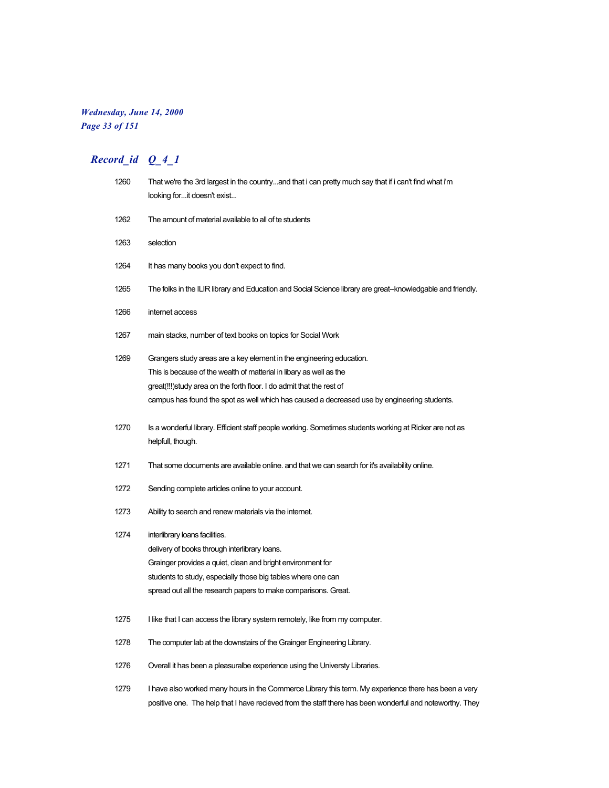#### *Wednesday, June 14, 2000 Page 33 of 151*

# *Record\_id Q\_4\_1*

| 1260 | That we're the 3rd largest in the countryand that i can pretty much say that if i can't find what i'm<br>looking forit doesn't exist |
|------|--------------------------------------------------------------------------------------------------------------------------------------|
| 1262 | The amount of material available to all of te students                                                                               |
| 1263 | selection                                                                                                                            |
| 1264 | It has many books you don't expect to find.                                                                                          |
| 1265 | The folks in the ILIR library and Education and Social Science library are great--knowledgable and friendly.                         |
| 1266 | internet access                                                                                                                      |
| 1267 | main stacks, number of text books on topics for Social Work                                                                          |
| 1269 | Grangers study areas are a key element in the engineering education.                                                                 |
|      | This is because of the wealth of matterial in libary as well as the                                                                  |
|      | great(!!!)study area on the forth floor. I do admit that the rest of                                                                 |
|      | campus has found the spot as well which has caused a decreased use by engineering students.                                          |
| 1270 | Is a wonderful library. Efficient staff people working. Sometimes students working at Ricker are not as                              |
|      | helpfull, though.                                                                                                                    |
| 1271 | That some documents are available online, and that we can search for it's availability online.                                       |
| 1272 | Sending complete articles online to your account.                                                                                    |
| 1273 | Ability to search and renew materials via the internet.                                                                              |
| 1274 | interlibrary loans facilities.                                                                                                       |
|      | delivery of books through interlibrary loans.                                                                                        |
|      | Grainger provides a quiet, clean and bright environment for                                                                          |
|      | students to study, especially those big tables where one can                                                                         |
|      | spread out all the research papers to make comparisons. Great.                                                                       |
| 1275 | I like that I can access the library system remotely, like from my computer.                                                         |
| 1278 | The computer lab at the downstairs of the Grainger Engineering Library.                                                              |
| 1276 | Overall it has been a pleasuralbe experience using the Universty Libraries.                                                          |
| 1279 | I have also worked many hours in the Commerce Library this term. My experience there has been a very                                 |

positive one. The help that I have recieved from the staff there has been wonderful and noteworthy. They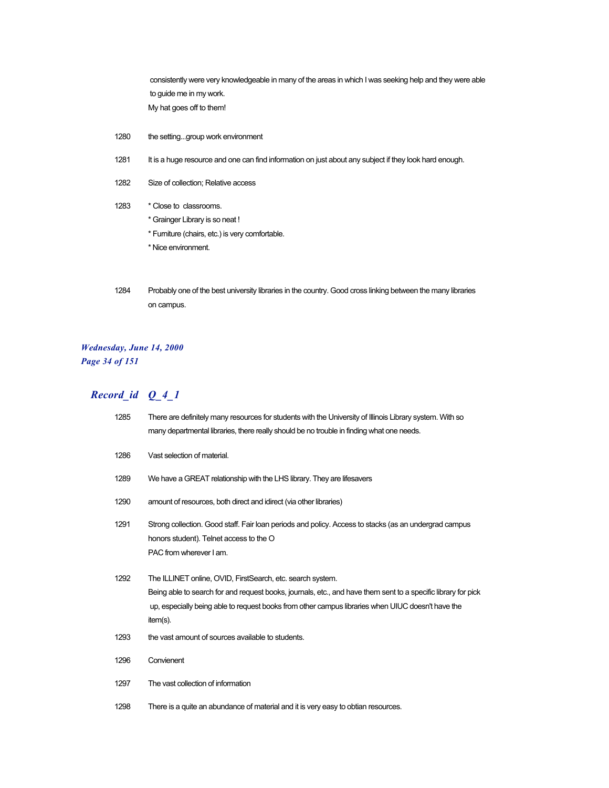consistently were very knowledgeable in many of the areas in which I was seeking help and they were able to guide me in my work. My hat goes off to them!

- 1280 the setting...group work environment
- 1281 It is a huge resource and one can find information on just about any subject if they look hard enough.
- 1282 Size of collection; Relative access
- 1283 \* Close to classrooms.
	- \* Grainger Library is so neat !
	- \* Furniture (chairs, etc.) is very comfortable.
	- \* Nice environment.
- 1284 Probably one of the best university libraries in the country. Good cross linking between the many libraries on campus.

#### *Wednesday, June 14, 2000 Page 34 of 151*

| 1285 | There are definitely many resources for students with the University of Illinois Library system. With so<br>many departmental libraries, there really should be no trouble in finding what one needs.                                                                                        |
|------|----------------------------------------------------------------------------------------------------------------------------------------------------------------------------------------------------------------------------------------------------------------------------------------------|
| 1286 | Vast selection of material.                                                                                                                                                                                                                                                                  |
| 1289 | We have a GREAT relationship with the LHS library. They are lifesavers                                                                                                                                                                                                                       |
| 1290 | amount of resources, both direct and idirect (via other libraries)                                                                                                                                                                                                                           |
| 1291 | Strong collection. Good staff. Fair loan periods and policy. Access to stacks (as an undergrad campus<br>honors student). Telnet access to the O<br>PAC from wherever I am.                                                                                                                  |
| 1292 | The ILLINET online, OVID, FirstSearch, etc. search system.<br>Being able to search for and request books, journals, etc., and have them sent to a specific library for pick<br>up, especially being able to request books from other campus libraries when UIUC doesn't have the<br>item(s). |
| 1293 | the vast amount of sources available to students.                                                                                                                                                                                                                                            |
| 1296 | Convienent                                                                                                                                                                                                                                                                                   |
| 1297 | The vast collection of information                                                                                                                                                                                                                                                           |
| 1298 | There is a quite an abundance of material and it is very easy to obtian resources.                                                                                                                                                                                                           |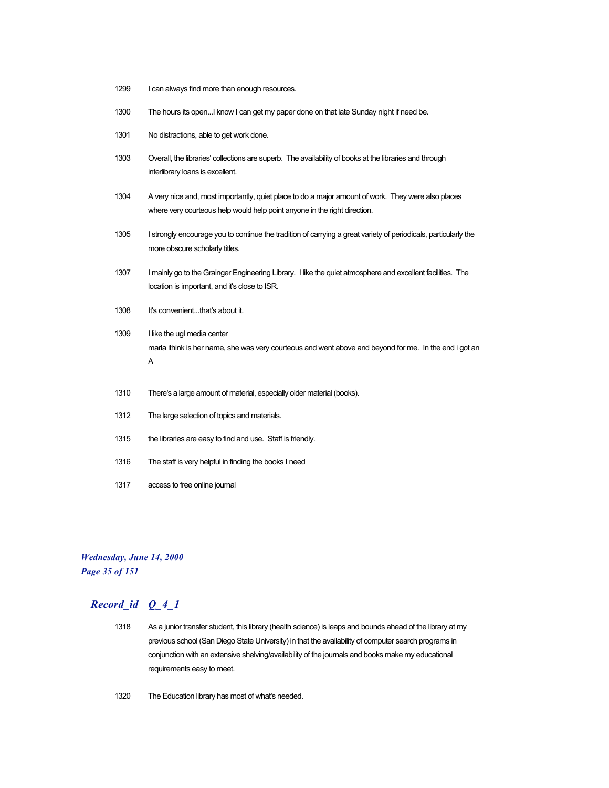- 1299 I can always find more than enough resources.
- 1300 The hours its open...I know I can get my paper done on that late Sunday night if need be.
- 1301 No distractions, able to get work done.
- 1303 Overall, the libraries' collections are superb. The availability of books at the libraries and through interlibrary loans is excellent.
- 1304 A very nice and, most importantly, quiet place to do a major amount of work. They were also places where very courteous help would help point anyone in the right direction.
- 1305 I strongly encourage you to continue the tradition of carrying a great variety of periodicals, particularly the more obscure scholarly titles.
- 1307 I mainly go to the Grainger Engineering Library. I like the quiet atmosphere and excellent facilities. The location is important, and it's close to ISR.
- 1308 It's convenient...that's about it.
- 1309 I like the ugl media center marla ithink is her name, she was very courteous and went above and beyond for me. In the end i got an A
- 1310 There's a large amount of material, especially older material (books).
- 1312 The large selection of topics and materials.
- 1315 the libraries are easy to find and use. Staff is friendly.
- 1316 The staff is very helpful in finding the books I need
- 1317 access to free online journal

#### *Wednesday, June 14, 2000 Page 35 of 151*

- 1318 As a junior transfer student, this library (health science) is leaps and bounds ahead of the library at my previous school (San Diego State University) in that the availability of computer search programs in conjunction with an extensive shelving/availability of the journals and books make my educational requirements easy to meet.
- 1320 The Education library has most of what's needed.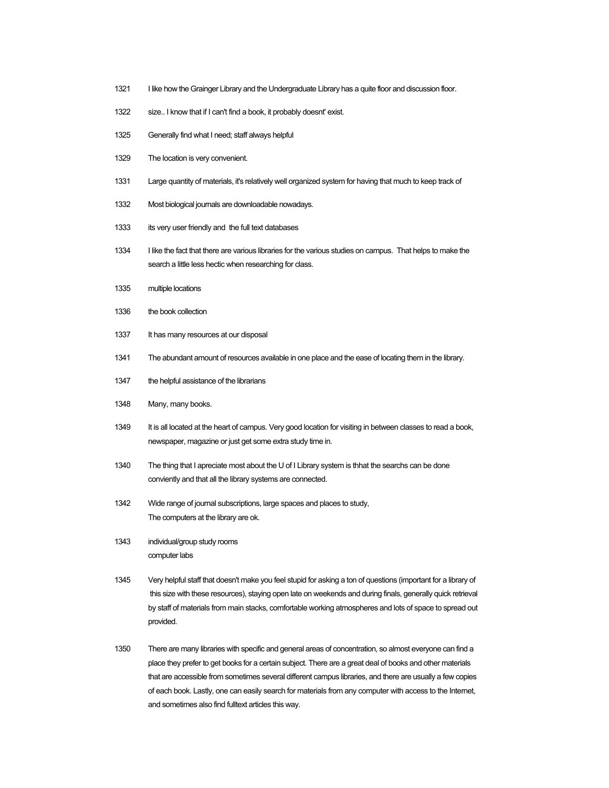- 1321 I like how the Grainger Library and the Undergraduate Library has a quite floor and discussion floor.
- 1322 size.. I know that if I can't find a book, it probably doesnt' exist.
- 1325 Generally find what I need; staff always helpful
- 1329 The location is very convenient.
- 1331 Large quantity of materials, it's relatively well organized system for having that much to keep track of
- 1332 Most biological journals are downloadable nowadays.
- 1333 its very user friendly and the full text databases
- 1334 I like the fact that there are various libraries for the various studies on campus. That helps to make the search a little less hectic when researching for class.
- 1335 multiple locations
- 1336 the book collection
- 1337 It has many resources at our disposal
- 1341 The abundant amount of resources available in one place and the ease of locating them in the library.
- 1347 the helpful assistance of the librarians
- 1348 Many, many books.
- 1349 It is all located at the heart of campus. Very good location for visiting in between classes to read a book, newspaper, magazine or just get some extra study time in.
- 1340 The thing that I apreciate most about the U of I Library system is thhat the searchs can be done conviently and that all the library systems are connected.
- 1342 Wide range of journal subscriptions, large spaces and places to study, The computers at the library are ok.
- 1343 individual/group study rooms computer labs
- 1345 Very helpful staff that doesn't make you feel stupid for asking a ton of questions (important for a library of this size with these resources), staying open late on weekends and during finals, generally quick retrieval by staff of materials from main stacks, comfortable working atmospheres and lots of space to spread out provided.
- 1350 There are many libraries with specific and general areas of concentration, so almost everyone can find a place they prefer to get books for a certain subject. There are a great deal of books and other materials that are accessible from sometimes several different campus libraries, and there are usually a few copies of each book. Lastly, one can easily search for materials from any computer with access to the Internet, and sometimes also find fulltext articles this way.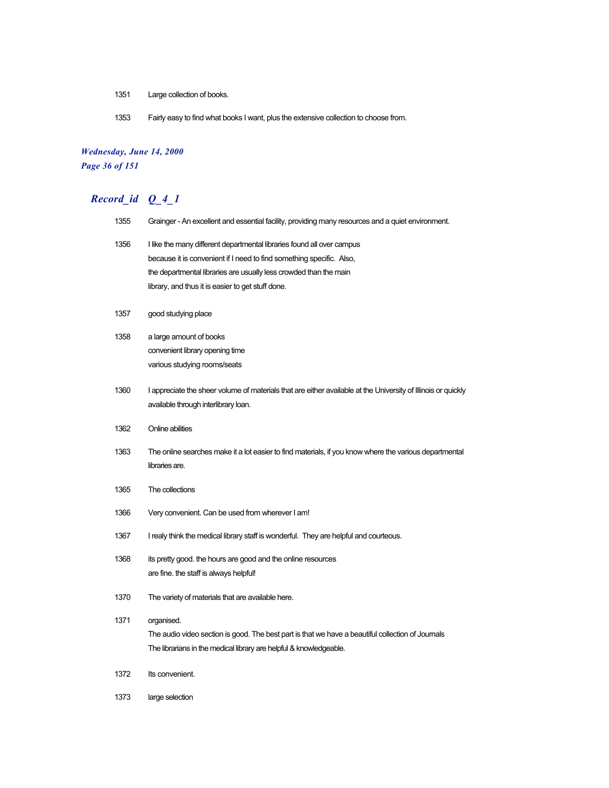- 1351 Large collection of books.
- 1353 Fairly easy to find what books I want, plus the extensive collection to choose from.

## *Wednesday, June 14, 2000 Page 36 of 151*

# *Record\_id Q\_4\_1*

| 1355 | Grainger - An excellent and essential facility, providing many resources and a quiet environment.                                              |
|------|------------------------------------------------------------------------------------------------------------------------------------------------|
| 1356 | I like the many different departmental libraries found all over campus<br>because it is convenient if I need to find something specific. Also, |
|      | the departmental libraries are usually less crowded than the main                                                                              |
|      | library, and thus it is easier to get stuff done.                                                                                              |
| 1357 | good studying place                                                                                                                            |
| 1358 | a large amount of books                                                                                                                        |
|      | convenient library opening time                                                                                                                |
|      | various studying rooms/seats                                                                                                                   |
| 1360 | I appreciate the sheer volume of materials that are either available at the University of Illinois or quickly                                  |
|      | available through interlibrary loan.                                                                                                           |
| 1362 | Online abilities                                                                                                                               |
| 1363 | The online searches make it a lot easier to find materials, if you know where the various departmental<br>libraries are.                       |
| 1365 | The collections                                                                                                                                |
| 1366 | Very convenient. Can be used from wherever I am!                                                                                               |
| 1367 | I realy think the medical library staff is wonderful. They are helpful and courteous.                                                          |
| 1368 | its pretty good. the hours are good and the online resources                                                                                   |
|      | are fine. the staff is always helpful!                                                                                                         |
| 1370 | The variety of materials that are available here.                                                                                              |
| 1371 | organised.                                                                                                                                     |
|      | The audio video section is good. The best part is that we have a beautiful collection of Journals                                              |
|      | The librarians in the medical library are helpful & knowledgeable.                                                                             |
| 1372 | Its convenient.                                                                                                                                |

1373 large selection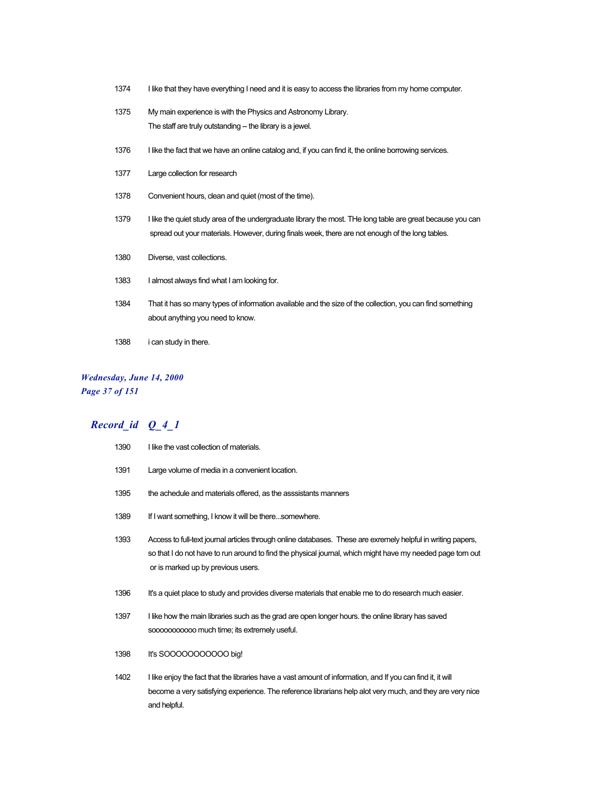- 1374 I like that they have everything I need and it is easy to access the libraries from my home computer.
- 1375 My main experience is with the Physics and Astronomy Library. The staff are truly outstanding -- the library is a jewel.
- 1376 I like the fact that we have an online catalog and, if you can find it, the online borrowing services.
- 1377 Large collection for research
- 1378 Convenient hours, clean and quiet (most of the time).
- 1379 I like the quiet study area of the undergraduate library the most. THe long table are great because you can spread out your materials. However, during finals week, there are not enough of the long tables.
- 1380 Diverse, vast collections.
- 1383 I almost always find what I am looking for.
- 1384 That it has so many types of information available and the size of the collection, you can find something about anything you need to know.
- 1388 i can study in there.

#### *Wednesday, June 14, 2000 Page 37 of 151*

#### *Record\_id Q\_4\_1*

| 1390 | I like the vast collection of materials.                                                                                                                                                                                                                         |
|------|------------------------------------------------------------------------------------------------------------------------------------------------------------------------------------------------------------------------------------------------------------------|
| 1391 | Large volume of media in a convenient location.                                                                                                                                                                                                                  |
| 1395 | the achedule and materials offered, as the asssistants manners                                                                                                                                                                                                   |
| 1389 | If I want something, I know it will be theresomewhere.                                                                                                                                                                                                           |
| 1393 | Access to full-text journal articles through online databases. These are exremely helpful in writing papers,<br>so that I do not have to run around to find the physical journal, which might have my needed page torn out<br>or is marked up by previous users. |
| 1396 | It's a quiet place to study and provides diverse materials that enable me to do research much easier.                                                                                                                                                            |
| 1397 | I like how the main libraries such as the grad are open longer hours, the online library has saved<br>sooooooooooo much time; its extremely useful.                                                                                                              |
| 1398 | It's SOOOOOOOOOOO big!                                                                                                                                                                                                                                           |
| 1402 | I like enjoy the fact that the libraries have a vast amount of information, and If you can find it, it will<br>become a very satisfying experience. The reference librarians help alot very much, and they are very nice                                         |

and helpful.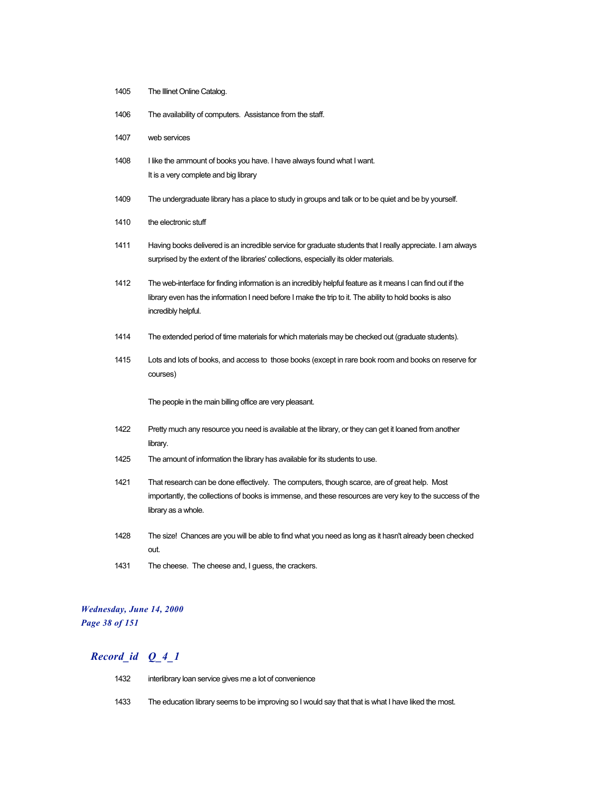- 1405 The Illinet Online Catalog.
- 1406 The availability of computers. Assistance from the staff.
- 1407 web services
- 1408 I like the ammount of books you have. I have always found what I want. It is a very complete and big library
- 1409 The undergraduate library has a place to study in groups and talk or to be quiet and be by yourself.
- 1410 the electronic stuff
- 1411 Having books delivered is an incredible service for graduate students that I really appreciate. I am always surprised by the extent of the libraries' collections, especially its older materials.
- 1412 The web-interface for finding information is an incredibly helpful feature as it means I can find out if the library even has the information I need before I make the trip to it. The ability to hold books is also incredibly helpful.
- 1414 The extended period of time materials for which materials may be checked out (graduate students).
- 1415 Lots and lots of books, and access to those books (except in rare book room and books on reserve for courses)

The people in the main billing office are very pleasant.

- 1422 Pretty much any resource you need is available at the library, or they can get it loaned from another library.
- 1425 The amount of information the library has available for its students to use.
- 1421 That research can be done effectively. The computers, though scarce, are of great help. Most importantly, the collections of books is immense, and these resources are very key to the success of the library as a whole.
- 1428 The size! Chances are you will be able to find what you need as long as it hasn't already been checked out.
- 1431 The cheese. The cheese and, I guess, the crackers.

#### *Wednesday, June 14, 2000 Page 38 of 151*

- 1432 interlibrary loan service gives me a lot of convenience
- 1433 The education library seems to be improving so I would say that that is what I have liked the most.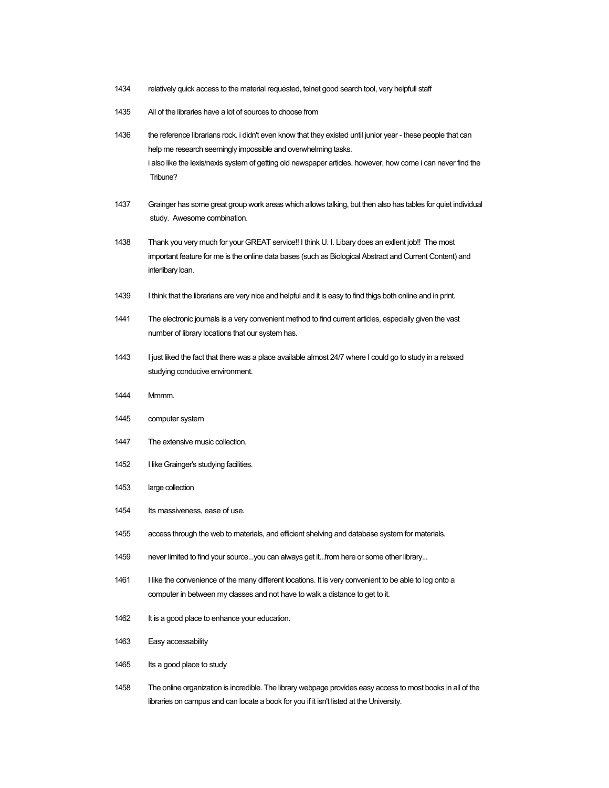- 1434 relatively quick access to the material requested, telnet good search tool, very helpfull staff
- 1435 All of the libraries have a lot of sources to choose from
- 1436 the reference librarians rock. i didn't even know that they existed until junior year these people that can help me research seemingly impossible and overwhelming tasks. i also like the lexis/nexis system of getting old newspaper articles. however, how come i can never find the Tribune?
- 1437 Grainger has some great group work areas which allows talking, but then also has tables for quiet individual study. Awesome combination.
- 1438 Thank you very much for your GREAT service!! I think U. I. Libary does an exllent job!! The most important feature for me is the online data bases (such as Biological Abstract and Current Content) and interlibary loan.
- 1439 I think that the librarians are very nice and helpful and it is easy to find thigs both online and in print.
- 1441 The electronic journals is a very convenient method to find current articles, especially given the vast number of library locations that our system has.
- 1443 I just liked the fact that there was a place available almost 24/7 where I could go to study in a relaxed studying conducive environment.
- 1444 Mmmm.
- 1445 computer system
- 1447 The extensive music collection.
- 1452 I like Grainger's studying facilities.
- 1453 large collection
- 1454 Its massiveness, ease of use.
- 1455 access through the web to materials, and efficient shelving and database system for materials.
- 1459 never limited to find your source...you can always get it...from here or some other library...
- 1461 I like the convenience of the many different locations. It is very convenient to be able to log onto a computer in between my classes and not have to walk a distance to get to it.
- 1462 It is a good place to enhance your education.
- 1463 Easy accessability
- 1465 Its a good place to study
- 1458 The online organization is incredible. The library webpage provides easy access to most books in all of the libraries on campus and can locate a book for you if it isn't listed at the University.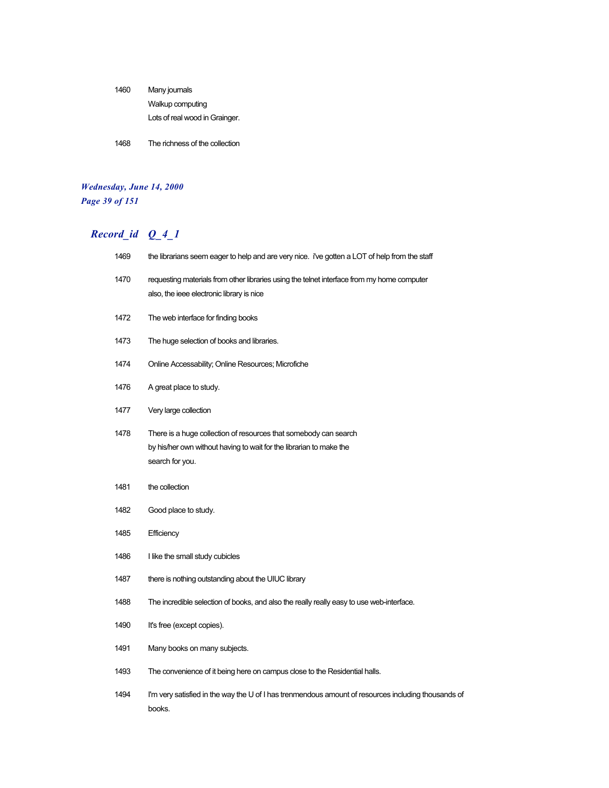| 1460 | Many journals                  |
|------|--------------------------------|
|      | Walkup computing               |
|      | Lots of real wood in Grainger. |

1468 The richness of the collection

#### *Wednesday, June 14, 2000 Page 39 of 151*

| 1469 | the librarians seem eager to help and are very nice. i've gotten a LOT of help from the staff                                                              |  |
|------|------------------------------------------------------------------------------------------------------------------------------------------------------------|--|
| 1470 | requesting materials from other libraries using the telnet interface from my home computer<br>also, the ieee electronic library is nice                    |  |
| 1472 | The web interface for finding books                                                                                                                        |  |
| 1473 | The huge selection of books and libraries.                                                                                                                 |  |
| 1474 | Online Accessability; Online Resources; Microfiche                                                                                                         |  |
| 1476 | A great place to study.                                                                                                                                    |  |
| 1477 | Very large collection                                                                                                                                      |  |
| 1478 | There is a huge collection of resources that somebody can search<br>by his/her own without having to wait for the librarian to make the<br>search for you. |  |
| 1481 | the collection                                                                                                                                             |  |
| 1482 | Good place to study.                                                                                                                                       |  |
| 1485 | Efficiency                                                                                                                                                 |  |
| 1486 | I like the small study cubicles                                                                                                                            |  |
| 1487 | there is nothing outstanding about the UIUC library                                                                                                        |  |
| 1488 | The incredible selection of books, and also the really really easy to use web-interface.                                                                   |  |
| 1490 | It's free (except copies).                                                                                                                                 |  |
| 1491 | Many books on many subjects.                                                                                                                               |  |
| 1493 | The convenience of it being here on campus close to the Residential halls.                                                                                 |  |
| 1494 | I'm very satisfied in the way the U of I has trenmendous amount of resources including thousands of<br>books.                                              |  |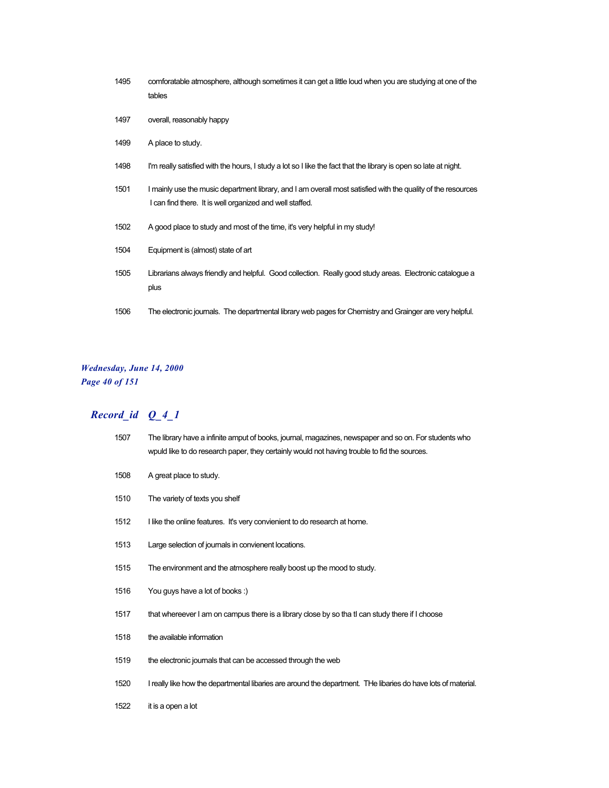| 1495 | comforatable atmosphere, although sometimes it can get a little loud when you are studying at one of the<br>tables |
|------|--------------------------------------------------------------------------------------------------------------------|
| 1497 | overall, reasonably happy                                                                                          |
| 1499 | A place to study.                                                                                                  |

- I'm really satisfied with the hours, I study a lot so I like the fact that the library is open so late at night.
- I mainly use the music department library, and I am overall most satisfied with the quality of the resources I can find there. It is well organized and well staffed.
- A good place to study and most of the time, it's very helpful in my study!
- Equipment is (almost) state of art
- Librarians always friendly and helpful. Good collection. Really good study areas. Electronic catalogue a plus
- The electronic journals. The departmental library web pages for Chemistry and Grainger are very helpful.

#### *Wednesday, June 14, 2000 Page 40 of 151*

| 1507 | The library have a infinite amput of books, journal, magazines, newspaper and so on. For students who<br>wpuld like to do research paper, they certainly would not having trouble to fid the sources. |
|------|-------------------------------------------------------------------------------------------------------------------------------------------------------------------------------------------------------|
| 1508 | A great place to study.                                                                                                                                                                               |
| 1510 | The variety of texts you shelf                                                                                                                                                                        |
| 1512 | I like the online features. It's very convienient to do research at home.                                                                                                                             |
| 1513 | Large selection of journals in convienent locations.                                                                                                                                                  |
| 1515 | The environment and the atmosphere really boost up the mood to study.                                                                                                                                 |
| 1516 | You guys have a lot of books:)                                                                                                                                                                        |
| 1517 | that whereever I am on campus there is a library close by so that I can study there if I choose                                                                                                       |
| 1518 | the available information                                                                                                                                                                             |
| 1519 | the electronic journals that can be accessed through the web                                                                                                                                          |
| 1520 | I really like how the departmental libaries are around the department. THe libaries do have lots of material.                                                                                         |
| 1522 | it is a open a lot                                                                                                                                                                                    |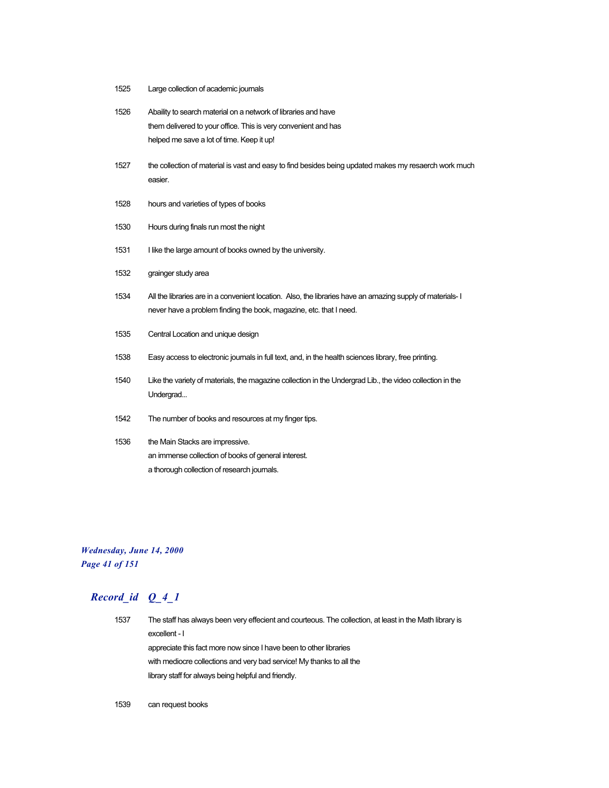- 1525 Large collection of academic journals
- 1526 Abaility to search material on a network of libraries and have them delivered to your office. This is very convenient and has helped me save a lot of time. Keep it up!
- 1527 the collection of material is vast and easy to find besides being updated makes my resaerch work much easier.
- 1528 hours and varieties of types of books
- 1530 Hours during finals run most the night
- 1531 I like the large amount of books owned by the university.
- 1532 grainger study area
- 1534 All the libraries are in a convenient location. Also, the libraries have an amazing supply of materials- I never have a problem finding the book, magazine, etc. that I need.
- 1535 Central Location and unique design
- 1538 Easy access to electronic journals in full text, and, in the health sciences library, free printing.
- 1540 Like the variety of materials, the magazine collection in the Undergrad Lib., the video collection in the Undergrad...
- 1542 The number of books and resources at my finger tips.
- 1536 the Main Stacks are impressive. an immense collection of books of general interest. a thorough collection of research journals.

#### *Wednesday, June 14, 2000 Page 41 of 151*

# *Record\_id Q\_4\_1*

1537 The staff has always been very effecient and courteous. The collection, at least in the Math library is excellent - I appreciate this fact more now since I have been to other libraries with mediocre collections and very bad service! My thanks to all the library staff for always being helpful and friendly.

1539 can request books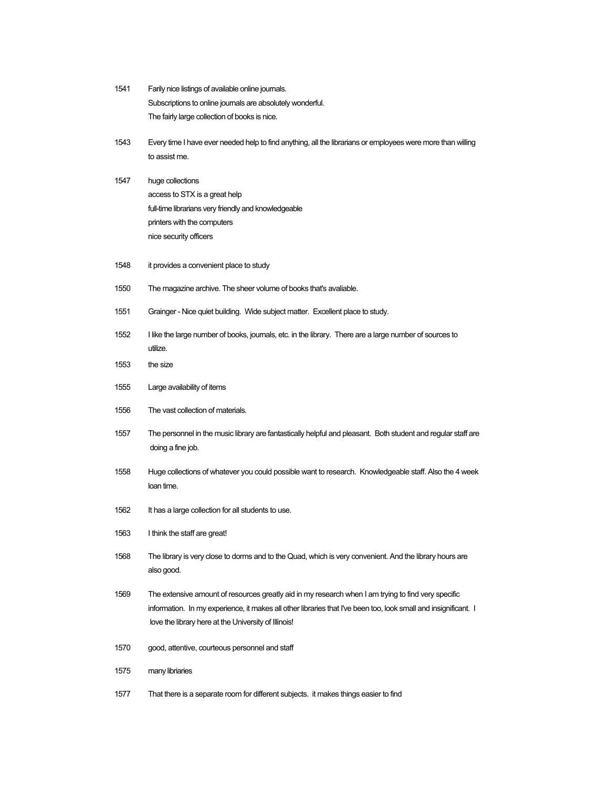| 1541 | Farily nice listings of available online journals.                                                                                                                                                                                                                             |
|------|--------------------------------------------------------------------------------------------------------------------------------------------------------------------------------------------------------------------------------------------------------------------------------|
|      | Subscriptions to online journals are absolutely wonderful.                                                                                                                                                                                                                     |
|      | The fairly large collection of books is nice.                                                                                                                                                                                                                                  |
| 1543 | Every time I have ever needed help to find anything, all the librarians or employees were more than willing                                                                                                                                                                    |
|      | to assist me.                                                                                                                                                                                                                                                                  |
| 1547 | huge collections                                                                                                                                                                                                                                                               |
|      | access to STX is a great help                                                                                                                                                                                                                                                  |
|      | full-time librarians very friendly and knowledgeable                                                                                                                                                                                                                           |
|      | printers with the computers                                                                                                                                                                                                                                                    |
|      | nice security officers                                                                                                                                                                                                                                                         |
| 1548 | it provides a convenient place to study                                                                                                                                                                                                                                        |
| 1550 | The magazine archive. The sheer volume of books that's avaliable.                                                                                                                                                                                                              |
| 1551 | Grainger - Nice quiet building. Wide subject matter. Excellent place to study.                                                                                                                                                                                                 |
| 1552 | I like the large number of books, journals, etc. in the library. There are a large number of sources to<br>utilize.                                                                                                                                                            |
| 1553 | the size                                                                                                                                                                                                                                                                       |
| 1555 | Large availability of items                                                                                                                                                                                                                                                    |
| 1556 | The vast collection of materials.                                                                                                                                                                                                                                              |
| 1557 | The personnel in the music library are fantastically helpful and pleasant. Both student and regular staff are<br>doing a fine job.                                                                                                                                             |
| 1558 | Huge collections of whatever you could possible want to research. Knowledgeable staff. Also the 4 week<br>loan time.                                                                                                                                                           |
| 1562 | It has a large collection for all students to use.                                                                                                                                                                                                                             |
| 1563 | I think the staff are great!                                                                                                                                                                                                                                                   |
| 1568 | The library is very close to dorms and to the Quad, which is very convenient. And the library hours are<br>also good.                                                                                                                                                          |
| 1569 | The extensive amount of resources greatly aid in my research when I am trying to find very specific<br>information. In my experience, it makes all other libraries that I've been too, look small and insignificant. I<br>love the library here at the University of Illinois! |
| 1570 | good, attentive, courteous personnel and staff                                                                                                                                                                                                                                 |
| 1575 | many libriaries                                                                                                                                                                                                                                                                |

1577 That there is a separate room for different subjects. it makes things easier to find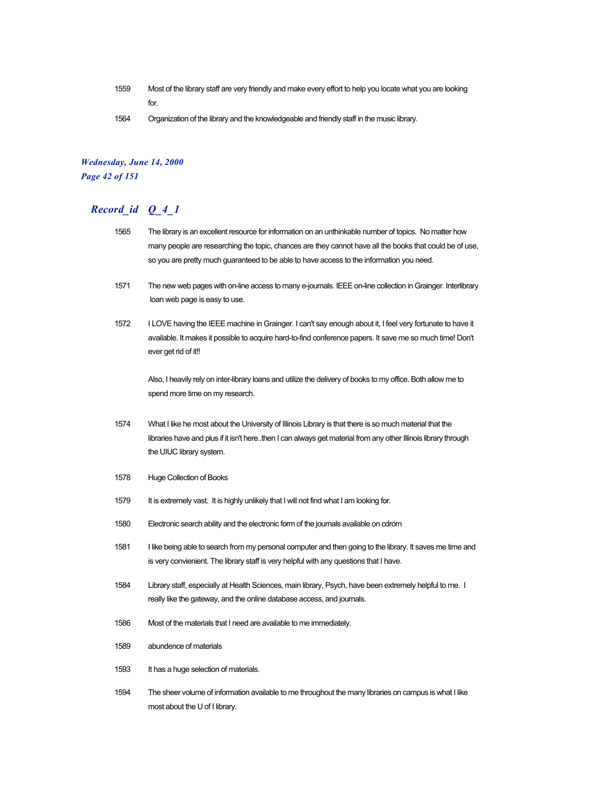- 1559 Most of the library staff are very friendly and make every effort to help you locate what you are looking for.
- 1564 Organization of the library and the knowledgeable and friendly staff in the music library.

#### *Wednesday, June 14, 2000 Page 42 of 151*

## *Record\_id Q\_4\_1*

- 1565 The library is an excellent resource for information on an unthinkable number of topics. No matter how many people are researching the topic, chances are they cannot have all the books that could be of use, so you are pretty much guaranteed to be able to have access to the information you need.
- 1571 The new web pages with on-line access to many e-journals. IEEE on-line collection in Grainger. Interlibrary loan web page is easy to use.
- 1572 I LOVE having the IEEE machine in Grainger. I can't say enough about it, I feel very fortunate to have it available. It makes it possible to acquire hard-to-find conference papers. It save me so much time! Don't ever get rid of it!!

Also, I heavily rely on inter-library loans and utilize the delivery of books to my office. Both allow me to spend more time on my research.

- 1574 What I like he most about the University of Illinois Library is that there is so much material that the libraries have and plus if it isn't here..then I can always get material from any other Illinois library through the UIUC library system.
- 1578 Huge Collection of Books
- 1579 It is extremely vast. It is highly unlikely that I will not find what I am looking for.
- 1580 Electronic search ability and the electronic form of the journals available on cdrom
- 1581 I like being able to search from my personal computer and then going to the library. It saves me time and is very convienient. The library staff is very helpful with any questions that I have.
- 1584 Library staff, especially at Health Sciences, main library, Psych, have been extremely helpful to me. I really like the gateway, and the online database access, and journals.
- 1586 Most of the materials that I need are available to me immediately.
- 1589 abundence of materials
- 1593 It has a huge selection of materials.
- 1594 The sheer volume of information available to me throughout the many libraries on campus is what I like most about the U of I library.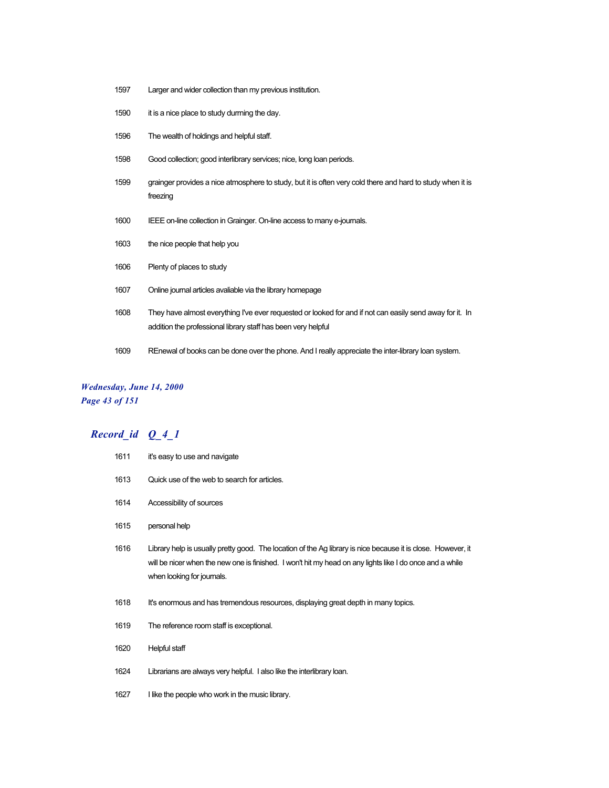- Larger and wider collection than my previous institution.
- it is a nice place to study durrning the day.
- The wealth of holdings and helpful staff.
- Good collection; good interlibrary services; nice, long loan periods.
- grainger provides a nice atmosphere to study, but it is often very cold there and hard to study when it is freezing
- IEEE on-line collection in Grainger. On-line access to many e-journals.
- the nice people that help you
- Plenty of places to study
- Online journal articles avaliable via the library homepage
- They have almost everything I've ever requested or looked for and if not can easily send away for it. In addition the professional library staff has been very helpful
- REnewal of books can be done over the phone. And I really appreciate the inter-library loan system.

#### *Wednesday, June 14, 2000 Page 43 of 151*

| 1611 | it's easy to use and navigate                                                                                                                                                                                                                          |
|------|--------------------------------------------------------------------------------------------------------------------------------------------------------------------------------------------------------------------------------------------------------|
| 1613 | Quick use of the web to search for articles.                                                                                                                                                                                                           |
| 1614 | Accessibility of sources                                                                                                                                                                                                                               |
| 1615 | personal help                                                                                                                                                                                                                                          |
| 1616 | Library help is usually pretty good. The location of the Ag library is nice because it is close. However, it<br>will be nicer when the new one is finished. I won't hit my head on any lights like I do once and a while<br>when looking for journals. |
| 1618 | It's enormous and has tremendous resources, displaying great depth in many topics.                                                                                                                                                                     |
| 1619 | The reference room staff is exceptional.                                                                                                                                                                                                               |
| 1620 | Helpful staff                                                                                                                                                                                                                                          |
| 1624 | Librarians are always very helpful. I also like the interlibrary loan.                                                                                                                                                                                 |
| 1627 | I like the people who work in the music library.                                                                                                                                                                                                       |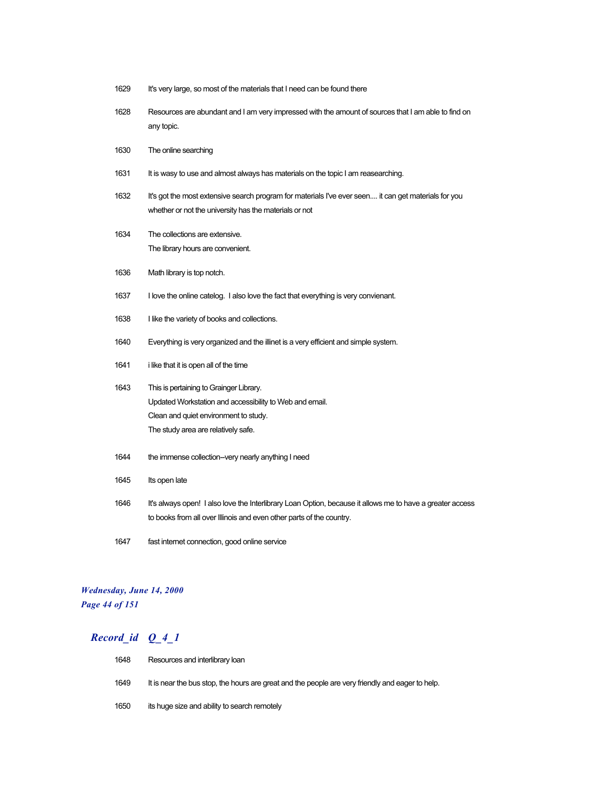- 1629 It's very large, so most of the materials that I need can be found there
- 1628 Resources are abundant and I am very impressed with the amount of sources that I am able to find on any topic.
- 1630 The online searching
- 1631 It is wasy to use and almost always has materials on the topic I am reasearching.
- 1632 It's got the most extensive search program for materials I've ever seen.... it can get materials for you whether or not the university has the materials or not
- 1634 The collections are extensive. The library hours are convenient.
- 1636 Math library is top notch.
- 1637 I love the online catelog. I also love the fact that everything is very convienant.
- 1638 I like the variety of books and collections.
- 1640 Everything is very organized and the illinet is a very efficient and simple system.
- 1641 i like that it is open all of the time
- 1643 This is pertaining to Grainger Library. Updated Workstation and accessibility to Web and email. Clean and quiet environment to study. The study area are relatively safe.
- 1644 the immense collection--very nearly anything I need
- 1645 Its open late
- 1646 It's always open! I also love the Interlibrary Loan Option, because it allows me to have a greater access to books from all over Illinois and even other parts of the country.
- 1647 fast internet connection, good online service

#### *Wednesday, June 14, 2000 Page 44 of 151*

| 1648 | Resources and interlibrary loan                                                                  |
|------|--------------------------------------------------------------------------------------------------|
| 1649 | It is near the bus stop, the hours are great and the people are very friendly and eager to help. |
| 1650 | its huge size and ability to search remotely                                                     |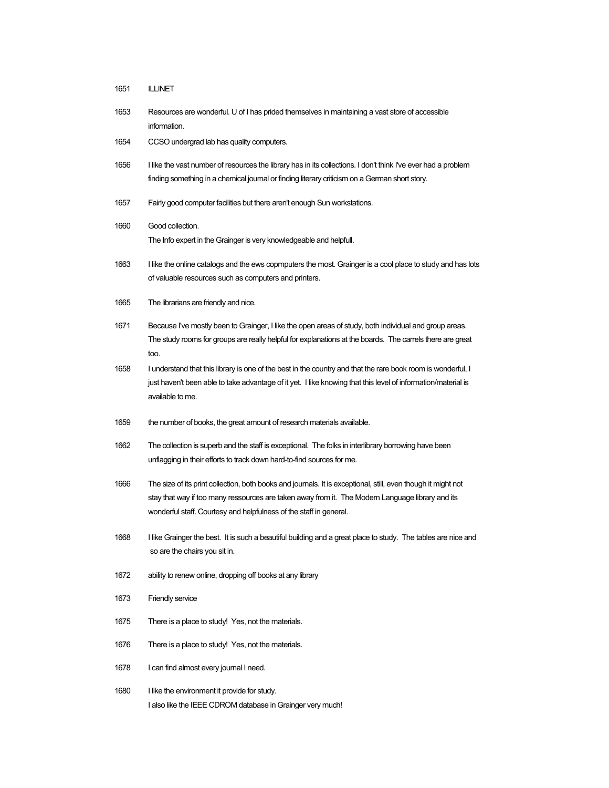- 1651 ILLINET
- 1653 Resources are wonderful. U of I has prided themselves in maintaining a vast store of accessible information.
- 1654 CCSO undergrad lab has quality computers.
- 1656 I like the vast number of resources the library has in its collections. I don't think I've ever had a problem finding something in a chemical journal or finding literary criticism on a German short story.
- 1657 Fairly good computer facilities but there aren't enough Sun workstations.
- 1660 Good collection. The Info expert in the Grainger is very knowledgeable and helpfull.
- 1663 I like the online catalogs and the ews copmputers the most. Grainger is a cool place to study and has lots of valuable resources such as computers and printers.
- 1665 The librarians are friendly and nice.
- 1671 Because I've mostly been to Grainger, I like the open areas of study, both individual and group areas. The study rooms for groups are really helpful for explanations at the boards. The carrels there are great too.
- 1658 I understand that this library is one of the best in the country and that the rare book room is wonderful, I just haven't been able to take advantage of it yet. I like knowing that this level of information/material is available to me.
- 1659 the number of books, the great amount of research materials available.
- 1662 The collection is superb and the staff is exceptional. The folks in interlibrary borrowing have been unflagging in their efforts to track down hard-to-find sources for me.
- 1666 The size of its print collection, both books and journals. It is exceptional, still, even though it might not stay that way if too many ressources are taken away from it. The Modern Language library and its wonderful staff. Courtesy and helpfulness of the staff in general.
- 1668 I like Grainger the best. It is such a beautiful building and a great place to study. The tables are nice and so are the chairs you sit in.
- 1672 ability to renew online, dropping off books at any library
- 1673 Friendly service
- 1675 There is a place to study! Yes, not the materials.
- 1676 There is a place to study! Yes, not the materials.
- 1678 I can find almost every journal I need.
- 1680 I like the environment it provide for study. I also like the IEEE CDROM database in Grainger very much!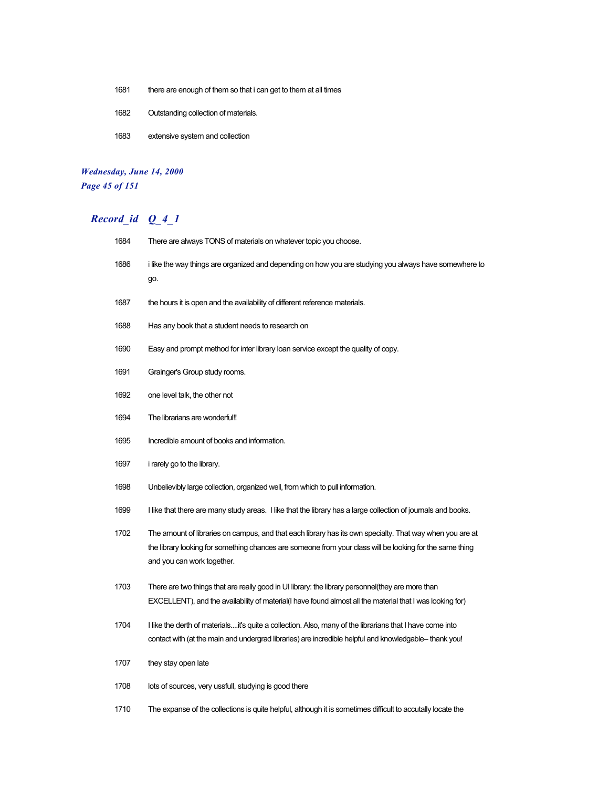- 1681 there are enough of them so that i can get to them at all times
- 1682 Outstanding collection of materials.
- 1683 extensive system and collection

#### *Wednesday, June 14, 2000 Page 45 of 151*

# *Record\_id Q\_4\_1*

| 1684 | There are always TONS of materials on whatever topic you choose.                                                                                                                                                                                   |
|------|----------------------------------------------------------------------------------------------------------------------------------------------------------------------------------------------------------------------------------------------------|
| 1686 | i like the way things are organized and depending on how you are studying you always have somewhere to<br>go.                                                                                                                                      |
| 1687 | the hours it is open and the availability of different reference materials.                                                                                                                                                                        |
| 1688 | Has any book that a student needs to research on                                                                                                                                                                                                   |
| 1690 | Easy and prompt method for inter library loan service except the quality of copy.                                                                                                                                                                  |
| 1691 | Grainger's Group study rooms.                                                                                                                                                                                                                      |
| 1692 | one level talk, the other not                                                                                                                                                                                                                      |
| 1694 | The librarians are wonderful!!                                                                                                                                                                                                                     |
| 1695 | Incredible amount of books and information.                                                                                                                                                                                                        |
| 1697 | <i>i</i> rarely go to the library.                                                                                                                                                                                                                 |
| 1698 | Unbelievibly large collection, organized well, from which to pull information.                                                                                                                                                                     |
| 1699 | I like that there are many study areas. I like that the library has a large collection of journals and books.                                                                                                                                      |
| 1702 | The amount of libraries on campus, and that each library has its own specialty. That way when you are at<br>the library looking for something chances are someone from your class will be looking for the same thing<br>and you can work together. |
| 1703 | There are two things that are really good in UI library: the library personnel (they are more than<br>EXCELLENT), and the availability of material(I have found almost all the material that I was looking for)                                    |
| 1704 | I like the derth of materialsit's quite a collection. Also, many of the librarians that I have come into<br>contact with (at the main and undergrad libraries) are incredible helpful and knowledgable-- thank you!                                |
| 1707 | they stay open late                                                                                                                                                                                                                                |
| 1708 | lots of sources, very ussfull, studying is good there                                                                                                                                                                                              |

1710 The expanse of the collections is quite helpful, although it is sometimes difficult to accutally locate the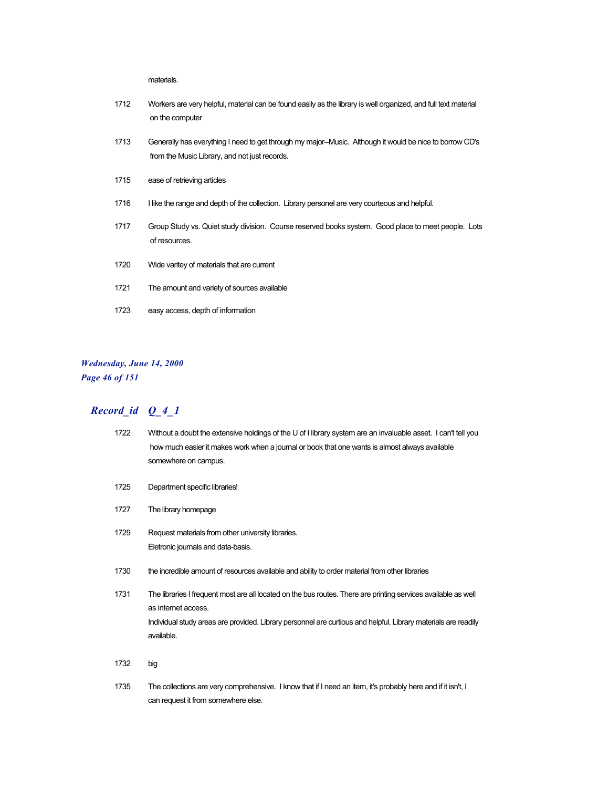materials.

- 1712 Workers are very helpful, material can be found easily as the library is well organized, and full text material on the computer
- 1713 Generally has everything I need to get through my major--Music. Although it would be nice to borrow CD's from the Music Library, and not just records.
- 1715 ease of retrieving articles
- 1716 I like the range and depth of the collection. Library personel are very courteous and helpful.
- 1717 Group Study vs. Quiet study division. Course reserved books system. Good place to meet people. Lots of resources.
- 1720 Wide varitey of materials that are current
- 1721 The amount and variety of sources available
- 1723 easy access, depth of information

#### *Wednesday, June 14, 2000 Page 46 of 151*

## *Record\_id Q\_4\_1*

| 1722 | Without a doubt the extensive holdings of the U of I library system are an invaluable asset. I can't tell you<br>how much easier it makes work when a journal or book that one wants is almost always available<br>somewhere on campus.                               |
|------|-----------------------------------------------------------------------------------------------------------------------------------------------------------------------------------------------------------------------------------------------------------------------|
| 1725 | Department specific libraries!                                                                                                                                                                                                                                        |
| 1727 | The library homepage                                                                                                                                                                                                                                                  |
| 1729 | Request materials from other university libraries.<br>Eletronic journals and data-basis.                                                                                                                                                                              |
| 1730 | the incredible amount of resources available and ability to order material from other libraries                                                                                                                                                                       |
| 1731 | The libraries I frequent most are all located on the bus routes. There are printing services available as well<br>as internet access.<br>Individual study areas are provided. Library personnel are curtious and helpful. Library materials are readily<br>available. |
| 1732 | big                                                                                                                                                                                                                                                                   |
| 1735 | The collections are very comprehensive. I know that if I need an item, it's probably here and if it isn't, I                                                                                                                                                          |

can request it from somewhere else.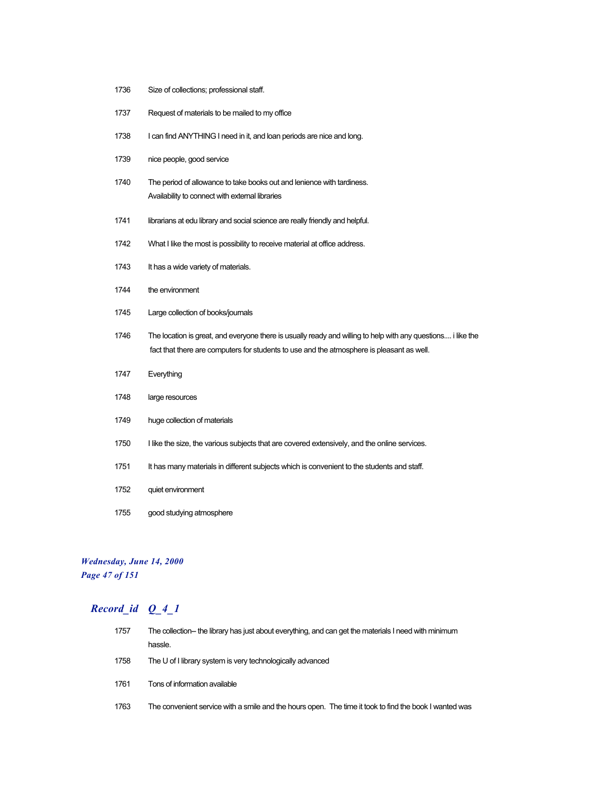- 1736 Size of collections; professional staff.
- 1737 Request of materials to be mailed to my office
- 1738 I can find ANYTHING I need in it, and loan periods are nice and long.
- 1739 nice people, good service
- 1740 The period of allowance to take books out and lenience with tardiness. Availability to connect with external libraries
- 1741 librarians at edu library and social science are really friendly and helpful.
- 1742 What I like the most is possibility to receive material at office address.
- 1743 It has a wide variety of materials.
- 1744 the environment
- 1745 Large collection of books/journals
- 1746 The location is great, and everyone there is usually ready and willing to help with any questions.... i like the fact that there are computers for students to use and the atmosphere is pleasant as well.
- 1747 Everything
- 1748 large resources
- 1749 huge collection of materials
- 1750 I like the size, the various subjects that are covered extensively, and the online services.
- 1751 It has many materials in different subjects which is convenient to the students and staff.
- 1752 quiet environment
- 1755 good studying atmosphere

#### *Wednesday, June 14, 2000 Page 47 of 151*

| 1757 | The collection-- the library has just about everything, and can get the materials I need with minimum  |
|------|--------------------------------------------------------------------------------------------------------|
|      | hassle.                                                                                                |
| 1758 | The U of I library system is very technologically advanced                                             |
| 1761 | Tons of information available                                                                          |
| 1763 | The convenient service with a smile and the hours open. The time it took to find the book I wanted was |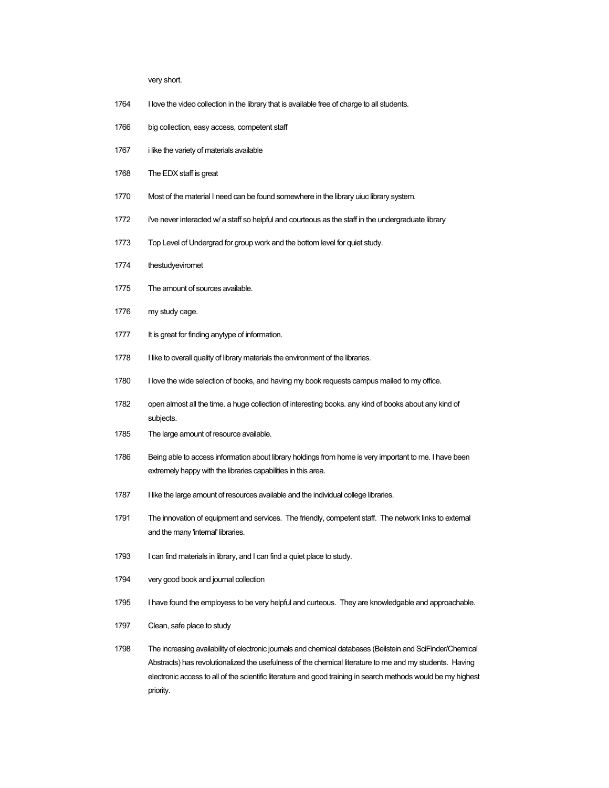very short.

- 1764 I love the video collection in the library that is available free of charge to all students.
- 1766 big collection, easy access, competent staff
- 1767 i like the variety of materials available
- 1768 The EDX staff is great
- 1770 Most of the material I need can be found somewhere in the library uiuc library system.
- 1772 i've never interacted w/ a staff so helpful and courteous as the staff in the undergraduate library
- 1773 Top Level of Undergrad for group work and the bottom level for quiet study.
- 1774 thestudyeviromet
- 1775 The amount of sources available.
- 1776 my study cage.
- 1777 It is great for finding anytype of information.
- 1778 I like to overall quality of library materials the environment of the libraries.
- 1780 I love the wide selection of books, and having my book requests campus mailed to my office.
- 1782 open almost all the time. a huge collection of interesting books. any kind of books about any kind of subjects.
- 1785 The large amount of resource available.
- 1786 Being able to access information about library holdings from home is very important to me. I have been extremely happy with the libraries capabilities in this area.
- 1787 I like the large amount of resources available and the individual college libraries.
- 1791 The innovation of equipment and services. The friendly, competent staff. The network links to external and the many 'internal' libraries.
- 1793 I can find materials in library, and I can find a quiet place to study.
- 1794 very good book and journal collection
- 1795 I have found the employess to be very helpful and curteous. They are knowledgable and approachable.
- 1797 Clean, safe place to study
- 1798 The increasing availability of electronic journals and chemical databases (Beilstein and SciFinder/Chemical Abstracts) has revolutionalized the usefulness of the chemical literature to me and my students. Having electronic access to all of the scientific literature and good training in search methods would be my highest priority.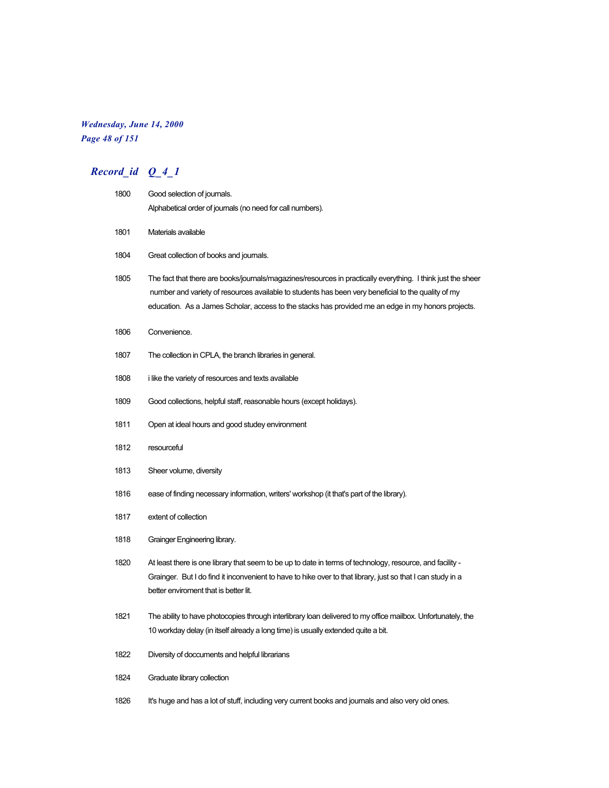# *Wednesday, June 14, 2000*

*Page 48 of 151*

| 1800 | Good selection of journals.                                                                                                                                                                                                                                                                                               |
|------|---------------------------------------------------------------------------------------------------------------------------------------------------------------------------------------------------------------------------------------------------------------------------------------------------------------------------|
|      | Alphabetical order of journals (no need for call numbers).                                                                                                                                                                                                                                                                |
| 1801 | Materials available                                                                                                                                                                                                                                                                                                       |
| 1804 | Great collection of books and journals.                                                                                                                                                                                                                                                                                   |
| 1805 | The fact that there are books/journals/magazines/resources in practically everything. I think just the sheer<br>number and variety of resources available to students has been very beneficial to the quality of my<br>education. As a James Scholar, access to the stacks has provided me an edge in my honors projects. |
| 1806 | Convenience.                                                                                                                                                                                                                                                                                                              |
| 1807 | The collection in CPLA, the branch libraries in general.                                                                                                                                                                                                                                                                  |
| 1808 | i like the variety of resources and texts available                                                                                                                                                                                                                                                                       |
| 1809 | Good collections, helpful staff, reasonable hours (except holidays).                                                                                                                                                                                                                                                      |
| 1811 | Open at ideal hours and good studey environment                                                                                                                                                                                                                                                                           |
| 1812 | resourceful                                                                                                                                                                                                                                                                                                               |
| 1813 | Sheer volume, diversity                                                                                                                                                                                                                                                                                                   |
| 1816 | ease of finding necessary information, writers' workshop (it that's part of the library).                                                                                                                                                                                                                                 |
| 1817 | extent of collection                                                                                                                                                                                                                                                                                                      |
| 1818 | Grainger Engineering library.                                                                                                                                                                                                                                                                                             |
| 1820 | - At least there is one library that seem to be up to date in terms of technology, resource, and facility<br>Grainger. But I do find it inconvenient to have to hike over to that library, just so that I can study in a<br>better enviroment that is better lit.                                                         |
| 1821 | The ability to have photocopies through interlibrary loan delivered to my office mailbox. Unfortunately, the<br>10 workday delay (in itself already a long time) is usually extended quite a bit.                                                                                                                         |
| 1822 | Diversity of doccuments and helpful librarians                                                                                                                                                                                                                                                                            |
| 1824 | Graduate library collection                                                                                                                                                                                                                                                                                               |
| 1826 | It's huge and has a lot of stuff, including very current books and journals and also very old ones.                                                                                                                                                                                                                       |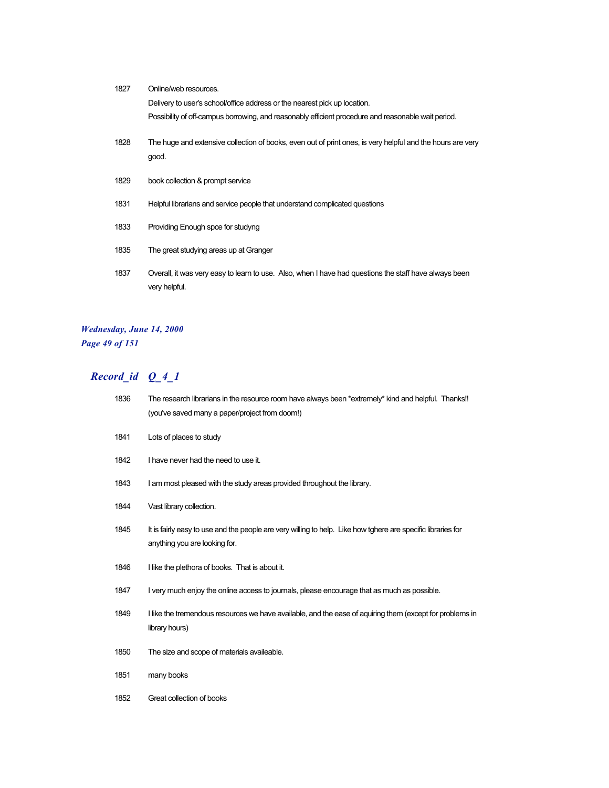| 1827 | Online/web resources.                                                                                                 |
|------|-----------------------------------------------------------------------------------------------------------------------|
|      | Delivery to user's school/office address or the nearest pick up location.                                             |
|      | Possibility of off-campus borrowing, and reasonably efficient procedure and reasonable wait period.                   |
| 1828 | The huge and extensive collection of books, even out of print ones, is very helpful and the hours are very<br>good.   |
| 1829 | book collection & prompt service                                                                                      |
| 1831 | Helpful librarians and service people that understand complicated questions                                           |
| 1833 | Providing Enough spce for studyng                                                                                     |
| 1835 | The great studying areas up at Granger                                                                                |
| 1837 | Overall, it was very easy to leam to use. Also, when I have had questions the staff have always been<br>very helpful. |

# *Wednesday, June 14, 2000 Page 49 of 151*

| 1836 | The research librarians in the resource room have always been *extremely* kind and helpful. Thanks!!<br>(you've saved many a paper/project from doom!) |
|------|--------------------------------------------------------------------------------------------------------------------------------------------------------|
| 1841 | Lots of places to study                                                                                                                                |
| 1842 | I have never had the need to use it.                                                                                                                   |
| 1843 | I am most pleased with the study areas provided throughout the library.                                                                                |
| 1844 | Vast library collection.                                                                                                                               |
| 1845 | It is fairly easy to use and the people are very willing to help. Like how tghere are specific libraries for<br>anything you are looking for.          |
| 1846 | I like the plethora of books. That is about it.                                                                                                        |
| 1847 | I very much enjoy the online access to journals, please encourage that as much as possible.                                                            |
| 1849 | I like the tremendous resources we have available, and the ease of aquiring them (except for problems in<br>library hours)                             |
| 1850 | The size and scope of materials availeable.                                                                                                            |
| 1851 | many books                                                                                                                                             |
| 1852 | Great collection of books                                                                                                                              |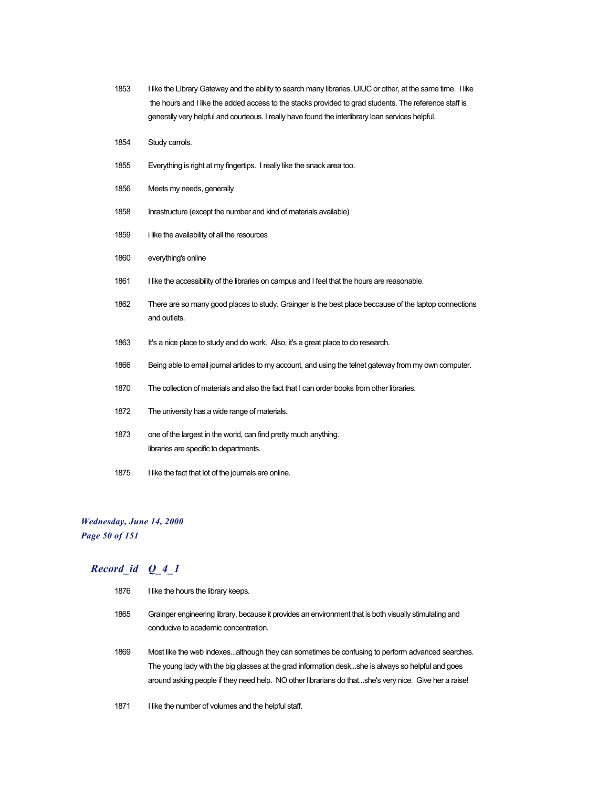- 1853 I like the LIbrary Gateway and the ability to search many libraries, UIUC or other, at the same time. I like the hours and I like the added access to the stacks provided to grad students. The reference staff is generally very helpful and courteous. I really have found the interlibrary loan services helpful.
- 1854 Study carrols.
- 1855 Everything is right at my fingertips. I really like the snack area too.
- 1856 Meets my needs, generally
- 1858 Inrastructure (except the number and kind of materials available)
- 1859 i like the availability of all the resources
- 1860 everything's online
- 1861 I like the accessibility of the libraries on campus and I feel that the hours are reasonable.
- 1862 There are so many good places to study. Grainger is the best place beccause of the laptop connections and outlets.
- 1863 It's a nice place to study and do work. Also, it's a great place to do research.
- 1866 Being able to email journal articles to my account, and using the telnet gateway from my own computer.
- 1870 The collection of materials and also the fact that I can order books from other libraries.
- 1872 The university has a wide range of materials.
- 1873 one of the largest in the world, can find pretty much anything. libraries are specific to departments.
- 1875 I like the fact that lot of the journals are online.

# *Wednesday, June 14, 2000*

*Page 50 of 151*

- 1876 I like the hours the library keeps. 1865 Grainger engineering library, because it provides an environment that is both visually stimulating and conducive to academic concentration. 1869 Most like the web indexes...although they can sometimes be confusing to perform advanced searches. The young lady with the big glasses at the grad information desk...she is always so helpful and goes around asking people if they need help. NO other librarians do that...she's very nice. Give her a raise!
- 1871 I like the number of volumes and the helpful staff.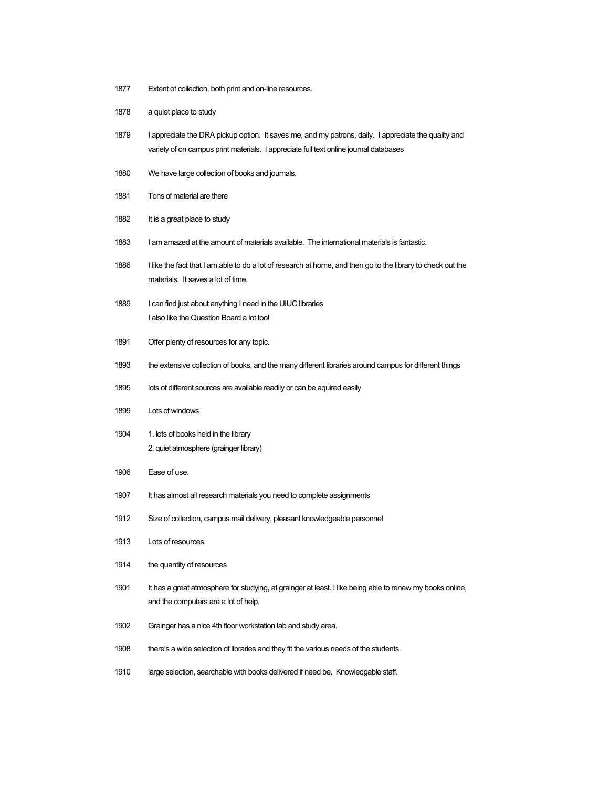- 1877 Extent of collection, both print and on-line resources.
- 1878 a quiet place to study
- 1879 I appreciate the DRA pickup option. It saves me, and my patrons, daily. I appreciate the quality and variety of on campus print materials. I appreciate full text online journal databases
- 1880 We have large collection of books and journals.
- 1881 Tons of material are there
- 1882 It is a great place to study
- 1883 I am amazed at the amount of materials available. The international materials is fantastic.
- 1886 I like the fact that I am able to do a lot of research at home, and then go to the library to check out the materials. It saves a lot of time.
- 1889 I can find just about anything I need in the UIUC libraries I also like the Question Board a lot too!
- 1891 Offer plenty of resources for any topic.
- 1893 the extensive collection of books, and the many different libraries around campus for different things
- 1895 lots of different sources are available readily or can be aquired easily
- 1899 Lots of windows
- 1904 1. lots of books held in the library 2. quiet atmosphere (grainger library)
- 1906 Ease of use.
- 1907 It has almost all research materials you need to complete assignments
- 1912 Size of collection, campus mail delivery, pleasant knowledgeable personnel
- 1913 Lots of resources.
- 1914 the quantity of resources
- 1901 It has a great atmosphere for studying, at grainger at least. I like being able to renew my books online, and the computers are a lot of help.
- 1902 Grainger has a nice 4th floor workstation lab and study area.
- 1908 there's a wide selection of libraries and they fit the various needs of the students.
- 1910 large selection, searchable with books delivered if need be. Knowledgable staff.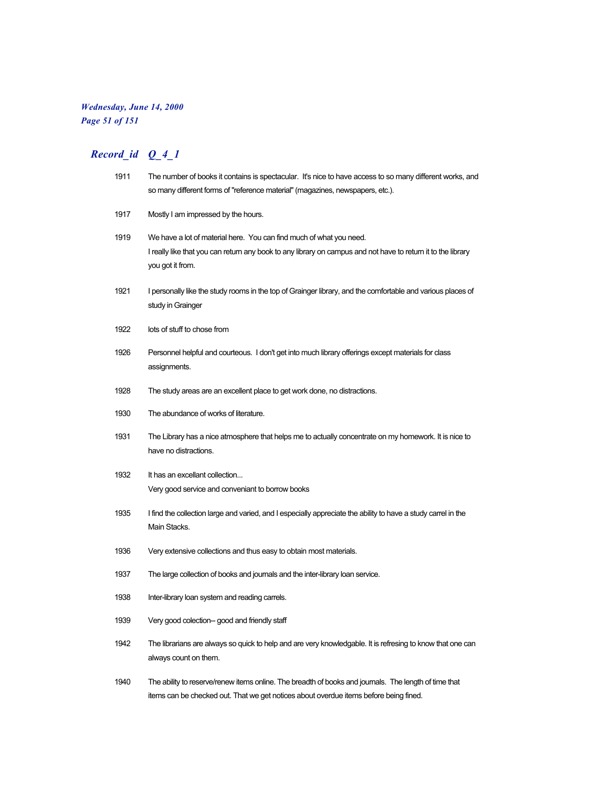## *Wednesday, June 14, 2000 Page 51 of 151*

| 1911 | The number of books it contains is spectacular. It's nice to have access to so many different works, and<br>so many different forms of "reference material" (magazines, newspapers, etc.).              |
|------|---------------------------------------------------------------------------------------------------------------------------------------------------------------------------------------------------------|
| 1917 | Mostly I am impressed by the hours.                                                                                                                                                                     |
| 1919 | We have a lot of material here. You can find much of what you need.<br>I really like that you can return any book to any library on campus and not have to return it to the library<br>you got it from. |
| 1921 | I personally like the study rooms in the top of Grainger library, and the comfortable and various places of<br>study in Grainger                                                                        |
| 1922 | lots of stuff to chose from                                                                                                                                                                             |
| 1926 | Personnel helpful and courteous. I don't get into much library offerings except materials for class<br>assignments.                                                                                     |
| 1928 | The study areas are an excellent place to get work done, no distractions.                                                                                                                               |
| 1930 | The abundance of works of literature.                                                                                                                                                                   |
| 1931 | The Library has a nice atmosphere that helps me to actually concentrate on my homework. It is nice to<br>have no distractions.                                                                          |
| 1932 | It has an excellant collection<br>Very good service and conveniant to borrow books                                                                                                                      |
| 1935 | I find the collection large and varied, and I especially appreciate the ability to have a study carrel in the<br>Main Stacks.                                                                           |
| 1936 | Very extensive collections and thus easy to obtain most materials.                                                                                                                                      |
| 1937 | The large collection of books and journals and the inter-library loan service.                                                                                                                          |
| 1938 | Inter-library loan system and reading carrels.                                                                                                                                                          |
| 1939 | Very good colection-- good and friendly staff                                                                                                                                                           |
| 1942 | The librarians are always so quick to help and are very knowledgable. It is refresing to know that one can<br>always count on them.                                                                     |
| 1940 | The ability to reserve/renew items online. The breadth of books and journals. The length of time that<br>items can be checked out. That we get notices about overdue items before being fined.          |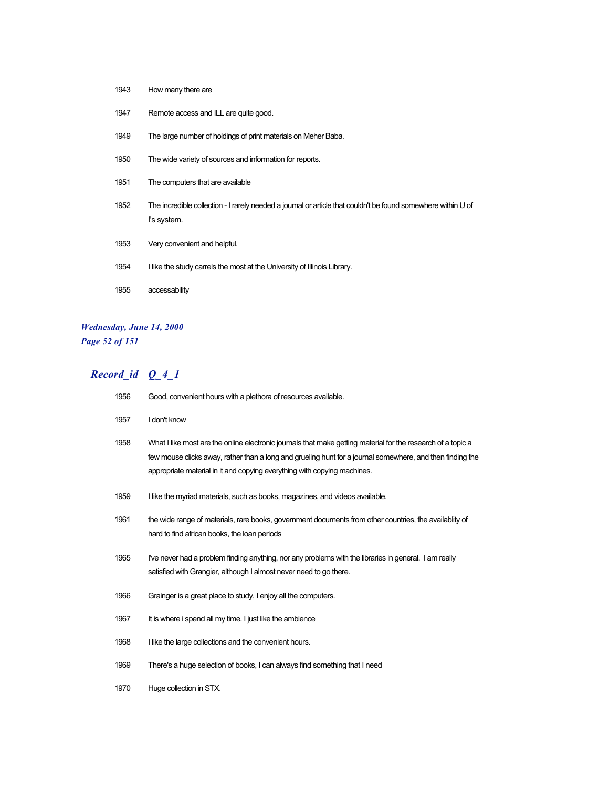| 1947 | Remote access and ILL are quite good.                                                                                        |
|------|------------------------------------------------------------------------------------------------------------------------------|
| 1949 | The large number of holdings of print materials on Meher Baba.                                                               |
| 1950 | The wide variety of sources and information for reports.                                                                     |
| 1951 | The computers that are available                                                                                             |
| 1952 | The incredible collection - I rarely needed a journal or article that couldn't be found somewhere within U of<br>I's system. |
| 1953 | Very convenient and helpful.                                                                                                 |
| 1954 | I like the study carrels the most at the University of Illinois Library.                                                     |
| 1955 | accessability                                                                                                                |

## *Wednesday, June 14, 2000 Page 52 of 151*

How many there are

| 1956 | Good, convenient hours with a plethora of resources available.                                                                                                                                                                                                                                        |
|------|-------------------------------------------------------------------------------------------------------------------------------------------------------------------------------------------------------------------------------------------------------------------------------------------------------|
| 1957 | I don't know                                                                                                                                                                                                                                                                                          |
| 1958 | What I like most are the online electronic journals that make getting material for the research of a topic a<br>few mouse clicks away, rather than a long and grueling hunt for a journal somewhere, and then finding the<br>appropriate material in it and copying everything with copying machines. |
| 1959 | I like the myriad materials, such as books, magazines, and videos available.                                                                                                                                                                                                                          |
| 1961 | the wide range of materials, rare books, government documents from other countries, the availablity of<br>hard to find african books, the loan periods                                                                                                                                                |
| 1965 | I've never had a problem finding anything, nor any problems with the libraries in general. I am really<br>satisfied with Grangier, although I almost never need to go there.                                                                                                                          |
| 1966 | Grainger is a great place to study, I enjoy all the computers.                                                                                                                                                                                                                                        |
| 1967 | It is where i spend all my time. I just like the ambience                                                                                                                                                                                                                                             |
| 1968 | I like the large collections and the convenient hours.                                                                                                                                                                                                                                                |
| 1969 | There's a huge selection of books, I can always find something that I need                                                                                                                                                                                                                            |
| 1970 | Huge collection in STX.                                                                                                                                                                                                                                                                               |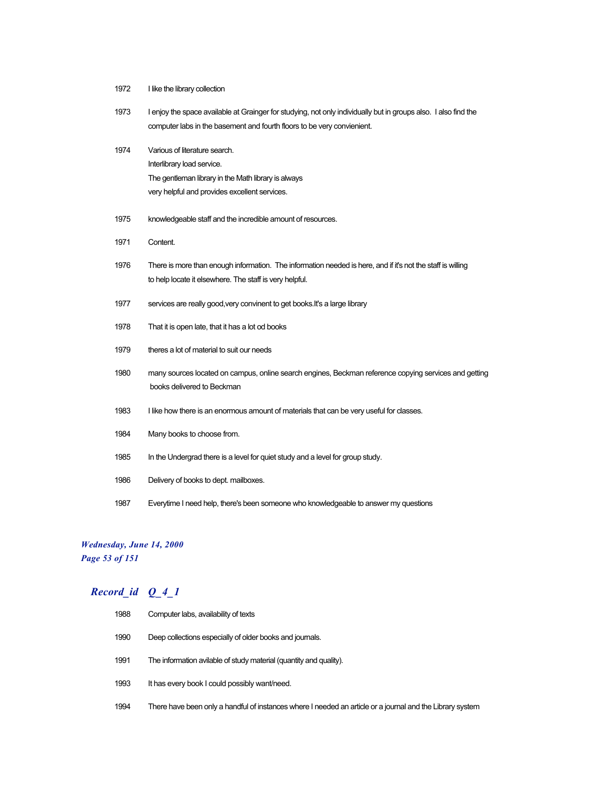- I like the library collection
- I enjoy the space available at Grainger for studying, not only individually but in groups also. I also find the computer labs in the basement and fourth floors to be very convienient.
- Various of literature search. Interlibrary load service. The gentleman library in the Math library is always very helpful and provides excellent services.
- knowledgeable staff and the incredible amount of resources.
- Content.
- There is more than enough information. The information needed is here, and if it's not the staff is willing to help locate it elsewhere. The staff is very helpful.
- services are really good,very convinent to get books.It's a large library
- That it is open late, that it has a lot od books
- theres a lot of material to suit our needs
- many sources located on campus, online search engines, Beckman reference copying services and getting books delivered to Beckman
- 1983 I like how there is an enormous amount of materials that can be very useful for classes.
- Many books to choose from.
- In the Undergrad there is a level for quiet study and a level for group study.
- Delivery of books to dept. mailboxes.
- Everytime I need help, there's been someone who knowledgeable to answer my questions

#### *Wednesday, June 14, 2000 Page 53 of 151*

| 1988 | Computer labs, availability of texts                                                                      |
|------|-----------------------------------------------------------------------------------------------------------|
| 1990 | Deep collections especially of older books and journals.                                                  |
| 1991 | The information avilable of study material (quantity and quality).                                        |
| 1993 | It has every book I could possibly want/need.                                                             |
| 1994 | There have been only a handful of instances where I needed an article or a journal and the Library system |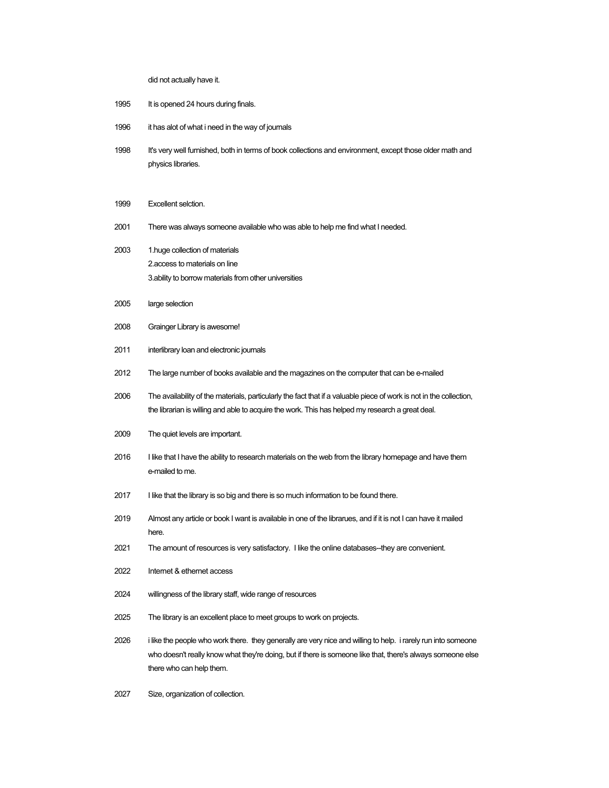did not actually have it.

- 1995 It is opened 24 hours during finals.
- 1996 it has alot of what i need in the way of journals
- It's very well furnished, both in terms of book collections and environment, except those older math and physics libraries.
- Excellent selction.
- There was always someone available who was able to help me find what I needed.
- 1.huge collection of materials 2.access to materials on line 3.ability to borrow materials from other universities
- large selection
- Grainger Library is awesome!
- interlibrary loan and electronic journals
- The large number of books available and the magazines on the computer that can be e-mailed
- The availability of the materials, particularly the fact that if a valuable piece of work is not in the collection, the librarian is willing and able to acquire the work. This has helped my research a great deal.
- The quiet levels are important.
- I like that I have the ability to research materials on the web from the library homepage and have them e-mailed to me.
- I like that the library is so big and there is so much information to be found there.
- Almost any article or book I want is available in one of the librarues, and if it is not I can have it mailed here.
- The amount of resources is very satisfactory. I like the online databases--they are convenient.
- Internet & ethernet access
- willingness of the library staff, wide range of resources
- The library is an excellent place to meet groups to work on projects.
- i like the people who work there. they generally are very nice and willing to help. i rarely run into someone who doesn't really know what they're doing, but if there is someone like that, there's always someone else there who can help them.
- Size, organization of collection.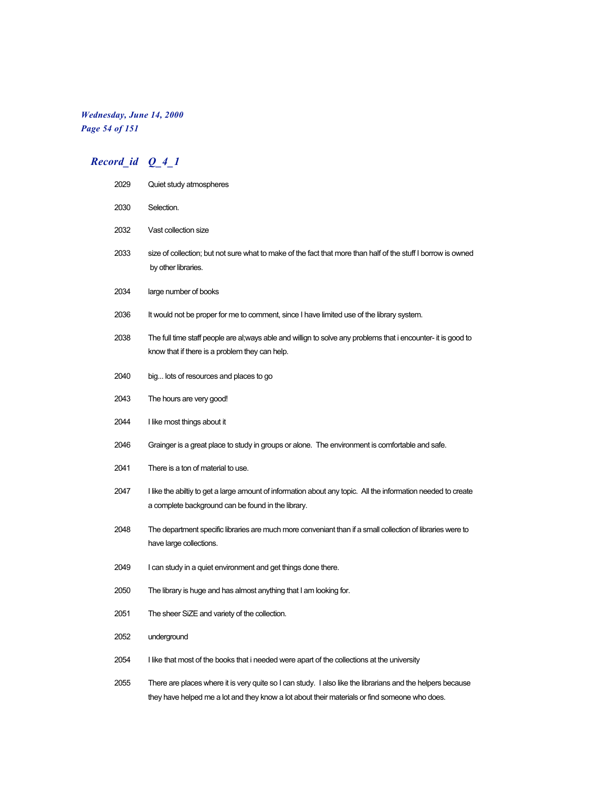### *Wednesday, June 14, 2000 Page 54 of 151*

| 2029 | Quiet study atmospheres                                                                                                                                                                                     |
|------|-------------------------------------------------------------------------------------------------------------------------------------------------------------------------------------------------------------|
| 2030 | Selection.                                                                                                                                                                                                  |
| 2032 | Vast collection size                                                                                                                                                                                        |
| 2033 | size of collection; but not sure what to make of the fact that more than half of the stuff I borrow is owned<br>by other libraries.                                                                         |
| 2034 | large number of books                                                                                                                                                                                       |
| 2036 | It would not be proper for me to comment, since I have limited use of the library system.                                                                                                                   |
| 2038 | The full time staff people are al;ways able and willign to solve any problems that i encounter- it is good to<br>know that if there is a problem they can help.                                             |
| 2040 | big lots of resources and places to go                                                                                                                                                                      |
| 2043 | The hours are very good!                                                                                                                                                                                    |
| 2044 | I like most things about it                                                                                                                                                                                 |
| 2046 | Grainger is a great place to study in groups or alone. The environment is comfortable and safe.                                                                                                             |
| 2041 | There is a ton of material to use.                                                                                                                                                                          |
| 2047 | I like the abiltiy to get a large amount of information about any topic. All the information needed to create<br>a complete background can be found in the library.                                         |
| 2048 | The department specific libraries are much more conveniant than if a small collection of libraries were to<br>have large collections.                                                                       |
| 2049 | I can study in a quiet environment and get things done there.                                                                                                                                               |
| 2050 | The library is huge and has almost anything that I am looking for.                                                                                                                                          |
| 2051 | The sheer SiZE and variety of the collection.                                                                                                                                                               |
| 2052 | underground                                                                                                                                                                                                 |
| 2054 | I like that most of the books that i needed were apart of the collections at the university                                                                                                                 |
| 2055 | There are places where it is very quite so I can study. I also like the librarians and the helpers because<br>they have helped me a lot and they know a lot about their materials or find someone who does. |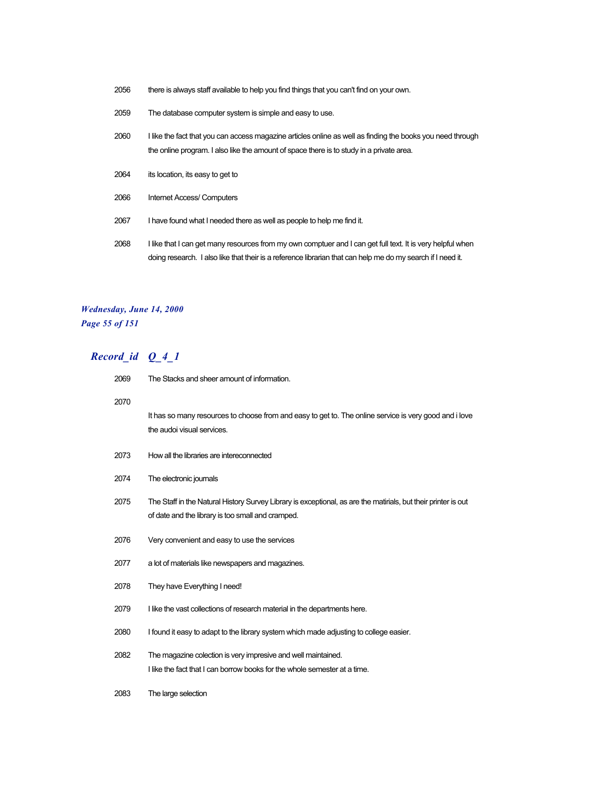- 2056 there is always staff available to help you find things that you can't find on your own.
- 2059 The database computer system is simple and easy to use.
- 2060 I like the fact that you can access magazine articles online as well as finding the books you need through the online program. I also like the amount of space there is to study in a private area.
- 2064 its location, its easy to get to
- 2066 Internet Access/ Computers
- 2067 I have found what I needed there as well as people to help me find it.
- 2068 I like that I can get many resources from my own comptuer and I can get full text. It is very helpful when doing research. I also like that their is a reference librarian that can help me do my search if I need it.

#### *Wednesday, June 14, 2000 Page 55 of 151*

| 2069 | The Stacks and sheer amount of information.                                                                                                                         |
|------|---------------------------------------------------------------------------------------------------------------------------------------------------------------------|
| 2070 | It has so many resources to choose from and easy to get to. The online service is very good and i love<br>the audoi visual services.                                |
| 2073 | How all the libraries are intereconnected                                                                                                                           |
| 2074 | The electronic journals                                                                                                                                             |
| 2075 | The Staff in the Natural History Survey Library is exceptional, as are the matirials, but their printer is out<br>of date and the library is too small and cramped. |
| 2076 | Very convenient and easy to use the services                                                                                                                        |
| 2077 | a lot of materials like newspapers and magazines.                                                                                                                   |
| 2078 | They have Everything I need!                                                                                                                                        |
| 2079 | I like the vast collections of research material in the departments here.                                                                                           |
| 2080 | I found it easy to adapt to the library system which made adjusting to college easier.                                                                              |
| 2082 | The magazine colection is very impresive and well maintained.<br>I like the fact that I can borrow books for the whole semester at a time.                          |
| 2083 | The large selection                                                                                                                                                 |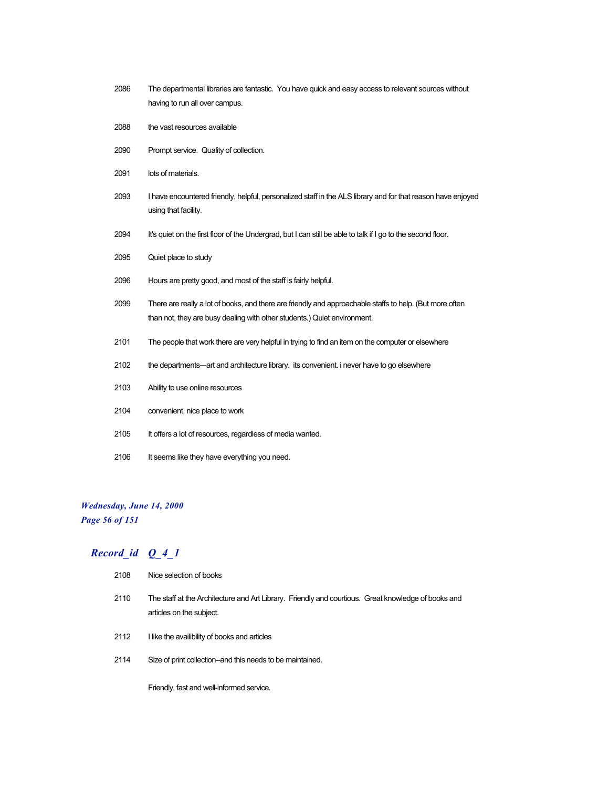- 2086 The departmental libraries are fantastic. You have quick and easy access to relevant sources without having to run all over campus.
- 2088 the vast resources available
- 2090 Prompt service. Quality of collection.
- 2091 lots of materials.
- 2093 I have encountered friendly, helpful, personalized staff in the ALS library and for that reason have enjoyed using that facility.
- 2094 It's quiet on the first floor of the Undergrad, but I can still be able to talk if I go to the second floor.
- 2095 Quiet place to study
- 2096 Hours are pretty good, and most of the staff is fairly helpful.
- 2099 There are really a lot of books, and there are friendly and approachable staffs to help. (But more often than not, they are busy dealing with other students.) Quiet environment.
- 2101 The people that work there are very helpful in trying to find an item on the computer or elsewhere
- 2102 the departments---art and architecture library. its convenient. i never have to go elsewhere
- 2103 Ability to use online resources
- 2104 convenient, nice place to work
- 2105 It offers a lot of resources, regardless of media wanted.
- 2106 It seems like they have everything you need.

## *Wednesday, June 14, 2000*

*Page 56 of 151*

### *Record\_id Q\_4\_1*

| 2108 | Nice selection of books                                                                                                         |
|------|---------------------------------------------------------------------------------------------------------------------------------|
| 2110 | The staff at the Architecture and Art Library. Friendly and courtious. Great knowledge of books and<br>articles on the subject. |
| 2112 | I like the availibility of books and articles                                                                                   |
| 2114 | Size of print collection-and this needs to be maintained.                                                                       |

Friendly, fast and well-informed service.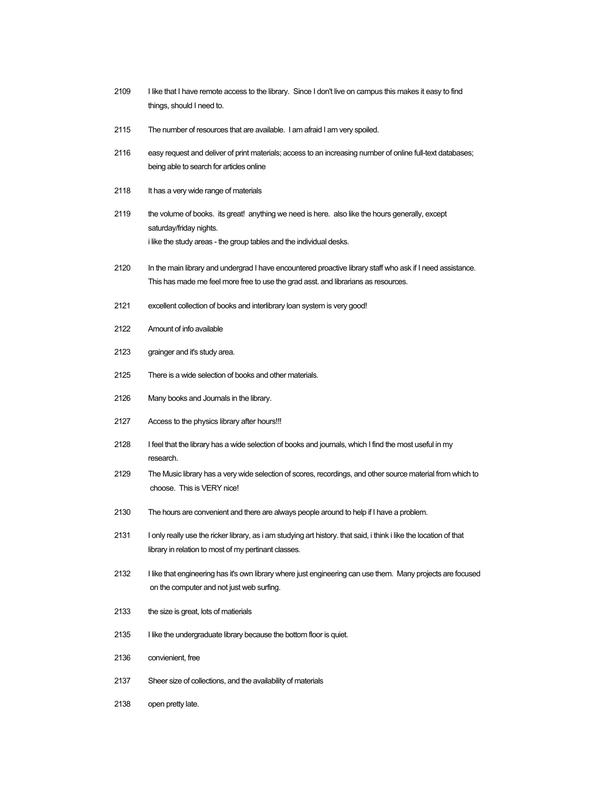- 2109 I like that I have remote access to the library. Since I don't live on campus this makes it easy to find things, should I need to.
- 2115 The number of resources that are available. I am afraid I am very spoiled.
- 2116 easy request and deliver of print materials; access to an increasing number of online full-text databases; being able to search for articles online
- 2118 It has a very wide range of materials
- 2119 the volume of books. its great! anything we need is here. also like the hours generally, except saturday/friday nights. i like the study areas - the group tables and the individual desks.
- 2120 In the main library and undergrad I have encountered proactive library staff who ask if I need assistance. This has made me feel more free to use the grad asst. and librarians as resources.
- 2121 excellent collection of books and interlibrary loan system is very good!
- 2122 Amount of info available
- 2123 grainger and it's study area.
- 2125 There is a wide selection of books and other materials.
- 2126 Many books and Journals in the library.
- 2127 Access to the physics library after hours!!!
- 2128 I feel that the library has a wide selection of books and journals, which I find the most useful in my research.
- 2129 The Music library has a very wide selection of scores, recordings, and other source material from which to choose. This is VERY nice!
- 2130 The hours are convenient and there are always people around to help if I have a problem.
- 2131 I only really use the ricker library, as i am studying art history. that said, i think i like the location of that library in relation to most of my pertinant classes.
- 2132 I like that engineering has it's own library where just engineering can use them. Many projects are focused on the computer and not just web surfing.
- 2133 the size is great, lots of matierials
- 2135 I like the undergraduate library because the bottom floor is quiet.
- 2136 convienient, free
- 2137 Sheer size of collections, and the availability of materials
- 2138 open pretty late.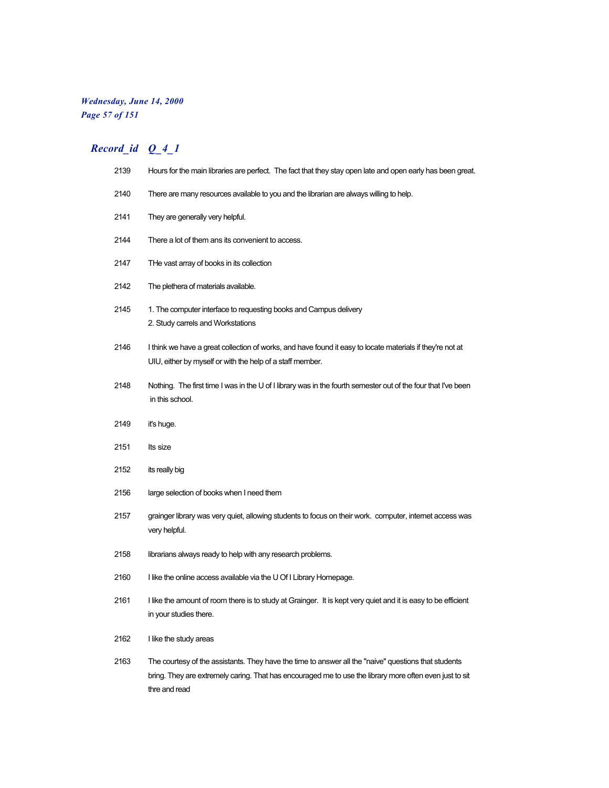### *Wednesday, June 14, 2000 Page 57 of 151*

| 2139 | Hours for the main libraries are perfect. The fact that they stay open late and open early has been great.                                                                                                                       |
|------|----------------------------------------------------------------------------------------------------------------------------------------------------------------------------------------------------------------------------------|
| 2140 | There are many resources available to you and the librarian are always willing to help.                                                                                                                                          |
| 2141 | They are generally very helpful.                                                                                                                                                                                                 |
| 2144 | There a lot of them ans its convenient to access.                                                                                                                                                                                |
| 2147 | THe vast array of books in its collection                                                                                                                                                                                        |
| 2142 | The plethera of materials available.                                                                                                                                                                                             |
| 2145 | 1. The computer interface to requesting books and Campus delivery<br>2. Study carrels and Workstations                                                                                                                           |
| 2146 | I think we have a great collection of works, and have found it easy to locate materials if they're not at<br>UIU, either by myself or with the help of a staff member.                                                           |
| 2148 | Nothing. The first time I was in the U of I library was in the fourth semester out of the four that I've been<br>in this school.                                                                                                 |
| 2149 | it's huge.                                                                                                                                                                                                                       |
| 2151 | Its size                                                                                                                                                                                                                         |
| 2152 | its really big                                                                                                                                                                                                                   |
| 2156 | large selection of books when I need them                                                                                                                                                                                        |
| 2157 | grainger library was very quiet, allowing students to focus on their work. computer, internet access was<br>very helpful.                                                                                                        |
| 2158 | librarians always ready to help with any research problems.                                                                                                                                                                      |
| 2160 | I like the online access available via the U Of I Library Homepage.                                                                                                                                                              |
| 2161 | I like the amount of room there is to study at Grainger. It is kept very quiet and it is easy to be efficient<br>in your studies there.                                                                                          |
| 2162 | I like the study areas                                                                                                                                                                                                           |
| 2163 | The courtesy of the assistants. They have the time to answer all the "naive" questions that students<br>bring. They are extremely caring. That has encouraged me to use the library more often even just to sit<br>thre and read |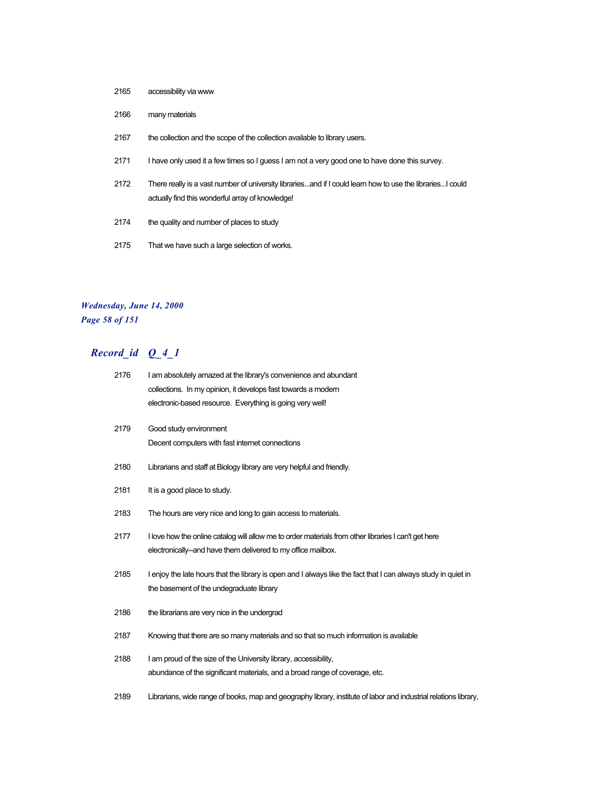- 2165 accessibility via www
- 2166 many materials
- 2167 the collection and the scope of the collection available to library users.
- 2171 I have only used it a few times so I guess I am not a very good one to have done this survey.
- 2172 There really is a vast number of university libraries...and if I could learn how to use the libraries...I could actually find this wonderful array of knowledge!
- 2174 the quality and number of places to study
- 2175 That we have such a large selection of works.

### *Wednesday, June 14, 2000 Page 58 of 151*

| 2176 | I am absolutely amazed at the library's convenience and abundant<br>collections. In my opinion, it develops fast towards a modern                                    |
|------|----------------------------------------------------------------------------------------------------------------------------------------------------------------------|
|      | electronic-based resource. Everything is going very well!                                                                                                            |
| 2179 | Good study environment<br>Decent computers with fast internet connections                                                                                            |
| 2180 | Librarians and staff at Biology library are very helpful and friendly.                                                                                               |
| 2181 | It is a good place to study.                                                                                                                                         |
| 2183 | The hours are very nice and long to gain access to materials.                                                                                                        |
| 2177 | I love how the online catalog will allow me to order materials from other libraries I can't get here<br>electronically-and have them delivered to my office mailbox. |
| 2185 | I enjoy the late hours that the library is open and I always like the fact that I can always study in quiet in<br>the basement of the undegraduate library           |
| 2186 | the librarians are very nice in the undergrad                                                                                                                        |
| 2187 | Knowing that there are so many materials and so that so much information is available                                                                                |
| 2188 | I am proud of the size of the University library, accessibility,<br>abundance of the significant materials, and a broad range of coverage, etc.                      |
| 2189 | Librarians, wide range of books, map and geography library, institute of labor and industrial relations library,                                                     |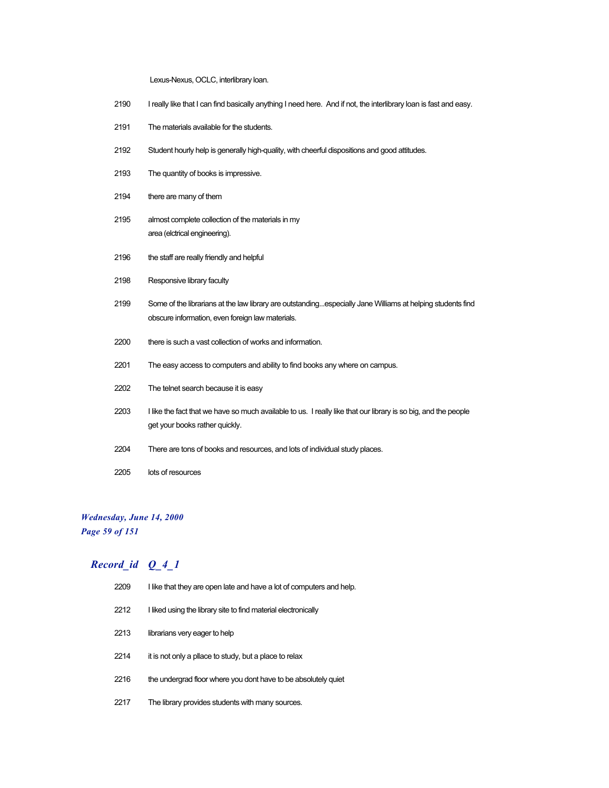Lexus-Nexus, OCLC, interlibrary loan.

- 2190 I really like that I can find basically anything I need here. And if not, the interlibrary loan is fast and easy.
- 2191 The materials available for the students.
- 2192 Student hourly help is generally high-quality, with cheerful dispositions and good attitudes.
- 2193 The quantity of books is impressive.
- 2194 there are many of them
- 2195 almost complete collection of the materials in my area (elctrical engineering).
- 2196 the staff are really friendly and helpful
- 2198 Responsive library faculty
- 2199 Some of the librarians at the law library are outstanding...especially Jane Williams at helping students find obscure information, even foreign law materials.
- 2200 there is such a vast collection of works and information.
- 2201 The easy access to computers and ability to find books any where on campus.
- 2202 The telnet search because it is easy
- 2203 I like the fact that we have so much available to us. I really like that our library is so big, and the people get your books rather quickly.
- 2204 There are tons of books and resources, and lots of individual study places.
- 2205 lots of resources

#### *Wednesday, June 14, 2000*

*Page 59 of 151*

| 2209 | I like that they are open late and have a lot of computers and help. |
|------|----------------------------------------------------------------------|
| 2212 | I liked using the library site to find material electronically       |
| 2213 | librarians very eager to help                                        |
| 2214 | it is not only a pllace to study, but a place to relax               |
| 2216 | the undergrad floor where you dont have to be absolutely quiet       |
| 2217 | The library provides students with many sources.                     |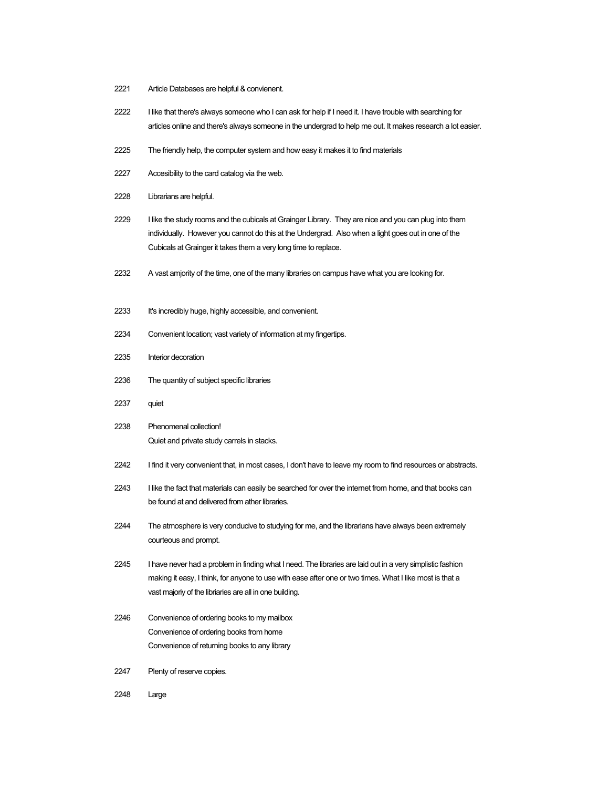- 2221 Article Databases are helpful & convienent.
- 2222 I like that there's always someone who I can ask for help if I need it. I have trouble with searching for articles online and there's always someone in the undergrad to help me out. It makes research a lot easier.
- 2225 The friendly help, the computer system and how easy it makes it to find materials
- 2227 Accesibility to the card catalog via the web.
- 2228 Librarians are helpful.
- 2229 I like the study rooms and the cubicals at Grainger Library. They are nice and you can plug into them individually. However you cannot do this at the Undergrad. Also when a light goes out in one of the Cubicals at Grainger it takes them a very long time to replace.
- 2232 A vast amjority of the time, one of the many libraries on campus have what you are looking for.
- 2233 It's incredibly huge, highly accessible, and convenient.
- 2234 Convenient location; vast variety of information at my fingertips.
- 2235 Interior decoration
- 2236 The quantity of subject specific libraries
- 2237 quiet
- 2238 Phenomenal collection! Quiet and private study carrels in stacks.
- 2242 I find it very convenient that, in most cases, I don't have to leave my room to find resources or abstracts.
- 2243 I like the fact that materials can easily be searched for over the internet from home, and that books can be found at and delivered from ather libraries.
- 2244 The atmosphere is very conducive to studying for me, and the librarians have always been extremely courteous and prompt.
- 2245 I have never had a problem in finding what I need. The libraries are laid out in a very simplistic fashion making it easy, I think, for anyone to use with ease after one or two times. What I like most is that a vast majoriy of the libriaries are all in one building.
- 2246 Convenience of ordering books to my mailbox Convenience of ordering books from home Convenience of returning books to any library
- 2247 Plenty of reserve copies.
- 2248 Large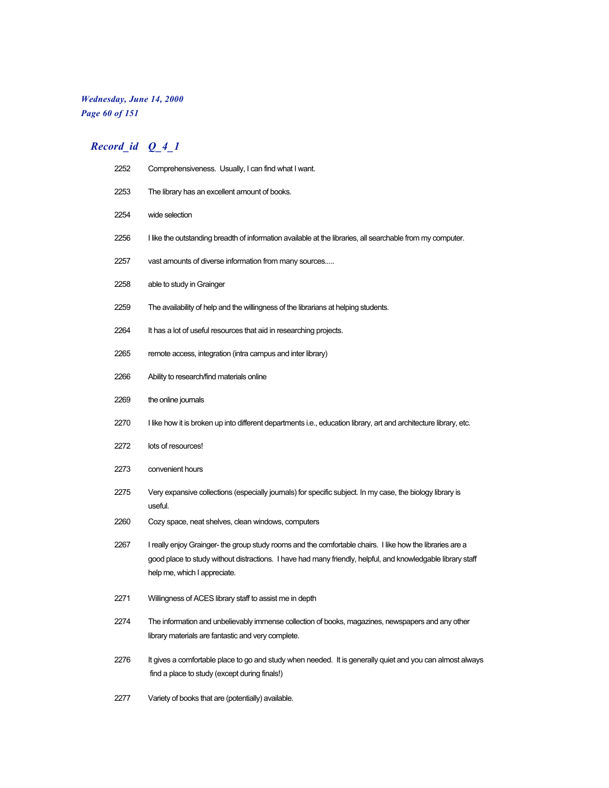### *Wednesday, June 14, 2000 Page 60 of 151*

| 2252 | Comprehensiveness. Usually, I can find what I want.                                                                                                                                                                                                      |
|------|----------------------------------------------------------------------------------------------------------------------------------------------------------------------------------------------------------------------------------------------------------|
| 2253 | The library has an excellent amount of books.                                                                                                                                                                                                            |
| 2254 | wide selection                                                                                                                                                                                                                                           |
| 2256 | I like the outstanding breadth of information available at the libraries, all searchable from my computer.                                                                                                                                               |
| 2257 | vast amounts of diverse information from many sources                                                                                                                                                                                                    |
| 2258 | able to study in Grainger                                                                                                                                                                                                                                |
| 2259 | The availability of help and the willingness of the librarians at helping students.                                                                                                                                                                      |
| 2264 | It has a lot of useful resources that aid in researching projects.                                                                                                                                                                                       |
| 2265 | remote access, integration (intra campus and inter library)                                                                                                                                                                                              |
| 2266 | Ability to research/find materials online                                                                                                                                                                                                                |
| 2269 | the online journals                                                                                                                                                                                                                                      |
| 2270 | I like how it is broken up into different departments i.e., education library, art and architecture library, etc.                                                                                                                                        |
| 2272 | lots of resources!                                                                                                                                                                                                                                       |
| 2273 | convenient hours                                                                                                                                                                                                                                         |
| 2275 | Very expansive collections (especially journals) for specific subject. In my case, the biology library is<br>useful.                                                                                                                                     |
| 2260 | Cozy space, neat shelves, clean windows, computers                                                                                                                                                                                                       |
| 2267 | I really enjoy Grainger- the group study rooms and the comfortable chairs. I like how the libraries are a<br>good place to study without distractions. I have had many friendly, helpful, and knowledgable library staff<br>help me, which I appreciate. |
| 2271 | Willingness of ACES library staff to assist me in depth                                                                                                                                                                                                  |
| 2274 | The information and unbelievably immense collection of books, magazines, newspapers and any other<br>library materials are fantastic and very complete.                                                                                                  |
| 2276 | It gives a comfortable place to go and study when needed. It is generally quiet and you can almost always<br>find a place to study (except during finals!)                                                                                               |
| 2277 | Variety of books that are (potentially) available.                                                                                                                                                                                                       |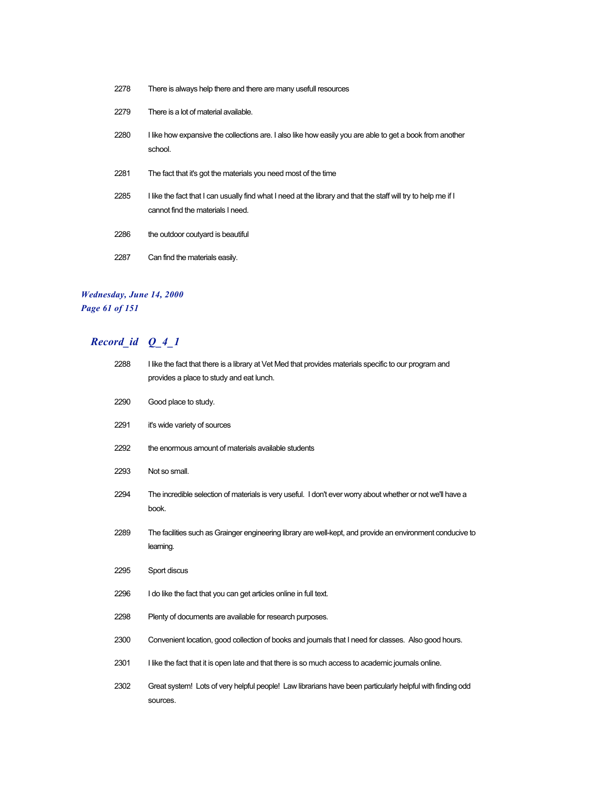| 2278 | There is always help there and there are many usefull resources                                                                                     |
|------|-----------------------------------------------------------------------------------------------------------------------------------------------------|
| 2279 | There is a lot of material available.                                                                                                               |
| 2280 | I like how expansive the collections are. I also like how easily you are able to get a book from another<br>school.                                 |
| 2281 | The fact that it's got the materials you need most of the time                                                                                      |
| 2285 | I like the fact that I can usually find what I need at the library and that the staff will try to help me if I<br>cannot find the materials I need. |
| 2286 | the outdoor coutyard is beautiful                                                                                                                   |
| 2287 | Can find the materials easily.                                                                                                                      |

### *Wednesday, June 14, 2000 Page 61 of 151*

| 2288 | I like the fact that there is a library at Vet Med that provides materials specific to our program and<br>provides a place to study and eat lunch. |
|------|----------------------------------------------------------------------------------------------------------------------------------------------------|
| 2290 | Good place to study.                                                                                                                               |
| 2291 | it's wide variety of sources                                                                                                                       |
| 2292 | the enormous amount of materials available students                                                                                                |
| 2293 | Not so small.                                                                                                                                      |
| 2294 | The incredible selection of materials is very useful. I don't ever worry about whether or not we'll have a<br>book.                                |
| 2289 | The facilities such as Grainger engineering library are well-kept, and provide an environment conducive to<br>learning.                            |
| 2295 | Sport discus                                                                                                                                       |
| 2296 | I do like the fact that you can get articles online in full text.                                                                                  |
| 2298 | Plenty of documents are available for research purposes.                                                                                           |
| 2300 | Convenient location, good collection of books and journals that I need for classes. Also good hours.                                               |
| 2301 | I like the fact that it is open late and that there is so much access to academic journals online.                                                 |
| 2302 | Great system! Lots of very helpful people! Law librarians have been particularly helpful with finding odd<br>sources.                              |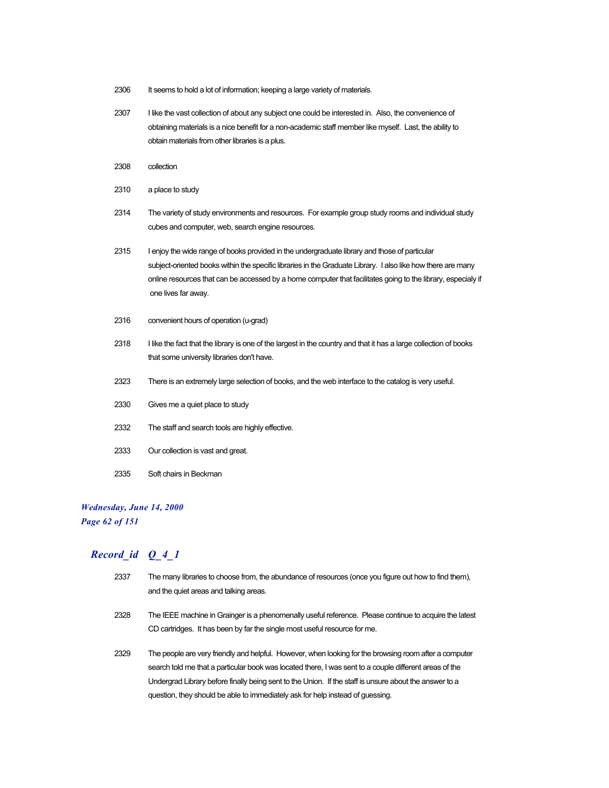- 2306 It seems to hold a lot of information; keeping a large variety of materials.
- 2307 I like the vast collection of about any subject one could be interested in. Also, the convenience of obtaining materials is a nice benefit for a non-academic staff member like myself. Last, the ability to obtain materials from other libraries is a plus.
- 2308 collection
- 2310 a place to study
- 2314 The variety of study environments and resources. For example group study rooms and individual study cubes and computer, web, search engine resources.
- 2315 I enjoy the wide range of books provided in the undergraduate library and those of particular subject-oriented books within the specific libraries in the Graduate Library. I also like how there are many online resources that can be accessed by a home computer that facilitates going to the library, especialy if one lives far away.
- 2316 convenient hours of operation (u-grad)
- 2318 I like the fact that the library is one of the largest in the country and that it has a large collection of books that some university libraries don't have.
- 2323 There is an extremely large selection of books, and the web interface to the catalog is very useful.
- 2330 Gives me a quiet place to study
- 2332 The staff and search tools are highly effective.
- 2333 Our collection is vast and great.
- 2335 Soft chairs in Beckman

# *Wednesday, June 14, 2000*

### *Page 62 of 151*

### *Record\_id Q\_4\_1*

2337 The many libraries to choose from, the abundance of resources (once you figure out how to find them), and the quiet areas and talking areas. 2328 The IEEE machine in Grainger is a phenomenally useful reference. Please continue to acquire the latest CD cartridges. It has been by far the single most useful resource for me. 2329 The people are very friendly and helpful. However, when looking for the browsing room after a computer search told me that a particular book was located there, I was sent to a couple different areas of the Undergrad Library before finally being sent to the Union. If the staff is unsure about the answer to a question, they should be able to immediately ask for help instead of guessing.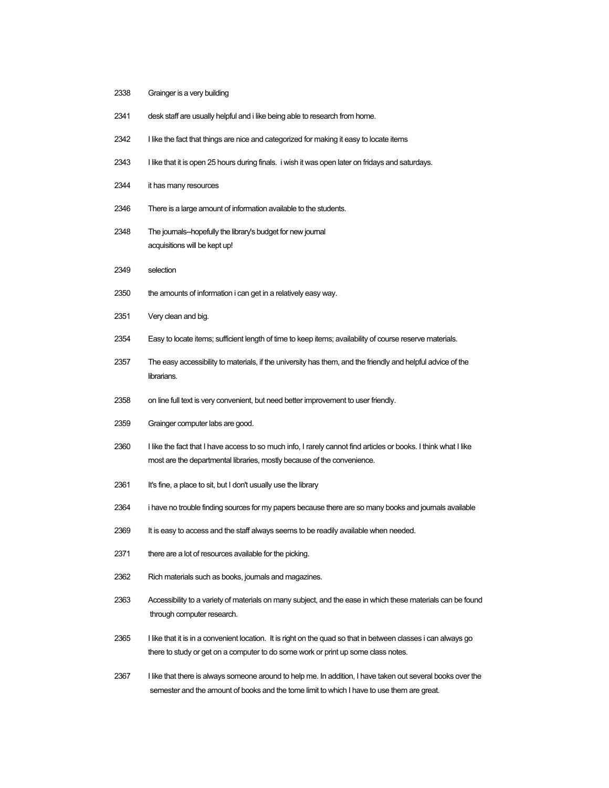- 2338 Grainger is a very building
- 2341 desk staff are usually helpful and i like being able to research from home.
- 2342 I like the fact that things are nice and categorized for making it easy to locate items
- 2343 I like that it is open 25 hours during finals. i wish it was open later on fridays and saturdays.
- 2344 it has many resources
- 2346 There is a large amount of information available to the students.
- 2348 The journals--hopefully the library's budget for new journal acquisitions will be kept up!
- 2349 selection
- 2350 the amounts of information i can get in a relatively easy way.
- 2351 Very clean and big.
- 2354 Easy to locate items; sufficient length of time to keep items; availability of course reserve materials.
- 2357 The easy accessibility to materials, if the university has them, and the friendly and helpful advice of the librarians.
- 2358 on line full text is very convenient, but need better improvement to user friendly.
- 2359 Grainger computer labs are good.
- 2360 I like the fact that I have access to so much info, I rarely cannot find articles or books. I think what I like most are the departmental libraries, mostly because of the convenience.
- 2361 It's fine, a place to sit, but I don't usually use the library
- 2364 i have no trouble finding sources for my papers because there are so many books and journals available
- 2369 It is easy to access and the staff always seems to be readily available when needed.
- 2371 there are a lot of resources available for the picking.
- 2362 Rich materials such as books, journals and magazines.
- 2363 Accessibility to a variety of materials on many subject, and the ease in which these materials can be found through computer research.
- 2365 I like that it is in a convenient location. It is right on the quad so that in between classes i can always go there to study or get on a computer to do some work or print up some class notes.
- 2367 I like that there is always someone around to help me. In addition, I have taken out several books over the semester and the amount of books and the tome limit to which I have to use them are great.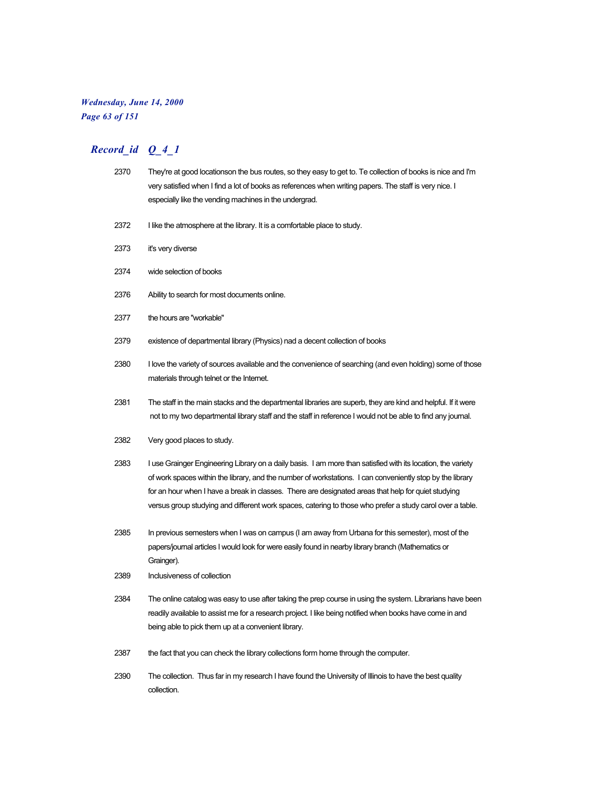### *Wednesday, June 14, 2000 Page 63 of 151*

| 2370 | They're at good locationson the bus routes, so they easy to get to. Te collection of books is nice and I'm<br>very satisfied when I find a lot of books as references when writing papers. The staff is very nice. I<br>especially like the vending machines in the undergrad.                                                                                                                                                                |
|------|-----------------------------------------------------------------------------------------------------------------------------------------------------------------------------------------------------------------------------------------------------------------------------------------------------------------------------------------------------------------------------------------------------------------------------------------------|
| 2372 | I like the atmosphere at the library. It is a comfortable place to study.                                                                                                                                                                                                                                                                                                                                                                     |
| 2373 | it's very diverse                                                                                                                                                                                                                                                                                                                                                                                                                             |
| 2374 | wide selection of books                                                                                                                                                                                                                                                                                                                                                                                                                       |
| 2376 | Ability to search for most documents online.                                                                                                                                                                                                                                                                                                                                                                                                  |
| 2377 | the hours are "workable"                                                                                                                                                                                                                                                                                                                                                                                                                      |
| 2379 | existence of departmental library (Physics) nad a decent collection of books                                                                                                                                                                                                                                                                                                                                                                  |
| 2380 | I love the variety of sources available and the convenience of searching (and even holding) some of those<br>materials through telnet or the Internet.                                                                                                                                                                                                                                                                                        |
| 2381 | The staff in the main stacks and the departmental libraries are superb, they are kind and helpful. If it were<br>not to my two departmental library staff and the staff in reference I would not be able to find any journal.                                                                                                                                                                                                                 |
| 2382 | Very good places to study.                                                                                                                                                                                                                                                                                                                                                                                                                    |
| 2383 | I use Grainger Engineering Library on a daily basis. I am more than satisfied with its location, the variety<br>of work spaces within the library, and the number of workstations. I can conveniently stop by the library<br>for an hour when I have a break in classes. There are designated areas that help for quiet studying<br>versus group studying and different work spaces, catering to those who prefer a study carol over a table. |
| 2385 | In previous semesters when I was on campus (I am away from Urbana for this semester), most of the<br>papers/journal articles I would look for were easily found in nearby library branch (Mathematics or<br>Grainger).                                                                                                                                                                                                                        |
| 2389 | Inclusiveness of collection                                                                                                                                                                                                                                                                                                                                                                                                                   |
| 2384 | The online catalog was easy to use after taking the prep course in using the system. Librarians have been<br>readily available to assist me for a research project. I like being notified when books have come in and<br>being able to pick them up at a convenient library.                                                                                                                                                                  |
| 2387 | the fact that you can check the library collections form home through the computer.                                                                                                                                                                                                                                                                                                                                                           |
| 2390 | The collection. Thus far in my research I have found the University of Illinois to have the best quality<br>collection.                                                                                                                                                                                                                                                                                                                       |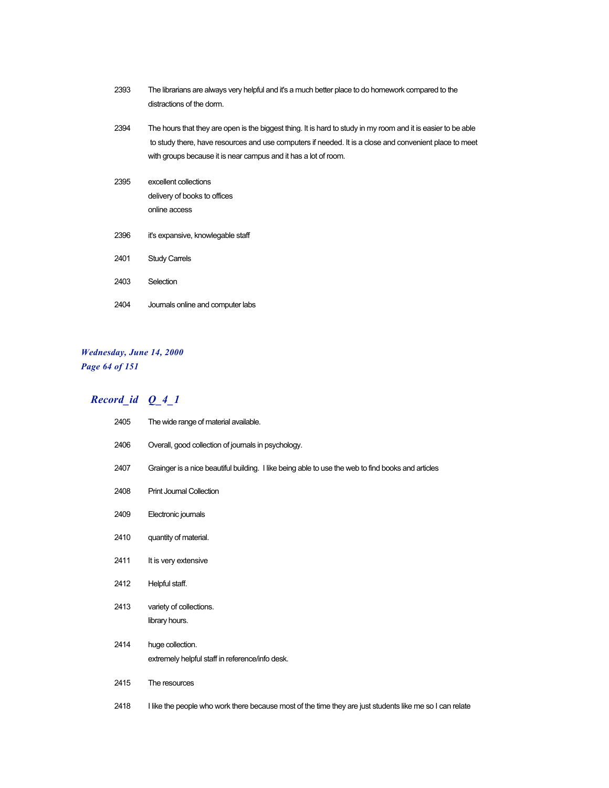| 2393 | The librarians are always very helpful and it's a much better place to do homework compared to the<br>distractions of the dorm.                                                                                                                                                            |
|------|--------------------------------------------------------------------------------------------------------------------------------------------------------------------------------------------------------------------------------------------------------------------------------------------|
| 2394 | The hours that they are open is the biggest thing. It is hard to study in my room and it is easier to be able<br>to study there, have resources and use computers if needed. It is a close and convenient place to meet<br>with groups because it is near campus and it has a lot of room. |
| 2395 | excellent collections<br>delivery of books to offices<br>online access                                                                                                                                                                                                                     |
| 2396 | it's expansive, knowlegable staff                                                                                                                                                                                                                                                          |
| 2401 | <b>Study Carrels</b>                                                                                                                                                                                                                                                                       |
| 2403 | Selection                                                                                                                                                                                                                                                                                  |
| 2404 | Journals online and computer labs                                                                                                                                                                                                                                                          |

### *Wednesday, June 14, 2000 Page 64 of 151*

| 2405 | The wide range of material available.                                                                    |
|------|----------------------------------------------------------------------------------------------------------|
| 2406 | Overall, good collection of journals in psychology.                                                      |
| 2407 | Grainger is a nice beautiful building. I like being able to use the web to find books and articles       |
| 2408 | <b>Print Journal Collection</b>                                                                          |
| 2409 | Electronic journals                                                                                      |
| 2410 | quantity of material.                                                                                    |
| 2411 | It is very extensive                                                                                     |
| 2412 | Helpful staff.                                                                                           |
| 2413 | variety of collections.<br>library hours.                                                                |
| 2414 | huge collection.<br>extremely helpful staff in reference/info desk.                                      |
| 2415 | The resources                                                                                            |
| 2418 | I like the people who work there because most of the time they are just students like me so I can relate |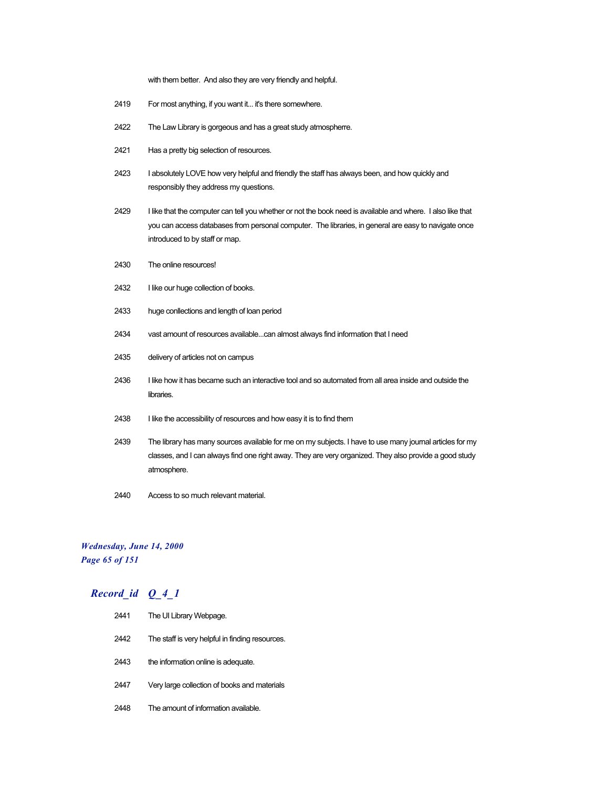with them better. And also they are very friendly and helpful.

- 2419 For most anything, if you want it... it's there somewhere.
- 2422 The Law Library is gorgeous and has a great study atmospherre.
- 2421 Has a pretty big selection of resources.
- 2423 I absolutely LOVE how very helpful and friendly the staff has always been, and how quickly and responsibly they address my questions.
- 2429 I like that the computer can tell you whether or not the book need is available and where. I also like that you can access databases from personal computer. The libraries, in general are easy to navigate once introduced to by staff or map.
- 2430 The online resources!
- 2432 I like our huge collection of books.
- 2433 huge conllections and length of loan period
- 2434 vast amount of resources available...can almost always find information that I need
- 2435 delivery of articles not on campus
- 2436 I like how it has became such an interactive tool and so automated from all area inside and outside the libraries.
- 2438 I like the accessibility of resources and how easy it is to find them
- 2439 The library has many sources available for me on my subjects. I have to use many journal articles for my classes, and I can always find one right away. They are very organized. They also provide a good study atmosphere.
- 2440 Access to so much relevant material.

### *Wednesday, June 14, 2000 Page 65 of 151*

| 2441 | The UI Library Webpage.                         |
|------|-------------------------------------------------|
| 2442 | The staff is very helpful in finding resources. |
| 2443 | the information online is adequate.             |
| 2447 | Very large collection of books and materials    |
| 2448 | The amount of information available             |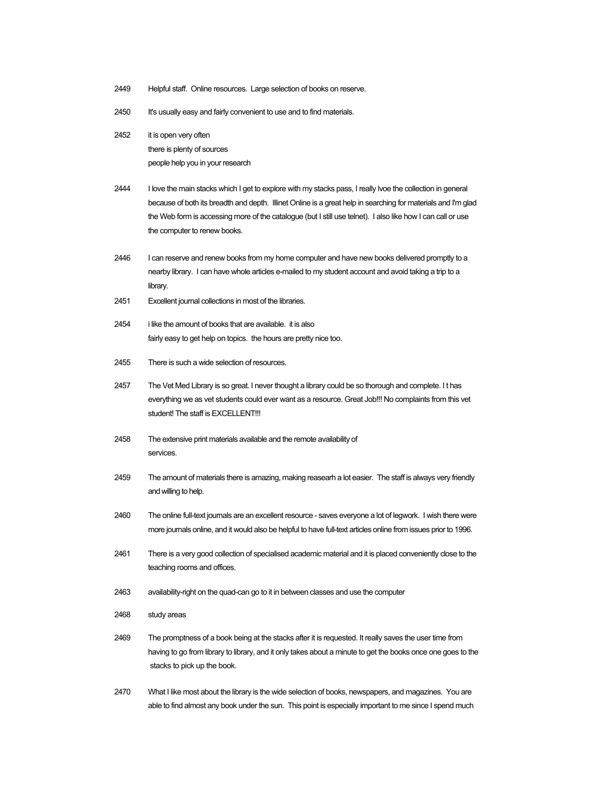- 2449 Helpful staff. Online resources. Large selection of books on reserve.
- 2450 It's usually easy and fairly convenient to use and to find materials.
- 2452 it is open very often there is plenty of sources people help you in your research
- 2444 I love the main stacks which I get to explore with my stacks pass, I really lvoe the collection in general because of both its breadth and depth. Illinet Online is a great help in searching for materials and I'm glad the Web form is accessing more of the catalogue (but I still use telnet). I also like how I can call or use the computer to renew books.
- 2446 I can reserve and renew books from my home computer and have new books delivered promptly to a nearby library. I can have whole articles e-mailed to my student account and avoid taking a trip to a library.
- 2451 Excellent journal collections in most of the libraries.
- 2454 i like the amount of books that are available. it is also fairly easy to get help on topics. the hours are pretty nice too.
- 2455 There is such a wide selection of resources.
- 2457 The Vet Med Library is so great. I never thought a library could be so thorough and complete. It has everything we as vet students could ever want as a resource. Great Job!!! No complaints from this vet student! The staff is FXCFLL FNT!!!
- 2458 The extensive print materials available and the remote availability of services.
- 2459 The amount of materials there is amazing, making reasearh a lot easier. The staff is always very friendly and willing to help.
- 2460 The online full-text journals are an excellent resource saves everyone a lot of legwork. I wish there were more journals online, and it would also be helpful to have full-text articles online from issues prior to 1996.
- 2461 There is a very good collection of specialised academic material and it is placed conveniently close to the teaching rooms and offices.
- 2463 availability-right on the quad-can go to it in between classes and use the computer
- 2468 study areas
- 2469 The promptness of a book being at the stacks after it is requested. It really saves the user time from having to go from library to library, and it only takes about a minute to get the books once one goes to the stacks to pick up the book.
- 2470 What I like most about the library is the wide selection of books, newspapers, and magazines. You are able to find almost any book under the sun. This point is especially important to me since I spend much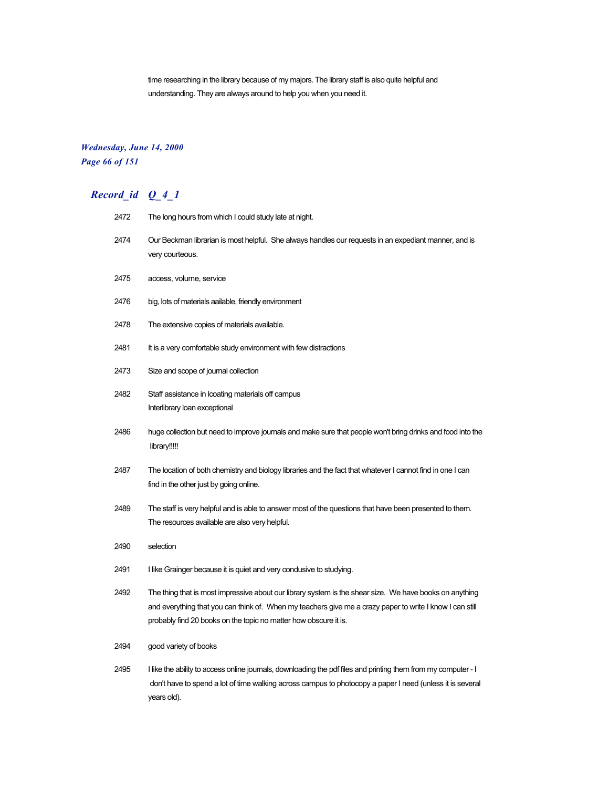time researching in the library because of my majors. The library staff is also quite helpful and understanding. They are always around to help you when you need it.

### *Wednesday, June 14, 2000 Page 66 of 151*

| 2472 | The long hours from which I could study late at night.                                                                                                                                                                                                                                  |
|------|-----------------------------------------------------------------------------------------------------------------------------------------------------------------------------------------------------------------------------------------------------------------------------------------|
| 2474 | Our Beckman librarian is most helpful. She always handles our requests in an expediant manner, and is<br>very courteous.                                                                                                                                                                |
| 2475 | access, volume, service                                                                                                                                                                                                                                                                 |
| 2476 | big, lots of materials aailable, friendly environment                                                                                                                                                                                                                                   |
| 2478 | The extensive copies of materials available.                                                                                                                                                                                                                                            |
| 2481 | It is a very comfortable study environment with few distractions                                                                                                                                                                                                                        |
| 2473 | Size and scope of journal collection                                                                                                                                                                                                                                                    |
| 2482 | Staff assistance in Icoating materials off campus<br>Interlibrary loan exceptional                                                                                                                                                                                                      |
| 2486 | huge collection but need to improve journals and make sure that people won't bring drinks and food into the<br>library!!!!!                                                                                                                                                             |
| 2487 | The location of both chemistry and biology libraries and the fact that whatever I cannot find in one I can<br>find in the other just by going online.                                                                                                                                   |
| 2489 | The staff is very helpful and is able to answer most of the questions that have been presented to them.<br>The resources available are also very helpful.                                                                                                                               |
| 2490 | selection                                                                                                                                                                                                                                                                               |
| 2491 | I like Grainger because it is quiet and very condusive to studying.                                                                                                                                                                                                                     |
| 2492 | The thing that is most impressive about our library system is the shear size. We have books on anything<br>and everything that you can think of. When my teachers give me a crazy paper to write I know I can still<br>probably find 20 books on the topic no matter how obscure it is. |
| 2494 | good variety of books                                                                                                                                                                                                                                                                   |
| 2495 | I like the ability to access online journals, downloading the pdf files and printing them from my computer - I<br>don't have to spend a lot of time walking across campus to photocopy a paper I need (unless it is several                                                             |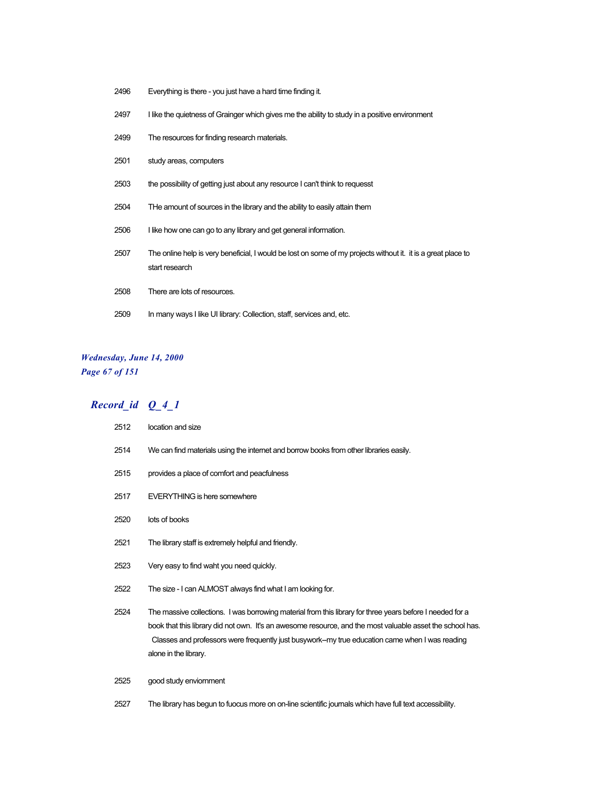- Everything is there you just have a hard time finding it.
- 2497 I like the quietness of Grainger which gives me the ability to study in a positive environment
- The resources for finding research materials.
- study areas, computers
- the possibility of getting just about any resource I can't think to requesst
- THe amount of sources in the library and the ability to easily attain them
- I like how one can go to any library and get general information.
- The online help is very beneficial, I would be lost on some of my projects without it. it is a great place to start research
- There are lots of resources.
- 2509 In many ways I like UI library: Collection, staff, services and, etc.

### *Wednesday, June 14, 2000 Page 67 of 151*

### *Record\_id Q\_4\_1*

 location and size We can find materials using the internet and borrow books from other libraries easily. provides a place of comfort and peacfulness EVERYTHING is here somewhere lots of books The library staff is extremely helpful and friendly. Very easy to find waht you need quickly. The size - I can ALMOST always find what I am looking for. The massive collections. I was borrowing material from this library for three years before I needed for a book that this library did not own. It's an awesome resource, and the most valuable asset the school has. Classes and professors were frequently just busywork--my true education came when I was reading alone in the library. good study enviornment The library has begun to fuocus more on on-line scientific journals which have full text accessibility.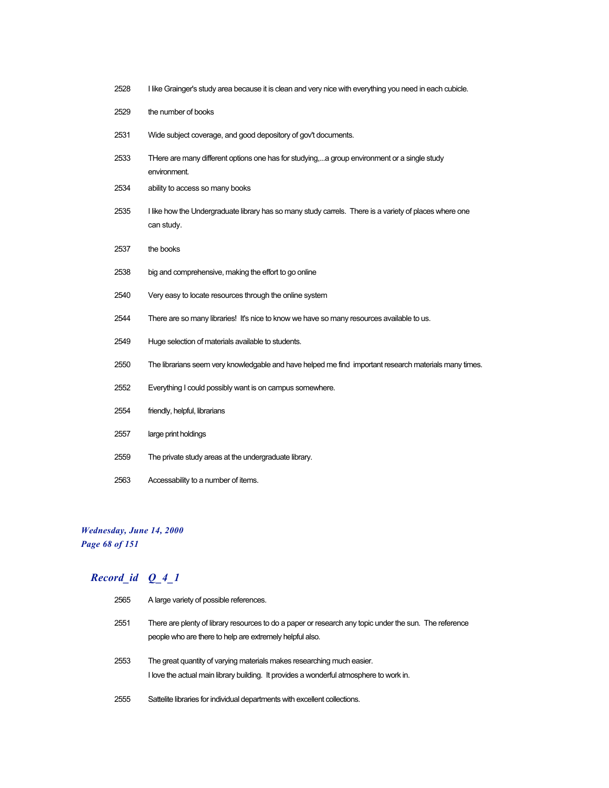| 2528 | I like Grainger's study area because it is clean and very nice with everything you need in each cubicle.             |
|------|----------------------------------------------------------------------------------------------------------------------|
| 2529 | the number of books                                                                                                  |
| 2531 | Wide subject coverage, and good depository of gov't documents.                                                       |
| 2533 | THere are many different options one has for studying,a group environment or a single study<br>environment.          |
| 2534 | ability to access so many books                                                                                      |
| 2535 | I like how the Undergraduate library has so many study carrels. There is a variety of places where one<br>can study. |
| 2537 | the books                                                                                                            |
| 2538 | big and comprehensive, making the effort to go online                                                                |
| 2540 | Very easy to locate resources through the online system                                                              |
| 2544 | There are so many libraries! It's nice to know we have so many resources available to us.                            |
| 2549 | Huge selection of materials available to students.                                                                   |
| 2550 | The librarians seem very knowledgable and have helped me find important research materials many times.               |
| 2552 | Everything I could possibly want is on campus somewhere.                                                             |
| 2554 | friendly, helpful, librarians                                                                                        |
| 2557 | large print holdings                                                                                                 |
| 2559 | The private study areas at the undergraduate library.                                                                |
| 2563 | Accessability to a number of items.                                                                                  |

*Wednesday, June 14, 2000 Page 68 of 151*

| 2565 | A large variety of possible references.                                                                                                                            |
|------|--------------------------------------------------------------------------------------------------------------------------------------------------------------------|
| 2551 | There are plenty of library resources to do a paper or research any topic under the sun. The reference<br>people who are there to help are extremely helpful also. |
| 2553 | The great quantity of varying materials makes researching much easier.<br>I love the actual main library building. It provides a wonderful atmosphere to work in.  |
| 2555 | Sattelite libraries for individual departments with excellent collections.                                                                                         |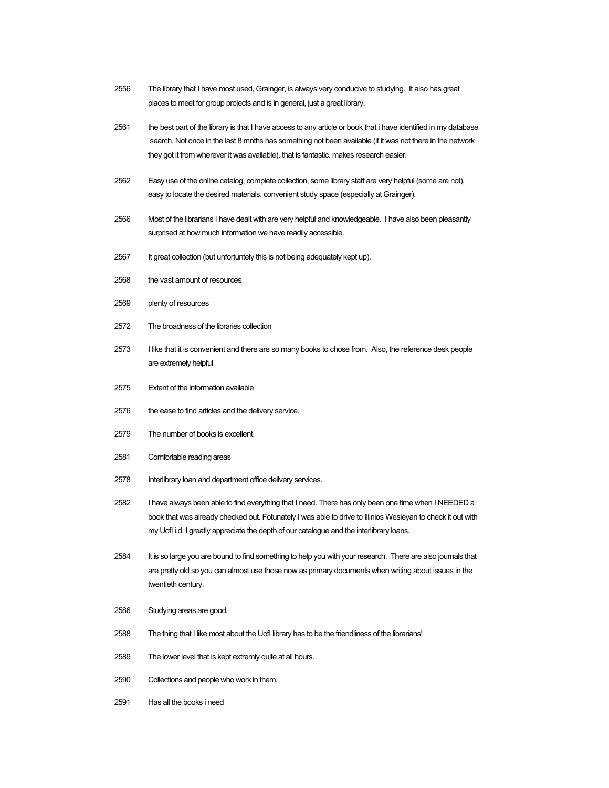- 2556 The library that I have most used, Grainger, is always very conducive to studying. It also has great places to meet for group projects and is in general, just a great library.
- 2561 the best part of the library is that I have access to any article or book that i have identified in my database search. Not once in the last 8 mnths has something not been available (if it was not there in the network they got it from wherever it was available). that is fantastic. makes research easier.
- 2562 Easy use of the online catalog, complete collection, some library staff are very helpful (some are not), easy to locate the desired materials, convenient study space (especially at Grainger).
- 2566 Most of the librarians I have dealt with are very helpful and knowledgeable. I have also been pleasantly surprised at how much information we have readily accessible.
- 2567 It great collection (but unfortuntely this is not being adequately kept up).
- 2568 the vast amount of resources
- 2569 plenty of resources
- 2572 The broadness of the libraries collection
- 2573 I like that it is convenient and there are so many books to chose from. Also, the reference desk people are extremely helpful
- 2575 Extent of the information available
- 2576 the ease to find articles and the delivery service.
- 2579 The number of books is excellent.
- 2581 Comfortable reading areas
- 2578 Interlibrary loan and department office deilvery services.
- 2582 I have always been able to find everything that I need. There has only been one time when I NEEDED a book that was already checked out. Fotunately I was able to drive to Illinios Wesleyan to check it out with my UofI i.d. I greatly appreciate the depth of our catalogue and the interlibrary loans.
- 2584 It is so large you are bound to find something to help you with your research. There are also journals that are pretty old so you can almost use those now as primary documents when writing about issues in the twentieth century.
- 2586 Studying areas are good.
- 2588 The thing that I like most about the UofI library has to be the friendliness of the librarians!
- 2589 The lower level that is kept extremly quite at all hours.
- 2590 Collections and people who work in them.
- 2591 Has all the books i need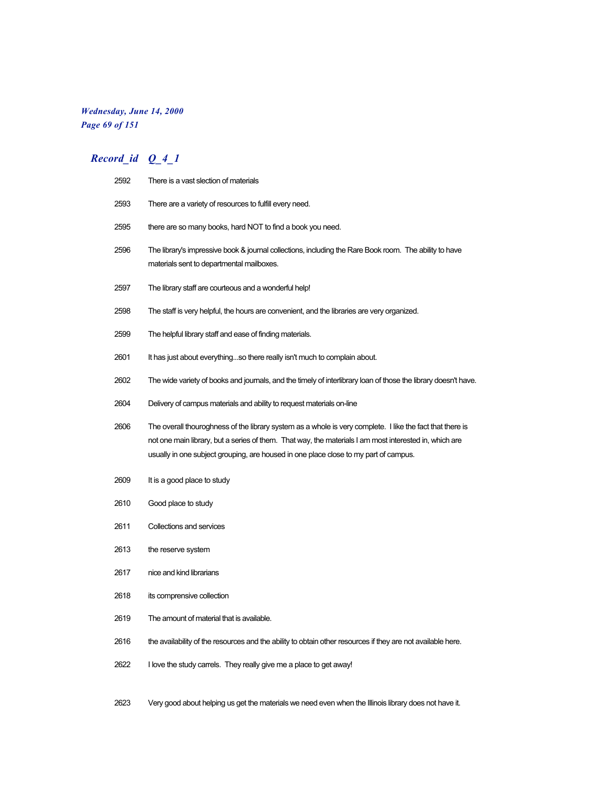### *Wednesday, June 14, 2000 Page 69 of 151*

## *Record\_id Q\_4\_1*

| 2592 | There is a vast slection of materials                                                                                                                                                                                                                                                                       |
|------|-------------------------------------------------------------------------------------------------------------------------------------------------------------------------------------------------------------------------------------------------------------------------------------------------------------|
| 2593 | There are a variety of resources to fulfill every need.                                                                                                                                                                                                                                                     |
| 2595 | there are so many books, hard NOT to find a book you need.                                                                                                                                                                                                                                                  |
| 2596 | The library's impressive book & journal collections, including the Rare Book room. The ability to have<br>materials sent to departmental mailboxes.                                                                                                                                                         |
| 2597 | The library staff are courteous and a wonderful help!                                                                                                                                                                                                                                                       |
| 2598 | The staff is very helpful, the hours are convenient, and the libraries are very organized.                                                                                                                                                                                                                  |
| 2599 | The helpful library staff and ease of finding materials.                                                                                                                                                                                                                                                    |
| 2601 | It has just about everythingso there really isn't much to complain about.                                                                                                                                                                                                                                   |
| 2602 | The wide variety of books and journals, and the timely of interlibrary loan of those the library doesn't have.                                                                                                                                                                                              |
| 2604 | Delivery of campus materials and ability to request materials on-line                                                                                                                                                                                                                                       |
| 2606 | The overall thouroghness of the library system as a whole is very complete. I like the fact that there is<br>not one main library, but a series of them. That way, the materials I am most interested in, which are<br>usually in one subject grouping, are housed in one place close to my part of campus. |
| 2609 | It is a good place to study                                                                                                                                                                                                                                                                                 |
| 2610 | Good place to study                                                                                                                                                                                                                                                                                         |
| 2611 | Collections and services                                                                                                                                                                                                                                                                                    |
| 2613 | the reserve system                                                                                                                                                                                                                                                                                          |
| 2617 | nice and kind librarians                                                                                                                                                                                                                                                                                    |
| 2618 | its comprensive collection                                                                                                                                                                                                                                                                                  |
| 2619 | The amount of material that is available.                                                                                                                                                                                                                                                                   |
| 2616 | the availability of the resources and the ability to obtain other resources if they are not available here.                                                                                                                                                                                                 |
| 2622 | I love the study carrels. They really give me a place to get away!                                                                                                                                                                                                                                          |
|      |                                                                                                                                                                                                                                                                                                             |

Very good about helping us get the materials we need even when the Illinois library does not have it.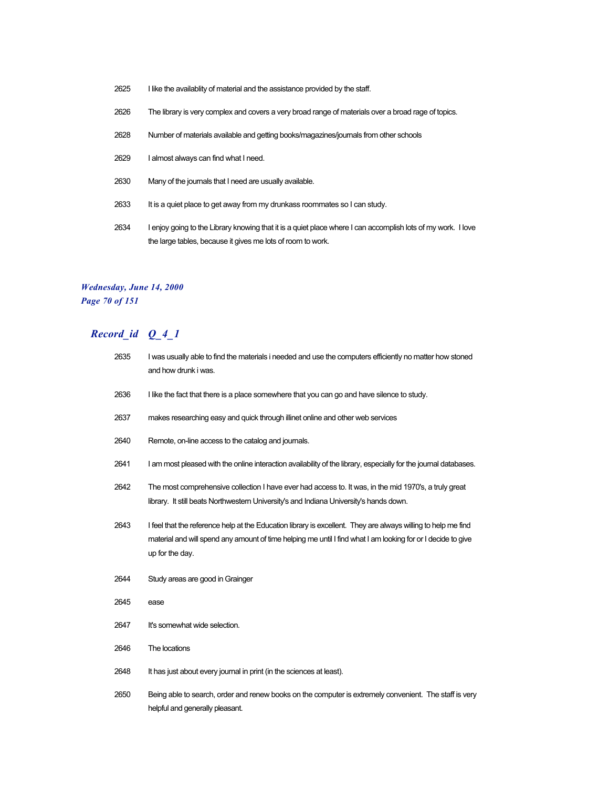- I like the availablity of material and the assistance provided by the staff.
- The library is very complex and covers a very broad range of materials over a broad rage of topics.
- Number of materials available and getting books/magazines/journals from other schools
- I almost always can find what I need.
- Many of the journals that I need are usually available.
- 2633 It is a quiet place to get away from my drunkass roommates so I can study.
- I enjoy going to the Library knowing that it is a quiet place where I can accomplish lots of my work. I love the large tables, because it gives me lots of room to work.

### *Wednesday, June 14, 2000 Page 70 of 151*

| 2635 | I was usually able to find the materials i needed and use the computers efficiently no matter how stoned<br>and how drunk i was.                                                                                                                 |
|------|--------------------------------------------------------------------------------------------------------------------------------------------------------------------------------------------------------------------------------------------------|
| 2636 | I like the fact that there is a place somewhere that you can go and have silence to study.                                                                                                                                                       |
| 2637 | makes researching easy and quick through illinet online and other web services                                                                                                                                                                   |
| 2640 | Remote, on-line access to the catalog and journals.                                                                                                                                                                                              |
| 2641 | I am most pleased with the online interaction availability of the library, especially for the journal databases.                                                                                                                                 |
| 2642 | The most comprehensive collection I have ever had access to. It was, in the mid 1970's, a truly great<br>library. It still beats Northwestern University's and Indiana University's hands down.                                                  |
| 2643 | I feel that the reference help at the Education library is excellent. They are always willing to help me find<br>material and will spend any amount of time helping me until I find what I am looking for or I decide to give<br>up for the day. |
| 2644 | Study areas are good in Grainger                                                                                                                                                                                                                 |
| 2645 | ease                                                                                                                                                                                                                                             |
| 2647 | It's somewhat wide selection.                                                                                                                                                                                                                    |
| 2646 | The locations                                                                                                                                                                                                                                    |
| 2648 | It has just about every journal in print (in the sciences at least).                                                                                                                                                                             |
| 2650 | Being able to search, order and renew books on the computer is extremely convenient. The staff is very<br>helpful and generally pleasant.                                                                                                        |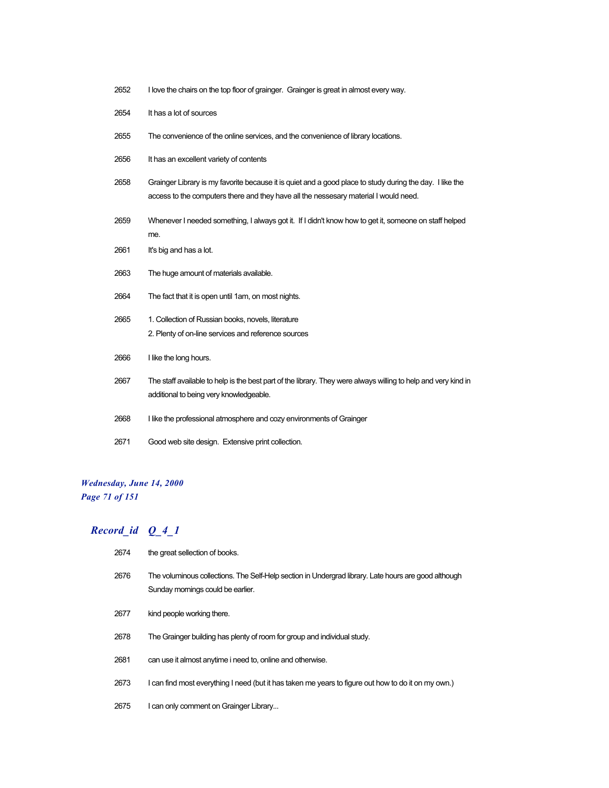- I love the chairs on the top floor of grainger. Grainger is great in almost every way.
- It has a lot of sources
- The convenience of the online services, and the convenience of library locations.
- It has an excellent variety of contents
- Grainger Library is my favorite because it is quiet and a good place to study during the day. I like the access to the computers there and they have all the nessesary material I would need.
- Whenever I needed something, I always got it. If I didn't know how to get it, someone on staff helped me.
- 2661 It's big and has a lot.
- The huge amount of materials available.
- The fact that it is open until 1am, on most nights.
- 2665 1. Collection of Russian books, novels, literature 2. Plenty of on-line services and reference sources
- I like the long hours.
- The staff available to help is the best part of the library. They were always willing to help and very kind in additional to being very knowledgeable.
- 2668 I like the professional atmosphere and cozy environments of Grainger
- Good web site design. Extensive print collection.

### *Wednesday, June 14, 2000 Page 71 of 151*

| 2674 | the great sellection of books.                                                                                                            |
|------|-------------------------------------------------------------------------------------------------------------------------------------------|
| 2676 | The voluminous collections. The Self-Help section in Undergrad library. Late hours are good although<br>Sunday mornings could be earlier. |
| 2677 | kind people working there.                                                                                                                |
| 2678 | The Grainger building has plenty of room for group and individual study.                                                                  |
| 2681 | can use it almost anytime i need to, online and otherwise.                                                                                |
| 2673 | I can find most everything I need (but it has taken me years to figure out how to do it on my own.)                                       |
| 2675 | I can only comment on Grainger Library                                                                                                    |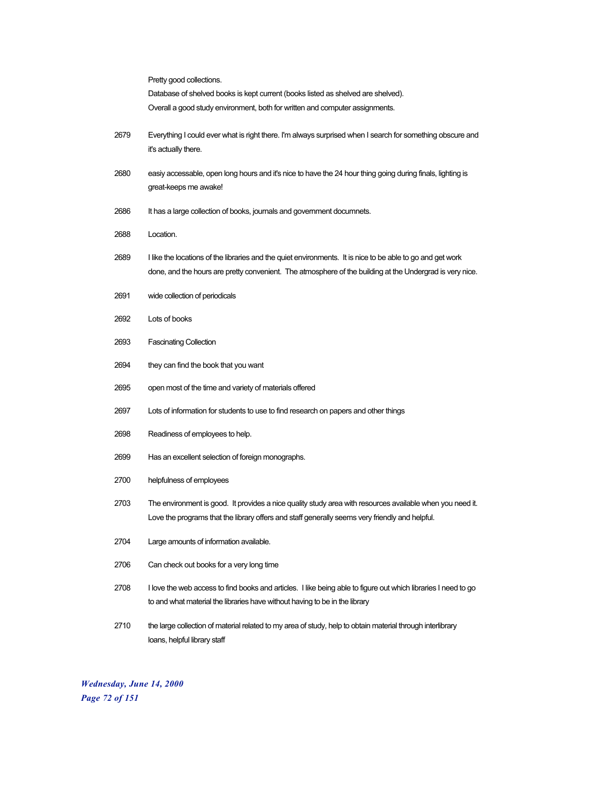|      | Pretty good collections.                                                                                                                                                                                               |
|------|------------------------------------------------------------------------------------------------------------------------------------------------------------------------------------------------------------------------|
|      | Database of shelved books is kept current (books listed as shelved are shelved).                                                                                                                                       |
|      | Overall a good study environment, both for written and computer assignments.                                                                                                                                           |
| 2679 | Everything I could ever what is right there. I'm always surprised when I search for something obscure and<br>it's actually there.                                                                                      |
| 2680 | easiy accessable, open long hours and it's nice to have the 24 hour thing going during finals, lighting is<br>great-keeps me awake!                                                                                    |
| 2686 | It has a large collection of books, journals and government documnets.                                                                                                                                                 |
| 2688 | Location.                                                                                                                                                                                                              |
| 2689 | I like the locations of the libraries and the quiet environments. It is nice to be able to go and get work<br>done, and the hours are pretty convenient. The atmosphere of the building at the Undergrad is very nice. |
| 2691 | wide collection of periodicals                                                                                                                                                                                         |
| 2692 | Lots of books                                                                                                                                                                                                          |
| 2693 | <b>Fascinating Collection</b>                                                                                                                                                                                          |
| 2694 | they can find the book that you want                                                                                                                                                                                   |
| 2695 | open most of the time and variety of materials offered                                                                                                                                                                 |
| 2697 | Lots of information for students to use to find research on papers and other things                                                                                                                                    |
| 2698 | Readiness of employees to help.                                                                                                                                                                                        |
| 2699 | Has an excellent selection of foreign monographs.                                                                                                                                                                      |
| 2700 | helpfulness of employees                                                                                                                                                                                               |
| 2703 | The environment is good. It provides a nice quality study area with resources available when you need it.<br>Love the programs that the library offers and staff generally seems very friendly and helpful.            |
| 2704 | Large amounts of information available.                                                                                                                                                                                |
| 2706 | Can check out books for a very long time                                                                                                                                                                               |
| 2708 | I love the web access to find books and articles. I like being able to figure out which libraries I need to go<br>to and what material the libraries have without having to be in the library                          |
| 2710 | the large collection of material related to my area of study, help to obtain material through interlibrary<br>loans, helpful library staff                                                                             |

*Wednesday, June 14, 2000 Page 72 of 151*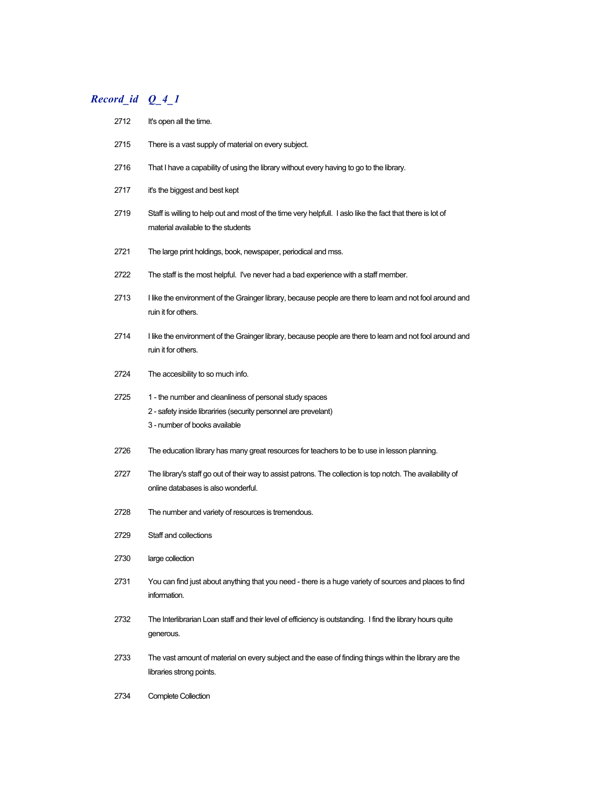## *Record\_id Q\_4\_1*

| 2712 | It's open all the time.                                                                                                                                      |
|------|--------------------------------------------------------------------------------------------------------------------------------------------------------------|
| 2715 | There is a vast supply of material on every subject.                                                                                                         |
| 2716 | That I have a capability of using the library without every having to go to the library.                                                                     |
| 2717 | it's the biggest and best kept                                                                                                                               |
| 2719 | Staff is willing to help out and most of the time very helpfull. I aslo like the fact that there is lot of<br>material available to the students             |
| 2721 | The large print holdings, book, newspaper, periodical and mss.                                                                                               |
| 2722 | The staff is the most helpful. I've never had a bad experience with a staff member.                                                                          |
| 2713 | I like the environment of the Grainger library, because people are there to learn and not fool around and<br>ruin it for others.                             |
| 2714 | I like the environment of the Grainger library, because people are there to learn and not fool around and<br>ruin it for others.                             |
| 2724 | The accesibility to so much info.                                                                                                                            |
| 2725 | 1 - the number and cleanliness of personal study spaces<br>2 - safety inside librariries (security personnel are prevelant)<br>3 - number of books available |
| 2726 | The education library has many great resources for teachers to be to use in lesson planning.                                                                 |
| 2727 | The library's staff go out of their way to assist patrons. The collection is top notch. The availability of<br>online databases is also wonderful.           |
| 2728 | The number and variety of resources is tremendous.                                                                                                           |
| 2729 | Staff and collections                                                                                                                                        |
| 2730 | large collection                                                                                                                                             |
| 2731 | You can find just about anything that you need - there is a huge variety of sources and places to find<br>information.                                       |
| 2732 | The Interlibrarian Loan staff and their level of efficiency is outstanding. I find the library hours quite<br>generous.                                      |
| 2733 | The vast amount of material on every subject and the ease of finding things within the library are the<br>libraries strong points.                           |
|      |                                                                                                                                                              |

2734 Complete Collection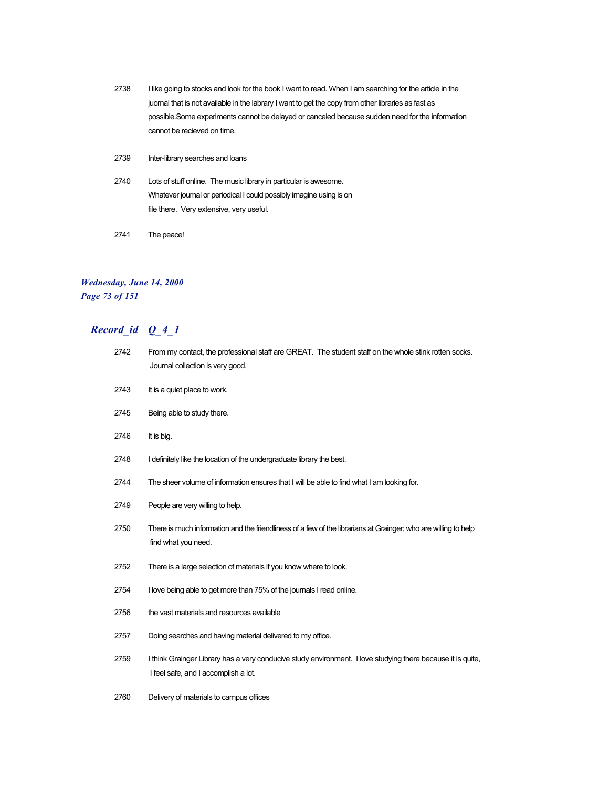- 2738 I like going to stocks and look for the book I want to read. When I am searching for the article in the juornal that is not available in the labrary I want to get the copy from other libraries as fast as possible.Some experiments cannot be delayed or canceled because sudden need for the information cannot be recieved on time.
- 2739 Inter-library searches and loans
- 2740 Lots of stuff online. The music library in particular is awesome. Whatever journal or periodical I could possibly imagine using is on file there. Very extensive, very useful.
- 2741 The peace!

### *Wednesday, June 14, 2000 Page 73 of 151*

| 2742 | From my contact, the professional staff are GREAT. The student staff on the whole stink rotten socks.<br>Journal collection is very good.           |
|------|-----------------------------------------------------------------------------------------------------------------------------------------------------|
| 2743 | It is a quiet place to work.                                                                                                                        |
| 2745 | Being able to study there.                                                                                                                          |
| 2746 | It is big.                                                                                                                                          |
| 2748 | I definitely like the location of the undergraduate library the best.                                                                               |
| 2744 | The sheer volume of information ensures that I will be able to find what I am looking for.                                                          |
| 2749 | People are very willing to help.                                                                                                                    |
| 2750 | There is much information and the friendliness of a few of the librarians at Grainger; who are willing to help<br>find what you need.               |
| 2752 | There is a large selection of materials if you know where to look.                                                                                  |
| 2754 | I love being able to get more than 75% of the journals I read online.                                                                               |
| 2756 | the vast materials and resources available                                                                                                          |
| 2757 | Doing searches and having material delivered to my office.                                                                                          |
| 2759 | I think Grainger Library has a very conducive study environment. I love studying there because it is quite,<br>I feel safe, and I accomplish a lot. |
| 2760 | Delivery of materials to campus offices                                                                                                             |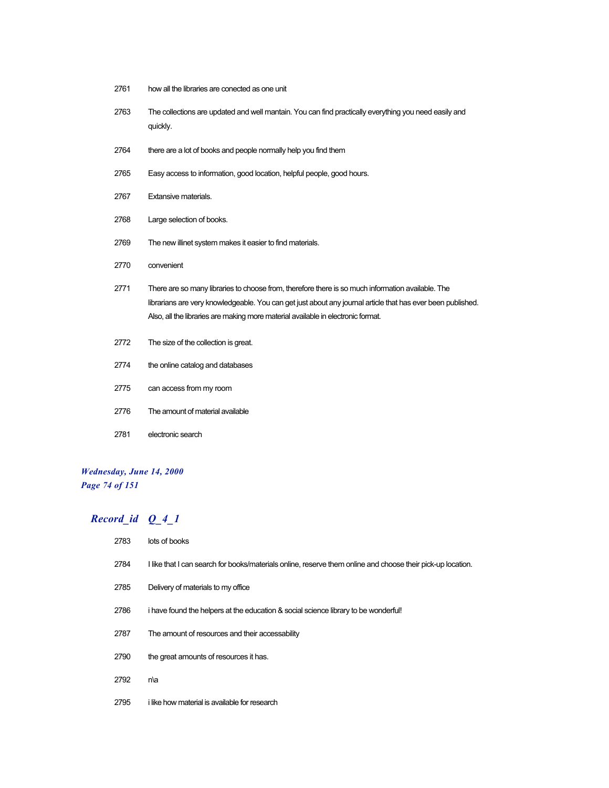- how all the libraries are conected as one unit
- The collections are updated and well mantain. You can find practically everything you need easily and quickly.
- 2764 there are a lot of books and people normally help you find them
- Easy access to information, good location, helpful people, good hours.
- Extansive materials.
- Large selection of books.
- The new illinet system makes it easier to find materials.
- convenient
- There are so many libraries to choose from, therefore there is so much information available. The librarians are very knowledgeable. You can get just about any journal article that has ever been published. Also, all the libraries are making more material available in electronic format.
- The size of the collection is great.
- the online catalog and databases
- can access from my room
- The amount of material available
- electronic search

### *Wednesday, June 14, 2000 Page 74 of 151*

### *Record\_id Q\_4\_1*

 lots of books I like that I can search for books/materials online, reserve them online and choose their pick-up location. Delivery of materials to my office 2786 i have found the helpers at the education & social science library to be wonderful! The amount of resources and their accessability 2790 the great amounts of resources it has. n\a i like how material is available for research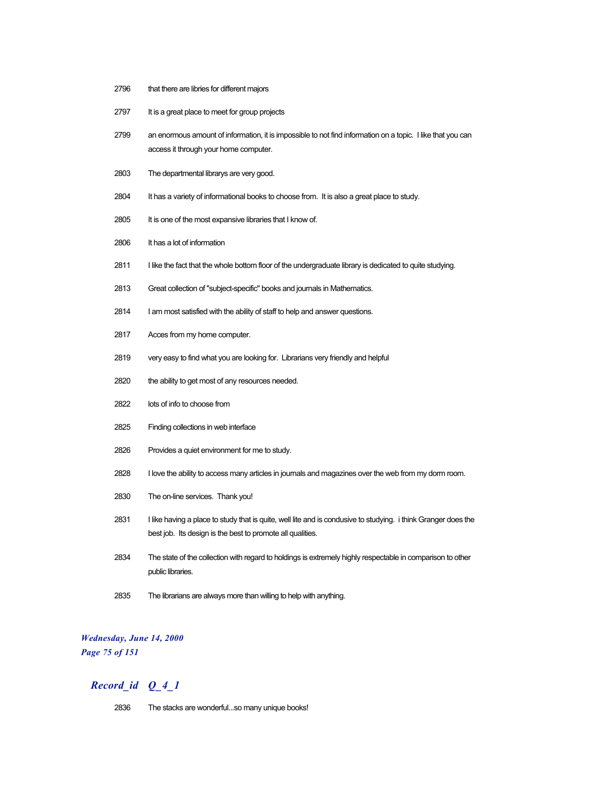- 2796 that there are libries for different majors
- 2797 It is a great place to meet for group projects
- 2799 an enormous amount of information, it is impossible to not find information on a topic. I like that you can access it through your home computer.
- 2803 The departmental librarys are very good.
- 2804 It has a variety of informational books to choose from. It is also a great place to study.
- 2805 It is one of the most expansive libraries that I know of.
- 2806 It has a lot of information
- 2811 I like the fact that the whole bottom floor of the undergraduate library is dedicated to quite studying.
- 2813 Great collection of "subject-specific" books and journals in Mathematics.
- 2814 I am most satisfied with the ability of staff to help and answer questions.
- 2817 Acces from my home computer.
- 2819 very easy to find what you are looking for. Librarians very friendly and helpful
- 2820 the ability to get most of any resources needed.
- 2822 lots of info to choose from
- 2825 Finding collections in web interface
- 2826 Provides a quiet environment for me to study.
- 2828 I love the ability to access many articles in journals and magazines over the web from my dorm room.
- 2830 The on-line services. Thank you!
- 2831 I like having a place to study that is quite, well lite and is condusive to studying. i think Granger does the best job. Its design is the best to promote all qualities.
- 2834 The state of the collection with regard to holdings is extremely highly respectable in comparison to other public libraries.
- 2835 The librarians are always more than willing to help with anything.

### *Wednesday, June 14, 2000 Page 75 of 151*

### *Record\_id Q\_4\_1*

2836 The stacks are wonderful...so many unique books!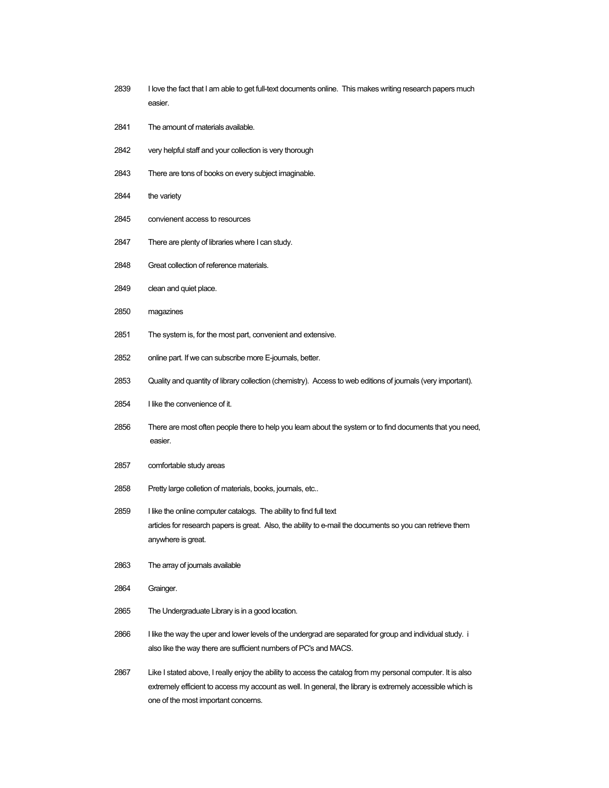- I love the fact that I am able to get full-text documents online. This makes writing research papers much easier.
- The amount of materials available.
- very helpful staff and your collection is very thorough
- There are tons of books on every subject imaginable.
- 2844 the variety
- convienent access to resources
- There are plenty of libraries where I can study.
- Great collection of reference materials.
- 2849 clean and quiet place.
- magazines
- The system is, for the most part, convenient and extensive.
- online part. If we can subscribe more E-journals, better.
- Quality and quantity of library collection (chemistry). Access to web editions of journals (very important).
- I like the convenience of it.
- There are most often people there to help you learn about the system or to find documents that you need, easier.
- comfortable study areas
- Pretty large colletion of materials, books, journals, etc..
- 2859 I like the online computer catalogs. The ability to find full text articles for research papers is great. Also, the ability to e-mail the documents so you can retrieve them anywhere is great.
- The array of journals available
- Grainger.
- The Undergraduate Library is in a good location.
- I like the way the uper and lower levels of the undergrad are separated for group and individual study. i also like the way there are sufficient numbers of PC's and MACS.
- Like I stated above, I really enjoy the ability to access the catalog from my personal computer. It is also extremely efficient to access my account as well. In general, the library is extremely accessible which is one of the most important concerns.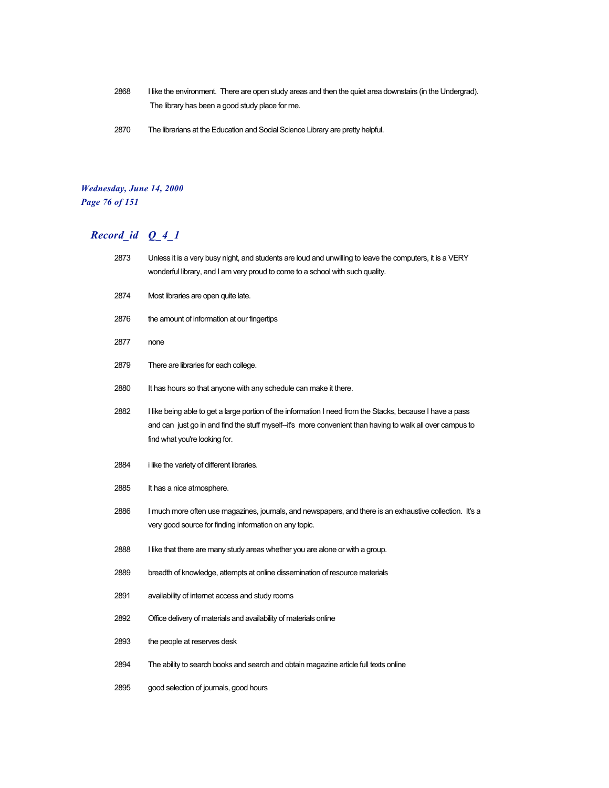- I like the environment. There are open study areas and then the quiet area downstairs (in the Undergrad). The library has been a good study place for me.
- The librarians at the Education and Social Science Library are pretty helpful.

### *Wednesday, June 14, 2000 Page 76 of 151*

| 2873 | Unless it is a very busy night, and students are loud and unwilling to leave the computers, it is a VERY<br>wonderful library, and I am very proud to come to a school with such quality.                                                               |
|------|---------------------------------------------------------------------------------------------------------------------------------------------------------------------------------------------------------------------------------------------------------|
| 2874 | Most libraries are open quite late.                                                                                                                                                                                                                     |
| 2876 | the amount of information at our fingertips                                                                                                                                                                                                             |
| 2877 | none                                                                                                                                                                                                                                                    |
| 2879 | There are libraries for each college.                                                                                                                                                                                                                   |
| 2880 | It has hours so that anyone with any schedule can make it there.                                                                                                                                                                                        |
| 2882 | I like being able to get a large portion of the information I need from the Stacks, because I have a pass<br>and can just go in and find the stuff myself--it's more convenient than having to walk all over campus to<br>find what you're looking for. |
| 2884 | <i>i</i> like the variety of different libraries.                                                                                                                                                                                                       |
| 2885 | It has a nice atmosphere.                                                                                                                                                                                                                               |
| 2886 | I much more often use magazines, journals, and newspapers, and there is an exhaustive collection. It's a<br>very good source for finding information on any topic.                                                                                      |
| 2888 | I like that there are many study areas whether you are alone or with a group.                                                                                                                                                                           |
| 2889 | breadth of knowledge, attempts at online dissemination of resource materials                                                                                                                                                                            |
| 2891 | availability of internet access and study rooms                                                                                                                                                                                                         |
| 2892 | Office delivery of materials and availability of materials online                                                                                                                                                                                       |
| 2893 | the people at reserves desk                                                                                                                                                                                                                             |
| 2894 | The ability to search books and search and obtain magazine article full texts online                                                                                                                                                                    |
| 2895 | good selection of journals, good hours                                                                                                                                                                                                                  |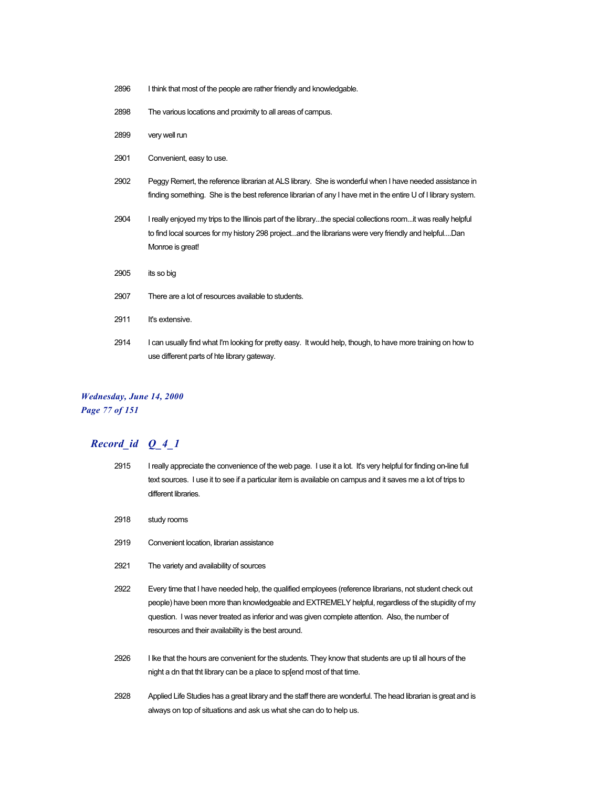- 2896 I think that most of the people are rather friendly and knowledgable.
- 2898 The various locations and proximity to all areas of campus.
- 2899 very well run
- 2901 Convenient, easy to use.
- 2902 Peggy Remert, the reference librarian at ALS library. She is wonderful when I have needed assistance in finding something. She is the best reference librarian of any I have met in the entire U of I library system.
- 2904 I really enjoyed my trips to the Illinois part of the library...the special collections room...it was really helpful to find local sources for my history 298 project...and the librarians were very friendly and helpful....Dan Monroe is great!
- 2905 its so big
- 2907 There are a lot of resources available to students.
- 2911 It's extensive.
- 2914 I can usually find what I'm looking for pretty easy. It would help, though, to have more training on how to use different parts of hte library gateway.

#### *Wednesday, June 14, 2000 Page 77 of 151*

- 2915 I really appreciate the convenience of the web page. I use it a lot. It's very helpful for finding on-line full text sources. I use it to see if a particular item is available on campus and it saves me a lot of trips to different libraries.
- 2918 study rooms
- 2919 Convenient location, librarian assistance
- 2921 The variety and availability of sources
- 2922 Every time that I have needed help, the qualified employees (reference librarians, not student check out people) have been more than knowledgeable and EXTREMELY helpful, regardless of the stupidity of my question. I was never treated as inferior and was given complete attention. Also, the number of resources and their availability is the best around.
- 2926 I lke that the hours are convenient for the students. They know that students are up til all hours of the night a dn that tht library can be a place to sp[end most of that time.
- 2928 Applied Life Studies has a great library and the staff there are wonderful. The head librarian is great and is always on top of situations and ask us what she can do to help us.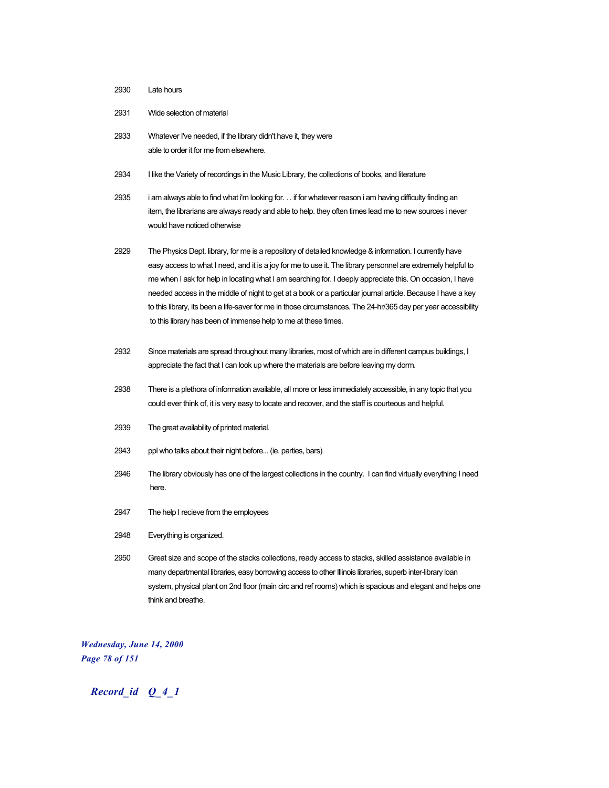#### 2930 Late hours

- 2931 Wide selection of material
- 2933 Whatever I've needed, if the library didn't have it, they were able to order it for me from elsewhere.
- 2934 I like the Variety of recordings in the Music Library, the collections of books, and literature
- 2935 i am always able to find what i'm looking for. . . if for whatever reason i am having difficulty finding an item, the librarians are always ready and able to help. they often times lead me to new sources i never would have noticed otherwise
- 2929 The Physics Dept. library, for me is a repository of detailed knowledge & information. I currently have easy access to what I need, and it is a joy for me to use it. The library personnel are extremely helpful to me when I ask for help in locating what I am searching for. I deeply appreciate this. On occasion, I have needed access in the middle of night to get at a book or a particular journal article. Because I have a key to this library, its been a life-saver for me in those circumstances. The 24-hr/365 day per year accessibility to this library has been of immense help to me at these times.
- 2932 Since materials are spread throughout many libraries, most of which are in different campus buildings, I appreciate the fact that I can look up where the materials are before leaving my dorm.
- 2938 There is a plethora of information available, all more or less immediately accessible, in any topic that you could ever think of, it is very easy to locate and recover, and the staff is courteous and helpful.
- 2939 The great availability of printed material.
- 2943 ppl who talks about their night before... (ie. parties, bars)
- 2946 The library obviously has one of the largest collections in the country. I can find virtually everything I need here.
- 2947 The help I recieve from the employees
- 2948 Everything is organized.
- 2950 Great size and scope of the stacks collections, ready access to stacks, skilled assistance available in many departmental libraries, easy borrowing access to other Illinois libraries, superb inter-library loan system, physical plant on 2nd floor (main circ and ref rooms) which is spacious and elegant and helps one think and breathe.

*Wednesday, June 14, 2000 Page 78 of 151*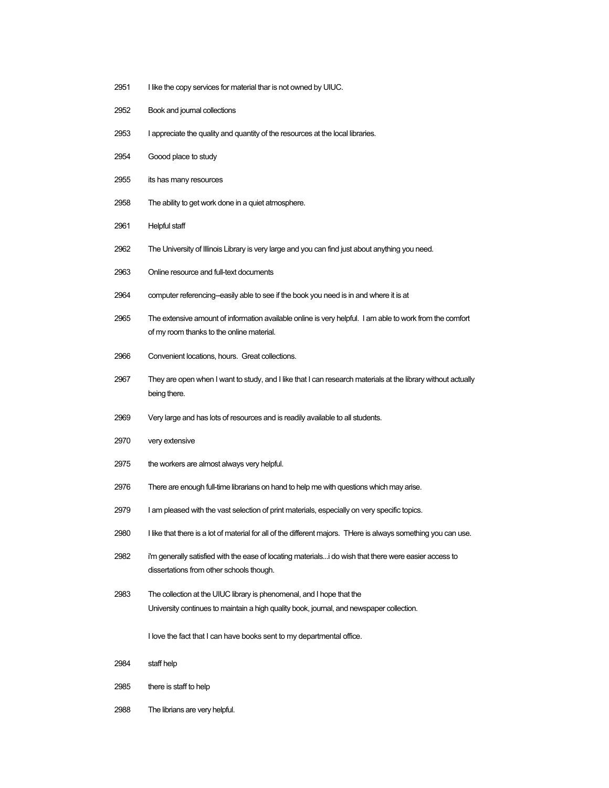- 2951 I like the copy services for material thar is not owned by UIUC.
- Book and journal collections
- I appreciate the quality and quantity of the resources at the local libraries.
- Goood place to study
- its has many resources
- The ability to get work done in a quiet atmosphere.
- Helpful staff
- The University of Illinois Library is very large and you can find just about anything you need.
- Online resource and full-text documents
- computer referencing--easily able to see if the book you need is in and where it is at
- The extensive amount of information available online is very helpful. I am able to work from the comfort of my room thanks to the online material.
- Convenient locations, hours. Great collections.
- They are open when I want to study, and I like that I can research materials at the library without actually being there.
- Very large and has lots of resources and is readily available to all students.
- very extensive
- the workers are almost always very helpful.
- There are enough full-time librarians on hand to help me with questions which may arise.
- 2979 I am pleased with the vast selection of print materials, especially on very specific topics.
- I like that there is a lot of material for all of the different majors. THere is always something you can use.
- i'm generally satisfied with the ease of locating materials...i do wish that there were easier access to dissertations from other schools though.
- The collection at the UIUC library is phenomenal, and I hope that the University continues to maintain a high quality book, journal, and newspaper collection.

I love the fact that I can have books sent to my departmental office.

- staff help
- there is staff to help
- The librians are very helpful.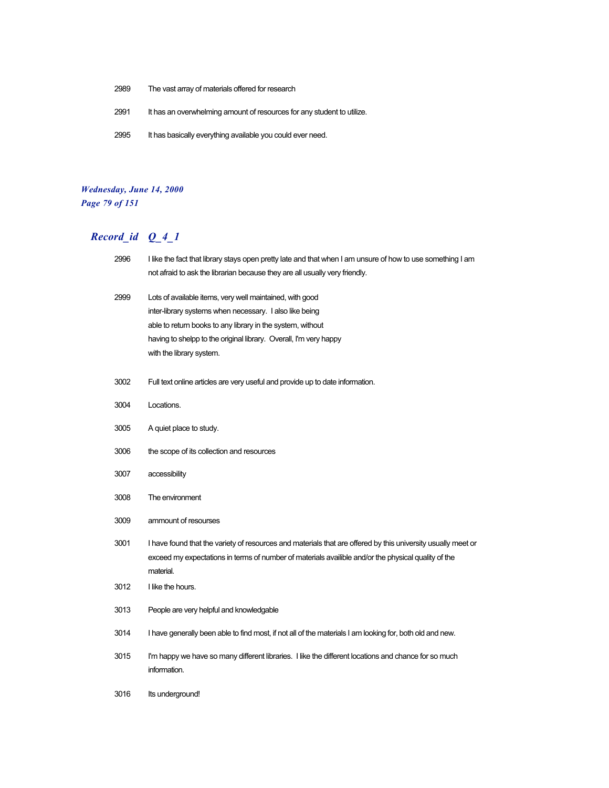- 2989 The vast array of materials offered for research
- 2991 It has an overwhelming amount of resources for any student to utilize.
- 2995 It has basically everything available you could ever need.

### *Wednesday, June 14, 2000 Page 79 of 151*

| 2996 | I like the fact that library stays open pretty late and that when I am unsure of how to use something I am<br>not afraid to ask the librarian because they are all usually very friendly.                                                                                          |
|------|------------------------------------------------------------------------------------------------------------------------------------------------------------------------------------------------------------------------------------------------------------------------------------|
| 2999 | Lots of available items, very well maintained, with good<br>inter-library systems when necessary. I also like being<br>able to return books to any library in the system, without<br>having to shelpp to the original library. Overall, I'm very happy<br>with the library system. |
| 3002 | Full text online articles are very useful and provide up to date information.                                                                                                                                                                                                      |
| 3004 | Locations.                                                                                                                                                                                                                                                                         |
| 3005 | A quiet place to study.                                                                                                                                                                                                                                                            |
| 3006 | the scope of its collection and resources                                                                                                                                                                                                                                          |
| 3007 | accessibility                                                                                                                                                                                                                                                                      |
| 3008 | The environment                                                                                                                                                                                                                                                                    |
| 3009 | ammount of resourses                                                                                                                                                                                                                                                               |
| 3001 | I have found that the variety of resources and materials that are offered by this university usually meet or<br>exceed my expectations in terms of number of materials availible and/or the physical quality of the<br>material.                                                   |
| 3012 | I like the hours.                                                                                                                                                                                                                                                                  |
| 3013 | People are very helpful and knowledgable                                                                                                                                                                                                                                           |
| 3014 | I have generally been able to find most, if not all of the materials I am looking for, both old and new.                                                                                                                                                                           |
| 3015 | I'm happy we have so many different libraries. I like the different locations and chance for so much<br>information.                                                                                                                                                               |
| 3016 | Its underground!                                                                                                                                                                                                                                                                   |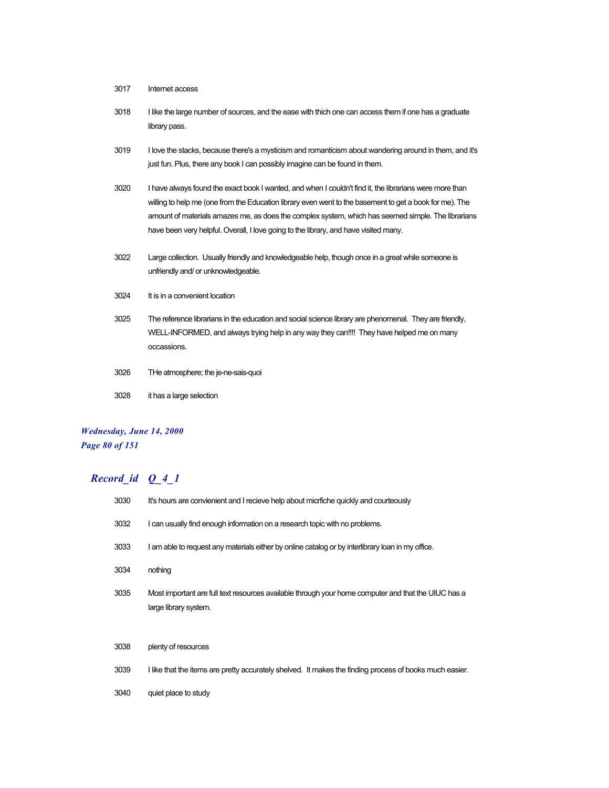- 3017 Internet access
- 3018 I like the large number of sources, and the ease with thich one can access them if one has a graduate library pass.
- 3019 I love the stacks, because there's a mysticism and romanticism about wandering around in them, and it's just fun. Plus, there any book I can possibly imagine can be found in them.
- 3020 I have always found the exact book I wanted, and when I couldn't find it, the librarians were more than willing to help me (one from the Education library even went to the basement to get a book for me). The amount of materials amazes me, as does the complex system, which has seemed simple. The librarians have been very helpful. Overall, I love going to the library, and have visited many.
- 3022 Large collection. Usually friendly and knowledgeable help, though once in a great while someone is unfriendly and/ or unknowledgeable.
- 3024 It is in a convenient location
- 3025 The reference librarians in the education and social science library are phenomenal. They are friendly, WELL-INFORMED, and always trying help in any way they can!!!! They have helped me on many occassions.
- 3026 THe atmosphere; the je-ne-sais-quoi
- 3028 it has a large selection

### *Wednesday, June 14, 2000 Page 80 of 151*

| 3030 | It's hours are convienient and I recieve help about micritche quickly and courteously                                        |
|------|------------------------------------------------------------------------------------------------------------------------------|
| 3032 | I can usually find enough information on a research topic with no problems.                                                  |
| 3033 | I am able to request any materials either by online catalog or by interlibrary loan in my office.                            |
| 3034 | nothing                                                                                                                      |
| 3035 | Most important are full text resources available through your home computer and that the UIUC has a<br>large library system. |
| 3038 | plenty of resources                                                                                                          |
| 3039 | I like that the items are pretty accurately shelved. It makes the finding process of books much easier.                      |
| 3040 | quiet place to study                                                                                                         |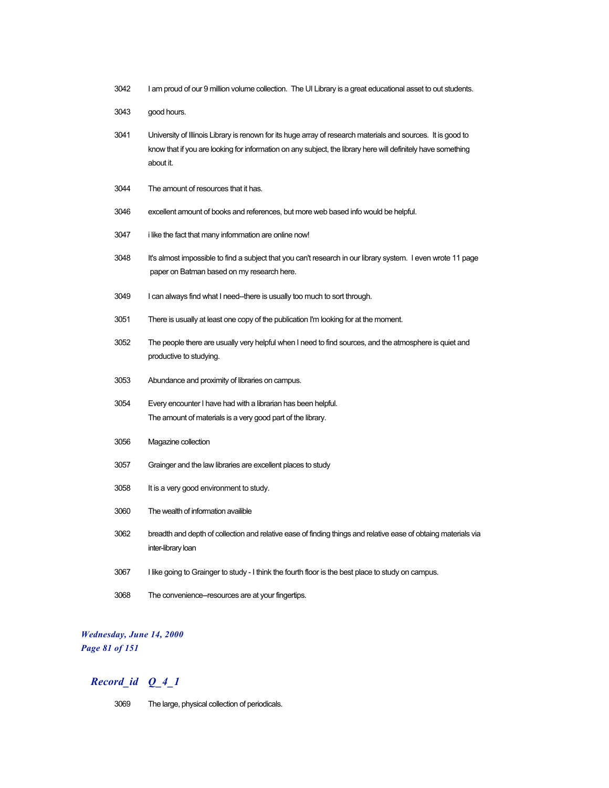- I am proud of our 9 million volume collection. The UI Library is a great educational asset to out students.
- good hours.
- University of Illinois Library is renown for its huge array of research materials and sources. It is good to know that if you are looking for information on any subject, the library here will definitely have something about it.
- The amount of resources that it has.
- excellent amount of books and references, but more web based info would be helpful.
- i like the fact that many infornmation are online now!
- It's almost impossible to find a subject that you can't research in our library system. I even wrote 11 page paper on Batman based on my research here.
- I can always find what I need--there is usually too much to sort through.
- There is usually at least one copy of the publication I'm looking for at the moment.
- The people there are usually very helpful when I need to find sources, and the atmosphere is quiet and productive to studying.
- Abundance and proximity of libraries on campus.
- Every encounter I have had with a librarian has been helpful. The amount of materials is a very good part of the library.
- Magazine collection
- Grainger and the law libraries are excellent places to study
- It is a very good environment to study.
- The wealth of information availible
- breadth and depth of collection and relative ease of finding things and relative ease of obtaing materials via inter-library loan
- I like going to Grainger to study I think the fourth floor is the best place to study on campus.
- The convenience--resources are at your fingertips.

### *Wednesday, June 14, 2000 Page 81 of 151*

### *Record\_id Q\_4\_1*

The large, physical collection of periodicals.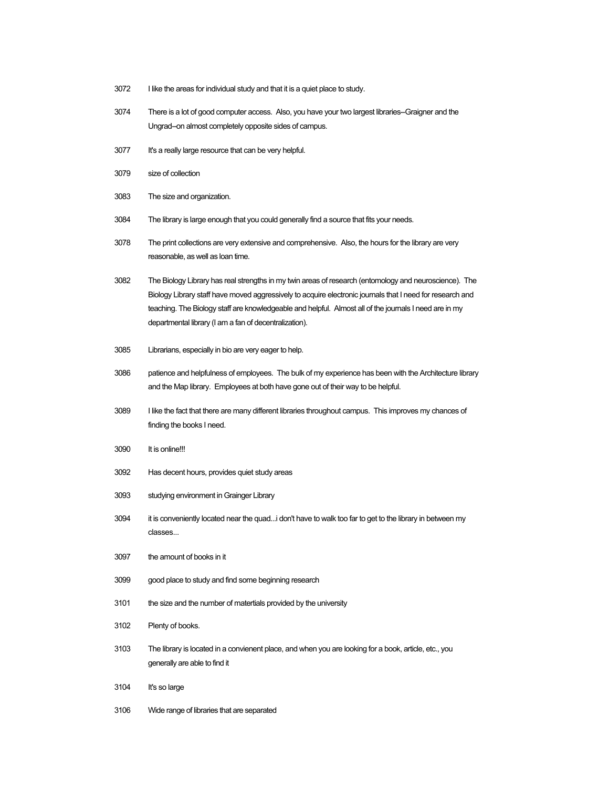- I like the areas for individual study and that it is a quiet place to study.
- There is a lot of good computer access. Also, you have your two largest libraries--Graigner and the Ungrad--on almost completely opposite sides of campus.
- It's a really large resource that can be very helpful.
- size of collection
- The size and organization.
- The library is large enough that you could generally find a source that fits your needs.
- The print collections are very extensive and comprehensive. Also, the hours for the library are very reasonable, as well as loan time.
- The Biology Library has real strengths in my twin areas of research (entomology and neuroscience). The Biology Library staff have moved aggressively to acquire electronic journals that I need for research and teaching. The Biology staff are knowledgeable and helpful. Almost all of the journals I need are in my departmental library (I am a fan of decentralization).
- Librarians, especially in bio are very eager to help.
- patience and helpfulness of employees. The bulk of my experience has been with the Architecture library and the Map library. Employees at both have gone out of their way to be helpful.
- I like the fact that there are many different libraries throughout campus. This improves my chances of finding the books I need.
- It is online!!!
- Has decent hours, provides quiet study areas
- studying environment in Grainger Library
- it is conveniently located near the quad...i don't have to walk too far to get to the library in between my classes...
- the amount of books in it
- good place to study and find some beginning research
- the size and the number of matertials provided by the university
- Plenty of books.
- The library is located in a convienent place, and when you are looking for a book, article, etc., you generally are able to find it
- It's so large
- Wide range of libraries that are separated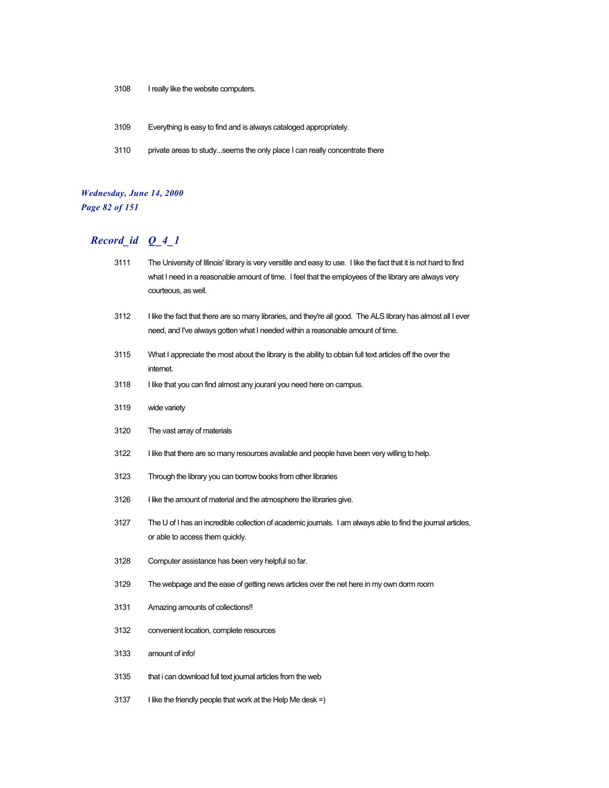- I really like the website computers.
- Everything is easy to find and is always cataloged appropriately.
- private areas to study...seems the only place I can really concentrate there

#### *Wednesday, June 14, 2000 Page 82 of 151*

## *Record\_id Q\_4\_1*

 The University of Illinois' library is very versitile and easy to use. I like the fact that it is not hard to find what I need in a reasonable amount of time. I feel that the employees of the library are always very courteous, as well. I like the fact that there are so many libraries, and they're all good. The ALS library has almost all I ever need, and I've always gotten what I needed within a reasonable amount of time. What I appreciate the most about the library is the ability to obtain full text articles off the over the internet. 3118 I like that you can find almost any jouranl you need here on campus. wide variety The vast array of materials I like that there are so many resources available and people have been very willing to help. Through the library you can borrow books from other libraries I like the amount of material and the atmosphere the libraries give. The U of I has an incredible collection of academic journals. I am always able to find the journal articles, or able to access them quickly. Computer assistance has been very helpful so far. The webpage and the ease of getting news articles over the net here in my own dorm room Amazing amounts of collections!! convenient location, complete resources amount of info! that i can download full text journal articles from the web I like the friendly people that work at the Help Me desk =)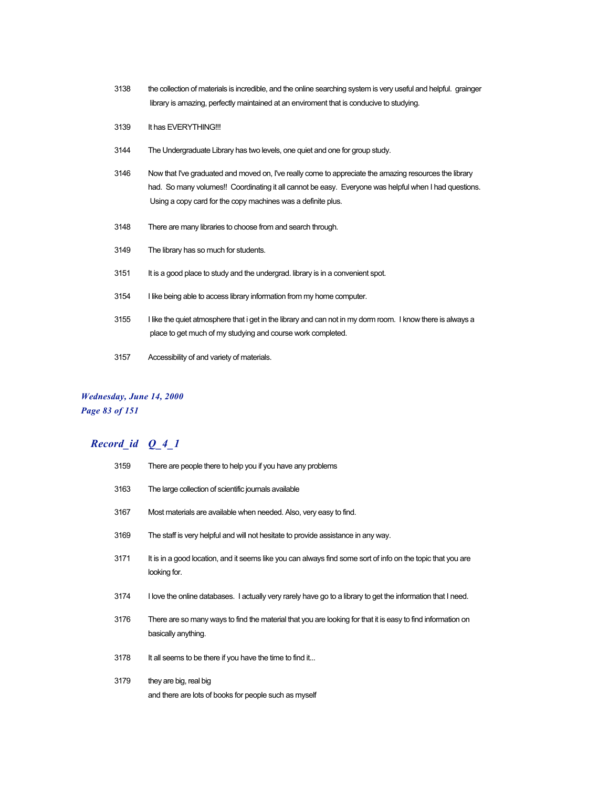- 3138 the collection of materials is incredible, and the online searching system is very useful and helpful. grainger library is amazing, perfectly maintained at an enviroment that is conducive to studying.
- 3139 It has EVERYTHING!!!
- 3144 The Undergraduate Library has two levels, one quiet and one for group study.
- 3146 Now that I've graduated and moved on, I've really come to appreciate the amazing resources the library had. So many volumes!! Coordinating it all cannot be easy. Everyone was helpful when I had questions. Using a copy card for the copy machines was a definite plus.
- 3148 There are many libraries to choose from and search through.
- 3149 The library has so much for students.
- 3151 It is a good place to study and the undergrad. library is in a convenient spot.
- 3154 I like being able to access library information from my home computer.
- 3155 I like the quiet atmosphere that i get in the library and can not in my dorm room. I know there is always a place to get much of my studying and course work completed.
- 3157 Accessibility of and variety of materials.

#### *Wednesday, June 14, 2000 Page 83 of 151*

| 3159 | There are people there to help you if you have any problems                                                                        |
|------|------------------------------------------------------------------------------------------------------------------------------------|
| 3163 | The large collection of scientific journals available                                                                              |
| 3167 | Most materials are available when needed. Also, very easy to find.                                                                 |
| 3169 | The staff is very helpful and will not hesitate to provide assistance in any way.                                                  |
| 3171 | It is in a good location, and it seems like you can always find some sort of info on the topic that you are<br>looking for.        |
| 3174 | I love the online databases. I actually very rarely have go to a library to get the information that I need.                       |
| 3176 | There are so many ways to find the material that you are looking for that it is easy to find information on<br>basically anything. |
| 3178 | It all seems to be there if you have the time to find it                                                                           |
| 3179 | they are big, real big<br>and there are lots of books for people such as myself                                                    |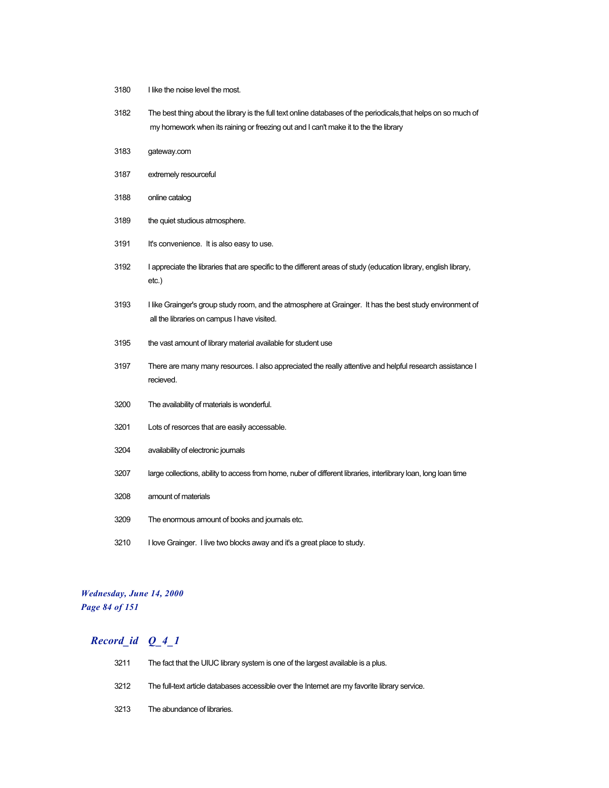- 3180 I like the noise level the most.
- The best thing about the library is the full text online databases of the periodicals,that helps on so much of my homework when its raining or freezing out and I can't make it to the the library
- gateway.com
- extremely resourceful
- online catalog
- the quiet studious atmosphere.
- It's convenience. It is also easy to use.
- I appreciate the libraries that are specific to the different areas of study (education library, english library, etc.)
- I like Grainger's group study room, and the atmosphere at Grainger. It has the best study environment of all the libraries on campus I have visited.
- the vast amount of library material available for student use
- There are many many resources. I also appreciated the really attentive and helpful research assistance I recieved.
- The availability of materials is wonderful.
- Lots of resorces that are easily accessable.
- availability of electronic journals
- large collections, ability to access from home, nuber of different libraries, interlibrary loan, long loan time
- amount of materials
- The enormous amount of books and journals etc.
- I love Grainger. I live two blocks away and it's a great place to study.

#### *Wednesday, June 14, 2000 Page 84 of 151*

| 3211 | The fact that the UIUC library system is one of the largest available is a plus.              |
|------|-----------------------------------------------------------------------------------------------|
| 3212 | The full-text article databases accessible over the Internet are my favorite library service. |
| 3213 | The abundance of libraries.                                                                   |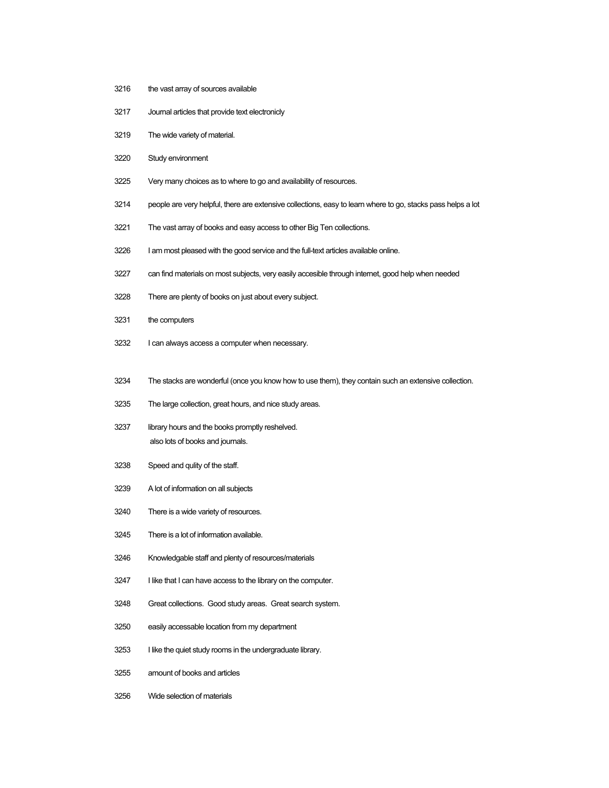- 3216 the vast array of sources available
- Journal articles that provide text electronicly
- The wide variety of material.
- Study environment
- Very many choices as to where to go and availability of resources.
- people are very helpful, there are extensive collections, easy to learn where to go, stacks pass helps a lot
- The vast array of books and easy access to other Big Ten collections.
- 3226 I am most pleased with the good service and the full-text articles available online.
- can find materials on most subjects, very easily accesible through internet, good help when needed
- There are plenty of books on just about every subject.
- the computers
- I can always access a computer when necessary.
- The stacks are wonderful (once you know how to use them), they contain such an extensive collection.
- The large collection, great hours, and nice study areas.
- library hours and the books promptly reshelved. also lots of books and journals.
- Speed and qulity of the staff.
- A lot of information on all subjects
- There is a wide variety of resources.
- There is a lot of information available.
- Knowledgable staff and plenty of resources/materials
- I like that I can have access to the library on the computer.
- Great collections. Good study areas. Great search system.
- easily accessable location from my department
- I like the quiet study rooms in the undergraduate library.
- amount of books and articles
- Wide selection of materials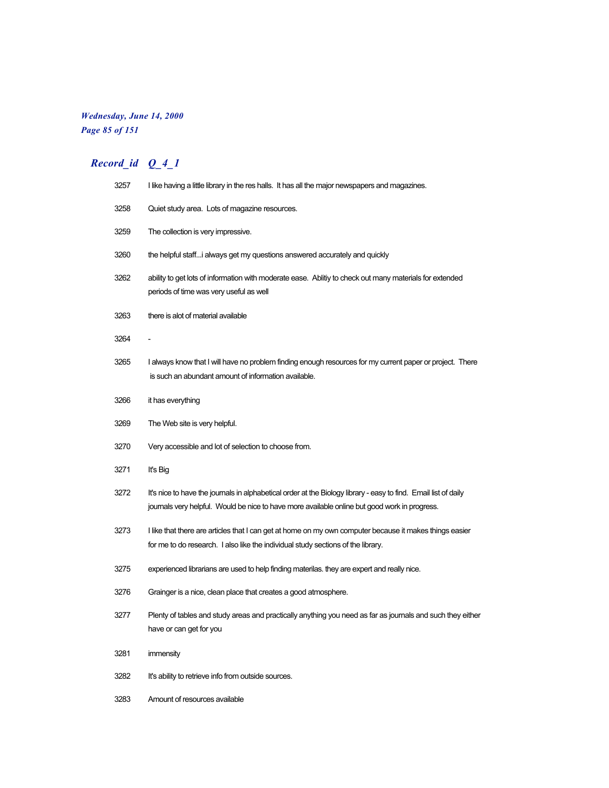## *Wednesday, June 14, 2000 Page 85 of 151*

| 3257 | I like having a little library in the res halls. It has all the major newspapers and magazines.                                                                                                                  |
|------|------------------------------------------------------------------------------------------------------------------------------------------------------------------------------------------------------------------|
| 3258 | Quiet study area. Lots of magazine resources.                                                                                                                                                                    |
| 3259 | The collection is very impressive.                                                                                                                                                                               |
| 3260 | the helpful staff i always get my questions answered accurately and quickly                                                                                                                                      |
| 3262 | ability to get lots of information with moderate ease. Ability to check out many materials for extended<br>periods of time was very useful as well                                                               |
| 3263 | there is alot of material available                                                                                                                                                                              |
| 3264 |                                                                                                                                                                                                                  |
| 3265 | I always know that I will have no problem finding enough resources for my current paper or project. There<br>is such an abundant amount of information available.                                                |
| 3266 | it has everything                                                                                                                                                                                                |
| 3269 | The Web site is very helpful.                                                                                                                                                                                    |
| 3270 | Very accessible and lot of selection to choose from.                                                                                                                                                             |
| 3271 | It's Big                                                                                                                                                                                                         |
| 3272 | It's nice to have the journals in alphabetical order at the Biology library - easy to find. Email list of daily<br>journals very helpful. Would be nice to have more available online but good work in progress. |
| 3273 | I like that there are articles that I can get at home on my own computer because it makes things easier<br>for me to do research. I also like the individual study sections of the library.                      |
| 3275 | experienced librarians are used to help finding materilas. they are expert and really nice.                                                                                                                      |
| 3276 | Grainger is a nice, clean place that creates a good atmosphere.                                                                                                                                                  |
| 3277 | Plenty of tables and study areas and practically anything you need as far as journals and such they either<br>nave or can get tor you                                                                            |
| 3281 | immensity                                                                                                                                                                                                        |
| 3282 | It's ability to retrieve info from outside sources.                                                                                                                                                              |
| 3283 | Amount of resources available                                                                                                                                                                                    |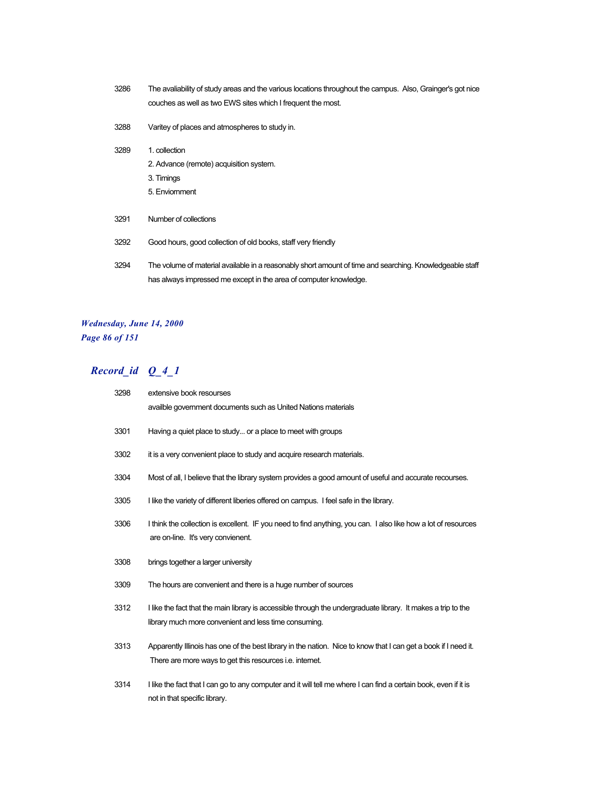- 3286 The avaliability of study areas and the various locations throughout the campus. Also, Grainger's got nice couches as well as two EWS sites which I frequent the most.
- 3288 Varitey of places and atmospheres to study in.
- 3289 1. collection
	- 2. Advance (remote) acquisition system.
	- 3. Timings
	- 5. Enviornment
- 3291 Number of collections
- 3292 Good hours, good collection of old books, staff very friendly
- 3294 The volume of material available in a reasonably short amount of time and searching. Knowledgeable staff has always impressed me except in the area of computer knowledge.

#### *Wednesday, June 14, 2000 Page 86 of 151*

| 3298 | extensive book resourses<br>availble government documents such as United Nations materials                                                                                         |
|------|------------------------------------------------------------------------------------------------------------------------------------------------------------------------------------|
| 3301 | Having a quiet place to study or a place to meet with groups                                                                                                                       |
| 3302 | it is a very convenient place to study and acquire research materials.                                                                                                             |
| 3304 | Most of all, I believe that the library system provides a good amount of useful and accurate recourses.                                                                            |
| 3305 | I like the variety of different liberies offered on campus. I feel safe in the library.                                                                                            |
| 3306 | I think the collection is excellent. IF you need to find anything, you can. I also like how a lot of resources<br>are on-line. It's very convienent.                               |
|      |                                                                                                                                                                                    |
| 3308 | brings together a larger university                                                                                                                                                |
| 3309 | The hours are convenient and there is a huge number of sources                                                                                                                     |
| 3312 | I like the fact that the main library is accessible through the undergraduate library. It makes a trip to the<br>library much more convenient and less time consuming.             |
| 3313 | Apparently Illinois has one of the best library in the nation. Nice to know that I can get a book if I need it.<br>There are more ways to get this resources <i>i.e.</i> internet. |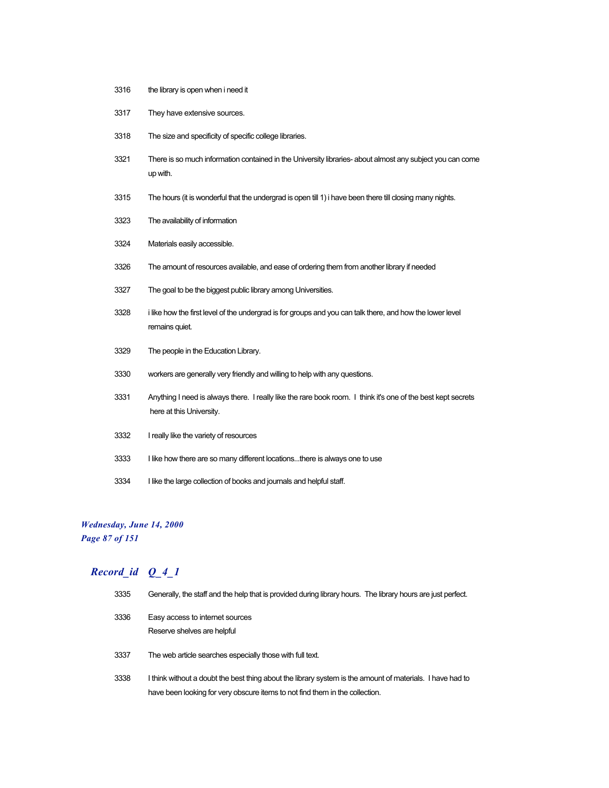- the library is open when i need it
- They have extensive sources.
- The size and specificity of specific college libraries.
- There is so much information contained in the University libraries- about almost any subject you can come up with.
- 3315 The hours (it is wonderful that the undergrad is open till 1) i have been there till closing many nights.
- The availability of information
- Materials easily accessible.
- The amount of resources available, and ease of ordering them from another library if needed
- The goal to be the biggest public library among Universities.
- i like how the first level of the undergrad is for groups and you can talk there, and how the lower level remains quiet.
- The people in the Education Library.
- workers are generally very friendly and willing to help with any questions.
- Anything I need is always there. I really like the rare book room. I think it's one of the best kept secrets here at this University.
- I really like the variety of resources
- I like how there are so many different locations...there is always one to use
- I like the large collection of books and journals and helpful staff.

#### *Wednesday, June 14, 2000 Page 87 of 151*

| 3335 | Generally, the staff and the help that is provided during library hours. The library hours are just perfect.                                                                              |
|------|-------------------------------------------------------------------------------------------------------------------------------------------------------------------------------------------|
| 3336 | Easy access to internet sources<br>Reserve shelves are helpful                                                                                                                            |
| 3337 | The web article searches especially those with full text.                                                                                                                                 |
| 3338 | I think without a doubt the best thing about the library system is the amount of materials. I have had to<br>have been looking for very obscure items to not find them in the collection. |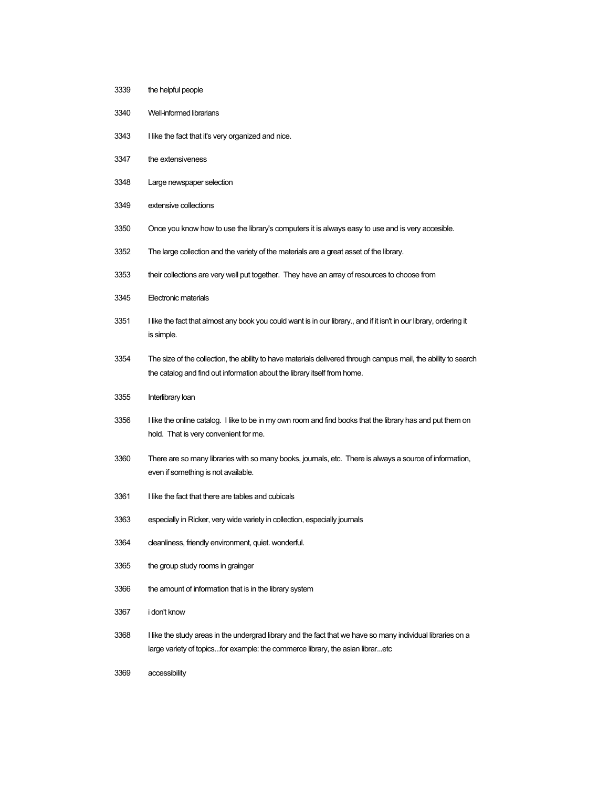- the helpful people
- Well-informed librarians
- I like the fact that it's very organized and nice.
- the extensiveness
- Large newspaper selection
- extensive collections
- Once you know how to use the library's computers it is always easy to use and is very accesible.
- The large collection and the variety of the materials are a great asset of the library.
- their collections are very well put together. They have an array of resources to choose from
- Electronic materials
- I like the fact that almost any book you could want is in our library., and if it isn't in our library, ordering it is simple.
- The size of the collection, the ability to have materials delivered through campus mail, the ability to search the catalog and find out information about the library itself from home.
- Interlibrary loan
- I like the online catalog. I like to be in my own room and find books that the library has and put them on hold. That is very convenient for me.
- There are so many libraries with so many books, journals, etc. There is always a source of information, even if something is not available.
- I like the fact that there are tables and cubicals
- especially in Ricker, very wide variety in collection, especially journals
- cleanliness, friendly environment, quiet. wonderful.
- the group study rooms in grainger
- 3366 the amount of information that is in the library system
- i don't know
- I like the study areas in the undergrad library and the fact that we have so many individual libraries on a large variety of topics...for example: the commerce library, the asian librar...etc
- accessibility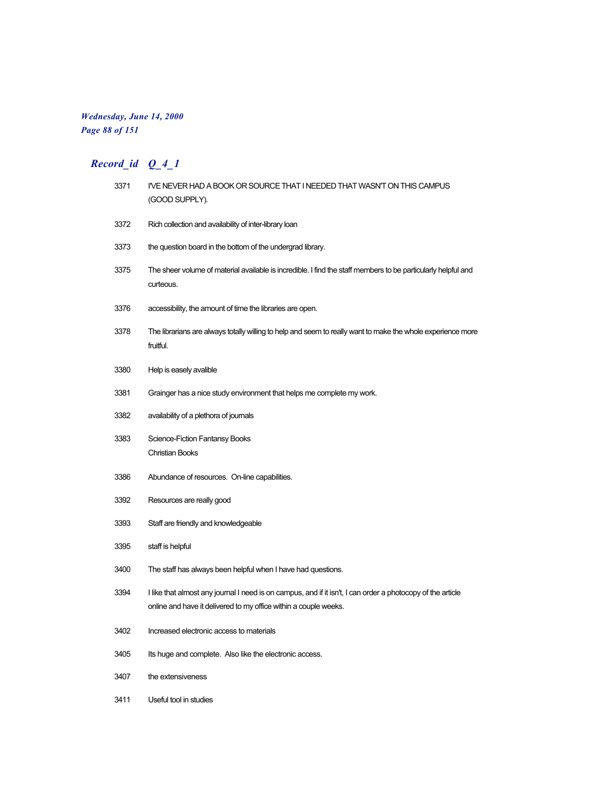## *Wednesday, June 14, 2000 Page 88 of 151*

# *Record\_id Q\_4\_1*

| 3371 | I'VE NEVER HAD A BOOK OR SOURCE THAT I NEEDED THAT WASN'T ON THIS CAMPUS<br>(GOOD SUPPLY).                                                                                      |
|------|---------------------------------------------------------------------------------------------------------------------------------------------------------------------------------|
| 3372 | Rich collection and availability of inter-library loan                                                                                                                          |
| 3373 | the question board in the bottom of the undergrad library.                                                                                                                      |
| 3375 | The sheer volume of material available is incredible. I find the staff members to be particularly helpful and<br>curteous.                                                      |
| 3376 | accessibility, the amount of time the libraries are open.                                                                                                                       |
| 3378 | The librarians are always totally willing to help and seem to really want to make the whole experience more<br>fruitful.                                                        |
| 3380 | Help is easely avalible                                                                                                                                                         |
| 3381 | Grainger has a nice study environment that helps me complete my work.                                                                                                           |
| 3382 | availability of a plethora of journals                                                                                                                                          |
| 3383 | <b>Science-Fiction Fantansy Books</b><br><b>Christian Books</b>                                                                                                                 |
| 3386 | Abundance of resources. On-line capabilities.                                                                                                                                   |
| 3392 | Resources are really good                                                                                                                                                       |
| 3393 | Staff are friendly and knowledgeable                                                                                                                                            |
| 3395 | staff is helpful                                                                                                                                                                |
| 3400 | The staff has always been helpful when I have had questions.                                                                                                                    |
| 3394 | I like that almost any journal I need is on campus, and if it isn't, I can order a photocopy of the article<br>online and have it delivered to my office within a couple weeks. |
| 3402 | Increased electronic access to materials                                                                                                                                        |
| 3405 | Its huge and complete. Also like the electronic access.                                                                                                                         |
| 3407 | the extensiveness                                                                                                                                                               |

Useful tool in studies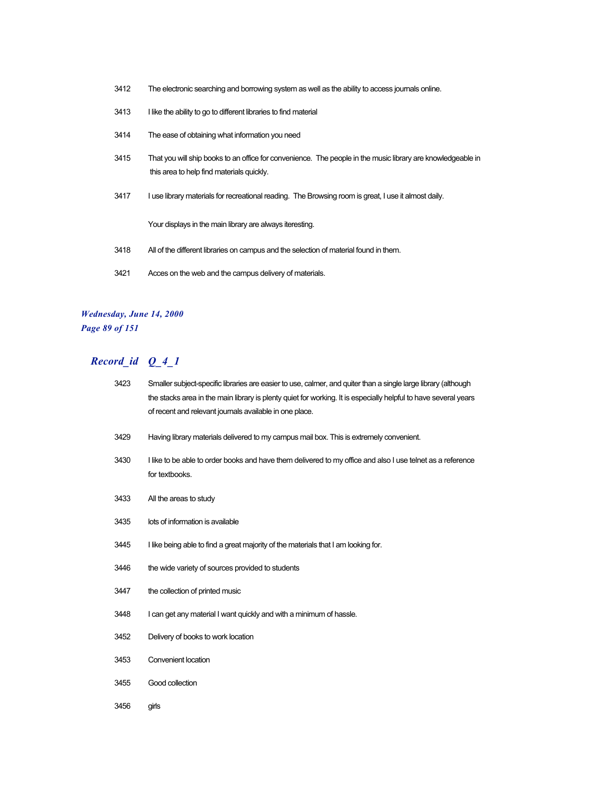- The electronic searching and borrowing system as well as the ability to access journals online.
- I like the ability to go to different libraries to find material
- The ease of obtaining what information you need
- That you will ship books to an office for convenience. The people in the music library are knowledgeable in this area to help find materials quickly.
- 3417 I use library materials for recreational reading. The Browsing room is great, I use it almost daily.

Your displays in the main library are always iteresting.

- All of the different libraries on campus and the selection of material found in them.
- Acces on the web and the campus delivery of materials.

#### *Wednesday, June 14, 2000 Page 89 of 151*

| 3423 | Smaller subject-specific libraries are easier to use, calmer, and quiter than a single large library (although<br>the stacks area in the main library is plenty quiet for working. It is especially helpful to have several years<br>of recent and relevant journals available in one place. |
|------|----------------------------------------------------------------------------------------------------------------------------------------------------------------------------------------------------------------------------------------------------------------------------------------------|
| 3429 | Having library materials delivered to my campus mail box. This is extremely convenient.                                                                                                                                                                                                      |
| 3430 | I like to be able to order books and have them delivered to my office and also I use telnet as a reference<br>for textbooks.                                                                                                                                                                 |
| 3433 | All the areas to study                                                                                                                                                                                                                                                                       |
| 3435 | lots of information is available                                                                                                                                                                                                                                                             |
| 3445 | I like being able to find a great majority of the materials that I am looking for.                                                                                                                                                                                                           |
| 3446 | the wide variety of sources provided to students                                                                                                                                                                                                                                             |
| 3447 | the collection of printed music                                                                                                                                                                                                                                                              |
| 3448 | I can get any material I want guickly and with a minimum of hassle.                                                                                                                                                                                                                          |
| 3452 | Delivery of books to work location                                                                                                                                                                                                                                                           |
| 3453 | Convenient location                                                                                                                                                                                                                                                                          |
| 3455 | Good collection                                                                                                                                                                                                                                                                              |
| 3456 | girls                                                                                                                                                                                                                                                                                        |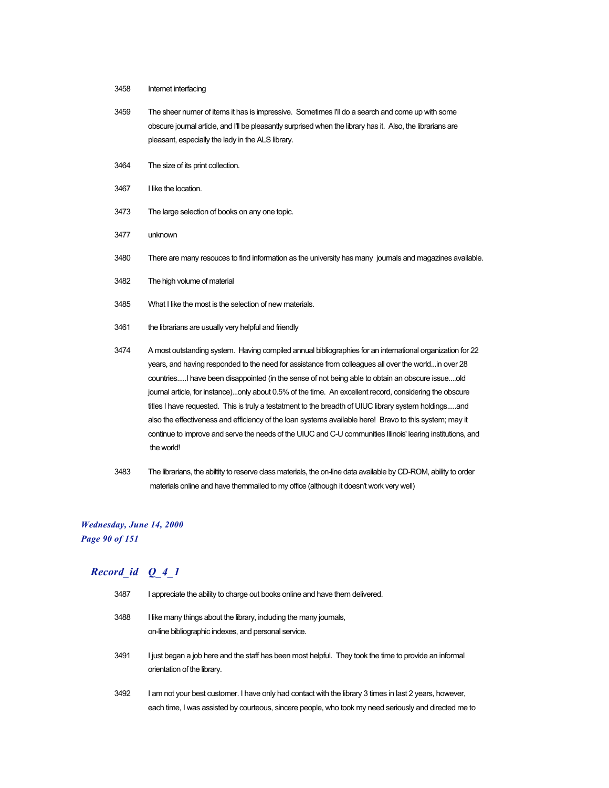- 3458 Internet interfacing
- 3459 The sheer numer of items it has is impressive. Sometimes I'll do a search and come up with some obscure journal article, and I'll be pleasantly surprised when the library has it. Also, the librarians are pleasant, especially the lady in the ALS library.
- 3464 The size of its print collection.
- 3467 I like the location.
- 3473 The large selection of books on any one topic.
- 3477 unknown
- 3480 There are many resouces to find information as the university has many journals and magazines available.
- 3482 The high volume of material
- 3485 What I like the most is the selection of new materials.
- 3461 the librarians are usually very helpful and friendly
- 3474 A most outstanding system. Having compiled annual bibliographies for an international organization for 22 years, and having responded to the need for assistance from colleagues all over the world...in over 28 countries.....I have been disappointed (in the sense of not being able to obtain an obscure issue....old journal article, for instance)...only about 0.5% of the time. An excellent record, considering the obscure titles I have requested. This is truly a testatment to the breadth of UIUC library system holdings.....and also the effectiveness and efficiency of the loan systems available here! Bravo to this system; may it continue to improve and serve the needs of the UIUC and C-U communities Illinois' learing institutions, and the world!
- 3483 The librarians, the abiltity to reserve class materials, the on-line data available by CD-ROM, ability to order materials online and have themmailed to my office (although it doesn't work very well)

#### *Wednesday, June 14, 2000 Page 90 of 151*

| 3487 | I appreciate the ability to charge out books online and have them delivered.                                                                                                                                     |
|------|------------------------------------------------------------------------------------------------------------------------------------------------------------------------------------------------------------------|
| 3488 | I like many things about the library, including the many journals,<br>on-line bibliographic indexes, and personal service.                                                                                       |
| 3491 | I just began a job here and the staff has been most helpful. They took the time to provide an informal<br>orientation of the library.                                                                            |
| 3492 | I am not your best customer. I have only had contact with the library 3 times in last 2 years, however,<br>each time, I was assisted by courteous, sincere people, who took my need seriously and directed me to |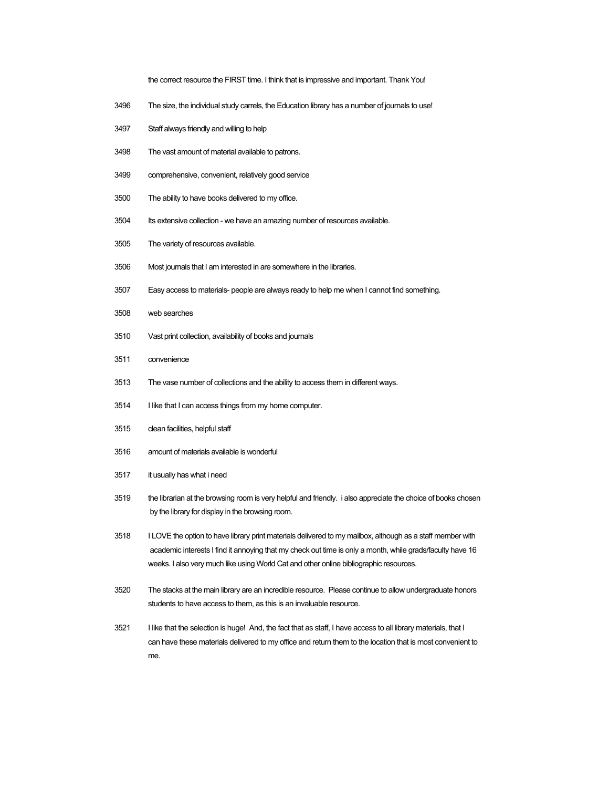the correct resource the FIRST time. I think that is impressive and important. Thank You!

- The size, the individual study carrels, the Education library has a number of journals to use!
- Staff always friendly and willing to help
- The vast amount of material available to patrons.
- comprehensive, convenient, relatively good service
- The ability to have books delivered to my office.
- Its extensive collection we have an amazing number of resources available.
- The variety of resources available.
- Most journals that I am interested in are somewhere in the libraries.
- Easy access to materials- people are always ready to help me when I cannot find something.
- web searches
- Vast print collection, availability of books and journals
- convenience
- The vase number of collections and the ability to access them in different ways.
- I like that I can access things from my home computer.
- clean facilities, helpful staff
- amount of materials available is wonderful
- it usually has what i need
- 3519 the librarian at the browsing room is very helpful and friendly. i also appreciate the choice of books chosen by the library for display in the browsing room.
- I LOVE the option to have library print materials delivered to my mailbox, although as a staff member with academic interests I find it annoying that my check out time is only a month, while grads/faculty have 16 weeks. I also very much like using World Cat and other online bibliographic resources.
- The stacks at the main library are an incredible resource. Please continue to allow undergraduate honors students to have access to them, as this is an invaluable resource.
- I like that the selection is huge! And, the fact that as staff, I have access to all library materials, that I can have these materials delivered to my office and return them to the location that is most convenient to me.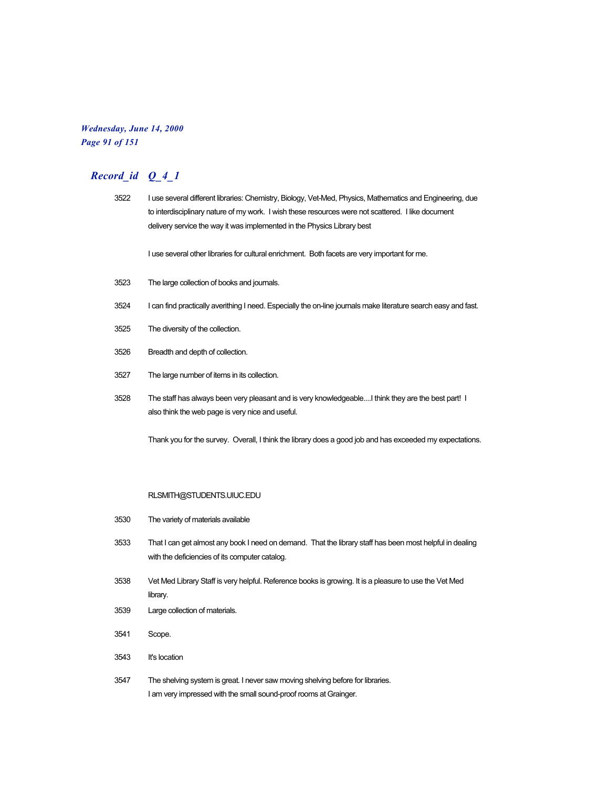### *Wednesday, June 14, 2000 Page 91 of 151*

| 3522 | I use several different libraries: Chemistry, Biology, Vet-Med, Physics, Mathematics and Engineering, due<br>to interdisciplinary nature of my work. I wish these resources were not scattered. I like document<br>delivery service the way it was implemented in the Physics Library best |
|------|--------------------------------------------------------------------------------------------------------------------------------------------------------------------------------------------------------------------------------------------------------------------------------------------|
|      | I use several other libraries for cultural enrichment. Both facets are very important for me.                                                                                                                                                                                              |
| 3523 | The large collection of books and journals.                                                                                                                                                                                                                                                |
| 3524 | I can find practically averithing I need. Especially the on-line journals make literature search easy and fast.                                                                                                                                                                            |
| 3525 | The diversity of the collection.                                                                                                                                                                                                                                                           |
| 3526 | Breadth and depth of collection.                                                                                                                                                                                                                                                           |
| 3527 | The large number of items in its collection.                                                                                                                                                                                                                                               |
| 3528 | The staff has always been very pleasant and is very knowledgeable I think they are the best part! I<br>also think the web page is very nice and useful.                                                                                                                                    |
|      | Thank you for the survey. Overall, I think the library does a good job and has exceeded my expectations.                                                                                                                                                                                   |
|      | RLSMITH@STUDENTS.UIUC.EDU                                                                                                                                                                                                                                                                  |
| 3530 | The variety of materials available                                                                                                                                                                                                                                                         |
| 3533 | That I can get almost any book I need on demand. That the library staff has been most helpful in dealing<br>with the deficiencies of its computer catalog.                                                                                                                                 |
| 3538 | Vet Med Library Staff is very helpful. Reference books is growing. It is a pleasure to use the Vet Med<br>library.                                                                                                                                                                         |

- 3539 Large collection of materials.
- 3541 Scope.
- 3543 It's location
- 3547 The shelving system is great. I never saw moving shelving before for libraries. I am very impressed with the small sound-proof rooms at Grainger.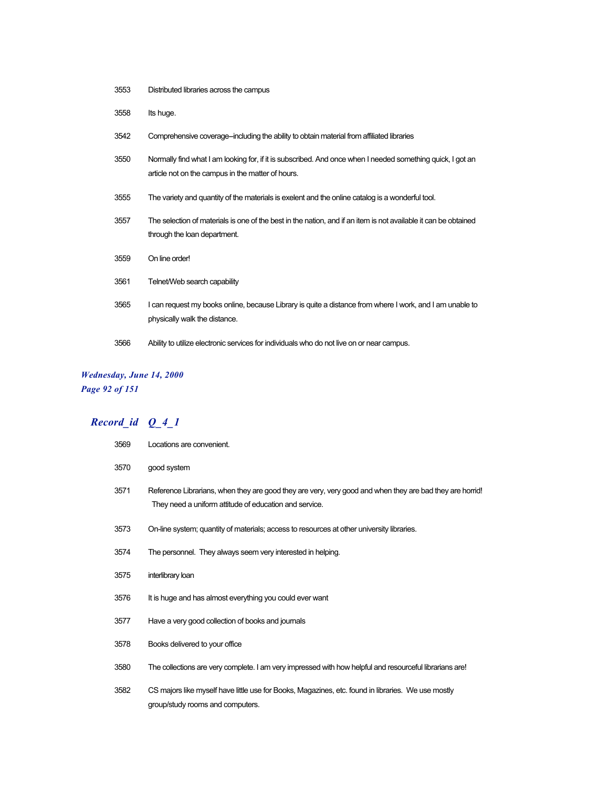- Distributed libraries across the campus
- Its huge.
- Comprehensive coverage--including the ability to obtain material from affiliated libraries
- Normally find what I am looking for, if it is subscribed. And once when I needed something quick, I got an article not on the campus in the matter of hours.
- The variety and quantity of the materials is exelent and the online catalog is a wonderful tool.
- The selection of materials is one of the best in the nation, and if an item is not available it can be obtained through the loan department.
- On line order!
- Telnet/Web search capability
- I can request my books online, because Library is quite a distance from where I work, and I am unable to physically walk the distance.
- Ability to utilize electronic services for individuals who do not live on or near campus.

#### *Wednesday, June 14, 2000 Page 92 of 151*

| 3569 | Locations are convenient.                                                                                                                                          |
|------|--------------------------------------------------------------------------------------------------------------------------------------------------------------------|
| 3570 | good system                                                                                                                                                        |
| 3571 | Reference Librarians, when they are good they are very, very good and when they are bad they are horrid!<br>They need a uniform attitude of education and service. |
| 3573 | On-line system; quantity of materials; access to resources at other university libraries.                                                                          |
| 3574 | The personnel. They always seem very interested in helping.                                                                                                        |
| 3575 | interlibrary loan                                                                                                                                                  |
| 3576 | It is huge and has almost everything you could ever want                                                                                                           |
| 3577 | Have a very good collection of books and journals                                                                                                                  |
| 3578 | Books delivered to your office                                                                                                                                     |
| 3580 | The collections are very complete. I am very impressed with how helpful and resourceful librarians are!                                                            |
| 3582 | CS majors like myself have little use for Books, Magazines, etc. found in libraries. We use mostly<br>group/study rooms and computers.                             |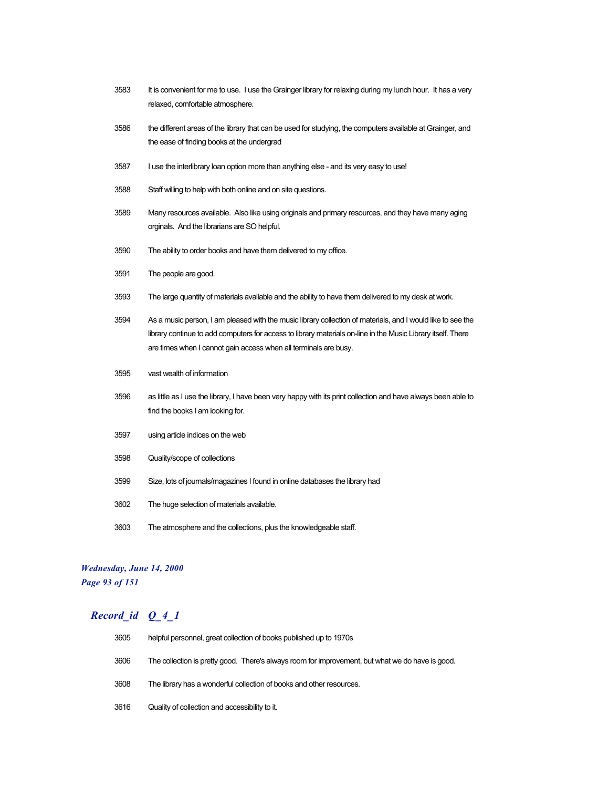- 3583 It is convenient for me to use. I use the Grainger library for relaxing during my lunch hour. It has a very relaxed, comfortable atmosphere.
- 3586 the different areas of the library that can be used for studying, the computers available at Grainger, and the ease of finding books at the undergrad
- 3587 I use the interlibrary loan option more than anything else and its very easy to use!
- 3588 Staff willing to help with both online and on site questions.
- 3589 Many resources available. Also like using originals and primary resources, and they have many aging orginals. And the librarians are SO helpful.
- 3590 The ability to order books and have them delivered to my office.
- 3591 The people are good.
- 3593 The large quantity of materials available and the ability to have them delivered to my desk at work.
- 3594 As a music person, I am pleased with the music library collection of materials, and I would like to see the library continue to add computers for access to library materials on-line in the Music Library itself. There are times when I cannot gain access when all terminals are busy.
- 3595 vast wealth of information
- 3596 as little as I use the library, I have been very happy with its print collection and have always been able to find the books I am looking for.
- 3597 using article indices on the web
- 3598 Quality/scope of collections
- 3599 Size, lots of journals/magazines I found in online databases the library had
- 3602 The huge selection of materials available.
- 3603 The atmosphere and the collections, plus the knowledgeable staff.

#### *Wednesday, June 14, 2000 Page 93 of 151*

| 3605 | helpful personnel, great collection of books published up to 1970s                               |
|------|--------------------------------------------------------------------------------------------------|
| 3606 | The collection is pretty good. There's always room for improvement, but what we do have is good. |
| 3608 | The library has a wonderful collection of books and other resources.                             |
| 3616 | Quality of collection and accessibility to it.                                                   |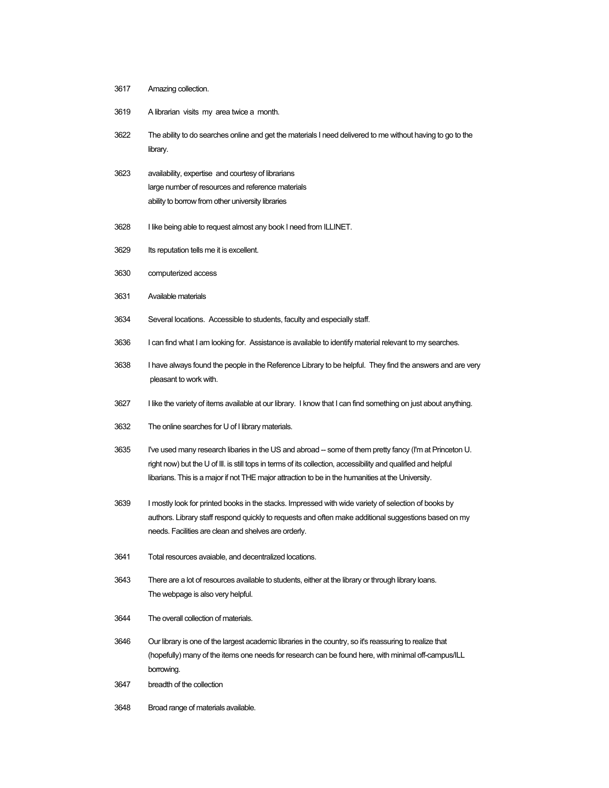- Amazing collection.
- A librarian visits my area twice a month.
- The ability to do searches online and get the materials I need delivered to me without having to go to the library.
- availability, expertise and courtesy of librarians large number of resources and reference materials ability to borrow from other university libraries
- I like being able to request almost any book I need from ILLINET.
- Its reputation tells me it is excellent.
- computerized access
- Available materials
- Several locations. Accessible to students, faculty and especially staff.
- I can find what I am looking for. Assistance is available to identify material relevant to my searches.
- I have always found the people in the Reference Library to be helpful. They find the answers and are very pleasant to work with.
- I like the variety of items available at our library. I know that I can find something on just about anything.
- The online searches for U of I library materials.
- I've used many research libaries in the US and abroad -- some of them pretty fancy (I'm at Princeton U. right now) but the U of Ill. is still tops in terms of its collection, accessibility and qualified and helpful libarians. This is a major if not THE major attraction to be in the humanities at the University.
- I mostly look for printed books in the stacks. Impressed with wide variety of selection of books by authors. Library staff respond quickly to requests and often make additional suggestions based on my needs. Facilities are clean and shelves are orderly.
- Total resources avaiable, and decentralized locations.
- There are a lot of resources available to students, either at the library or through library loans. The webpage is also very helpful.
- The overall collection of materials.
- Our library is one of the largest academic libraries in the country, so it's reassuring to realize that (hopefully) many of the items one needs for research can be found here, with minimal off-campus/ILL borrowing.
- breadth of the collection
- Broad range of materials available.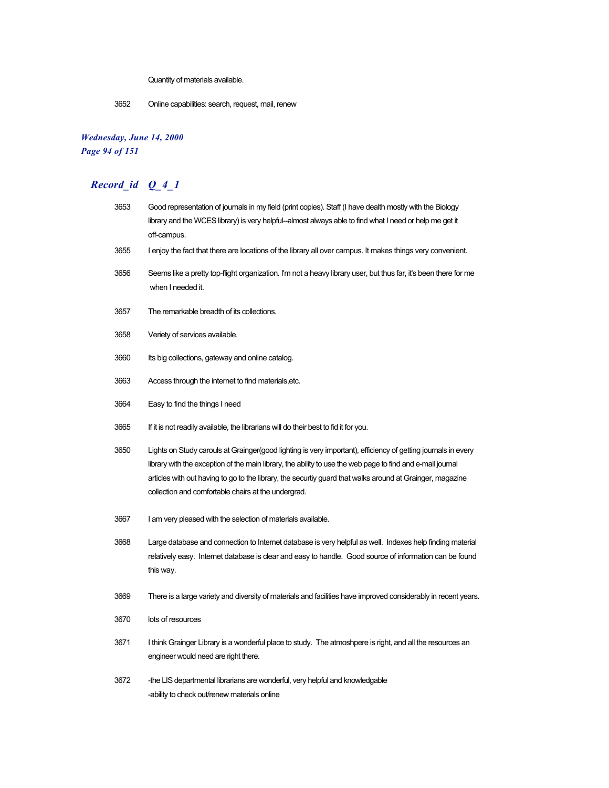Quantity of materials available.

3652 Online capabilities: search, request, mail, renew

## *Wednesday, June 14, 2000 Page 94 of 151*

| 3653 | Good representation of journals in my field (print copies). Staff (I have dealth mostly with the Biology<br>library and the WCES library) is very helpful--almost always able to find what I need or help me get it<br>off-campus.                                                                                                                                                               |
|------|--------------------------------------------------------------------------------------------------------------------------------------------------------------------------------------------------------------------------------------------------------------------------------------------------------------------------------------------------------------------------------------------------|
| 3655 | I enjoy the fact that there are locations of the library all over campus. It makes things very convenient.                                                                                                                                                                                                                                                                                       |
| 3656 | Seems like a pretty top-flight organization. I'm not a heavy library user, but thus far, it's been there for me<br>when I needed it.                                                                                                                                                                                                                                                             |
| 3657 | The remarkable breadth of its collections.                                                                                                                                                                                                                                                                                                                                                       |
| 3658 | Veriety of services available.                                                                                                                                                                                                                                                                                                                                                                   |
| 3660 | Its big collections, gateway and online catalog.                                                                                                                                                                                                                                                                                                                                                 |
| 3663 | Access through the internet to find materials, etc.                                                                                                                                                                                                                                                                                                                                              |
| 3664 | Easy to find the things I need                                                                                                                                                                                                                                                                                                                                                                   |
| 3665 | If it is not readily available, the librarians will do their best to fid it for you.                                                                                                                                                                                                                                                                                                             |
| 3650 | Lights on Study carouls at Grainger (good lighting is very important), efficiency of getting journals in every<br>library with the exception of the main library, the ability to use the web page to find and e-mail journal<br>articles with out having to go to the library, the securtiy guard that walks around at Grainger, magazine<br>collection and comfortable chairs at the undergrad. |
| 3667 | I am very pleased with the selection of materials available.                                                                                                                                                                                                                                                                                                                                     |
| 3668 | Large database and connection to Internet database is very helpful as well. Indexes help finding material<br>relatively easy. Internet database is clear and easy to handle. Good source of information can be found<br>this way.                                                                                                                                                                |
| 3669 | There is a large variety and diversity of materials and facilities have improved considerably in recent years.                                                                                                                                                                                                                                                                                   |
| 3670 | lots of resources                                                                                                                                                                                                                                                                                                                                                                                |
| 3671 | I think Grainger Library is a wonderful place to study. The atmoshpere is right, and all the resources an<br>engineer would need are right there.                                                                                                                                                                                                                                                |
| 3672 | -the LIS departmental librarians are wonderful, very helpful and knowledgable<br>-ability to check out/renew materials online                                                                                                                                                                                                                                                                    |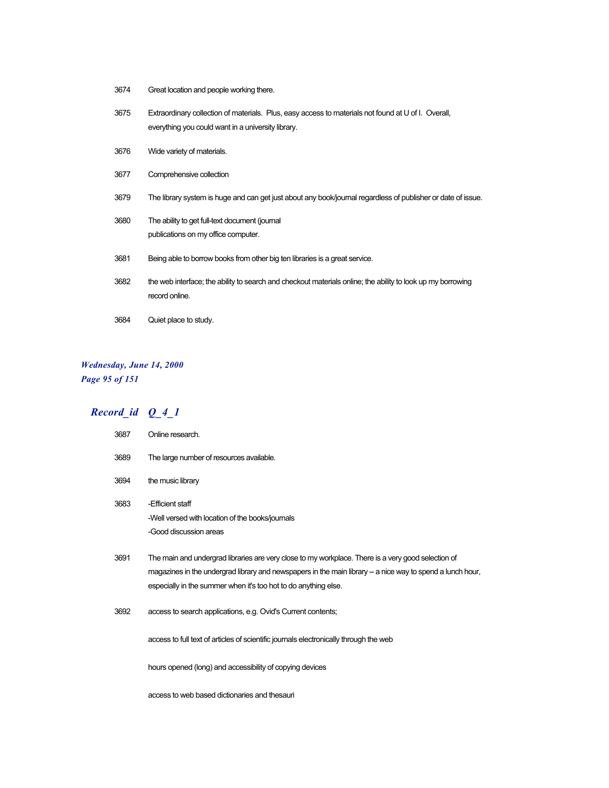| 3674 | Great location and people working there. |
|------|------------------------------------------|
|------|------------------------------------------|

| 3675 | Extraordinary collection of materials. Plus, easy access to materials not found at U of I. Overall,<br>everything you could want in a university library. |
|------|-----------------------------------------------------------------------------------------------------------------------------------------------------------|
| 3676 | Wide variety of materials.                                                                                                                                |
| 3677 | Comprehensive collection                                                                                                                                  |
| 3679 | The library system is huge and can get just about any book/journal regardless of publisher or date of issue.                                              |
| 3680 | The ability to get full-text document (journal<br>publications on my office computer.                                                                     |
| 3681 | Being able to borrow books from other big ten libraries is a great service.                                                                               |
| 3682 | the web interface; the ability to search and checkout materials online; the ability to look up my borrowing<br>record online.                             |
| 3684 | Quiet place to study.                                                                                                                                     |

## *Wednesday, June 14, 2000 Page 95 of 151*

# *Record\_id Q\_4\_1*

| 3687 | Online research.                                                                                                                                                                                                                                                                   |
|------|------------------------------------------------------------------------------------------------------------------------------------------------------------------------------------------------------------------------------------------------------------------------------------|
| 3689 | The large number of resources available.                                                                                                                                                                                                                                           |
| 3694 | the music library                                                                                                                                                                                                                                                                  |
| 3683 | -Efficient staff<br>-Well versed with location of the books/journals<br>-Good discussion areas                                                                                                                                                                                     |
| 3691 | The main and undergrad libraries are very close to my workplace. There is a very good selection of<br>magazines in the undergrad library and newspapers in the main library - a nice way to spend a lunch hour,<br>especially in the summer when it's too hot to do anything else. |
| 3692 | access to search applications, e.g. Ovid's Current contents;                                                                                                                                                                                                                       |
|      | access to full text of articles of scientific journals electronically through the web                                                                                                                                                                                              |
|      | hours opened (long) and accessibility of copying devices                                                                                                                                                                                                                           |

access to web based dictionaries and thesauri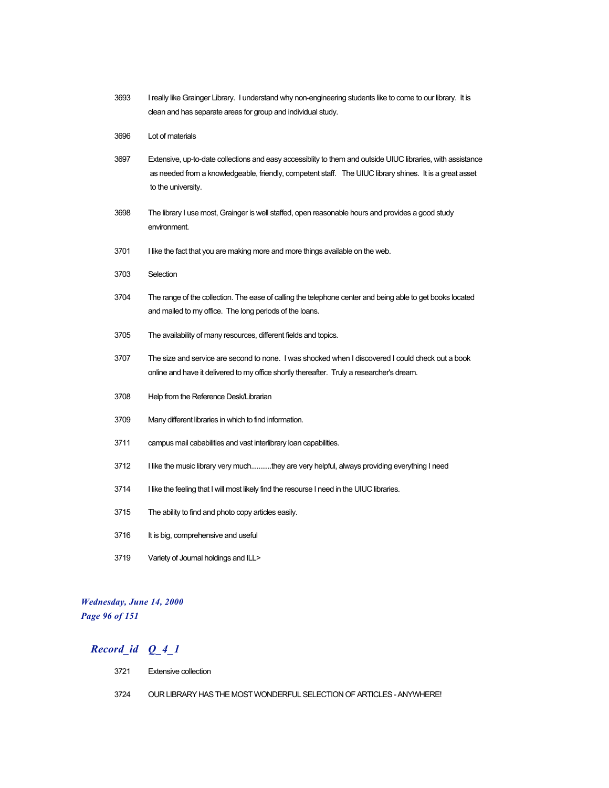- 3693 I really like Grainger Library. I understand why non-engineering students like to come to our library. It is clean and has separate areas for group and individual study.
- 3696 Lot of materials
- 3697 Extensive, up-to-date collections and easy accessiblity to them and outside UIUC libraries, with assistance as needed from a knowledgeable, friendly, competent staff. The UIUC library shines. It is a great asset to the university.
- 3698 The library I use most, Grainger is well staffed, open reasonable hours and provides a good study environment.
- 3701 I like the fact that you are making more and more things available on the web.
- 3703 Selection
- 3704 The range of the collection. The ease of calling the telephone center and being able to get books located and mailed to my office. The long periods of the loans.
- 3705 The availability of many resources, different fields and topics.
- 3707 The size and service are second to none. I was shocked when I discovered I could check out a book online and have it delivered to my office shortly thereafter. Truly a researcher's dream.
- 3708 Help from the Reference Desk/Librarian
- 3709 Many different libraries in which to find information.
- 3711 campus mail cababilities and vast interlibrary loan capabilities.
- 3712 I like the music library very much...........they are very helpful, always providing everything I need
- 3714 I like the feeling that I will most likely find the resourse I need in the UIUC libraries.
- 3715 The ability to find and photo copy articles easily.
- 3716 It is big, comprehensive and useful
- 3719 Variety of Journal holdings and ILL>

#### *Wednesday, June 14, 2000 Page 96 of 151*

- 3721 Extensive collection
- 3724 OUR LIBRARY HAS THE MOST WONDERFUL SELECTION OF ARTICLES ANYWHERE!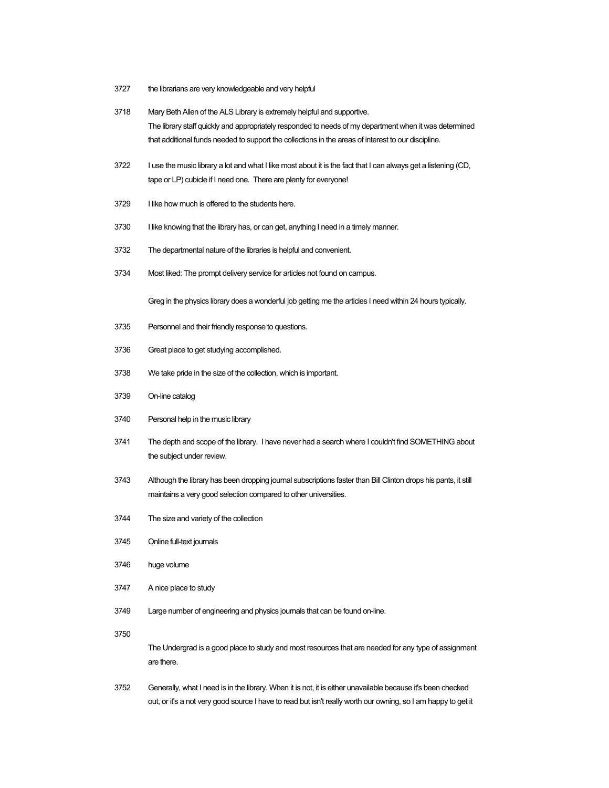- the librarians are very knowledgeable and very helpful
- Mary Beth Allen of the ALS Library is extremely helpful and supportive. The library staff quickly and appropriately responded to needs of my department when it was determined that additional funds needed to support the collections in the areas of interest to our discipline.
- 3722 I use the music library a lot and what I like most about it is the fact that I can always get a listening (CD, tape or LP) cubicle if I need one. There are plenty for everyone!
- I like how much is offered to the students here.
- 3730 I like knowing that the library has, or can get, anything I need in a timely manner.
- The departmental nature of the libraries is helpful and convenient.
- Most liked: The prompt delivery service for articles not found on campus.

Greg in the physics library does a wonderful job getting me the articles I need within 24 hours typically.

- Personnel and their friendly response to questions.
- Great place to get studying accomplished.
- We take pride in the size of the collection, which is important.
- On-line catalog
- Personal help in the music library
- The depth and scope of the library. I have never had a search where I couldn't find SOMETHING about the subject under review.
- Although the library has been dropping journal subscriptions faster than Bill Clinton drops his pants, it still maintains a very good selection compared to other universities.
- The size and variety of the collection
- Online full-text journals
- huge volume
- A nice place to study
- Large number of engineering and physics journals that can be found on-line.
- 

The Undergrad is a good place to study and most resources that are needed for any type of assignment are there.

 Generally, what I need is in the library. When it is not, it is either unavailable because it's been checked out, or it's a not very good source I have to read but isn't really worth our owning, so I am happy to get it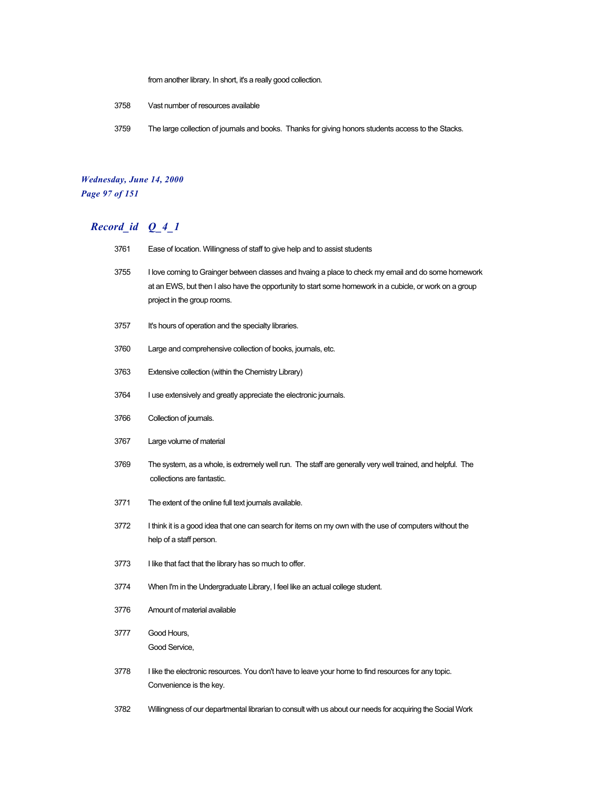from another library. In short, it's a really good collection.

- 3758 Vast number of resources available
- 3759 The large collection of journals and books. Thanks for giving honors students access to the Stacks.

#### *Wednesday, June 14, 2000 Page 97 of 151*

- 3761 Ease of location. Willingness of staff to give help and to assist students 3755 I love coming to Grainger between classes and hvaing a place to check my email and do some homework at an EWS, but then I also have the opportunity to start some homework in a cubicle, or work on a group project in the group rooms.
	- 3757 It's hours of operation and the specialty libraries.
	- 3760 Large and comprehensive collection of books, journals, etc.
	- 3763 Extensive collection (within the Chemistry Library)
	- 3764 I use extensively and greatly appreciate the electronic journals.
	- 3766 Collection of journals.
	- 3767 Large volume of material
	- 3769 The system, as a whole, is extremely well run. The staff are generally very well trained, and helpful. The collections are fantastic.
	- 3771 The extent of the online full text journals available.
	- 3772 I think it is a good idea that one can search for items on my own with the use of computers without the help of a staff person.
	- 3773 I like that fact that the library has so much to offer.
	- 3774 When I'm in the Undergraduate Library, I feel like an actual college student.
	- 3776 Amount of material available
	- 3777 Good Hours, Good Service,
	- 3778 I like the electronic resources. You don't have to leave your home to find resources for any topic. Convenience is the key.
	- 3782 Willingness of our departmental librarian to consult with us about our needs for acquiring the Social Work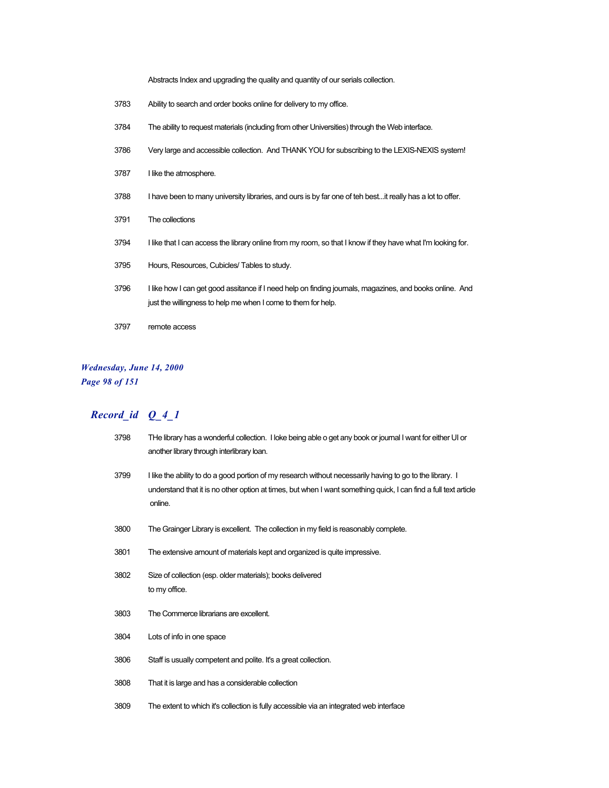Abstracts Index and upgrading the quality and quantity of our serials collection.

- Ability to search and order books online for delivery to my office.
- The ability to request materials (including from other Universities) through the Web interface.
- Very large and accessible collection. And THANK YOU for subscribing to the LEXIS-NEXIS system!
- I like the atmosphere.
- 3788 I have been to many university libraries, and ours is by far one of teh best...it really has a lot to offer.
- The collections
- 3794 I like that I can access the library online from my room, so that I know if they have what I'm looking for.
- Hours, Resources, Cubicles/ Tables to study.
- I like how I can get good assitance if I need help on finding journals, magazines, and books online. And just the willingness to help me when I come to them for help.
- remote access

#### *Wednesday, June 14, 2000 Page 98 of 151*

| 3798 | THe library has a wonderful collection. I loke being able o get any book or journal I want for either UI or<br>another library through interlibrary loan.                                                                               |
|------|-----------------------------------------------------------------------------------------------------------------------------------------------------------------------------------------------------------------------------------------|
| 3799 | I like the ability to do a good portion of my research without necessarily having to go to the library. I<br>understand that it is no other option at times, but when I want something quick, I can find a full text article<br>online. |
| 3800 | The Grainger Library is excellent. The collection in my field is reasonably complete.                                                                                                                                                   |
| 3801 | The extensive amount of materials kept and organized is quite impressive.                                                                                                                                                               |
| 3802 | Size of collection (esp. older materials); books delivered<br>to my office.                                                                                                                                                             |
| 3803 | The Commerce librarians are excellent.                                                                                                                                                                                                  |
| 3804 | Lots of info in one space                                                                                                                                                                                                               |
| 3806 | Staff is usually competent and polite. It's a great collection.                                                                                                                                                                         |
| 3808 | That it is large and has a considerable collection                                                                                                                                                                                      |
| 3809 | The extent to which it's collection is fully accessible via an integrated web interface                                                                                                                                                 |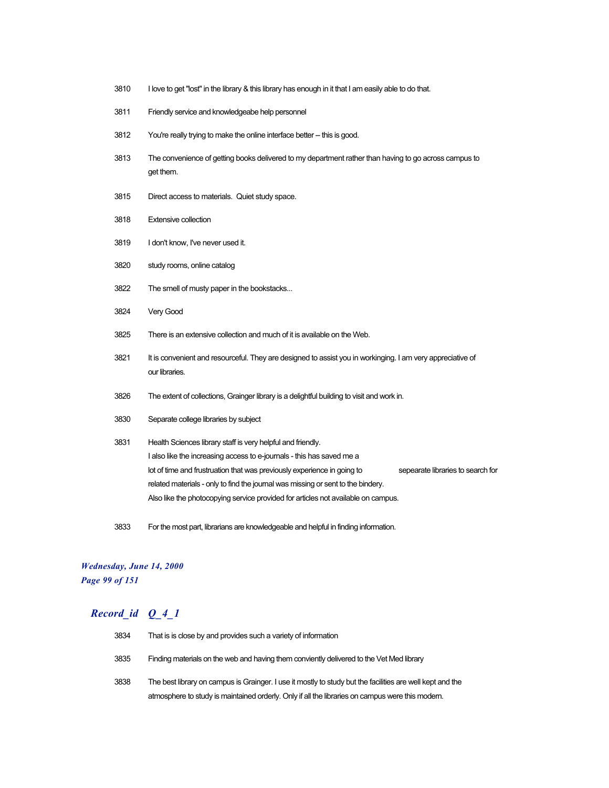- 3810 I love to get "lost" in the library & this library has enough in it that I am easily able to do that.
- 3811 Friendly service and knowledgeabe help personnel
- 3812 You're really trying to make the online interface better -- this is good.
- 3813 The convenience of getting books delivered to my department rather than having to go across campus to get them.
- 3815 Direct access to materials. Quiet study space.
- 3818 Extensive collection
- 3819 I don't know, I've never used it.
- 3820 study rooms, online catalog
- 3822 The smell of musty paper in the bookstacks...
- 3824 Very Good
- 3825 There is an extensive collection and much of it is available on the Web.
- 3821 It is convenient and resourceful. They are designed to assist you in workinging. I am very appreciative of our libraries.
- 3826 The extent of collections, Grainger library is a delightful building to visit and work in.
- 3830 Separate college libraries by subject
- 3831 Health Sciences library staff is very helpful and friendly. I also like the increasing access to e-journals - this has saved me a lot of time and frustruation that was previously experience in going to sepearate libraries to search for related materials - only to find the journal was missing or sent to the bindery. Also like the photocopying service provided for articles not available on campus.
- 3833 For the most part, librarians are knowledgeable and helpful in finding information.

#### *Wednesday, June 14, 2000 Page 99 of 151*

| 3834 | That is is close by and provides such a variety of information                                            |
|------|-----------------------------------------------------------------------------------------------------------|
| 3835 | Finding materials on the web and having them conviently delivered to the Vet Med library                  |
| 3838 | The best library on campus is Grainger. I use it mostly to study but the facilities are well kept and the |
|      | atmosphere to study is maintained orderly. Only if all the libraries on campus were this modern.          |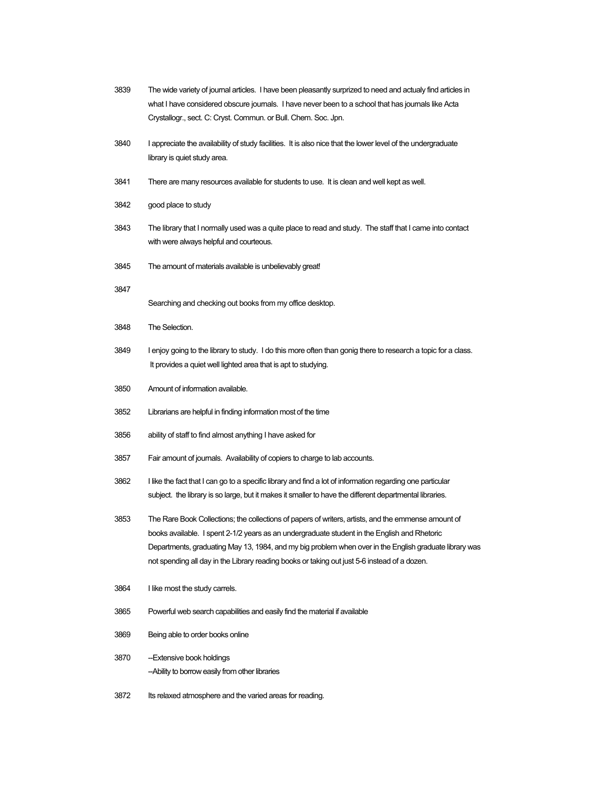| 3839 | The wide variety of journal articles. I have been pleasantly surprized to need and actualy find articles in<br>what I have considered obscure journals. I have never been to a school that has journals like Acta<br>Crystallogr., sect. C: Cryst. Commun. or Bull. Chem. Soc. Jpn.                                                                                                                           |
|------|---------------------------------------------------------------------------------------------------------------------------------------------------------------------------------------------------------------------------------------------------------------------------------------------------------------------------------------------------------------------------------------------------------------|
| 3840 | I appreciate the availability of study facilities. It is also nice that the lower level of the undergraduate<br>library is quiet study area.                                                                                                                                                                                                                                                                  |
| 3841 | There are many resources available for students to use. It is clean and well kept as well.                                                                                                                                                                                                                                                                                                                    |
| 3842 | good place to study                                                                                                                                                                                                                                                                                                                                                                                           |
| 3843 | The library that I normally used was a quite place to read and study. The staff that I came into contact<br>with were always helpful and courteous.                                                                                                                                                                                                                                                           |
| 3845 | The amount of materials available is unbelievably great!                                                                                                                                                                                                                                                                                                                                                      |
| 3847 | Searching and checking out books from my office desktop.                                                                                                                                                                                                                                                                                                                                                      |
| 3848 | The Selection.                                                                                                                                                                                                                                                                                                                                                                                                |
| 3849 | I enjoy going to the library to study. I do this more often than gonig there to research a topic for a class.<br>It provides a quiet well lighted area that is apt to studying.                                                                                                                                                                                                                               |
| 3850 | Amount of information available.                                                                                                                                                                                                                                                                                                                                                                              |
| 3852 | Librarians are helpful in finding information most of the time                                                                                                                                                                                                                                                                                                                                                |
| 3856 | ability of staff to find almost anything I have asked for                                                                                                                                                                                                                                                                                                                                                     |
| 3857 | Fair amount of journals. Availability of copiers to charge to lab accounts.                                                                                                                                                                                                                                                                                                                                   |
| 3862 | I like the fact that I can go to a specific library and find a lot of information regarding one particular<br>subject. the library is so large, but it makes it smaller to have the different departmental libraries.                                                                                                                                                                                         |
| 3853 | The Rare Book Collections; the collections of papers of writers, artists, and the emmense amount of<br>books available. I spent 2-1/2 years as an undergraduate student in the English and Rhetoric<br>Departments, graduating May 13, 1984, and my big problem when over in the English graduate library was<br>not spending all day in the Library reading books or taking out just 5-6 instead of a dozen. |
| 3864 | I like most the study carrels.                                                                                                                                                                                                                                                                                                                                                                                |
| 3865 | Powerful web search capabilities and easily find the material if available                                                                                                                                                                                                                                                                                                                                    |
| 3869 | Being able to order books online                                                                                                                                                                                                                                                                                                                                                                              |
| 3870 | -Extensive book holdings<br>-Ability to borrow easily from other libraries                                                                                                                                                                                                                                                                                                                                    |
| 3872 | Its relaxed atmosphere and the varied areas for reading.                                                                                                                                                                                                                                                                                                                                                      |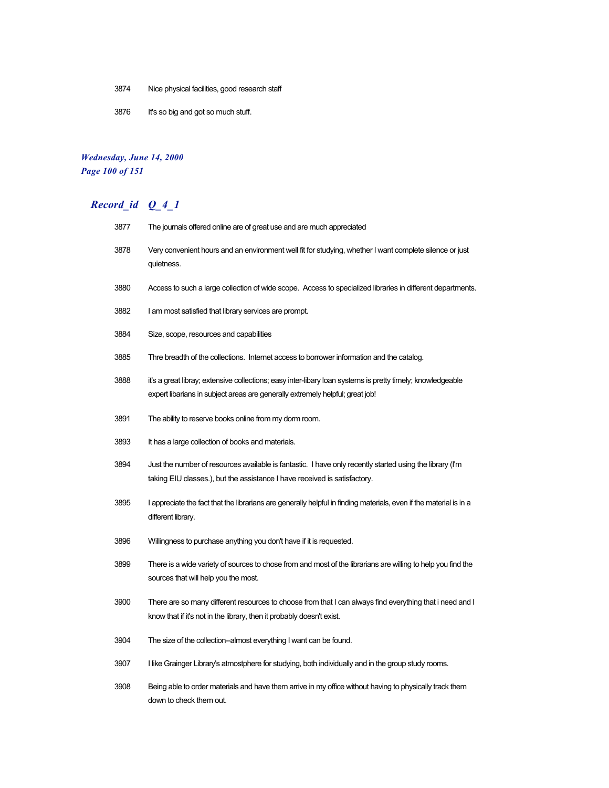- Nice physical facilities, good research staff
- It's so big and got so much stuff.

## *Wednesday, June 14, 2000 Page 100 of 151*

| 3877 | The journals offered online are of great use and are much appreciated                                                                                                                       |
|------|---------------------------------------------------------------------------------------------------------------------------------------------------------------------------------------------|
| 3878 | Very convenient hours and an environment well fit for studying, whether I want complete silence or just<br>quietness.                                                                       |
| 3880 | Access to such a large collection of wide scope. Access to specialized libraries in different departments.                                                                                  |
| 3882 | I am most satisfied that library services are prompt.                                                                                                                                       |
| 3884 | Size, scope, resources and capabilities                                                                                                                                                     |
| 3885 | Thre breadth of the collections. Internet access to borrower information and the catalog.                                                                                                   |
| 3888 | it's a great libray; extensive collections; easy inter-libary loan systems is pretty timely; knowledgeable<br>expert libarians in subject areas are generally extremely helpful; great job! |
| 3891 | The ability to reserve books online from my dorm room.                                                                                                                                      |
| 3893 | It has a large collection of books and materials.                                                                                                                                           |
| 3894 | Just the number of resources available is fantastic. I have only recently started using the library (I'm<br>taking EIU classes.), but the assistance I have received is satisfactory.       |
| 3895 | I appreciate the fact that the librarians are generally helpful in finding materials, even if the material is in a<br>different library.                                                    |
| 3896 | Willingness to purchase anything you don't have if it is requested.                                                                                                                         |
| 3899 | There is a wide variety of sources to chose from and most of the librarians are willing to help you find the<br>sources that will help you the most.                                        |
| 3900 | There are so many different resources to choose from that I can always find everything that i need and I<br>know that if it's not in the library, then it probably doesn't exist.           |
| 3904 | The size of the collection--almost everything I want can be found.                                                                                                                          |
| 3907 | I like Grainger Library's atmostphere for studying, both individually and in the group study rooms.                                                                                         |
| 3908 | Being able to order materials and have them arrive in my office without having to physically track them<br>down to check them out.                                                          |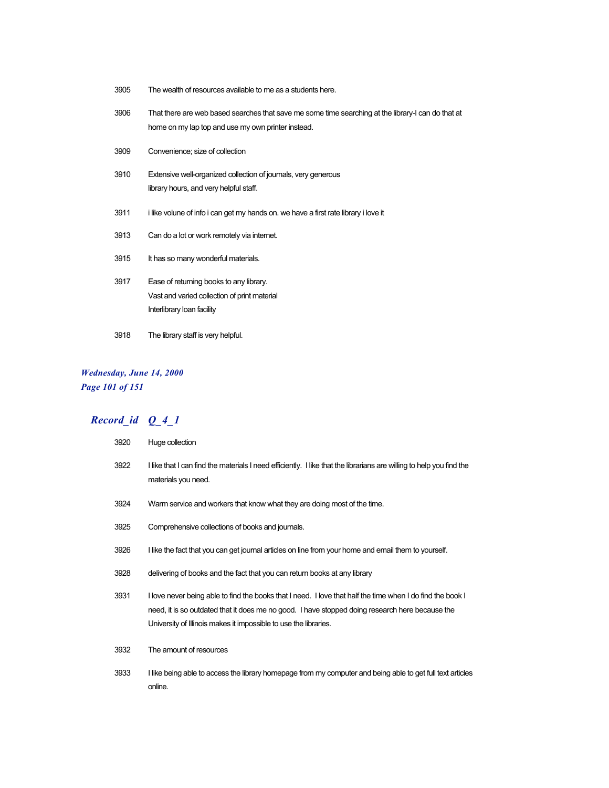- 3905 The wealth of resources available to me as a students here.
- 3906 That there are web based searches that save me some time searching at the library-I can do that at home on my lap top and use my own printer instead.
- 3909 Convenience; size of collection
- 3910 Extensive well-organized collection of journals, very generous library hours, and very helpful staff.
- 3911 i like volune of info i can get my hands on. we have a first rate library i love it
- 3913 Can do a lot or work remotely via internet.
- 3915 It has so many wonderful materials.
- 3917 Ease of returning books to any library. Vast and varied collection of print material Interlibrary loan facility
- 3918 The library staff is very helpful.

#### *Wednesday, June 14, 2000 Page 101 of 151*

| 3920 | Huge collection                                                                                                                                                                                                                                                                   |
|------|-----------------------------------------------------------------------------------------------------------------------------------------------------------------------------------------------------------------------------------------------------------------------------------|
| 3922 | I like that I can find the materials I need efficiently. I like that the librarians are willing to help you find the<br>materials you need.                                                                                                                                       |
| 3924 | Warm service and workers that know what they are doing most of the time.                                                                                                                                                                                                          |
| 3925 | Comprehensive collections of books and journals.                                                                                                                                                                                                                                  |
| 3926 | I like the fact that you can get journal articles on line from your home and email them to yourself.                                                                                                                                                                              |
| 3928 | delivering of books and the fact that you can return books at any library                                                                                                                                                                                                         |
| 3931 | I love never being able to find the books that I need. I love that half the time when I do find the book I<br>need, it is so outdated that it does me no good. I have stopped doing research here because the<br>University of Illinois makes it impossible to use the libraries. |
| 3932 | The amount of resources                                                                                                                                                                                                                                                           |
| 3933 | I like being able to access the library homepage from my computer and being able to get full text articles<br>online.                                                                                                                                                             |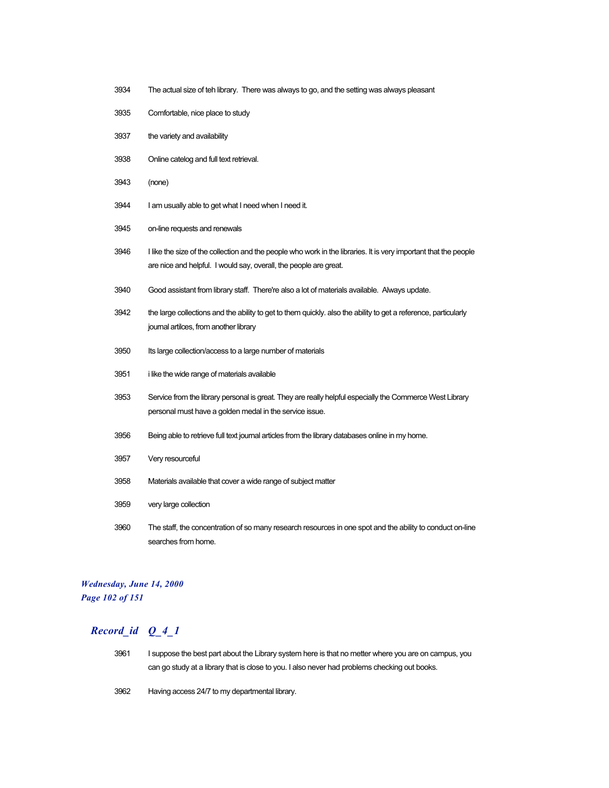- The actual size of teh library. There was always to go, and the setting was always pleasant
- Comfortable, nice place to study
- the variety and availability
- Online catelog and full text retrieval.
- (none)
- I am usually able to get what I need when I need it.
- on-line requests and renewals
- I like the size of the collection and the people who work in the libraries. It is very important that the people are nice and helpful. I would say, overall, the people are great.
- Good assistant from library staff. There're also a lot of materials available. Always update.
- the large collections and the ability to get to them quickly. also the ability to get a reference, particularly journal artilces, from another library
- Its large collection/access to a large number of materials
- i like the wide range of materials available
- Service from the library personal is great. They are really helpful especially the Commerce West Library personal must have a golden medal in the service issue.
- Being able to retrieve full text journal articles from the library databases online in my home.
- Very resourceful
- Materials available that cover a wide range of subject matter
- very large collection
- The staff, the concentration of so many research resources in one spot and the ability to conduct on-line searches from home.

#### *Wednesday, June 14, 2000 Page 102 of 151*

- I suppose the best part about the Library system here is that no metter where you are on campus, you can go study at a library that is close to you. I also never had problems checking out books.
- Having access 24/7 to my departmental library.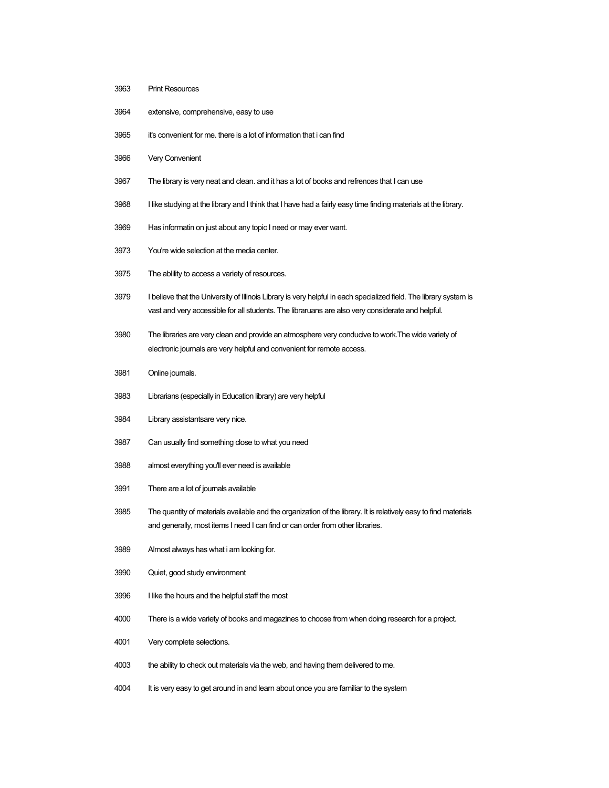- Print Resources
- extensive, comprehensive, easy to use
- it's convenient for me. there is a lot of information that i can find
- Very Convenient
- 3967 The library is very neat and clean. and it has a lot of books and refrences that I can use
- I like studying at the library and I think that I have had a fairly easy time finding materials at the library.
- Has informatin on just about any topic I need or may ever want.
- You're wide selection at the media center.
- The ablility to access a variety of resources.
- I believe that the University of Illinois Library is very helpful in each specialized field. The library system is vast and very accessible for all students. The libraruans are also very considerate and helpful.
- The libraries are very clean and provide an atmosphere very conducive to work.The wide variety of electronic journals are very helpful and convenient for remote access.
- Online journals.
- Librarians (especially in Education library) are very helpful
- Library assistantsare very nice.
- Can usually find something close to what you need
- almost everything you'll ever need is available
- There are a lot of journals available
- The quantity of materials available and the organization of the library. It is relatively easy to find materials and generally, most items I need I can find or can order from other libraries.
- Almost always has what i am looking for.
- Quiet, good study environment
- I like the hours and the helpful staff the most
- There is a wide variety of books and magazines to choose from when doing research for a project.
- Very complete selections.
- the ability to check out materials via the web, and having them delivered to me.
- It is very easy to get around in and learn about once you are familiar to the system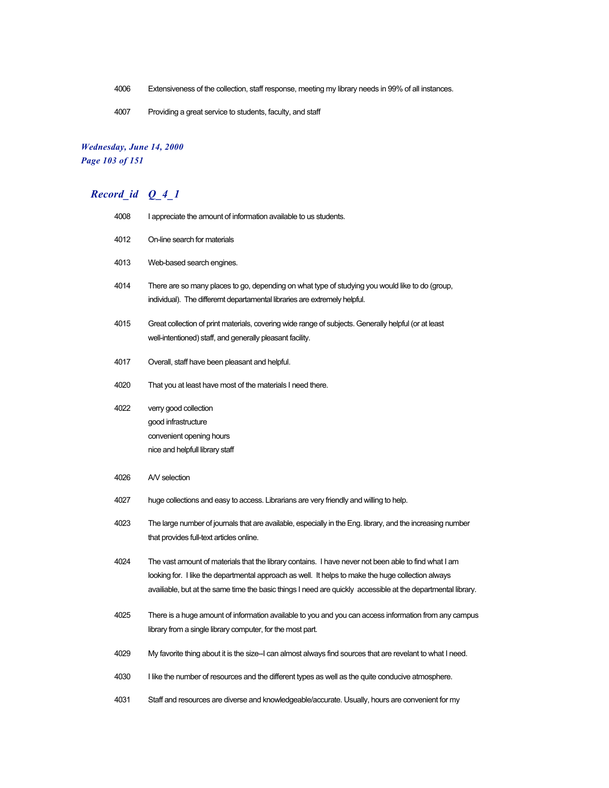- 4006 Extensiveness of the collection, staff response, meeting my library needs in 99% of all instances.
- 4007 Providing a great service to students, faculty, and staff

#### *Wednesday, June 14, 2000 Page 103 of 151*

| 4008 | I appreciate the amount of information available to us students.                                                                                                                                                                                                                                                           |
|------|----------------------------------------------------------------------------------------------------------------------------------------------------------------------------------------------------------------------------------------------------------------------------------------------------------------------------|
| 4012 | On-line search for materials                                                                                                                                                                                                                                                                                               |
| 4013 | Web-based search engines.                                                                                                                                                                                                                                                                                                  |
| 4014 | There are so many places to go, depending on what type of studying you would like to do (group,<br>individual). The differemt departamental libraries are extremely helpful.                                                                                                                                               |
| 4015 | Great collection of print materials, covering wide range of subjects. Generally helpful (or at least<br>well-intentioned) staff, and generally pleasant facility.                                                                                                                                                          |
| 4017 | Overall, staff have been pleasant and helpful.                                                                                                                                                                                                                                                                             |
| 4020 | That you at least have most of the materials I need there.                                                                                                                                                                                                                                                                 |
| 4022 | verry good collection<br>good infrastructure<br>convenient opening hours<br>nice and helpfull library staff                                                                                                                                                                                                                |
| 4026 | A/V selection                                                                                                                                                                                                                                                                                                              |
| 4027 | huge collections and easy to access. Librarians are very friendly and willing to help.                                                                                                                                                                                                                                     |
| 4023 | The large number of journals that are available, especially in the Eng. library, and the increasing number<br>that provides full-text articles online.                                                                                                                                                                     |
| 4024 | The vast amount of materials that the library contains. I have never not been able to find what I am<br>looking for. I like the departmental approach as well. It helps to make the huge collection always<br>availiable, but at the same time the basic things I need are quickly accessible at the departmental library. |
| 4025 | There is a huge amount of information available to you and you can access information from any campus<br>library from a single library computer, for the most part.                                                                                                                                                        |
| 4029 | My favorite thing about it is the size-I can almost always find sources that are revelant to what I need.                                                                                                                                                                                                                  |
| 4030 | I like the number of resources and the different types as well as the quite conducive atmosphere.                                                                                                                                                                                                                          |
| 4031 | Staff and resources are diverse and knowledgeable/accurate. Usually, hours are convenient for my                                                                                                                                                                                                                           |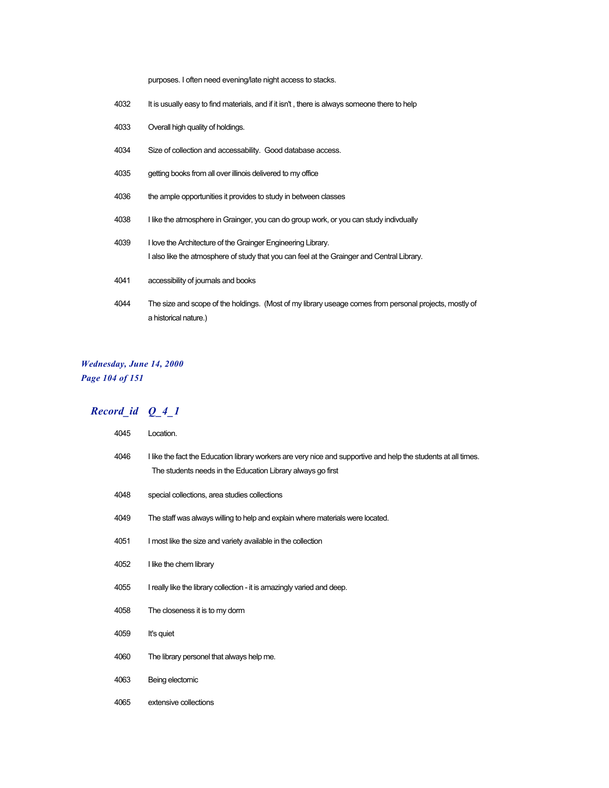purposes. I often need evening/late night access to stacks.

- 4032 It is usually easy to find materials, and if it isn't, there is always someone there to help
- Overall high quality of holdings.
- Size of collection and accessability. Good database access.
- getting books from all over illinois delivered to my office
- 4036 the ample opportunities it provides to study in between classes
- 4038 I like the atmosphere in Grainger, you can do group work, or you can study indivdually
- I love the Architecture of the Grainger Engineering Library. I also like the atmosphere of study that you can feel at the Grainger and Central Library.
- accessibility of journals and books
- The size and scope of the holdings. (Most of my library useage comes from personal projects, mostly of a historical nature.)

#### *Wednesday, June 14, 2000 Page 104 of 151*

| 4045 | Location.                                                                                                                                                                     |
|------|-------------------------------------------------------------------------------------------------------------------------------------------------------------------------------|
| 4046 | I like the fact the Education library workers are very nice and supportive and help the students at all times.<br>The students needs in the Education Library always go first |
| 4048 | special collections, area studies collections                                                                                                                                 |
| 4049 | The staff was always willing to help and explain where materials were located.                                                                                                |
| 4051 | I most like the size and variety available in the collection                                                                                                                  |
| 4052 | I like the chem library                                                                                                                                                       |
| 4055 | I really like the library collection - it is amazingly varied and deep.                                                                                                       |
| 4058 | The closeness it is to my dorm                                                                                                                                                |
| 4059 | It's quiet                                                                                                                                                                    |
| 4060 | The library personel that always help me.                                                                                                                                     |
| 4063 | Being electomic                                                                                                                                                               |
| 4065 | extensive collections                                                                                                                                                         |
|      |                                                                                                                                                                               |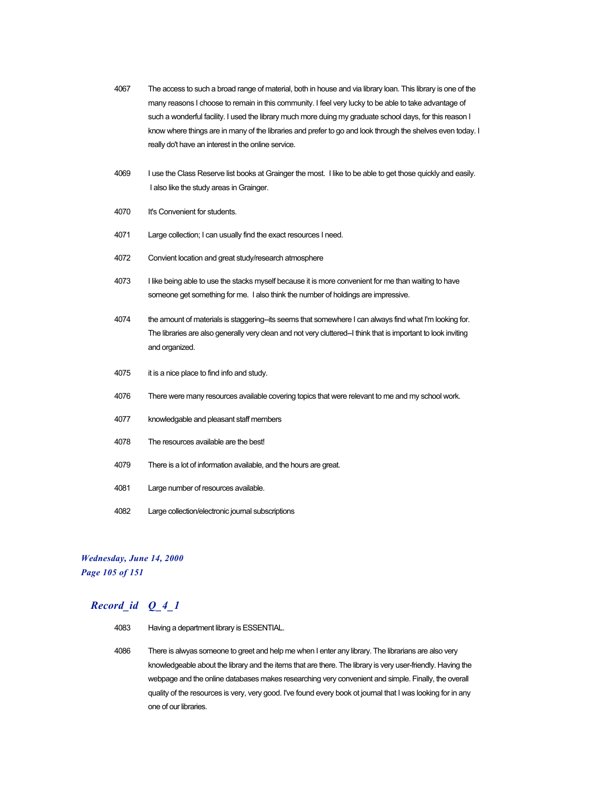- 4067 The access to such a broad range of material, both in house and via library loan. This library is one of the many reasons I choose to remain in this community. I feel very lucky to be able to take advantage of such a wonderful facility. I used the library much more duing my graduate school days, for this reason I know where things are in many of the libraries and prefer to go and look through the shelves even today. I really do't have an interest in the online service.
- 4069 I use the Class Reserve list books at Grainger the most. I like to be able to get those quickly and easily. I also like the study areas in Grainger.
- 4070 It's Convenient for students.
- 4071 Large collection; I can usually find the exact resources I need.
- 4072 Convient location and great study/research atmosphere
- 4073 I like being able to use the stacks myself because it is more convenient for me than waiting to have someone get something for me. I also think the number of holdings are impressive.
- 4074 the amount of materials is staggering--its seems that somewhere I can always find what I'm looking for. The libraries are also generally very clean and not very cluttered-I think that is important to look inviting and organized.
- 4075 it is a nice place to find info and study.
- 4076 There were many resources available covering topics that were relevant to me and my school work.
- 4077 knowledgable and pleasant staff members
- 4078 The resources available are the best!
- 4079 There is a lot of information available, and the hours are great.
- 4081 Large number of resources available.
- 4082 Large collection/electronic journal subscriptions

#### *Wednesday, June 14, 2000 Page 105 of 151*

- 4083 Having a department library is ESSENTIAL.
- 4086 There is alwyas someone to greet and help me when I enter any library. The librarians are also very knowledgeable about the library and the items that are there. The library is very user-friendly. Having the webpage and the online databases makes researching very convenient and simple. Finally, the overall quality of the resources is very, very good. I've found every book ot journal that I was looking for in any one of our libraries.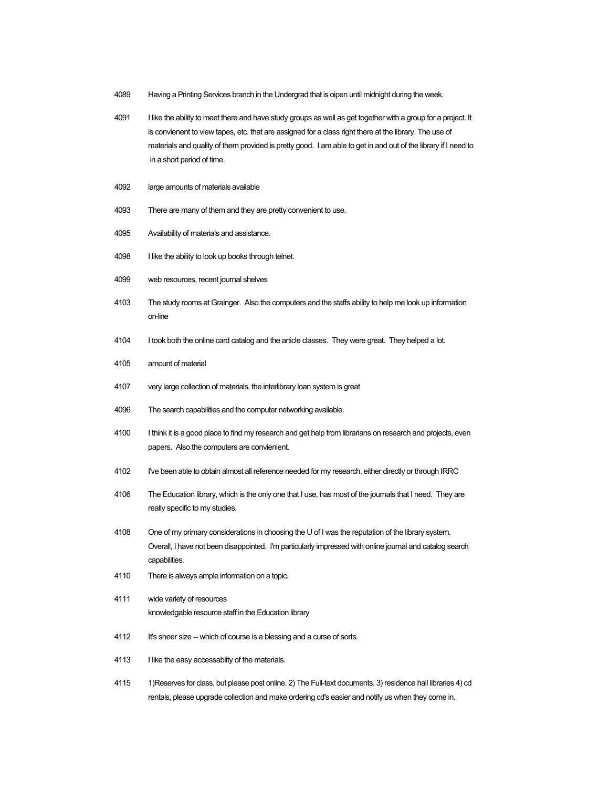- 4089 Having a Printing Services branch in the Undergrad that is oipen until midnight during the week.
- 4091 I like the ability to meet there and have study groups as well as get together with a group for a project. It is convienent to view tapes, etc. that are assigned for a class right there at the library. The use of materials and quality of them provided is pretty good. I am able to get in and out of the library if I need to in a short period of time.
- 4092 large amounts of materials available
- 4093 There are many of them and they are pretty convenient to use.
- 4095 Availability of materials and assistance.
- 4098 I like the ability to look up books through telnet.
- 4099 web resources, recent journal shelves
- 4103 The study rooms at Grainger. Also the computers and the staffs ability to help me look up information on-line
- 4104 I took both the online card catalog and the article classes. They were great. They helped a lot.
- 4105 amount of material
- 4107 very large collection of materials, the interlibrary loan system is great
- 4096 The search capabilities and the computer networking available.
- 4100 I think it is a good place to find my research and get help from librarians on research and projects, even papers. Also the computers are convienient.
- 4102 I've been able to obtain almost all reference needed for my research, either directly or through IRRC
- 4106 The Education library, which is the only one that I use, has most of the journals that I need. They are really specific to my studies.
- 4108 One of my primary considerations in choosing the U of I was the reputation of the library system. Overall, I have not been disappointed. I'm particularly impressed with online journal and catalog search capabilities.
- 4110 There is always ample information on a topic.
- 4111 wide variety of resources knowledgable resource staff in the Education library
- 4112 It's sheer size -- which of course is a blessing and a curse of sorts.
- 4113 I like the easy accessablity of the materials.
- 4115 1)Reserves for class, but please post online. 2) The Full-text documents. 3) residence hall libraries 4) cd rentals, please upgrade collection and make ordering cd's easier and notify us when they come in.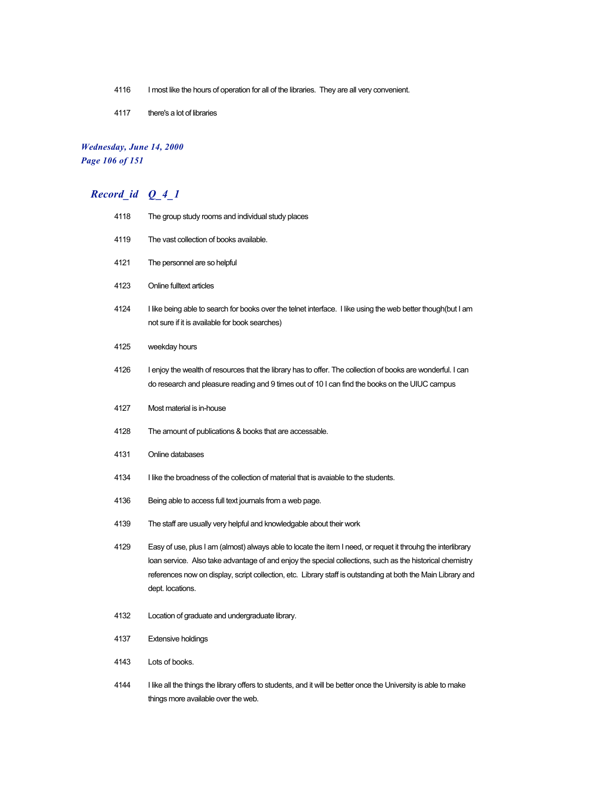- 4116 I most like the hours of operation for all of the libraries. They are all very convenient.
- there's a lot of libraries

#### *Wednesday, June 14, 2000 Page 106 of 151*

# *Record\_id Q\_4\_1*

| 4118 | The group study rooms and individual study places                                                                                                                                                                                                                                                                                                            |
|------|--------------------------------------------------------------------------------------------------------------------------------------------------------------------------------------------------------------------------------------------------------------------------------------------------------------------------------------------------------------|
| 4119 | The vast collection of books available.                                                                                                                                                                                                                                                                                                                      |
| 4121 | The personnel are so helpful                                                                                                                                                                                                                                                                                                                                 |
| 4123 | Online fulltext articles                                                                                                                                                                                                                                                                                                                                     |
| 4124 | I like being able to search for books over the telnet interface. I like using the web better though(but I am<br>not sure if it is available for book searches)                                                                                                                                                                                               |
| 4125 | weekday hours                                                                                                                                                                                                                                                                                                                                                |
| 4126 | I enjoy the wealth of resources that the library has to offer. The collection of books are wonderful. I can<br>do research and pleasure reading and 9 times out of 10 I can find the books on the UIUC campus                                                                                                                                                |
| 4127 | Most material is in-house                                                                                                                                                                                                                                                                                                                                    |
| 4128 | The amount of publications & books that are accessable.                                                                                                                                                                                                                                                                                                      |
| 4131 | Online databases                                                                                                                                                                                                                                                                                                                                             |
| 4134 | I like the broadness of the collection of material that is avaiable to the students.                                                                                                                                                                                                                                                                         |
| 4136 | Being able to access full text journals from a web page.                                                                                                                                                                                                                                                                                                     |
| 4139 | The staff are usually very helpful and knowledgable about their work                                                                                                                                                                                                                                                                                         |
| 4129 | Easy of use, plus I am (almost) always able to locate the item I need, or requet it throuhg the interlibrary<br>loan service. Also take advantage of and enjoy the special collections, such as the historical chemistry<br>references now on display, script collection, etc. Library staff is outstanding at both the Main Library and<br>dept. locations. |
| 4132 | Location of graduate and undergraduate library.                                                                                                                                                                                                                                                                                                              |
| 4137 | <b>Extensive holdings</b>                                                                                                                                                                                                                                                                                                                                    |
| 4143 | Lots of books.                                                                                                                                                                                                                                                                                                                                               |
| 4144 | I like all the things the library offers to students, and it will be better once the University is able to make                                                                                                                                                                                                                                              |

things more available over the web.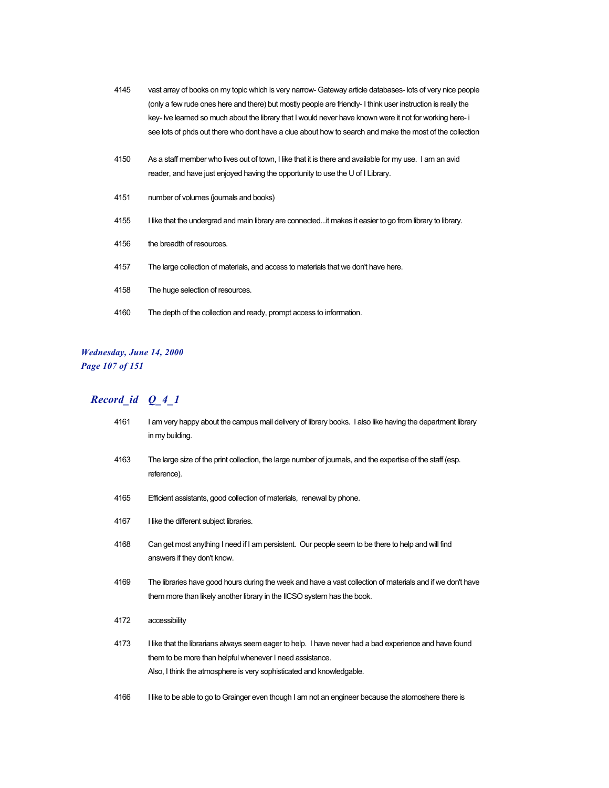- 4145 vast array of books on my topic which is very narrow- Gateway article databases- lots of very nice people (only a few rude ones here and there) but mostly people are friendly- I think user instruction is really the key- Ive learned so much about the library that I would never have known were it not for working here- i see lots of phds out there who dont have a clue about how to search and make the most of the collection
- 4150 As a staff member who lives out of town, I like that it is there and available for my use. I am an avid reader, and have just enjoyed having the opportunity to use the U of I Library.
- 4151 number of volumes (journals and books)
- 4155 I like that the undergrad and main library are connected...it makes it easier to go from library to library.
- 4156 the breadth of resources.
- 4157 The large collection of materials, and access to materials that we don't have here.
- 4158 The huge selection of resources.
- 4160 The depth of the collection and ready, prompt access to information.

#### *Wednesday, June 14, 2000 Page 107 of 151*

| 4161 | I am very happy about the campus mail delivery of library books. I also like having the department library<br>in my building.                                                                                                              |
|------|--------------------------------------------------------------------------------------------------------------------------------------------------------------------------------------------------------------------------------------------|
| 4163 | The large size of the print collection, the large number of journals, and the expertise of the staff (esp.<br>reference).                                                                                                                  |
| 4165 | Efficient assistants, good collection of materials, renewal by phone.                                                                                                                                                                      |
| 4167 | I like the different subject libraries.                                                                                                                                                                                                    |
| 4168 | Can get most anything I need if I am persistent. Our people seem to be there to help and will find<br>answers if they don't know.                                                                                                          |
| 4169 | The libraries have good hours during the week and have a vast collection of materials and if we don't have<br>them more than likely another library in the IICSO system has the book.                                                      |
| 4172 | accessibility                                                                                                                                                                                                                              |
| 4173 | I like that the librarians always seem eager to help. I have never had a bad experience and have found<br>them to be more than helpful whenever I need assistance.<br>Also, I think the atmosphere is very sophisticated and knowledgable. |
| 4166 | I like to be able to go to Grainger even though I am not an engineer because the atomoshere there is                                                                                                                                       |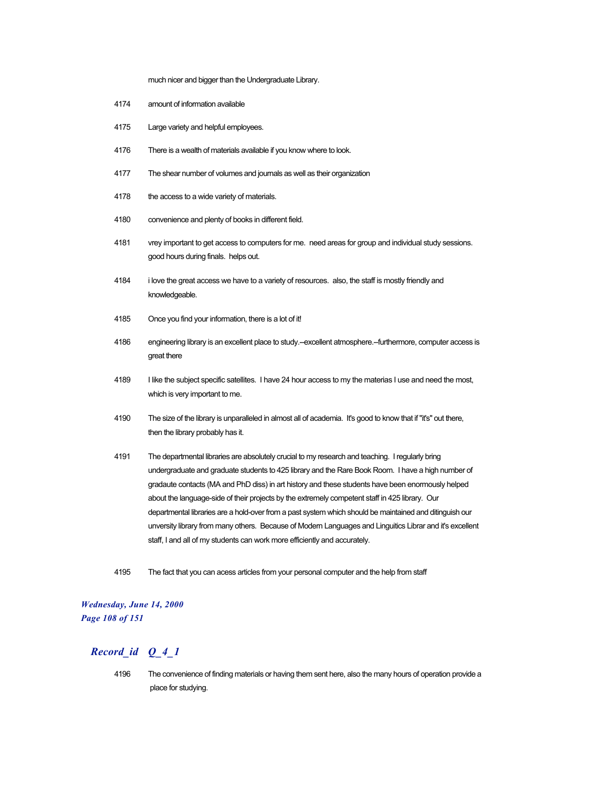much nicer and bigger than the Undergraduate Library.

- 4174 amount of information available
- 4175 Large variety and helpful employees.
- 4176 There is a wealth of materials available if you know where to look.
- 4177 The shear number of volumes and journals as well as their organization
- 4178 the access to a wide variety of materials.
- 4180 convenience and plenty of books in different field.
- 4181 vrey important to get access to computers for me. need areas for group and individual study sessions. good hours during finals. helps out.
- 4184 i love the great access we have to a variety of resources. also, the staff is mostly friendly and knowledgeable.
- 4185 Once you find your information, there is a lot of it!
- 4186 engineering library is an excellent place to study.--excellent atmosphere.--furthermore, computer access is great there
- 4189 I like the subject specific satellites. I have 24 hour access to my the materias I use and need the most, which is very important to me.
- 4190 The size of the library is unparalleled in almost all of academia. It's good to know that if "it's" out there, then the library probably has it.
- 4191 The departmental libraries are absolutely crucial to my research and teaching. I regularly bring undergraduate and graduate students to 425 library and the Rare Book Room. I have a high number of gradaute contacts (MA and PhD diss) in art history and these students have been enormously helped about the language-side of their projects by the extremely competent staff in 425 library. Our departmental libraries are a hold-over from a past system which should be maintained and ditinguish our unversity library from many others. Because of Modern Languages and Linguitics Librar and it's excellent staff, I and all of my students can work more efficiently and accurately.
- 4195 The fact that you can acess articles from your personal computer and the help from staff

#### *Wednesday, June 14, 2000 Page 108 of 151*

### *Record\_id Q\_4\_1*

4196 The convenience of finding materials or having them sent here, also the many hours of operation provide a place for studying.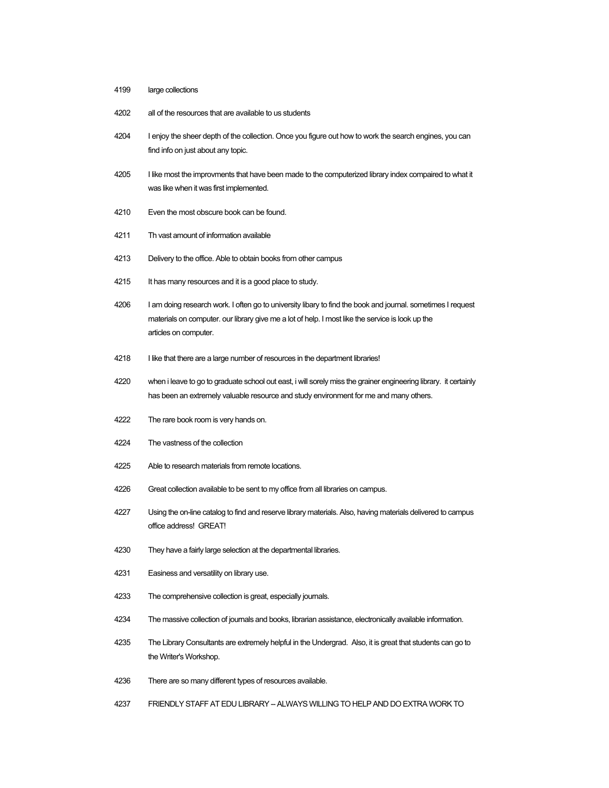- large collections
- all of the resources that are available to us students
- I enjoy the sheer depth of the collection. Once you figure out how to work the search engines, you can find info on just about any topic.
- 4205 I like most the improvments that have been made to the computerized library index compaired to what it was like when it was first implemented.
- Even the most obscure book can be found.
- Th vast amount of information available
- Delivery to the office. Able to obtain books from other campus
- It has many resources and it is a good place to study.
- 4206 I am doing research work. I often go to university libary to find the book and journal. sometimes I request materials on computer. our library give me a lot of help. I most like the service is look up the articles on computer.
- 4218 I like that there are a large number of resources in the department libraries!
- when i leave to go to graduate school out east, i will sorely miss the grainer engineering library. it certainly has been an extremely valuable resource and study environment for me and many others.
- The rare book room is very hands on.
- The vastness of the collection
- Able to research materials from remote locations.
- Great collection available to be sent to my office from all libraries on campus.
- Using the on-line catalog to find and reserve library materials. Also, having materials delivered to campus office address! GREAT!
- They have a fairly large selection at the departmental libraries.
- Easiness and versatility on library use.
- The comprehensive collection is great, especially journals.
- The massive collection of journals and books, librarian assistance, electronically available information.
- The Library Consultants are extremely helpful in the Undergrad. Also, it is great that students can go to the Writer's Workshop.
- There are so many different types of resources available.
- FRIENDLY STAFF AT EDU LIBRARY -- ALWAYS WILLING TO HELP AND DO EXTRA WORK TO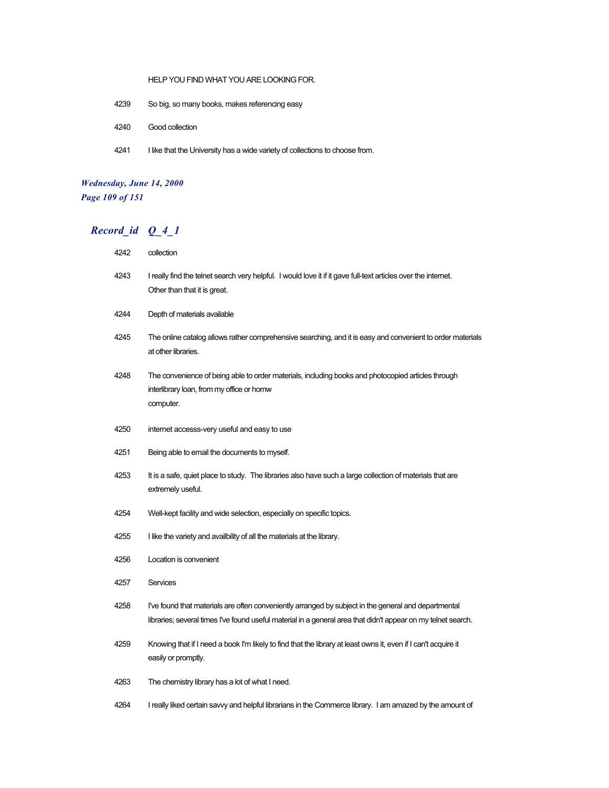#### HELP YOU FIND WHAT YOU ARE LOOKING FOR.

- 4239 So big, so many books, makes referencing easy
- 4240 Good collection
- 4241 I like that the University has a wide variety of collections to choose from.

# *Wednesday, June 14, 2000 Page 109 of 151*

| 4242 | collection                                                                                                                                                                                                            |
|------|-----------------------------------------------------------------------------------------------------------------------------------------------------------------------------------------------------------------------|
| 4243 | I really find the telnet search very helpful. I would love it if it gave full-text articles over the internet.<br>Other than that it is great.                                                                        |
| 4244 | Depth of materials available                                                                                                                                                                                          |
| 4245 | The online catalog allows rather comprehensive searching, and it is easy and convenient to order materials<br>at other libraries.                                                                                     |
| 4248 | The convenience of being able to order materials, including books and photocopied articles through<br>interlibrary loan, from my office or homw<br>computer.                                                          |
| 4250 | internet accesss-very useful and easy to use                                                                                                                                                                          |
| 4251 | Being able to email the documents to myself.                                                                                                                                                                          |
| 4253 | It is a safe, quiet place to study. The libraries also have such a large collection of materials that are<br>extremely useful.                                                                                        |
| 4254 | Well-kept facility and wide selection, especially on specific topics.                                                                                                                                                 |
| 4255 | I like the variety and availbility of all the materials at the library.                                                                                                                                               |
| 4256 | Location is convenient                                                                                                                                                                                                |
| 4257 | Services                                                                                                                                                                                                              |
| 4258 | I've found that materials are often conveniently arranged by subject in the general and departmental<br>libraries; several times I've found useful material in a general area that didn't appear on my telnet search. |
| 4259 | Knowing that if I need a book I'm likely to find that the library at least owns it, even if I can't acquire it<br>easily or promptly.                                                                                 |
| 4263 | The chemistry library has a lot of what I need.                                                                                                                                                                       |
| 4264 | I really liked certain savvy and helpful librarians in the Commerce library. I am amazed by the amount of                                                                                                             |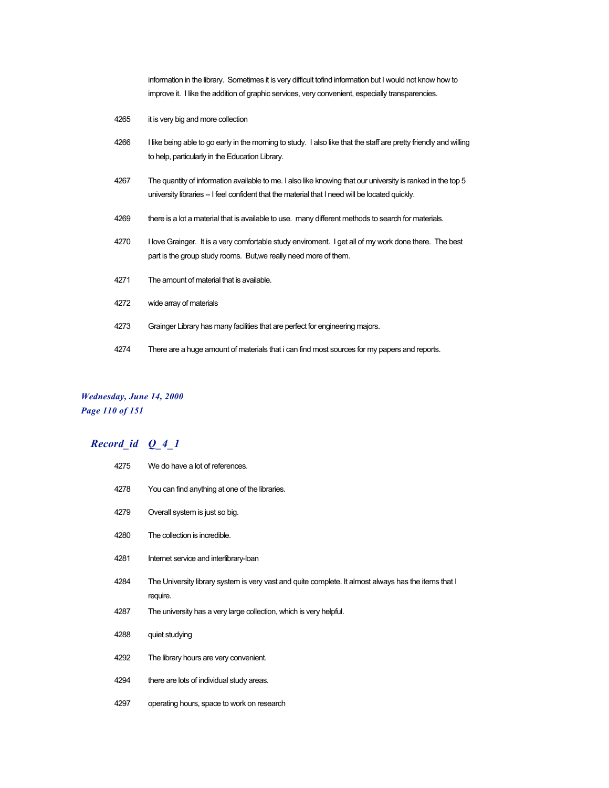information in the library. Sometimes it is very difficult tofind information but I would not know how to improve it. I like the addition of graphic services, very convenient, especially transparencies.

- it is very big and more collection
- 4266 I like being able to go early in the morning to study. I also like that the staff are pretty friendly and willing to help, particularly in the Education Library.
- The quantity of information available to me. I also like knowing that our university is ranked in the top 5 university libraries -- I feel confident that the material that I need will be located quickly.
- 4269 there is a lot a material that is available to use. many different methods to search for materials.
- I love Grainger. It is a very comfortable study enviroment. I get all of my work done there. The best part is the group study rooms. But,we really need more of them.
- The amount of material that is available.
- wide array of materials
- Grainger Library has many facilities that are perfect for engineering majors.
- There are a huge amount of materials that i can find most sources for my papers and reports.

### *Wednesday, June 14, 2000 Page 110 of 151*

| 4275 | We do have a lot of references.                                                                                  |
|------|------------------------------------------------------------------------------------------------------------------|
| 4278 | You can find anything at one of the libraries.                                                                   |
| 4279 | Overall system is just so big.                                                                                   |
| 4280 | The collection is incredible.                                                                                    |
| 4281 | Internet service and interlibrary-loan                                                                           |
| 4284 | The University library system is very vast and quite complete. It almost always has the items that I<br>require. |
| 4287 | The university has a very large collection, which is very helpful.                                               |
| 4288 | quiet studying                                                                                                   |
| 4292 | The library hours are very convenient.                                                                           |
| 4294 | there are lots of individual study areas.                                                                        |
| 4297 | operating hours, space to work on research                                                                       |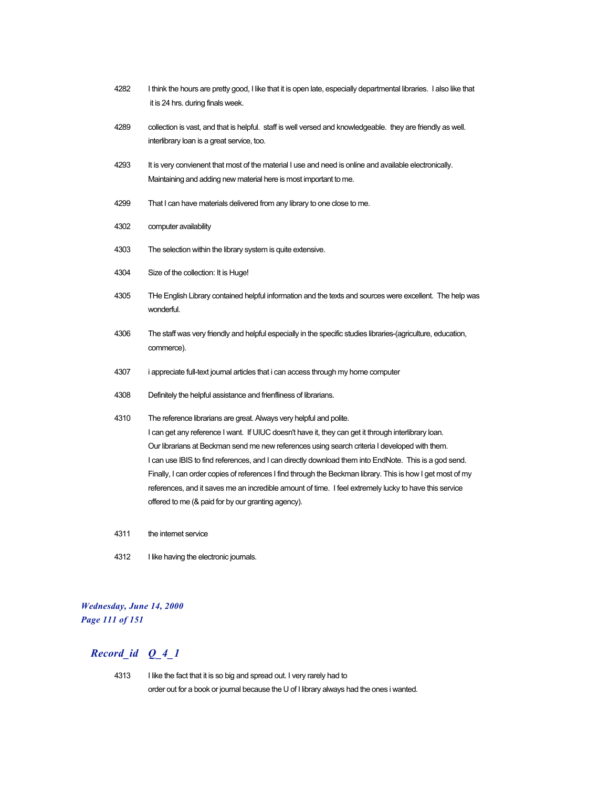- 4282 I think the hours are pretty good, I like that it is open late, especially departmental libraries. I also like that it is 24 hrs. during finals week.
- 4289 collection is vast, and that is helpful. staff is well versed and knowledgeable. they are friendly as well. interlibrary loan is a great service, too.
- 4293 It is very convienent that most of the material I use and need is online and available electronically. Maintaining and adding new material here is most important to me.
- 4299 That I can have materials delivered from any library to one close to me.
- 4302 computer availability
- 4303 The selection within the library system is quite extensive.
- 4304 Size of the collection: It is Huge!
- 4305 THe English Library contained helpful information and the texts and sources were excellent. The help was wonderful.
- 4306 The staff was very friendly and helpful especially in the specific studies libraries-(agriculture, education, commerce).
- 4307 i appreciate full-text journal articles that i can access through my home computer
- 4308 Definitely the helpful assistance and frienfliness of librarians.
- 4310 The reference librarians are great. Always very helpful and polite. I can get any reference I want. If UIUC doesn't have it, they can get it through interlibrary loan. Our librarians at Beckman send me new references using search criteria I developed with them. I can use IBIS to find references, and I can directly download them into EndNote. This is a god send. Finally, I can order copies of references I find through the Beckman library. This is how I get most of my references, and it saves me an incredible amount of time. I feel extremely lucky to have this service offered to me (& paid for by our granting agency).
- 4311 the internet service
- 4312 I like having the electronic journals.

### *Wednesday, June 14, 2000 Page 111 of 151*

## *Record\_id Q\_4\_1*

4313 I like the fact that it is so big and spread out. I very rarely had to order out for a book or journal because the U of I library always had the ones i wanted.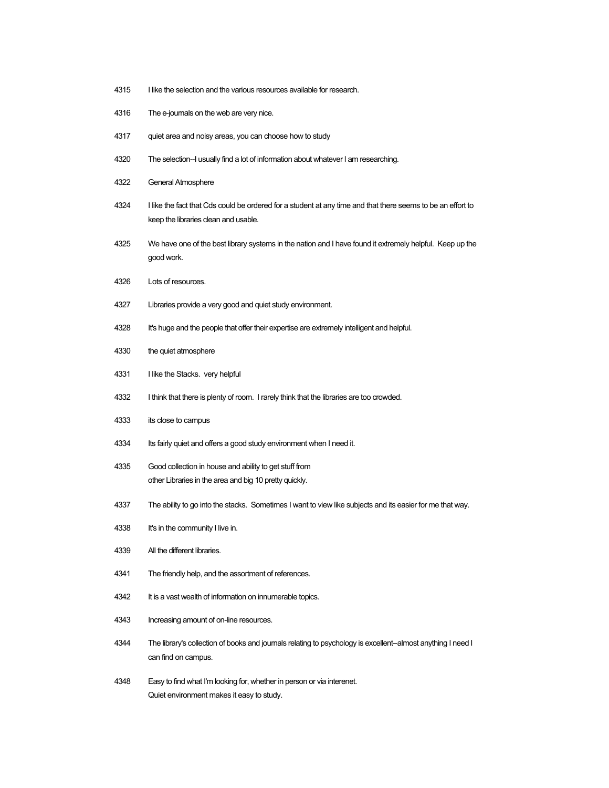- 4315 I like the selection and the various resources available for research.
- The e-journals on the web are very nice.
- quiet area and noisy areas, you can choose how to study
- The selection--I usually find a lot of information about whatever I am researching.
- General Atmosphere
- I like the fact that Cds could be ordered for a student at any time and that there seems to be an effort to keep the libraries clean and usable.
- We have one of the best library systems in the nation and I have found it extremely helpful. Keep up the good work.
- Lots of resources.
- Libraries provide a very good and quiet study environment.
- It's huge and the people that offer their expertise are extremely intelligent and helpful.
- the quiet atmosphere
- 4331 I like the Stacks. very helpful
- I think that there is plenty of room. I rarely think that the libraries are too crowded.
- its close to campus
- 4334 Its fairly quiet and offers a good study environment when I need it.
- Good collection in house and ability to get stuff from other Libraries in the area and big 10 pretty quickly.
- The ability to go into the stacks. Sometimes I want to view like subjects and its easier for me that way.
- 4338 It's in the community I live in.
- All the different libraries.
- The friendly help, and the assortment of references.
- 4342 It is a vast wealth of information on innumerable topics.
- Increasing amount of on-line resources.
- The library's collection of books and journals relating to psychology is excellent--almost anything I need I can find on campus.
- Easy to find what I'm looking for, whether in person or via interenet. Quiet environment makes it easy to study.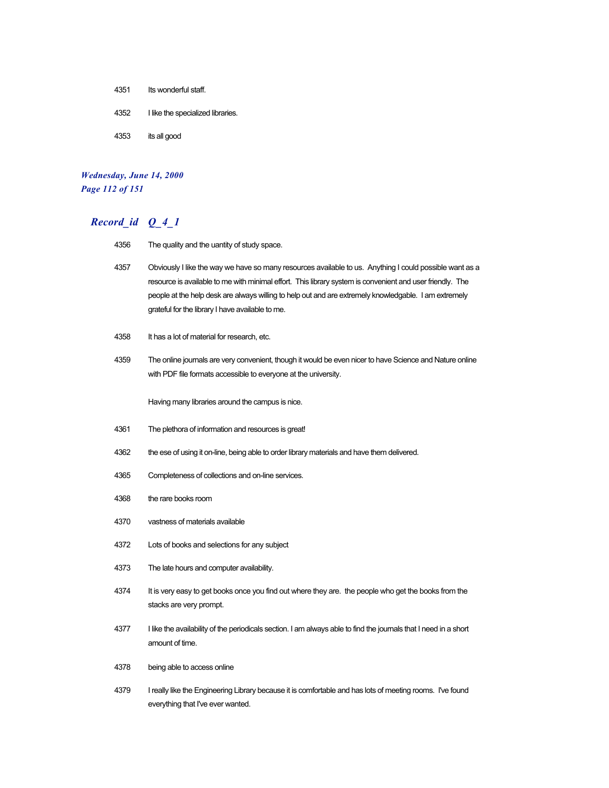- 4351 Its wonderful staff.
- 4352 I like the specialized libraries.
- 4353 its all good

#### *Wednesday, June 14, 2000 Page 112 of 151*

### *Record\_id Q\_4\_1*

- 4356 The quality and the uantity of study space.
- 4357 Obviously I like the way we have so many resources available to us. Anything I could possible want as a resource is available to me with minimal effort. This library system is convenient and user friendly. The people at the help desk are always willing to help out and are extremely knowledgable. I am extremely grateful for the library I have available to me.
- 4358 It has a lot of material for research, etc.
- 4359 The online journals are very convenient, though it would be even nicer to have Science and Nature online with PDF file formats accessible to everyone at the university.

Having many libraries around the campus is nice.

- 4361 The plethora of information and resources is great!
- 4362 the ese of using it on-line, being able to order library materials and have them delivered.
- 4365 Completeness of collections and on-line services.
- 4368 the rare books room
- 4370 vastness of materials available
- 4372 Lots of books and selections for any subject
- 4373 The late hours and computer availability.
- 4374 It is very easy to get books once you find out where they are. the people who get the books from the stacks are very prompt.
- 4377 I like the availability of the periodicals section. I am always able to find the journals that I need in a short amount of time.
- 4378 being able to access online
- 4379 I really like the Engineering Library because it is comfortable and has lots of meeting rooms. I've found everything that I've ever wanted.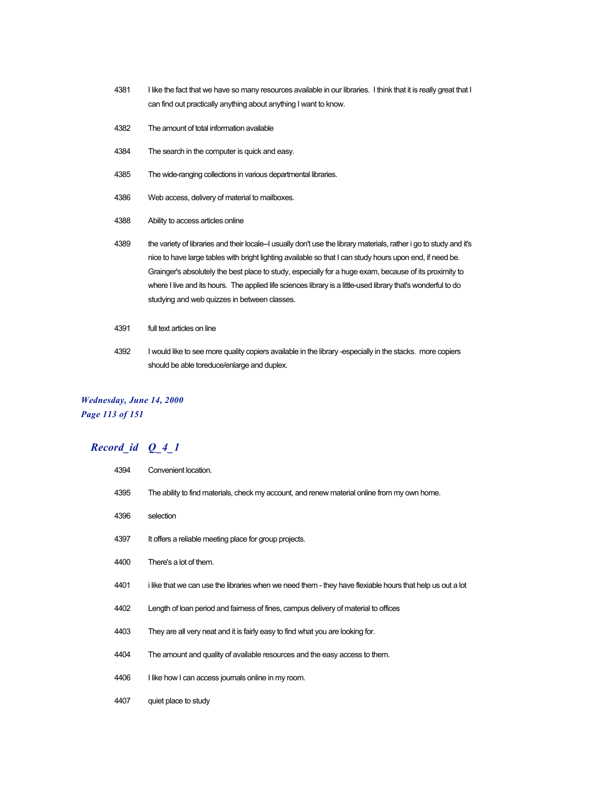- 4381 I like the fact that we have so many resources available in our libraries. I think that it is really great that I can find out practically anything about anything I want to know.
- 4382 The amount of total information available
- 4384 The search in the computer is quick and easy.
- 4385 The wide-ranging collections in various departmental libraries.
- 4386 Web access, delivery of material to mailboxes.
- 4388 Ability to access articles online
- 4389 the variety of libraries and their locale-I usually don't use the library materials, rather i go to study and it's nice to have large tables with bright lighting available so that I can study hours upon end, if need be. Grainger's absolutely the best place to study, especially for a huge exam, because of its proximity to where I live and its hours. The applied life sciences library is a little-used library that's wonderful to do studying and web quizzes in between classes.
- 4391 full text articles on line
- 4392 I would like to see more quality copiers available in the library -especially in the stacks. more copiers should be able toreduce/enlarge and duplex.

### *Wednesday, June 14, 2000 Page 113 of 151*

| 4394 | Convenient location.                                                                                      |
|------|-----------------------------------------------------------------------------------------------------------|
| 4395 | The ability to find materials, check my account, and renew material online from my own home.              |
| 4396 | selection                                                                                                 |
| 4397 | It offers a reliable meeting place for group projects.                                                    |
| 4400 | There's a lot of them.                                                                                    |
| 4401 | i like that we can use the libraries when we need them - they have flexiable hours that help us out a lot |
| 4402 | Length of loan period and fairness of fines, campus delivery of material to offices                       |
| 4403 | They are all very neat and it is fairly easy to find what you are looking for.                            |
| 4404 | The amount and quality of available resources and the easy access to them.                                |
| 4406 | I like how I can access journals online in my room.                                                       |
| 4407 | quiet place to study                                                                                      |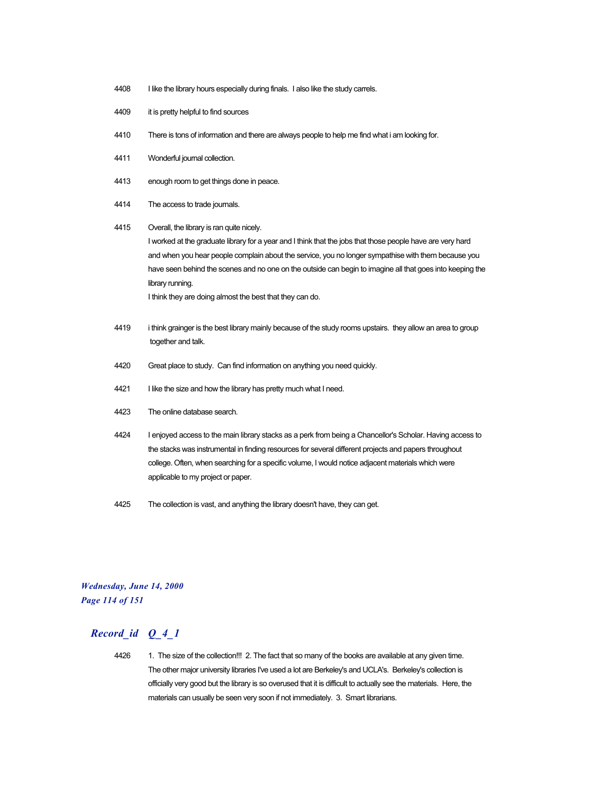- 4408 I like the library hours especially during finals. I also like the study carrels.
- 4409 it is pretty helpful to find sources
- 4410 There is tons of information and there are always people to help me find what i am looking for.
- 4411 Wonderful journal collection.
- 4413 enough room to get things done in peace.
- 4414 The access to trade journals.
- 4415 Overall, the library is ran quite nicely. I worked at the graduate library for a year and I think that the jobs that those people have are very hard and when you hear people complain about the service, you no longer sympathise with them because you have seen behind the scenes and no one on the outside can begin to imagine all that goes into keeping the library running. I think they are doing almost the best that they can do.
- 4419 i think grainger is the best library mainly because of the study rooms upstairs. they allow an area to group together and talk.
- 4420 Great place to study. Can find information on anything you need quickly.
- 4421 I like the size and how the library has pretty much what I need.
- 4423 The online database search.
- 4424 I enjoyed access to the main library stacks as a perk from being a Chancellor's Scholar. Having access to the stacks was instrumental in finding resources for several different projects and papers throughout college. Often, when searching for a specific volume, I would notice adjacent materials which were applicable to my project or paper.
- 4425 The collection is vast, and anything the library doesn't have, they can get.

*Wednesday, June 14, 2000 Page 114 of 151*

### *Record\_id Q\_4\_1*

4426 1. The size of the collection!!! 2. The fact that so many of the books are available at any given time. The other major university libraries I've used a lot are Berkeley's and UCLA's. Berkeley's collection is officially very good but the library is so overused that it is difficult to actually see the materials. Here, the materials can usually be seen very soon if not immediately. 3. Smart librarians.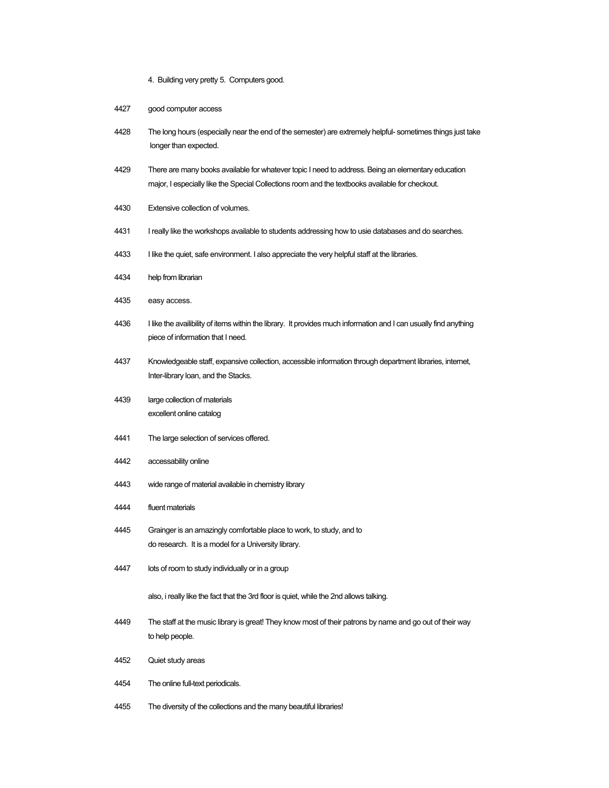- 4. Building very pretty 5. Computers good.
- good computer access
- The long hours (especially near the end of the semester) are extremely helpful- sometimes things just take longer than expected.
- There are many books available for whatever topic I need to address. Being an elementary education major, I especially like the Special Collections room and the textbooks available for checkout.
- Extensive collection of volumes.
- I really like the workshops available to students addressing how to usie databases and do searches.
- I like the quiet, safe environment. I also appreciate the very helpful staff at the libraries.
- help from librarian
- easy access.
- I like the availibility of items within the library. It provides much information and I can usually find anything piece of information that I need.
- Knowledgeable staff, expansive collection, accessible information through department libraries, internet, Inter-library loan, and the Stacks.
- large collection of materials excellent online catalog
- The large selection of services offered.
- accessability online
- wide range of material available in chemistry library
- fluent materials
- Grainger is an amazingly comfortable place to work, to study, and to do research. It is a model for a University library.
- lots of room to study individually or in a group

also, i really like the fact that the 3rd floor is quiet, while the 2nd allows talking.

- The staff at the music library is great! They know most of their patrons by name and go out of their way to help people.
- Quiet study areas
- The online full-text periodicals.
- The diversity of the collections and the many beautiful libraries!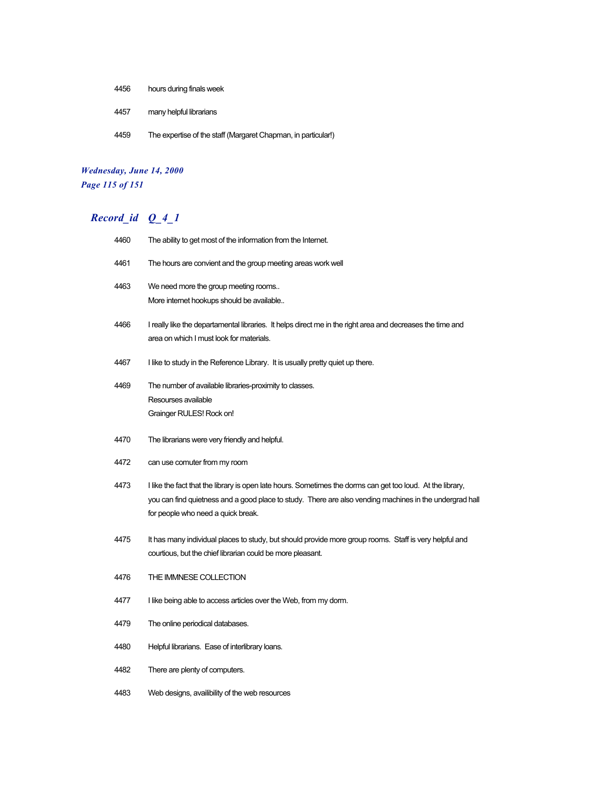- 4456 hours during finals week
- 4457 many helpful librarians
- 4459 The expertise of the staff (Margaret Chapman, in particular!)

# *Wednesday, June 14, 2000 Page 115 of 151*

| 4460 | The ability to get most of the information from the Internet.                                                                                                                                                                                               |
|------|-------------------------------------------------------------------------------------------------------------------------------------------------------------------------------------------------------------------------------------------------------------|
| 4461 | The hours are convient and the group meeting areas work well                                                                                                                                                                                                |
| 4463 | We need more the group meeting rooms<br>More internet hookups should be available                                                                                                                                                                           |
| 4466 | I really like the departamental libraries. It helps direct me in the right area and decreases the time and<br>area on which I must look for materials.                                                                                                      |
| 4467 | I like to study in the Reference Library. It is usually pretty quiet up there.                                                                                                                                                                              |
| 4469 | The number of available libraries-proximity to classes.<br>Resourses available<br>Grainger RULES! Rock on!                                                                                                                                                  |
| 4470 | The librarians were very friendly and helpful.                                                                                                                                                                                                              |
| 4472 | can use comuter from my room                                                                                                                                                                                                                                |
| 4473 | I like the fact that the library is open late hours. Sometimes the dorms can get too loud. At the library,<br>you can find quietness and a good place to study. There are also vending machines in the undergrad hall<br>for people who need a quick break. |
| 4475 | It has many individual places to study, but should provide more group rooms. Staff is very helpful and<br>courtious, but the chief librarian could be more pleasant.                                                                                        |
| 4476 | THE IMMNESE COLLECTION                                                                                                                                                                                                                                      |
| 4477 | I like being able to access articles over the Web, from my dorm.                                                                                                                                                                                            |
| 4479 | The online periodical databases.                                                                                                                                                                                                                            |
| 4480 | Helpful librarians. Ease of interlibrary loans.                                                                                                                                                                                                             |
| 4482 | There are plenty of computers.                                                                                                                                                                                                                              |
| 4483 | Web designs, availibility of the web resources                                                                                                                                                                                                              |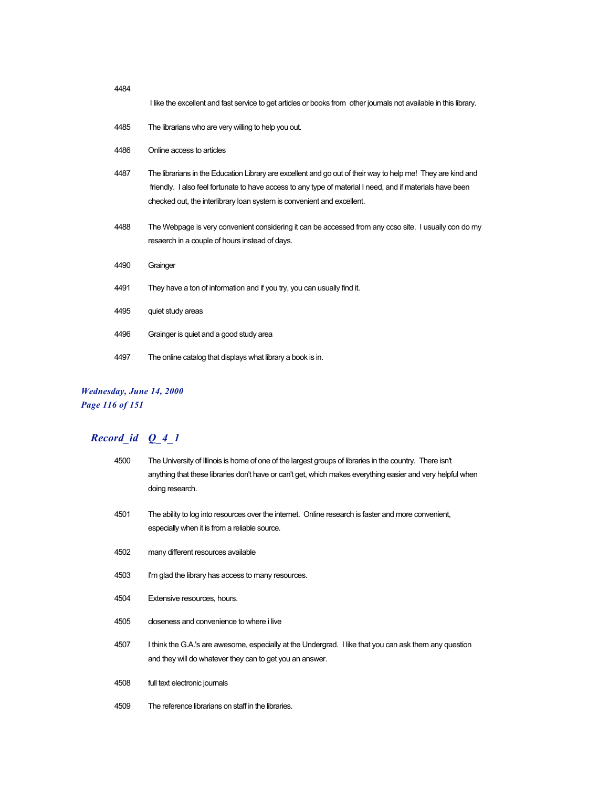| 4484 |                                                                                                                                                                                                                                                                                                    |
|------|----------------------------------------------------------------------------------------------------------------------------------------------------------------------------------------------------------------------------------------------------------------------------------------------------|
|      | I like the excellent and fast service to get articles or books from other journals not available in this library.                                                                                                                                                                                  |
| 4485 | The librarians who are very willing to help you out.                                                                                                                                                                                                                                               |
| 4486 | Online access to articles                                                                                                                                                                                                                                                                          |
| 4487 | The librarians in the Education Library are excellent and go out of their way to help me! They are kind and<br>friendly. I also feel fortunate to have access to any type of material I need, and if materials have been<br>checked out, the interlibrary loan system is convenient and excellent. |
| 4488 | The Webpage is very convenient considering it can be accessed from any ccso site. I usually con do my<br>resaerch in a couple of hours instead of days.                                                                                                                                            |
| 4490 | Grainger                                                                                                                                                                                                                                                                                           |
| 4491 | They have a ton of information and if you try, you can usually find it.                                                                                                                                                                                                                            |
| 4495 | quiet study areas                                                                                                                                                                                                                                                                                  |
| 4496 | Grainger is quiet and a good study area                                                                                                                                                                                                                                                            |
| 4497 | The online catalog that displays what library a book is in.                                                                                                                                                                                                                                        |

### *Wednesday, June 14, 2000*

*Page 116 of 151*

| 4500 | The University of Illinois is home of one of the largest groups of libraries in the country. There isn't<br>anything that these libraries don't have or can't get, which makes everything easier and very helpful when<br>doing research. |
|------|-------------------------------------------------------------------------------------------------------------------------------------------------------------------------------------------------------------------------------------------|
| 4501 | The ability to log into resources over the internet. Online research is faster and more convenient,<br>especially when it is from a reliable source.                                                                                      |
| 4502 | many different resources available                                                                                                                                                                                                        |
| 4503 | I'm glad the library has access to many resources.                                                                                                                                                                                        |
| 4504 | Extensive resources, hours.                                                                                                                                                                                                               |
| 4505 | closeness and convenience to where i live                                                                                                                                                                                                 |
| 4507 | I think the G.A.'s are awesome, especially at the Undergrad. I like that you can ask them any question<br>and they will do whatever they can to get you an answer.                                                                        |
| 4508 | full text electronic journals                                                                                                                                                                                                             |
| 4509 | The reference librarians on staff in the libraries.                                                                                                                                                                                       |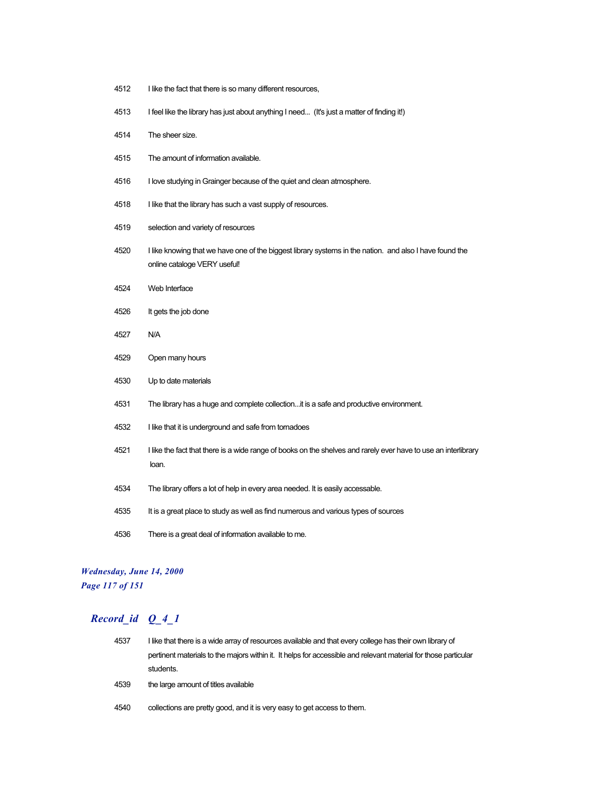- I like the fact that there is so many different resources,
- I feel like the library has just about anything I need... (It's just a matter of finding it!)
- The sheer size.
- The amount of information available.
- I love studying in Grainger because of the quiet and clean atmosphere.
- 4518 I like that the library has such a vast supply of resources.
- selection and variety of resources
- I like knowing that we have one of the biggest library systems in the nation. and also I have found the online cataloge VERY useful!
- Web Interface
- It gets the job done
- N/A
- Open many hours
- Up to date materials
- The library has a huge and complete collection...it is a safe and productive environment.
- I like that it is underground and safe from tornadoes
- I like the fact that there is a wide range of books on the shelves and rarely ever have to use an interlibrary loan.
- The library offers a lot of help in every area needed. It is easily accessable.
- It is a great place to study as well as find numerous and various types of sources
- There is a great deal of information available to me.

### *Wednesday, June 14, 2000 Page 117 of 151*

| 4537 | I like that there is a wide array of resources available and that every college has their own library of        |
|------|-----------------------------------------------------------------------------------------------------------------|
|      | pertinent materials to the majors within it. It helps for accessible and relevant material for those particular |
|      | students.                                                                                                       |
| 4539 | the large amount of titles available                                                                            |
| 4540 | collections are pretty good, and it is very easy to get access to them.                                         |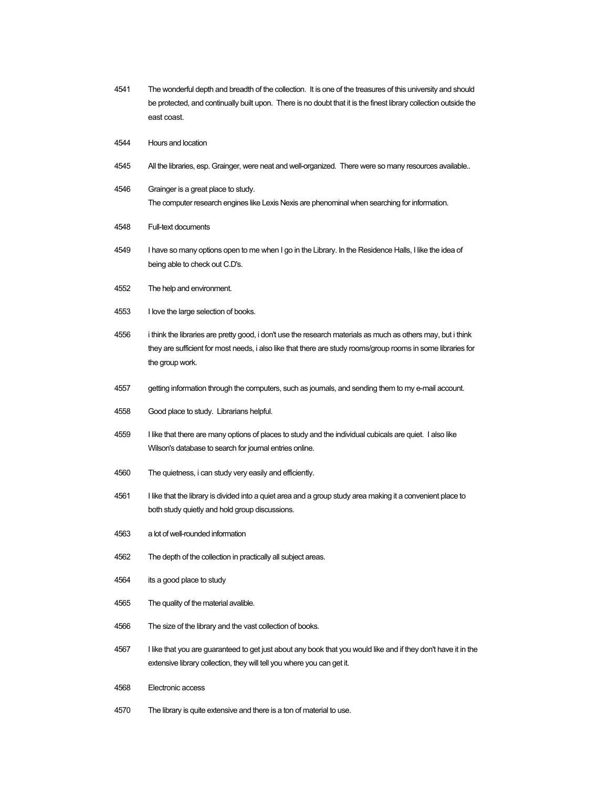- The wonderful depth and breadth of the collection. It is one of the treasures of this university and should be protected, and continually built upon. There is no doubt that it is the finest library collection outside the east coast.
- Hours and location
- All the libraries, esp. Grainger, were neat and well-organized. There were so many resources available..
- Grainger is a great place to study. The computer research engines like Lexis Nexis are phenominal when searching for information.
- Full-text documents
- I have so many options open to me when I go in the Library. In the Residence Halls, I like the idea of being able to check out C.D's.
- The help and environment.
- I love the large selection of books.
- i think the libraries are pretty good, i don't use the research materials as much as others may, but i think they are sufficient for most needs, i also like that there are study rooms/group rooms in some libraries for the group work.
- getting information through the computers, such as journals, and sending them to my e-mail account.
- Good place to study. Librarians helpful.
- I like that there are many options of places to study and the individual cubicals are quiet. I also like Wilson's database to search for journal entries online.
- The quietness, i can study very easily and efficiently.
- I like that the library is divided into a quiet area and a group study area making it a convenient place to both study quietly and hold group discussions.
- a lot of well-rounded information
- The depth of the collection in practically all subject areas.
- its a good place to study
- The quality of the material avalible.
- The size of the library and the vast collection of books.
- I like that you are guaranteed to get just about any book that you would like and if they don't have it in the extensive library collection, they will tell you where you can get it.
- Electronic access
- The library is quite extensive and there is a ton of material to use.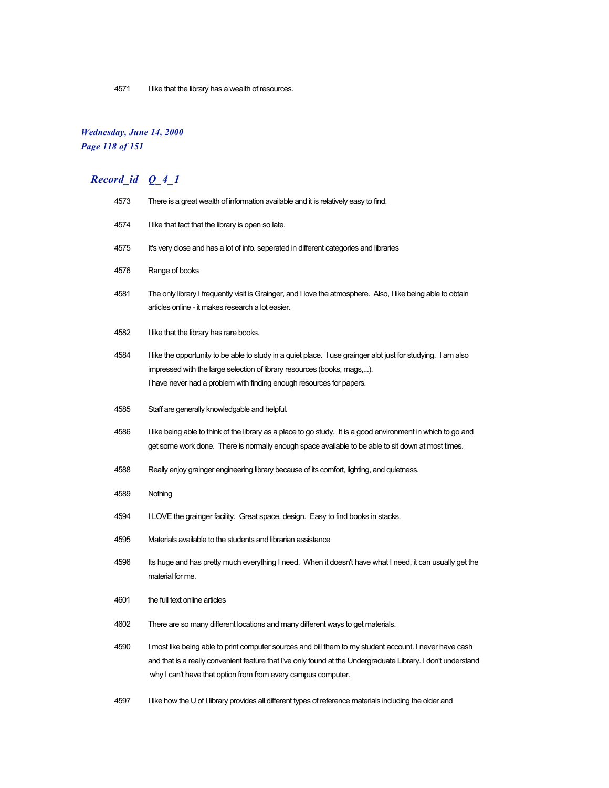4571 I like that the library has a wealth of resources.

### *Wednesday, June 14, 2000 Page 118 of 151*

# *Record\_id Q\_4\_1*

| 4573 | There is a great wealth of information available and it is relatively easy to find.                                                                                                                                                                                                       |
|------|-------------------------------------------------------------------------------------------------------------------------------------------------------------------------------------------------------------------------------------------------------------------------------------------|
| 4574 | I like that fact that the library is open so late.                                                                                                                                                                                                                                        |
| 4575 | It's very close and has a lot of info. seperated in different categories and libraries                                                                                                                                                                                                    |
| 4576 | Range of books                                                                                                                                                                                                                                                                            |
| 4581 | The only library I frequently visit is Grainger, and I love the atmosphere. Also, I like being able to obtain<br>articles online - it makes research a lot easier.                                                                                                                        |
| 4582 | I like that the library has rare books.                                                                                                                                                                                                                                                   |
| 4584 | I like the opportunity to be able to study in a quiet place. I use grainger alot just for studying. I am also<br>impressed with the large selection of library resources (books, mags,).<br>I have never had a problem with finding enough resources for papers.                          |
| 4585 | Staff are generally knowledgable and helpful.                                                                                                                                                                                                                                             |
| 4586 | I like being able to think of the library as a place to go study. It is a good environment in which to go and<br>get some work done. There is normally enough space available to be able to sit down at most times.                                                                       |
| 4588 | Really enjoy grainger engineering library because of its comfort, lighting, and quietness.                                                                                                                                                                                                |
| 4589 | Nothing                                                                                                                                                                                                                                                                                   |
| 4594 | I LOVE the grainger facility. Great space, design. Easy to find books in stacks.                                                                                                                                                                                                          |
| 4595 | Materials available to the students and librarian assistance                                                                                                                                                                                                                              |
| 4596 | Its huge and has pretty much everything I need. When it doesn't have what I need, it can usually get the<br>material for me.                                                                                                                                                              |
| 4601 | the full text online articles                                                                                                                                                                                                                                                             |
| 4602 | There are so many different locations and many different ways to get materials.                                                                                                                                                                                                           |
| 4590 | I most like being able to print computer sources and bill them to my student account. I never have cash<br>and that is a really convenient feature that I've only found at the Undergraduate Library. I don't understand<br>why I can't have that option from from every campus computer. |

4597 I like how the U of I library provides all different types of reference materials including the older and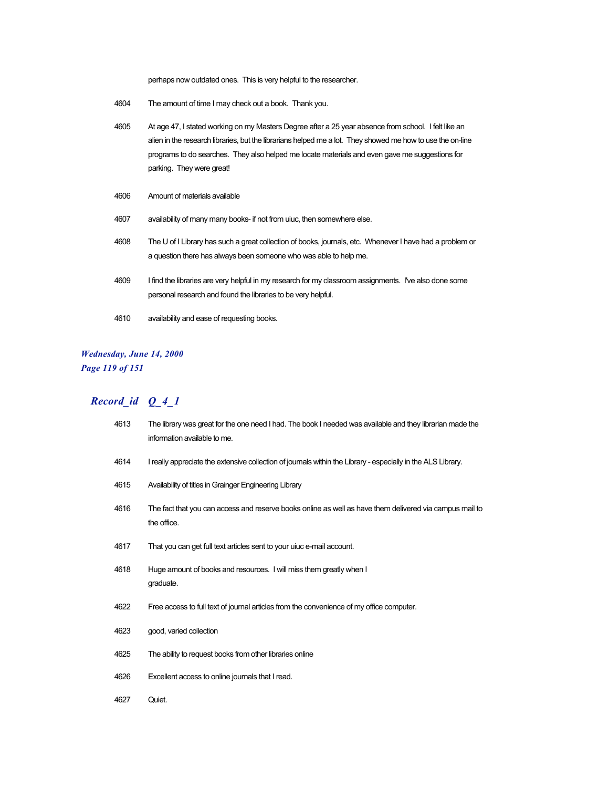perhaps now outdated ones. This is very helpful to the researcher.

- 4604 The amount of time I may check out a book. Thank you.
- 4605 At age 47, I stated working on my Masters Degree after a 25 year absence from school. I felt like an alien in the research libraries, but the librarians helped me a lot. They showed me how to use the on-line programs to do searches. They also helped me locate materials and even gave me suggestions for parking. They were great!
- 4606 Amount of materials available
- 4607 availability of many many books- if not from uiuc, then somewhere else.
- 4608 The U of I Library has such a great collection of books, journals, etc. Whenever I have had a problem or a question there has always been someone who was able to help me.
- 4609 I find the libraries are very helpful in my research for my classroom assignments. I've also done some personal research and found the libraries to be very helpful.
- 4610 availability and ease of requesting books.

### *Wednesday, June 14, 2000 Page 119 of 151*

| 4613 | The library was great for the one need I had. The book I needed was available and they librarian made the<br>information available to me. |
|------|-------------------------------------------------------------------------------------------------------------------------------------------|
| 4614 | I really appreciate the extensive collection of journals within the Library - especially in the ALS Library.                              |
| 4615 | Availability of titles in Grainger Engineering Library                                                                                    |
| 4616 | The fact that you can access and reserve books online as well as have them delivered via campus mail to<br>the office.                    |
| 4617 | That you can get full text articles sent to your uiuc e-mail account.                                                                     |
| 4618 | Huge amount of books and resources. I will miss them greatly when I<br>graduate.                                                          |
| 4622 | Free access to full text of journal articles from the convenience of my office computer.                                                  |
| 4623 | good, varied collection                                                                                                                   |
| 4625 | The ability to request books from other libraries online                                                                                  |
| 4626 | Excellent access to online journals that I read.                                                                                          |
| 4627 | Quiet.                                                                                                                                    |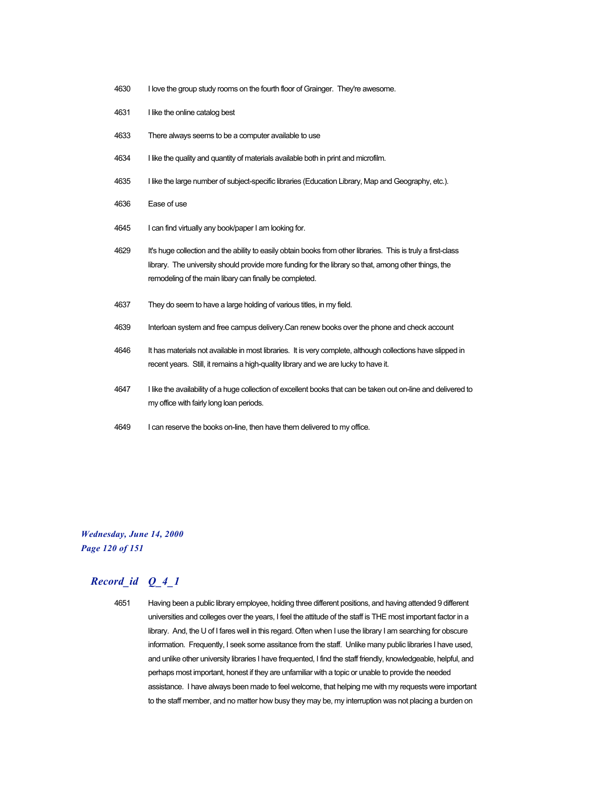- 4630 I love the group study rooms on the fourth floor of Grainger. They're awesome.
- 4631 I like the online catalog best
- 4633 There always seems to be a computer available to use
- 4634 I like the quality and quantity of materials available both in print and microfilm.
- 4635 I like the large number of subject-specific libraries (Education Library, Map and Geography, etc.).
- 4636 Ease of use
- 4645 I can find virtually any book/paper I am looking for.
- 4629 It's huge collection and the ability to easily obtain books from other libraries. This is truly a first-class library. The university should provide more funding for the library so that, among other things, the remodeling of the main libary can finally be completed.
- 4637 They do seem to have a large holding of various titles, in my field.
- 4639 Interloan system and free campus delivery.Can renew books over the phone and check account
- 4646 It has materials not available in most libraries. It is very complete, although collections have slipped in recent years. Still, it remains a high-quality library and we are lucky to have it.
- 4647 I like the availability of a huge collection of excellent books that can be taken out on-line and delivered to my office with fairly long loan periods.
- 4649 I can reserve the books on-line, then have them delivered to my office.

### *Wednesday, June 14, 2000 Page 120 of 151*

### *Record\_id Q\_4\_1*

4651 Having been a public library employee, holding three different positions, and having attended 9 different universities and colleges over the years, I feel the attitude of the staff is THE most important factor in a library. And, the U of I fares well in this regard. Often when I use the library I am searching for obscure information. Frequently, I seek some assitance from the staff. Unlike many public libraries I have used, and unlike other university libraries I have frequented, I find the staff friendly, knowledgeable, helpful, and perhaps most important, honest if they are unfamiliar with a topic or unable to provide the needed assistance. I have always been made to feel welcome, that helping me with my requests were important to the staff member, and no matter how busy they may be, my interruption was not placing a burden on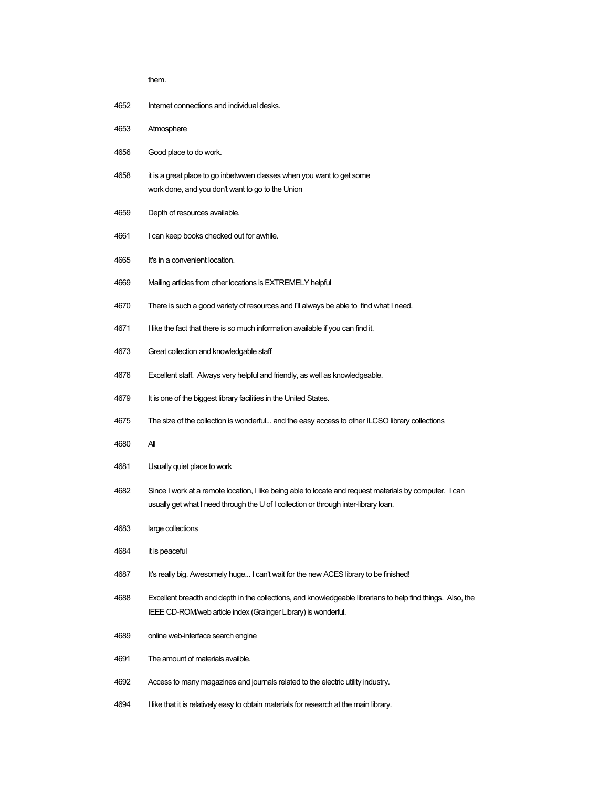| ٧<br>×<br>۰.<br>M. |  |
|--------------------|--|

- Internet connections and individual desks.
- Atmosphere
- Good place to do work.
- it is a great place to go inbetwwen classes when you want to get some work done, and you don't want to go to the Union
- Depth of resources available.
- I can keep books checked out for awhile.
- It's in a convenient location.
- Mailing articles from other locations is EXTREMELY helpful
- There is such a good variety of resources and I'll always be able to find what I need.
- I like the fact that there is so much information available if you can find it.
- Great collection and knowledgable staff
- Excellent staff. Always very helpful and friendly, as well as knowledgeable.
- 4679 It is one of the biggest library facilities in the United States.
- The size of the collection is wonderful... and the easy access to other ILCSO library collections
- All
- Usually quiet place to work
- Since I work at a remote location, I like being able to locate and request materials by computer. I can usually get what I need through the U of I collection or through inter-library loan.
- large collections
- it is peaceful
- 4687 It's really big. Awesomely huge... I can't wait for the new ACES library to be finished!
- Excellent breadth and depth in the collections, and knowledgeable librarians to help find things. Also, the IEEE CD-ROM/web article index (Grainger Library) is wonderful.
- online web-interface search engine
- The amount of materials availble.
- Access to many magazines and journals related to the electric utility industry.
- I like that it is relatively easy to obtain materials for research at the main library.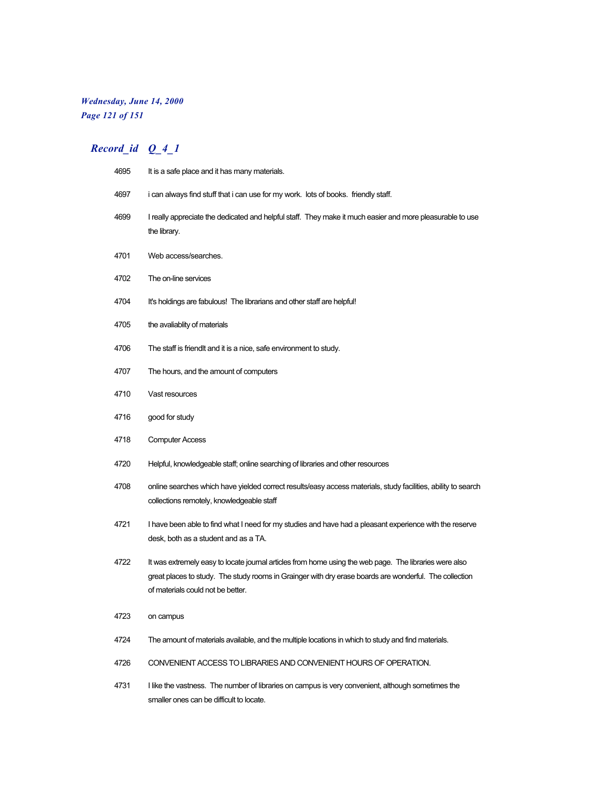# *Wednesday, June 14, 2000 Page 121 of 151*

| 4695 | It is a safe place and it has many materials.                                                                                                                                                                                                         |
|------|-------------------------------------------------------------------------------------------------------------------------------------------------------------------------------------------------------------------------------------------------------|
| 4697 | i can always find stuff that i can use for my work. lots of books. friendly staff.                                                                                                                                                                    |
| 4699 | I really appreciate the dedicated and helpful staff. They make it much easier and more pleasurable to use<br>the library.                                                                                                                             |
| 4701 | Web access/searches.                                                                                                                                                                                                                                  |
| 4702 | The on-line services                                                                                                                                                                                                                                  |
| 4704 | It's holdings are fabulous! The librarians and other staff are helpful!                                                                                                                                                                               |
| 4705 | the avaliablity of materials                                                                                                                                                                                                                          |
| 4706 | The staff is friendlt and it is a nice, safe environment to study.                                                                                                                                                                                    |
| 4707 | The hours, and the amount of computers                                                                                                                                                                                                                |
| 4710 | Vast resources                                                                                                                                                                                                                                        |
| 4716 | good for study                                                                                                                                                                                                                                        |
| 4718 | <b>Computer Access</b>                                                                                                                                                                                                                                |
| 4720 | Helpful, knowledgeable staff; online searching of libraries and other resources                                                                                                                                                                       |
| 4708 | online searches which have yielded correct results/easy access materials, study facilities, ability to search<br>collections remotely, knowledgeable staff                                                                                            |
| 4721 | I have been able to find what I need for my studies and have had a pleasant experience with the reserve<br>desk, both as a student and as a TA.                                                                                                       |
| 4722 | It was extremely easy to locate journal articles from home using the web page. The libraries were also<br>great places to study. The study rooms in Grainger with dry erase boards are wonderful. The collection<br>of materials could not be better. |
| 4723 | on campus                                                                                                                                                                                                                                             |
| 4724 | The amount of materials available, and the multiple locations in which to study and find materials.                                                                                                                                                   |
| 4726 | CONVENIENT ACCESS TO LIBRARIES AND CONVENIENT HOURS OF OPERATION.                                                                                                                                                                                     |
| 4731 | I like the vastness. The number of libraries on campus is very convenient, although sometimes the<br>smaller ones can be difficult to locate.                                                                                                         |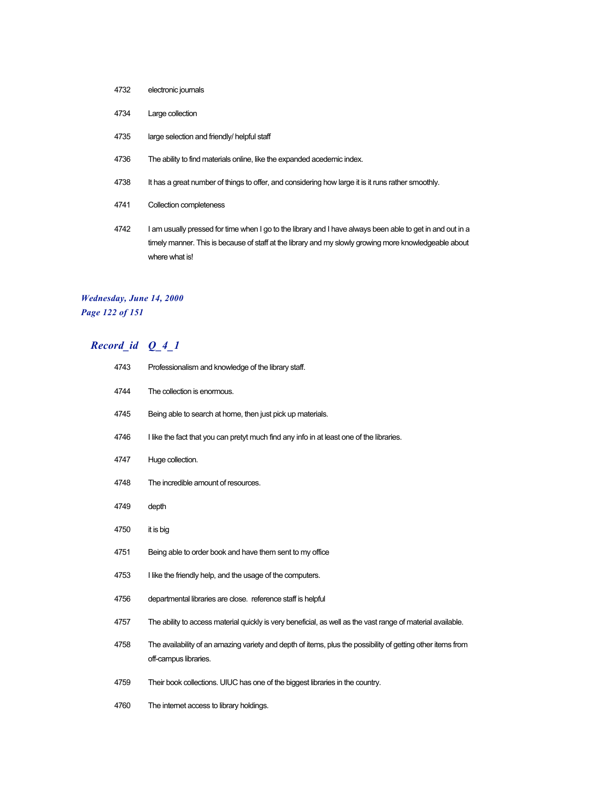- electronic journals
- Large collection
- large selection and friendly/ helpful staff
- The ability to find materials online, like the expanded acedemic index.
- 4738 It has a great number of things to offer, and considering how large it is it runs rather smoothly.
- Collection completeness
- I am usually pressed for time when I go to the library and I have always been able to get in and out in a timely manner. This is because of staff at the library and my slowly growing more knowledgeable about where what is!

### *Wednesday, June 14, 2000 Page 122 of 151*

| 4743 | Professionalism and knowledge of the library staff.                                                                                  |
|------|--------------------------------------------------------------------------------------------------------------------------------------|
| 4744 | The collection is enormous.                                                                                                          |
| 4745 | Being able to search at home, then just pick up materials.                                                                           |
| 4746 | I like the fact that you can pretyt much find any info in at least one of the libraries.                                             |
| 4747 | Huge collection.                                                                                                                     |
| 4748 | The incredible amount of resources.                                                                                                  |
| 4749 | depth                                                                                                                                |
| 4750 | it is big                                                                                                                            |
| 4751 | Being able to order book and have them sent to my office                                                                             |
| 4753 | I like the friendly help, and the usage of the computers.                                                                            |
| 4756 | departmental libraries are close. reference staff is helpful                                                                         |
| 4757 | The ability to access material quickly is very beneficial, as well as the vast range of material available.                          |
| 4758 | The availability of an amazing variety and depth of items, plus the possibility of getting other items from<br>off-campus libraries. |
| 4759 | Their book collections. UIUC has one of the biggest libraries in the country.                                                        |
| 4760 | The internet access to library holdings.                                                                                             |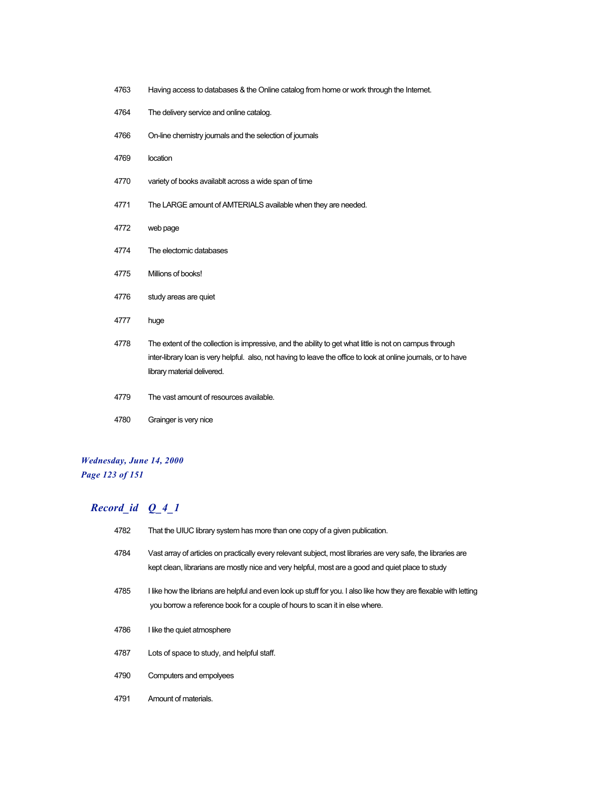- Having access to databases & the Online catalog from home or work through the Internet.
- The delivery service and online catalog.
- On-line chemistry journals and the selection of journals
- location
- variety of books availablt across a wide span of time
- The LARGE amount of AMTERIALS available when they are needed.
- web page
- The electornic databases
- Millions of books!
- study areas are quiet
- huge
- The extent of the collection is impressive, and the ability to get what little is not on campus through inter-library loan is very helpful. also, not having to leave the office to look at online journals, or to have library material delivered.
- The vast amount of resources available.
- Grainger is very nice

### *Wednesday, June 14, 2000 Page 123 of 151*

| 4782 | That the UIUC library system has more than one copy of a given publication.                                                                                                                                        |
|------|--------------------------------------------------------------------------------------------------------------------------------------------------------------------------------------------------------------------|
| 4784 | Vast array of articles on practically every relevant subject, most libraries are very safe, the libraries are<br>kept clean, librarians are mostly nice and very helpful, most are a good and quiet place to study |
| 4785 | I like how the librians are helpful and even look up stuff for you. I also like how they are flexable with letting<br>you borrow a reference book for a couple of hours to scan it in else where.                  |
| 4786 | I like the quiet atmosphere                                                                                                                                                                                        |
| 4787 | Lots of space to study, and helpful staff.                                                                                                                                                                         |
| 4790 | Computers and empolyees                                                                                                                                                                                            |
| 4791 | Amount of materials.                                                                                                                                                                                               |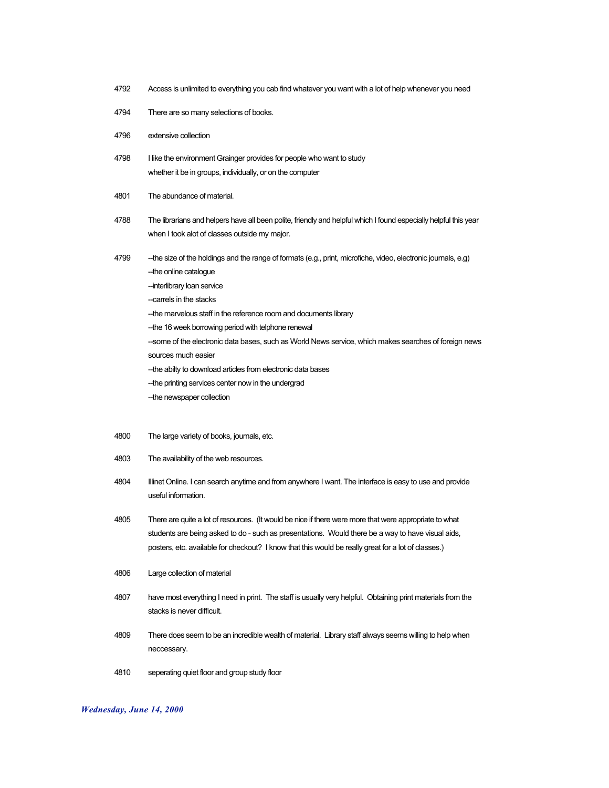- 4792 Access is unlimited to everything you cab find whatever you want with a lot of help whenever you need
- 4794 There are so many selections of books.
- 4796 extensive collection
- 4798 I like the environment Grainger provides for people who want to study whether it be in groups, individually, or on the computer
- 4801 The abundance of material.
- 4788 The librarians and helpers have all been polite, friendly and helpful which I found especially helpful this year when I took alot of classes outside my major.
- 4799 --the size of the holdings and the range of formats (e.g., print, microfiche, video, electronic journals, e.g)
	- -the online catalogue
	- -interlibrary loan service
	- -carrels in the stacks
	- --the marvelous staff in the reference room and documents library
	- -the 16 week borrowing period with telphone renewal
	- --some of the electronic data bases, such as World News service, which makes searches of foreign news sources much easier
	- -- the abilty to download articles from electronic data bases
	- -the printing services center now in the undergrad
	- -the newspaper collection
- 4800 The large variety of books, journals, etc.
- 4803 The availability of the web resources.
- 4804 Illinet Online. I can search anytime and from anywhere I want. The interface is easy to use and provide useful information.
- 4805 There are quite a lot of resources. (It would be nice if there were more that were appropriate to what students are being asked to do - such as presentations. Would there be a way to have visual aids, posters, etc. available for checkout? I know that this would be really great for a lot of classes.)
- 4806 Large collection of material
- 4807 have most everything I need in print. The staff is usually very helpful. Obtaining print materials from the stacks is never difficult.
- 4809 There does seem to be an incredible wealth of material. Library staff always seems willing to help when neccessary.
- 4810 seperating quiet floor and group study floor

#### *Wednesday, June 14, 2000*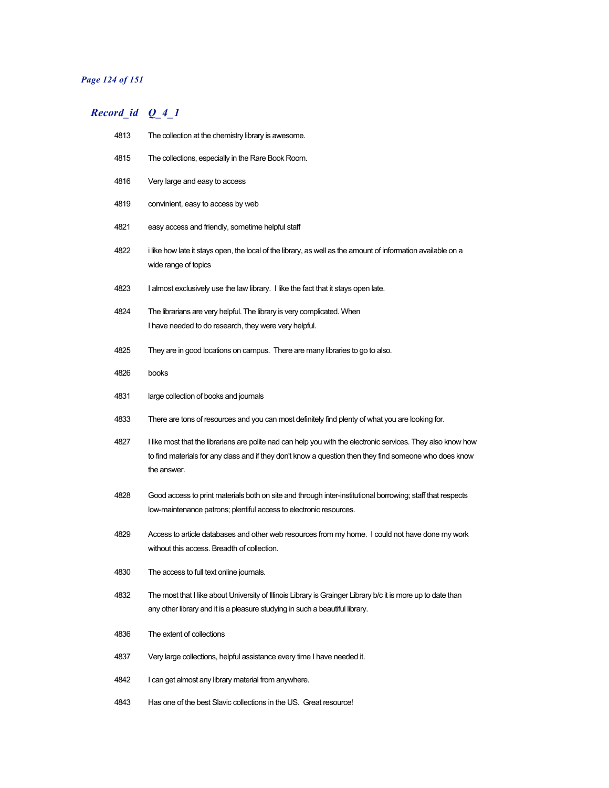### *Page 124 of 151*

# *Record\_id Q\_4\_1*

| 4813 | The collection at the chemistry library is awesome.                                                                                                                                                                                   |
|------|---------------------------------------------------------------------------------------------------------------------------------------------------------------------------------------------------------------------------------------|
| 4815 | The collections, especially in the Rare Book Room.                                                                                                                                                                                    |
| 4816 | Very large and easy to access                                                                                                                                                                                                         |
| 4819 | convinient, easy to access by web                                                                                                                                                                                                     |
| 4821 | easy access and friendly, sometime helpful staff                                                                                                                                                                                      |
| 4822 | i like how late it stays open, the local of the library, as well as the amount of information available on a<br>wide range of topics                                                                                                  |
| 4823 | I almost exclusively use the law library. I like the fact that it stays open late.                                                                                                                                                    |
| 4824 | The librarians are very helpful. The library is very complicated. When                                                                                                                                                                |
|      | I have needed to do research, they were very helpful.                                                                                                                                                                                 |
| 4825 | They are in good locations on campus. There are many libraries to go to also.                                                                                                                                                         |
| 4826 | books                                                                                                                                                                                                                                 |
| 4831 | large collection of books and journals                                                                                                                                                                                                |
| 4833 | There are tons of resources and you can most definitely find plenty of what you are looking for.                                                                                                                                      |
| 4827 | I like most that the librarians are polite nad can help you with the electronic services. They also know how<br>to find materials for any class and if they don't know a question then they find someone who does know<br>the answer. |
| 4828 | Good access to print materials both on site and through inter-institutional borrowing; staff that respects<br>low-maintenance patrons; plentiful access to electronic resources.                                                      |
| 4829 | Access to article databases and other web resources from my home. I could not have done my work<br>without this access. Breadth of collection.                                                                                        |
| 4830 | The access to full text online journals.                                                                                                                                                                                              |
| 4832 | The most that I like about University of Illinois Library is Grainger Library b/c it is more up to date than<br>any other library and it is a pleasure studying in such a beautiful library.                                          |
| 4836 | The extent of collections                                                                                                                                                                                                             |
| 4837 | Very large collections, helpful assistance every time I have needed it.                                                                                                                                                               |
| 4842 | I can get almost any library material from anywhere.                                                                                                                                                                                  |
|      |                                                                                                                                                                                                                                       |

4843 Has one of the best Slavic collections in the US. Great resource!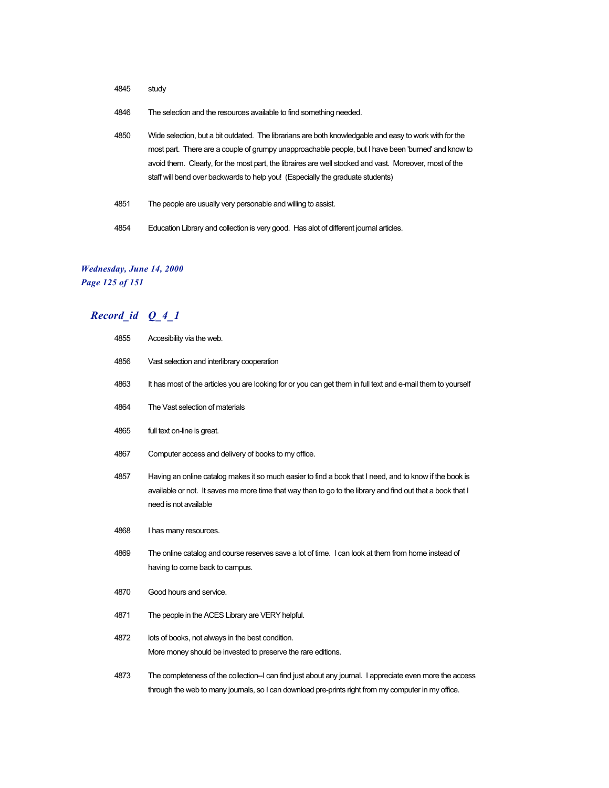- 4845 study
- 4846 The selection and the resources available to find something needed.
- 4850 Wide selection, but a bit outdated. The librarians are both knowledgable and easy to work with for the most part. There are a couple of grumpy unapproachable people, but I have been 'burned' and know to avoid them. Clearly, for the most part, the libraires are well stocked and vast. Moreover, most of the staff will bend over backwards to help you! (Especially the graduate students)
- 4851 The people are usually very personable and willing to assist.
- 4854 Education Library and collection is very good. Has alot of different journal articles.

### *Wednesday, June 14, 2000 Page 125 of 151*

| 4855 | Accesibility via the web.                                                                                                                                                                                                                      |
|------|------------------------------------------------------------------------------------------------------------------------------------------------------------------------------------------------------------------------------------------------|
| 4856 | Vast selection and interlibrary cooperation                                                                                                                                                                                                    |
| 4863 | It has most of the articles you are looking for or you can get them in full text and e-mail them to yourself                                                                                                                                   |
| 4864 | The Vast selection of materials                                                                                                                                                                                                                |
| 4865 | full text on-line is great.                                                                                                                                                                                                                    |
| 4867 | Computer access and delivery of books to my office.                                                                                                                                                                                            |
| 4857 | Having an online catalog makes it so much easier to find a book that I need, and to know if the book is<br>available or not. It saves me more time that way than to go to the library and find out that a book that I<br>need is not available |
| 4868 | I has many resources.                                                                                                                                                                                                                          |
| 4869 | The online catalog and course reserves save a lot of time. I can look at them from home instead of<br>having to come back to campus.                                                                                                           |
| 4870 | Good hours and service.                                                                                                                                                                                                                        |
| 4871 | The people in the ACES Library are VERY helpful.                                                                                                                                                                                               |
| 4872 | lots of books, not always in the best condition.<br>More money should be invested to preserve the rare editions.                                                                                                                               |
| 4873 | The completeness of the collection--I can find just about any journal. I appreciate even more the access<br>through the web to many journals, so I can download pre-prints right from my computer in my office.                                |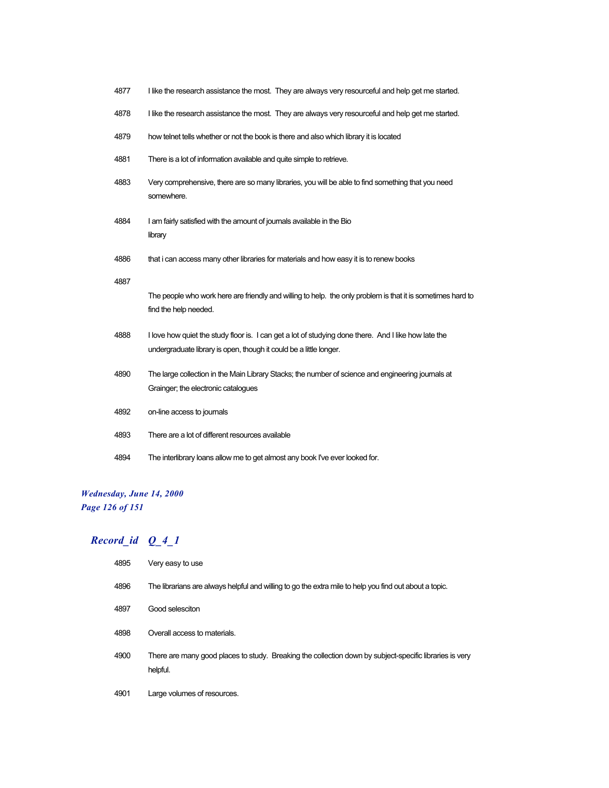| 4877 | I like the research assistance the most. They are always very resourceful and help get me started.                                                                         |
|------|----------------------------------------------------------------------------------------------------------------------------------------------------------------------------|
| 4878 | I like the research assistance the most. They are always very resourceful and help get me started.                                                                         |
| 4879 | how telnet tells whether or not the book is there and also which library it is located                                                                                     |
| 4881 | There is a lot of information available and quite simple to retrieve.                                                                                                      |
| 4883 | Very comprehensive, there are so many libraries, you will be able to find something that you need<br>somewhere.                                                            |
| 4884 | I am fairly satisfied with the amount of journals available in the Bio<br>library                                                                                          |
| 4886 | that i can access many other libraries for materials and how easy it is to renew books                                                                                     |
| 4887 | The people who work here are friendly and willing to help. the only problem is that it is sometimes hard to<br>find the help needed.                                       |
| 4888 | I love how quiet the study floor is. I can get a lot of studying done there. And I like how late the<br>undergraduate library is open, though it could be a little longer. |
| 4890 | The large collection in the Main Library Stacks; the number of science and engineering journals at<br>Grainger; the electronic catalogues                                  |
| 4892 | on-line access to journals                                                                                                                                                 |
| 4893 | There are a lot of different resources available                                                                                                                           |
| 4894 | The interlibrary loans allow me to get almost any book I've ever looked for.                                                                                               |

# *Wednesday, June 14, 2000 Page 126 of 151*

| 4895 | Very easy to use                                                                                                    |
|------|---------------------------------------------------------------------------------------------------------------------|
| 4896 | The librarians are always helpful and willing to go the extra mile to help you find out about a topic.              |
| 4897 | Good selesciton                                                                                                     |
| 4898 | Overall access to materials.                                                                                        |
| 4900 | There are many good places to study. Breaking the collection down by subject-specific libraries is very<br>helpful. |
| 4901 | Large volumes of resources.                                                                                         |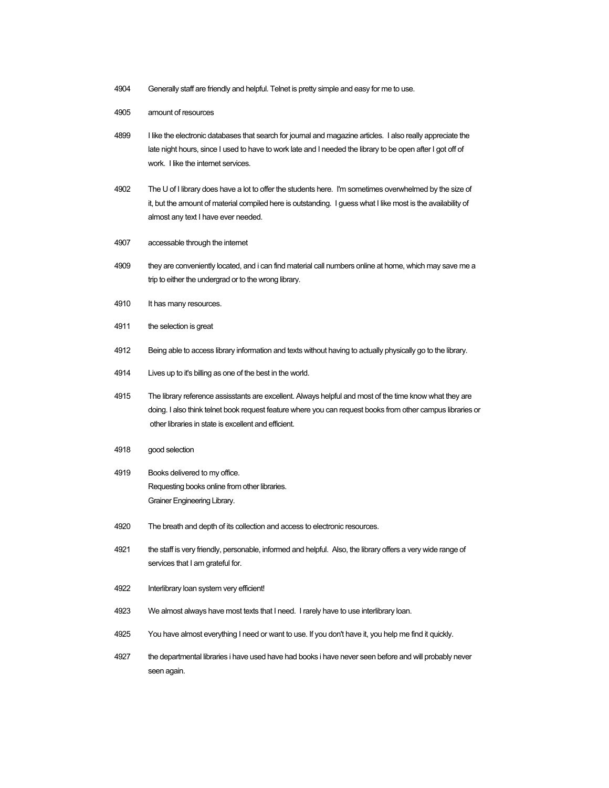- 4904 Generally staff are friendly and helpful. Telnet is pretty simple and easy for me to use.
- 4905 amount of resources
- 4899 I like the electronic databases that search for journal and magazine articles. I also really appreciate the late night hours, since I used to have to work late and I needed the library to be open after I got off of work. I like the internet services.
- 4902 The U of I library does have a lot to offer the students here. I'm sometimes overwhelmed by the size of it, but the amount of material compiled here is outstanding. I guess what I like most is the availability of almost any text I have ever needed.
- 4907 accessable through the internet
- 4909 they are conveniently located, and i can find material call numbers online at home, which may save me a trip to either the undergrad or to the wrong library.
- 4910 It has many resources.
- 4911 the selection is great
- 4912 Being able to access library information and texts without having to actually physically go to the library.
- 4914 Lives up to it's billing as one of the best in the world.
- 4915 The library reference assisstants are excellent. Always helpful and most of the time know what they are doing. I also think telnet book request feature where you can request books from other campus libraries or other libraries in state is excellent and efficient.
- 4918 good selection
- 4919 Books delivered to my office. Requesting books online from other libraries. Grainer Engineering Library.
- 4920 The breath and depth of its collection and access to electronic resources.
- 4921 the staff is very friendly, personable, informed and helpful. Also, the library offers a very wide range of services that I am grateful for.
- 4922 Interlibrary loan system very efficient!
- 4923 We almost always have most texts that I need. I rarely have to use interlibrary loan.
- 4925 You have almost everything I need or want to use. If you don't have it, you help me find it quickly.
- 4927 the departmental libraries i have used have had books i have never seen before and will probably never seen again.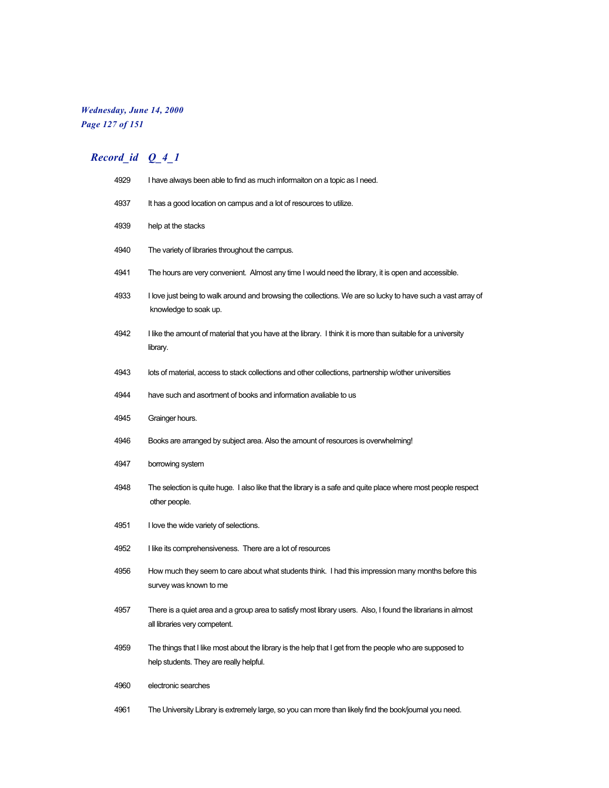# *Wednesday, June 14, 2000 Page 127 of 151*

| 4929 | I have always been able to find as much informaiton on a topic as I need.                                                                           |
|------|-----------------------------------------------------------------------------------------------------------------------------------------------------|
| 4937 | It has a good location on campus and a lot of resources to utilize.                                                                                 |
| 4939 | help at the stacks                                                                                                                                  |
| 4940 | The variety of libraries throughout the campus.                                                                                                     |
| 4941 | The hours are very convenient. Almost any time I would need the library, it is open and accessible.                                                 |
| 4933 | I love just being to walk around and browsing the collections. We are so lucky to have such a vast array of<br>knowledge to soak up.                |
| 4942 | I like the amount of material that you have at the library. I think it is more than suitable for a university<br>library.                           |
| 4943 | lots of material, access to stack collections and other collections, partnership w/other universities                                               |
| 4944 | have such and asortment of books and information avaliable to us                                                                                    |
| 4945 | Grainger hours.                                                                                                                                     |
| 4946 | Books are arranged by subject area. Also the amount of resources is overwhelming!                                                                   |
| 4947 | borrowing system                                                                                                                                    |
| 4948 | The selection is quite huge. I also like that the library is a safe and quite place where most people respect<br>other people.                      |
| 4951 | I love the wide variety of selections.                                                                                                              |
| 4952 | I like its comprehensiveness. There are a lot of resources                                                                                          |
| 4956 | How much they seem to care about what students think. I had this impression many months before this<br>survey was known to me                       |
| 4957 | There is a quiet area and a group area to satisfy most library users. Also, I found the librarians in almost<br>all libraries very competent.       |
| 4959 | The things that I like most about the library is the help that I get from the people who are supposed to<br>help students. They are really helpful. |
| 4960 | electronic searches                                                                                                                                 |
| 4961 | The University Library is extremely large, so you can more than likely find the book/journal you need.                                              |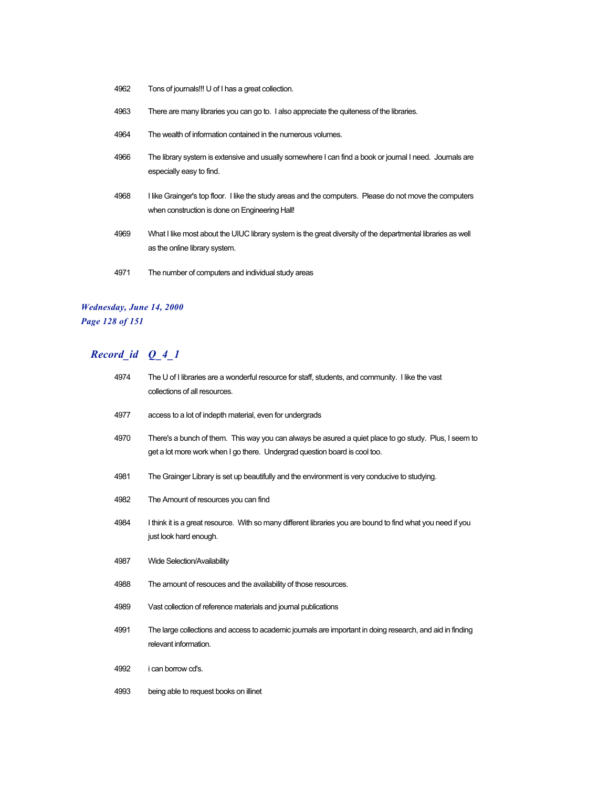- Tons of journals!!! U of I has a great collection.
- There are many libraries you can go to. I also appreciate the quiteness of the libraries.
- The wealth of information contained in the numerous volumes.
- The library system is extensive and usually somewhere I can find a book or journal I need. Journals are especially easy to find.
- I like Grainger's top floor. I like the study areas and the computers. Please do not move the computers when construction is done on Engineering Hall!
- What I like most about the UIUC library system is the great diversity of the departmental libraries as well as the online library system.
- The number of computers and individual study areas

### *Wednesday, June 14, 2000 Page 128 of 151*

| 4974 | The U of I libraries are a wonderful resource for staff, students, and community. I like the vast<br>collections of all resources.                                                  |
|------|-------------------------------------------------------------------------------------------------------------------------------------------------------------------------------------|
| 4977 | access to a lot of indepth material, even for undergrads                                                                                                                            |
| 4970 | There's a bunch of them. This way you can always be asured a quiet place to go study. Plus, I seem to<br>get a lot more work when I go there. Undergrad question board is cool too. |
| 4981 | The Grainger Library is set up beautifully and the environment is very conducive to studying.                                                                                       |
| 4982 | The Amount of resources you can find                                                                                                                                                |
| 4984 | I think it is a great resource. With so many different libraries you are bound to find what you need if you<br>just look hard enough.                                               |
| 4987 | Wide Selection/Availability                                                                                                                                                         |
| 4988 | The amount of resouces and the availability of those resources.                                                                                                                     |
| 4989 | Vast collection of reference materials and journal publications                                                                                                                     |
| 4991 | The large collections and access to academic journals are important in doing research, and aid in finding<br>relevant information.                                                  |
| 4992 | i can borrow cd's.                                                                                                                                                                  |
| 4993 | being able to request books on illinet                                                                                                                                              |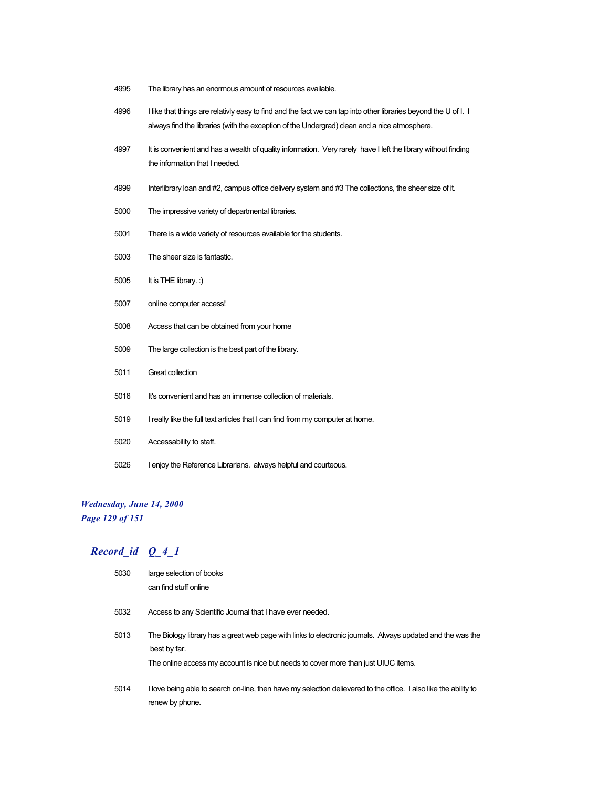- The library has an enormous amount of resources available.
- I like that things are relativly easy to find and the fact we can tap into other libraries beyond the U of I. I always find the libraries (with the exception of the Undergrad) clean and a nice atmosphere.
- 4997 It is convenient and has a wealth of quality information. Very rarely have I left the library without finding the information that I needed.
- 4999 Interlibrary loan and #2, campus office delivery system and #3 The collections, the sheer size of it.
- The impressive variety of departmental libraries.
- There is a wide variety of resources available for the students.
- The sheer size is fantastic.
- It is THE library. :)
- online computer access!
- Access that can be obtained from your home
- The large collection is the best part of the library.
- Great collection
- It's convenient and has an immense collection of materials.
- I really like the full text articles that I can find from my computer at home.
- Accessability to staff.
- I enjoy the Reference Librarians. always helpful and courteous.

#### *Wednesday, June 14, 2000*

*Page 129 of 151*

| 5030 | large selection of books<br>can find stuff online                                                                                                                                                                |
|------|------------------------------------------------------------------------------------------------------------------------------------------------------------------------------------------------------------------|
| 5032 | Access to any Scientific Journal that I have ever needed.                                                                                                                                                        |
| 5013 | The Biology library has a great web page with links to electronic journals. Always updated and the was the<br>best by far.<br>The online access my account is nice but needs to cover more than just UIUC items. |
| 5014 | I love being able to search on-line, then have my selection delievered to the office. I also like the ability to<br>renew by phone.                                                                              |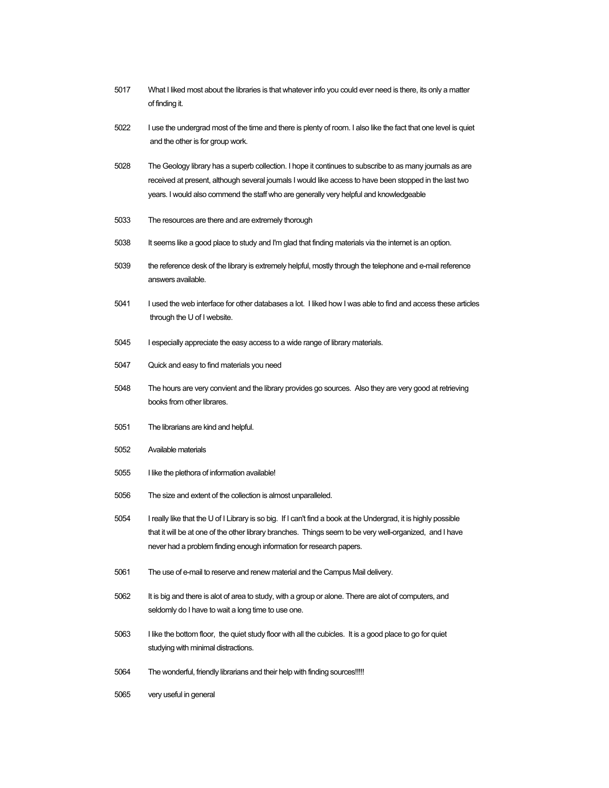- What I liked most about the libraries is that whatever info you could ever need is there, its only a matter of finding it.
- I use the undergrad most of the time and there is plenty of room. I also like the fact that one level is quiet and the other is for group work.
- The Geology library has a superb collection. I hope it continues to subscribe to as many journals as are received at present, although several journals I would like access to have been stopped in the last two years. I would also commend the staff who are generally very helpful and knowledgeable
- The resources are there and are extremely thorough
- It seems like a good place to study and I'm glad that finding materials via the internet is an option.
- the reference desk of the library is extremely helpful, mostly through the telephone and e-mail reference answers available.
- I used the web interface for other databases a lot. I liked how I was able to find and access these articles through the U of I website.
- I especially appreciate the easy access to a wide range of library materials.
- Quick and easy to find materials you need
- The hours are very convient and the library provides go sources. Also they are very good at retrieving books from other librares.
- The librarians are kind and helpful.
- Available materials
- I like the plethora of information available!
- The size and extent of the collection is almost unparalleled.
- I really like that the U of I Library is so big. If I can't find a book at the Undergrad, it is highly possible that it will be at one of the other library branches. Things seem to be very well-organized, and I have never had a problem finding enough information for research papers.
- The use of e-mail to reserve and renew material and the Campus Mail delivery.
- 5062 It is big and there is alot of area to study, with a group or alone. There are alot of computers, and seldomly do I have to wait a long time to use one.
- I like the bottom floor, the quiet study floor with all the cubicles. It is a good place to go for quiet studying with minimal distractions.
- The wonderful, friendly librarians and their help with finding sources!!!!!
- very useful in general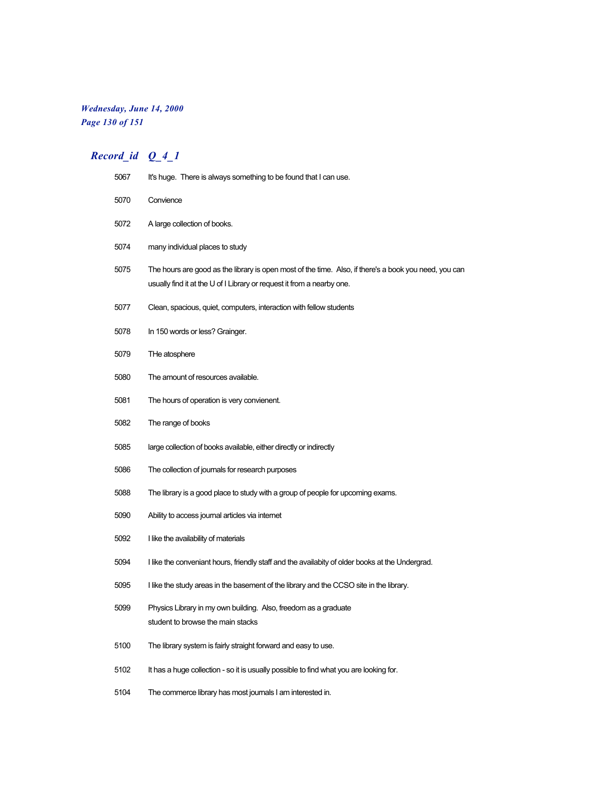# *Wednesday, June 14, 2000 Page 130 of 151*

| 5067 | It's huge. There is always something to be found that I can use.                                                                                                                |
|------|---------------------------------------------------------------------------------------------------------------------------------------------------------------------------------|
| 5070 | Convience                                                                                                                                                                       |
| 5072 | A large collection of books.                                                                                                                                                    |
| 5074 | many individual places to study                                                                                                                                                 |
| 5075 | The hours are good as the library is open most of the time. Also, if there's a book you need, you can<br>usually find it at the U of I Library or request it from a nearby one. |
| 5077 | Clean, spacious, quiet, computers, interaction with fellow students                                                                                                             |
| 5078 | In 150 words or less? Grainger.                                                                                                                                                 |
| 5079 | THe atosphere                                                                                                                                                                   |
| 5080 | The amount of resources available.                                                                                                                                              |
| 5081 | The hours of operation is very convienent.                                                                                                                                      |
| 5082 | The range of books                                                                                                                                                              |
| 5085 | large collection of books available, either directly or indirectly                                                                                                              |
| 5086 | The collection of journals for research purposes                                                                                                                                |
| 5088 | The library is a good place to study with a group of people for upcoming exams.                                                                                                 |
| 5090 | Ability to access journal articles via internet                                                                                                                                 |
| 5092 | I like the availability of materials                                                                                                                                            |
| 5094 | I like the conveniant hours, friendly staff and the availabity of older books at the Undergrad.                                                                                 |
| 5095 | I like the study areas in the basement of the library and the CCSO site in the library.                                                                                         |
| 5099 | Physics Library in my own building. Also, freedom as a graduate<br>student to browse the main stacks                                                                            |
| 5100 | The library system is fairly straight forward and easy to use.                                                                                                                  |
| 5102 | It has a huge collection - so it is usually possible to find what you are looking for.                                                                                          |
| 5104 | The commerce library has most journals I am interested in.                                                                                                                      |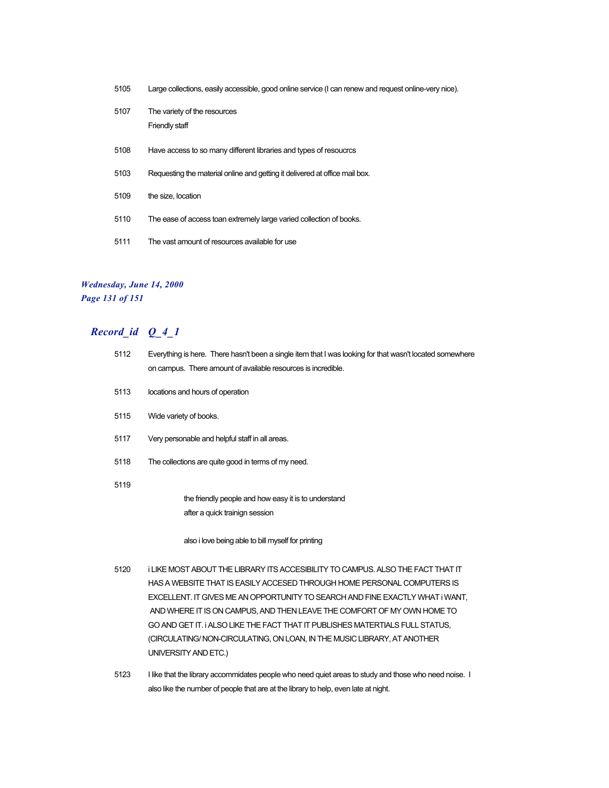- 5105 Large collections, easily accessible, good online service (I can renew and request online-very nice).
- 5107 The variety of the resources Friendly staff
- 5108 Have access to so many different libraries and types of resoucrcs
- 5103 Requesting the material online and getting it delivered at office mail box.
- 5109 the size, location
- 5110 The ease of access toan extremely large varied collection of books.
- 5111 The vast amount of resources available for use

### *Wednesday, June 14, 2000 Page 131 of 151*

| 5112 | Everything is here. There hasn't been a single item that I was looking for that wasn't located somewhere<br>on campus. There amount of available resources is incredible. |
|------|---------------------------------------------------------------------------------------------------------------------------------------------------------------------------|
| 5113 | locations and hours of operation                                                                                                                                          |
| 5115 | Wide variety of books.                                                                                                                                                    |
| 5117 | Very personable and helpful staff in all areas.                                                                                                                           |
| 5118 | The collections are quite good in terms of my need.                                                                                                                       |
| 5119 |                                                                                                                                                                           |
|      | the friendly people and how easy it is to understand                                                                                                                      |
|      | after a quick trainign session                                                                                                                                            |
|      | also i love being able to bill myself for printing                                                                                                                        |
| 5120 | I LIKE MOST ABOUT THE LIBRARY ITS ACCESIBILITY TO CAMPUS. ALSO THE FACT THAT IT                                                                                           |
|      | HAS A WEBSITE THAT IS EASILY ACCESED THROUGH HOME PERSONAL COMPUTERS IS                                                                                                   |
|      | EXCELLENT. IT GIVES ME AN OPPORTUNITY TO SEARCH AND FINE EXACTLY WHAT I WANT.                                                                                             |

- AND WHERE IT IS ON CAMPUS, AND THEN LEAVE THE COMFORT OF MY OWN HOME TO GO AND GET IT. i ALSO LIKE THE FACT THAT IT PUBLISHES MATERTIALS FULL STATUS, (CIRCULATING/ NON-CIRCULATING, ON LOAN, IN THE MUSIC LIBRARY, AT ANOTHER UNIVERSITY AND ETC.)
- 5123 I like that the library accommidates people who need quiet areas to study and those who need noise. I also like the number of people that are at the library to help, even late at night.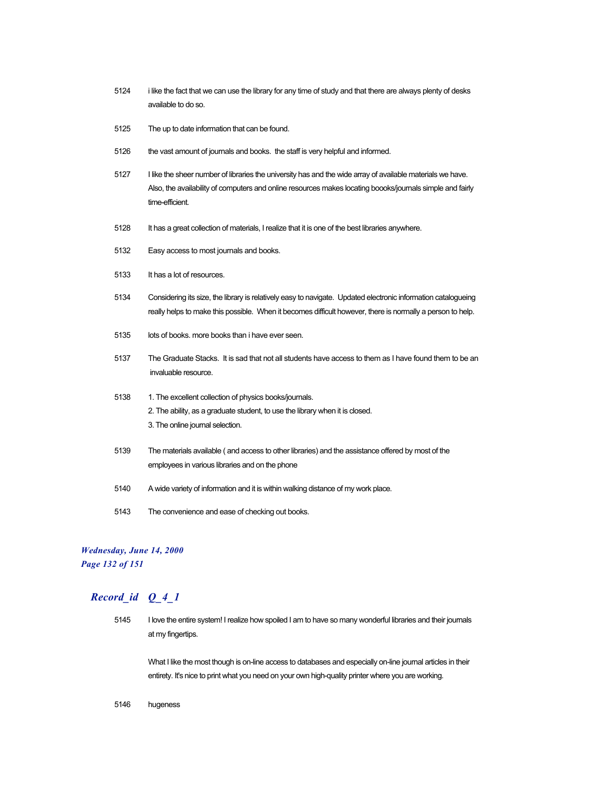- 5124 i like the fact that we can use the library for any time of study and that there are always plenty of desks available to do so.
- 5125 The up to date information that can be found.
- 5126 the vast amount of journals and books. the staff is very helpful and informed.
- 5127 I like the sheer number of libraries the university has and the wide array of available materials we have. Also, the availability of computers and online resources makes locating boooks/journals simple and fairly time-efficient.
- 5128 It has a great collection of materials, I realize that it is one of the best libraries anywhere.
- 5132 Easy access to most journals and books.
- 5133 It has a lot of resources.
- 5134 Considering its size, the library is relatively easy to navigate. Updated electronic information catalogueing really helps to make this possible. When it becomes difficult however, there is normally a person to help.
- 5135 lots of books. more books than i have ever seen.
- 5137 The Graduate Stacks. It is sad that not all students have access to them as I have found them to be an invaluable resource.
- 5138 1. The excellent collection of physics books/journals. 2. The ability, as a graduate student, to use the library when it is closed. 3. The online journal selection.
- 5139 The materials available ( and access to other libraries) and the assistance offered by most of the employees in various libraries and on the phone
- 5140 A wide variety of information and it is within walking distance of my work place.
- 5143 The convenience and ease of checking out books.

### *Wednesday, June 14, 2000 Page 132 of 151*

# *Record\_id Q\_4\_1*

5145 I love the entire system! I realize how spoiled I am to have so many wonderful libraries and their journals at my fingertips.

What I like the most though is on-line access to databases and especially on-line journal articles in their entirety. It's nice to print what you need on your own high-quality printer where you are working.

5146 hugeness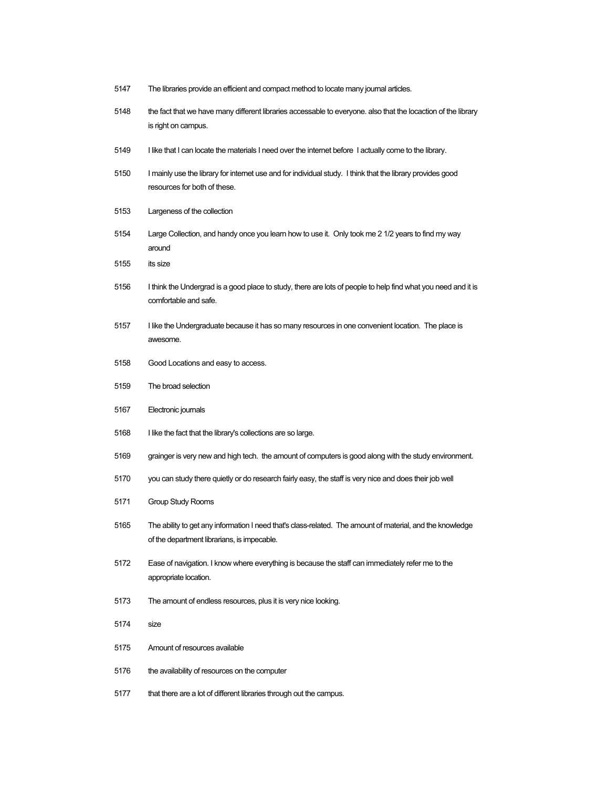| 5147 | The libraries provide an efficient and compact method to locate many journal articles.                                                                   |
|------|----------------------------------------------------------------------------------------------------------------------------------------------------------|
| 5148 | the fact that we have many different libraries accessable to everyone. also that the locaction of the library<br>is right on campus.                     |
| 5149 | I like that I can locate the materials I need over the internet before I actually come to the library.                                                   |
| 5150 | I mainly use the library for internet use and for individual study. I think that the library provides good<br>resources for both of these.               |
| 5153 | Largeness of the collection                                                                                                                              |
| 5154 | Large Collection, and handy once you learn how to use it. Only took me 2 1/2 years to find my way<br>around                                              |
| 5155 | its size                                                                                                                                                 |
| 5156 | I think the Undergrad is a good place to study, there are lots of people to help find what you need and it is<br>comfortable and safe.                   |
| 5157 | I like the Undergraduate because it has so many resources in one convenient location. The place is<br>awesome.                                           |
| 5158 | Good Locations and easy to access.                                                                                                                       |
| 5159 | The broad selection                                                                                                                                      |
| 5167 | Electronic journals                                                                                                                                      |
| 5168 | I like the fact that the library's collections are so large.                                                                                             |
| 5169 | grainger is very new and high tech. the amount of computers is good along with the study environment.                                                    |
| 5170 | you can study there quietly or do research fairly easy, the staff is very nice and does their job well                                                   |
| 5171 | <b>Group Study Rooms</b>                                                                                                                                 |
| 5165 | The ability to get any information I need that's class-related. The amount of material, and the knowledge<br>of the department librarians, is impecable. |
| 5172 | Ease of navigation. I know where everything is because the staff can immediately refer me to the<br>appropriate location.                                |
| 5173 | The amount of endless resources, plus it is very nice looking.                                                                                           |
| 5174 | size                                                                                                                                                     |
| 5175 | Amount of resources available                                                                                                                            |
| 5176 | the availability of resources on the computer                                                                                                            |

that there are a lot of different libraries through out the campus.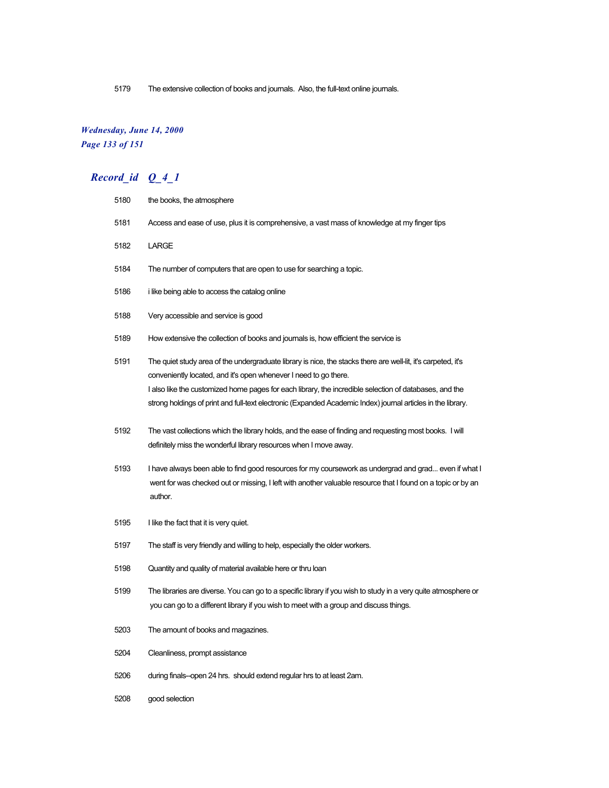The extensive collection of books and journals. Also, the full-text online journals.

### *Wednesday, June 14, 2000 Page 133 of 151*

| 5180 | the books, the atmosphere                                                                                                                                                                                                                                                                   |
|------|---------------------------------------------------------------------------------------------------------------------------------------------------------------------------------------------------------------------------------------------------------------------------------------------|
| 5181 | Access and ease of use, plus it is comprehensive, a vast mass of knowledge at my finger tips                                                                                                                                                                                                |
| 5182 | LARGE                                                                                                                                                                                                                                                                                       |
| 5184 | The number of computers that are open to use for searching a topic.                                                                                                                                                                                                                         |
| 5186 | i like being able to access the catalog online                                                                                                                                                                                                                                              |
| 5188 | Very accessible and service is good                                                                                                                                                                                                                                                         |
| 5189 | How extensive the collection of books and journals is, how efficient the service is                                                                                                                                                                                                         |
| 5191 | The quiet study area of the undergraduate library is nice, the stacks there are well-lit, it's carpeted, it's<br>conveniently located, and it's open whenever I need to go there.<br>I also like the customized home pages for each library, the incredible selection of databases, and the |
|      | strong holdings of print and full-text electronic (Expanded Academic Index) journal articles in the library.                                                                                                                                                                                |
| 5192 | The vast collections which the library holds, and the ease of finding and requesting most books. I will<br>definitely miss the wonderful library resources when I move away.                                                                                                                |
| 5193 | I have always been able to find good resources for my coursework as undergrad and grad even if what I<br>went for was checked out or missing, I left with another valuable resource that I found on a topic or by an<br>author.                                                             |
| 5195 | I like the fact that it is very quiet.                                                                                                                                                                                                                                                      |
| 5197 | The staff is very friendly and willing to help, especially the older workers.                                                                                                                                                                                                               |
| 5198 | Quantity and quality of material available here or thru loan                                                                                                                                                                                                                                |
| 5199 | The libraries are diverse. You can go to a specific library if you wish to study in a very quite atmosphere or<br>you can go to a different library if you wish to meet with a group and discuss things.                                                                                    |
| 5203 | The amount of books and magazines.                                                                                                                                                                                                                                                          |
| 5204 | Cleanliness, prompt assistance                                                                                                                                                                                                                                                              |
| 5206 | during finals--open 24 hrs. should extend regular hrs to at least 2am.                                                                                                                                                                                                                      |
| 5208 | good selection                                                                                                                                                                                                                                                                              |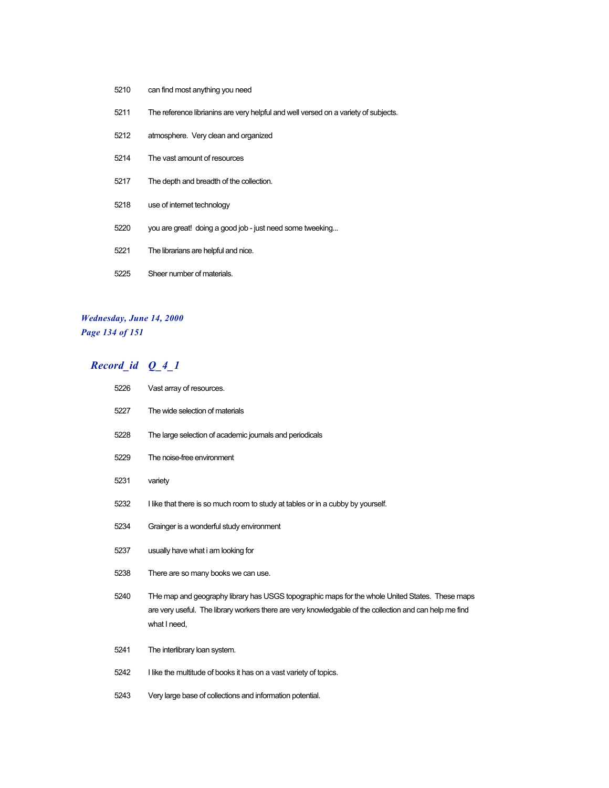- can find most anything you need
- The reference librianins are very helpful and well versed on a variety of subjects.
- atmosphere. Very clean and organized
- The vast amount of resources
- The depth and breadth of the collection.
- use of internet technology
- you are great! doing a good job just need some tweeking...
- The librarians are helpful and nice.
- Sheer number of materials.

### *Wednesday, June 14, 2000 Page 134 of 151*

| 5226 | Vast array of resources.                                                                                                                                                                                                   |
|------|----------------------------------------------------------------------------------------------------------------------------------------------------------------------------------------------------------------------------|
| 5227 | The wide selection of materials                                                                                                                                                                                            |
| 5228 | The large selection of academic journals and periodicals                                                                                                                                                                   |
| 5229 | The noise-free environment                                                                                                                                                                                                 |
| 5231 | variety                                                                                                                                                                                                                    |
| 5232 | I like that there is so much room to study at tables or in a cubby by yourself.                                                                                                                                            |
| 5234 | Grainger is a wonderful study environment                                                                                                                                                                                  |
| 5237 | usually have what i am looking for                                                                                                                                                                                         |
| 5238 | There are so many books we can use.                                                                                                                                                                                        |
| 5240 | THe map and geography library has USGS topographic maps for the whole United States. These maps<br>are very useful. The library workers there are very knowledgable of the collection and can help me find<br>what I need, |
| 5241 | The interlibrary loan system.                                                                                                                                                                                              |
| 5242 | I like the multitude of books it has on a vast variety of topics.                                                                                                                                                          |
| 5243 | Very large base of collections and information potential.                                                                                                                                                                  |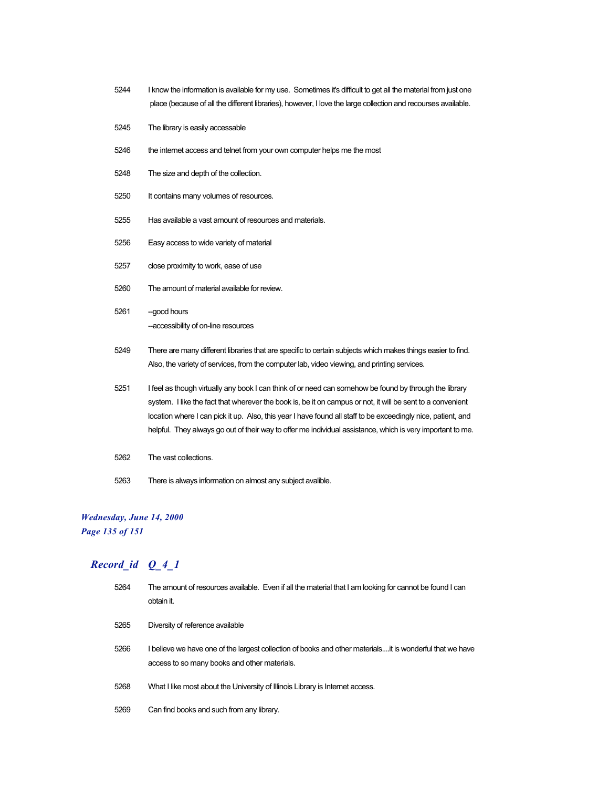- 5244 I know the information is available for my use. Sometimes it's difficult to get all the material from just one place (because of all the different libraries), however, I love the large collection and recourses available.
- 5245 The library is easily accessable
- 5246 the internet access and telnet from your own computer helps me the most
- 5248 The size and depth of the collection.
- 5250 It contains many volumes of resources.
- 5255 Has available a vast amount of resources and materials.
- 5256 Easy access to wide variety of material
- 5257 close proximity to work, ease of use
- 5260 The amount of material available for review.
- 5261 -- good hours --accessibility of on-line resources
- 5249 There are many different libraries that are specific to certain subjects which makes things easier to find. Also, the variety of services, from the computer lab, video viewing, and printing services.
- 5251 I feel as though virtually any book I can think of or need can somehow be found by through the library system. I like the fact that wherever the book is, be it on campus or not, it will be sent to a convenient location where I can pick it up. Also, this year I have found all staff to be exceedingly nice, patient, and helpful. They always go out of their way to offer me individual assistance, which is very important to me.
- 5262 The vast collections.
- 5263 There is always information on almost any subject avalible.

#### *Wednesday, June 14, 2000*

*Page 135 of 151*

| 5264 | The amount of resources available. Even if all the material that I am looking for cannot be found I can<br>obtain it.                                    |
|------|----------------------------------------------------------------------------------------------------------------------------------------------------------|
| 5265 | Diversity of reference available                                                                                                                         |
| 5266 | l believe we have one of the largest collection of books and other materialsit is wonderful that we have<br>access to so many books and other materials. |
| 5268 | What I like most about the University of Illinois Library is Internet access.                                                                            |
| 5269 | Can find books and such from any library.                                                                                                                |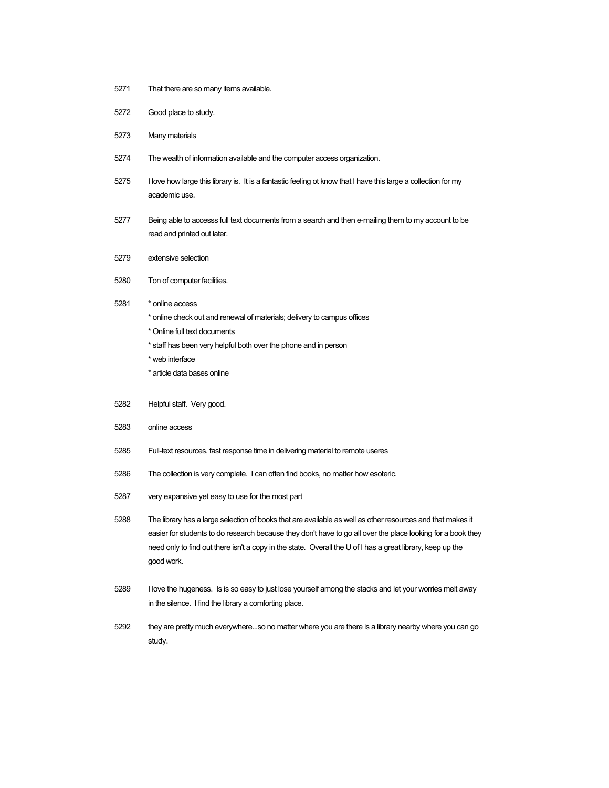- 5271 That there are so many items available.
- 5272 Good place to study.
- 5273 Many materials
- 5274 The wealth of information available and the computer access organization.
- 5275 I love how large this library is. It is a fantastic feeling ot know that I have this large a collection for my academic use.
- 5277 Being able to accesss full text documents from a search and then e-mailing them to my account to be read and printed out later.
- 5279 extensive selection
- 5280 Ton of computer facilities.
- 5281 \* online access
	- \* online check out and renewal of materials; delivery to campus offices
	- \* Online full text documents
	- \* staff has been very helpful both over the phone and in person
	- \* web interface
	- \* article data bases online
- 5282 Helpful staff. Very good.
- 5283 online access
- 5285 Full-text resources, fast response time in delivering material to remote useres
- 5286 The collection is very complete. I can often find books, no matter how esoteric.
- 5287 very expansive yet easy to use for the most part
- 5288 The library has a large selection of books that are available as well as other resources and that makes it easier for students to do research because they don't have to go all over the place looking for a book they need only to find out there isn't a copy in the state. Overall the U of I has a great library, keep up the good work.
- 5289 I love the hugeness. Is is so easy to just lose yourself among the stacks and let your worries melt away in the silence. I find the library a comforting place.
- 5292 they are pretty much everywhere...so no matter where you are there is a library nearby where you can go study.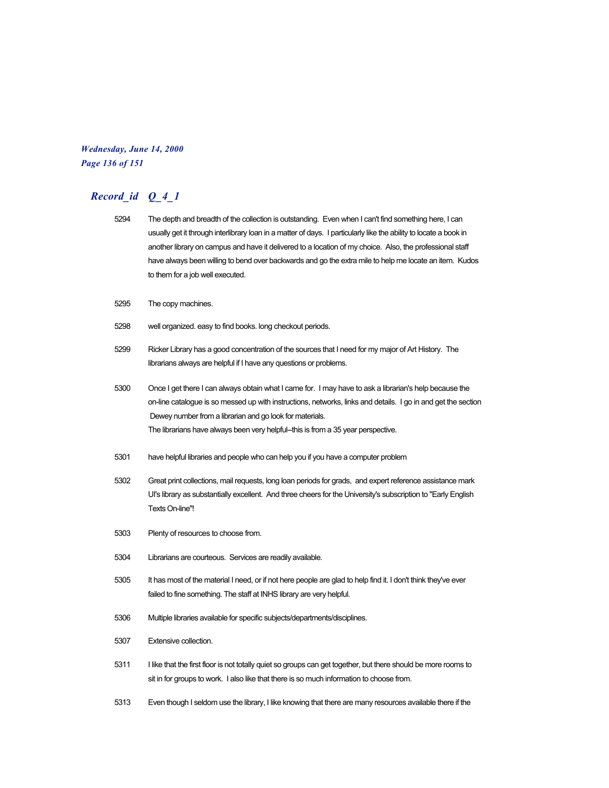#### *Wednesday, June 14, 2000 Page 136 of 151*

- 5294 The depth and breadth of the collection is outstanding. Even when I can't find something here, I can usually get it through interlibrary loan in a matter of days. I particularly like the ability to locate a book in another library on campus and have it delivered to a location of my choice. Also, the professional staff have always been willing to bend over backwards and go the extra mile to help me locate an item. Kudos to them for a job well executed.
- 5295 The copy machines.
- 5298 well organized. easy to find books. long checkout periods.
- 5299 Ricker Library has a good concentration of the sources that I need for my major of Art History. The librarians always are helpful if I have any questions or problems.
- 5300 Once I get there I can always obtain what I came for. I may have to ask a librarian's help because the on-line catalogue is so messed up with instructions, networks, links and details. I go in and get the section Dewey number from a librarian and go look for materials. The librarians have always been very helpful--this is from a 35 year perspective.
- 5301 have helpful libraries and people who can help you if you have a computer problem
- 5302 Great print collections, mail requests, long loan periods for grads, and expert reference assistance mark UI's library as substantially excellent. And three cheers for the University's subscription to "Early English Texts On-line"!
- 5303 Plenty of resources to choose from.
- 5304 Librarians are courteous. Services are readily available.
- 5305 It has most of the material I need, or if not here people are glad to help find it. I don't think they've ever failed to fine something. The staff at INHS library are very helpful.
- 5306 Multiple libraries available for specific subjects/departments/disciplines.
- 5307 Extensive collection.
- 5311 I like that the first floor is not totally quiet so groups can get together, but there should be more rooms to sit in for groups to work. I also like that there is so much information to choose from.
- 5313 Even though I seldom use the library, I like knowing that there are many resources available there if the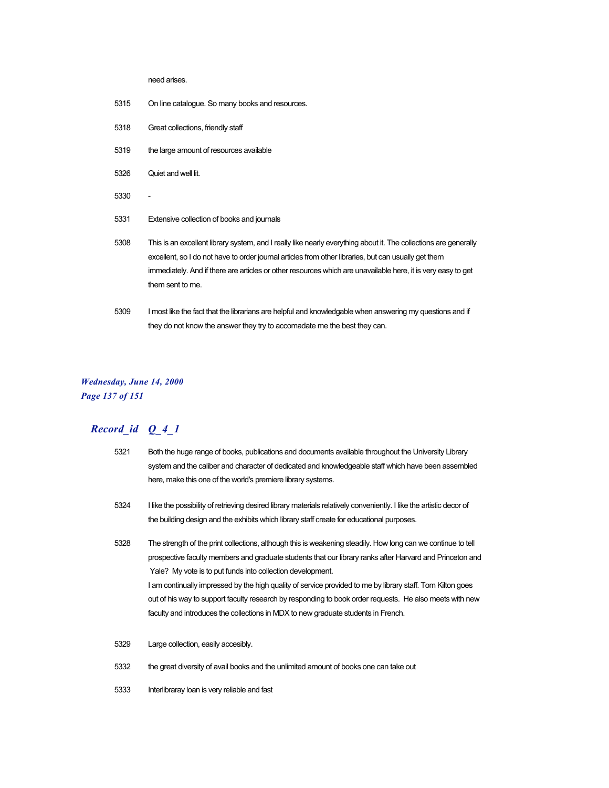need arises.

- 5315 On line catalogue. So many books and resources.
- 5318 Great collections, friendly staff
- 5319 the large amount of resources available
- 5326 Quiet and well lit.
- 5330
- 5331 Extensive collection of books and journals
- 5308 This is an excellent library system, and I really like nearly everything about it. The collections are generally excellent, so I do not have to order journal articles from other libraries, but can usually get them immediately. And if there are articles or other resources which are unavailable here, it is very easy to get them sent to me.
- 5309 I most like the fact that the librarians are helpful and knowledgable when answering my questions and if they do not know the answer they try to accomadate me the best they can.

#### *Wednesday, June 14, 2000 Page 137 of 151*

- 5321 Both the huge range of books, publications and documents available throughout the University Library system and the caliber and character of dedicated and knowledgeable staff which have been assembled here, make this one of the world's premiere library systems.
- 5324 I like the possibility of retrieving desired library materials relatively conveniently. I like the artistic decor of the building design and the exhibits which library staff create for educational purposes.
- 5328 The strength of the print collections, although this is weakening steadily. How long can we continue to tell prospective faculty members and graduate students that our library ranks after Harvard and Princeton and Yale? My vote is to put funds into collection development. I am continually impressed by the high quality of service provided to me by library staff. Tom Kilton goes out of his way to support faculty research by responding to book order requests. He also meets with new faculty and introduces the collections in MDX to new graduate students in French.
- 5329 Large collection, easily accesibly.
- 5332 the great diversity of avail books and the unlimited amount of books one can take out
- 5333 Interlibraray loan is very reliable and fast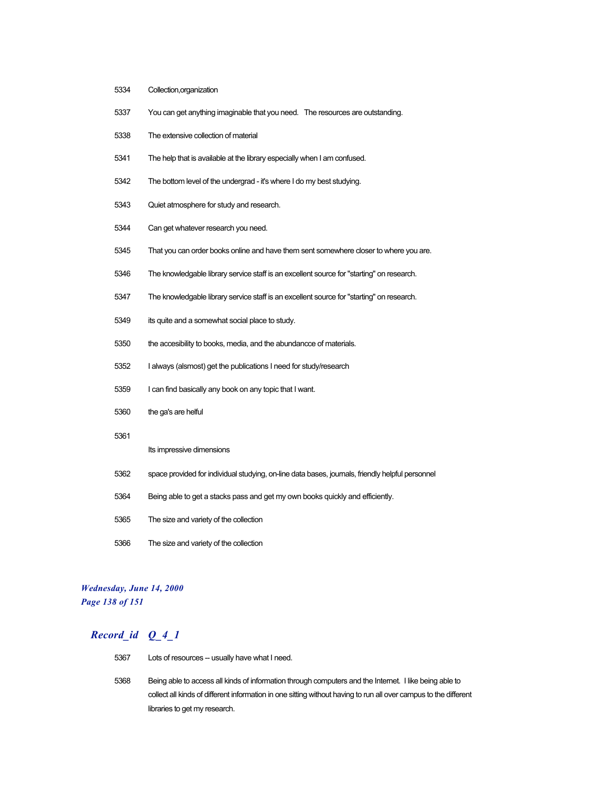- Collection,organization
- You can get anything imaginable that you need. The resources are outstanding.
- The extensive collection of material
- The help that is available at the library especially when I am confused.
- The bottom level of the undergrad it's where I do my best studying.
- Quiet atmosphere for study and research.
- Can get whatever research you need.
- That you can order books online and have them sent somewhere closer to where you are.
- The knowledgable library service staff is an excellent source for "starting" on research.
- The knowledgable library service staff is an excellent source for "starting" on research.
- its quite and a somewhat social place to study.
- the accesibility to books, media, and the abundancce of materials.
- I always (alsmost) get the publications I need for study/research
- I can find basically any book on any topic that I want.
- the ga's are helful
- 

#### Its impressive dimensions

- space provided for individual studying, on-line data bases, journals, friendly helpful personnel
- Being able to get a stacks pass and get my own books quickly and efficiently.
- The size and variety of the collection
- The size and variety of the collection

#### *Wednesday, June 14, 2000 Page 138 of 151*

- 5367 Lots of resources -- usually have what I need.
- Being able to access all kinds of information through computers and the Internet. I like being able to collect all kinds of different information in one sitting without having to run all over campus to the different libraries to get my research.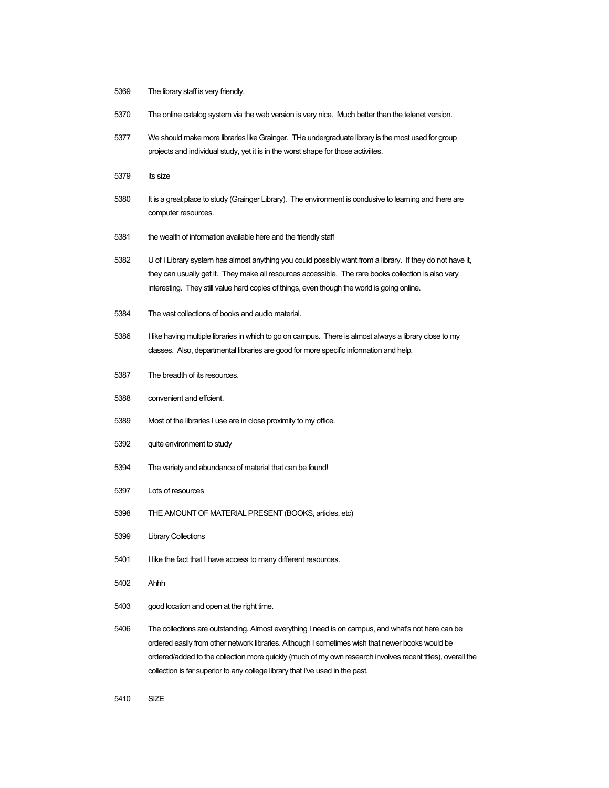- The library staff is very friendly.
- The online catalog system via the web version is very nice. Much better than the telenet version.
- We should make more libraries like Grainger. THe undergraduate library is the most used for group projects and individual study, yet it is in the worst shape for those activiites.
- its size
- 5380 It is a great place to study (Grainger Library). The environment is condusive to learning and there are computer resources.
- the wealth of information available here and the friendly staff
- U of I Library system has almost anything you could possibly want from a library. If they do not have it, they can usually get it. They make all resources accessible. The rare books collection is also very interesting. They still value hard copies of things, even though the world is going online.
- The vast collections of books and audio material.
- I like having multiple libraries in which to go on campus. There is almost always a library close to my classes. Also, departmental libraries are good for more specific information and help.
- The breadth of its resources.
- convenient and effcient.
- Most of the libraries I use are in close proximity to my office.
- quite environment to study
- The variety and abundance of material that can be found!
- Lots of resources
- THE AMOUNT OF MATERIAL PRESENT (BOOKS, articles, etc)
- Library Collections
- 5401 I like the fact that I have access to many different resources.
- Ahhh
- good location and open at the right time.
- The collections are outstanding. Almost everything I need is on campus, and what's not here can be ordered easily from other network libraries. Although I sometimes wish that newer books would be ordered/added to the collection more quickly (much of my own research involves recent titles), overall the collection is far superior to any college library that I've used in the past.
- SIZE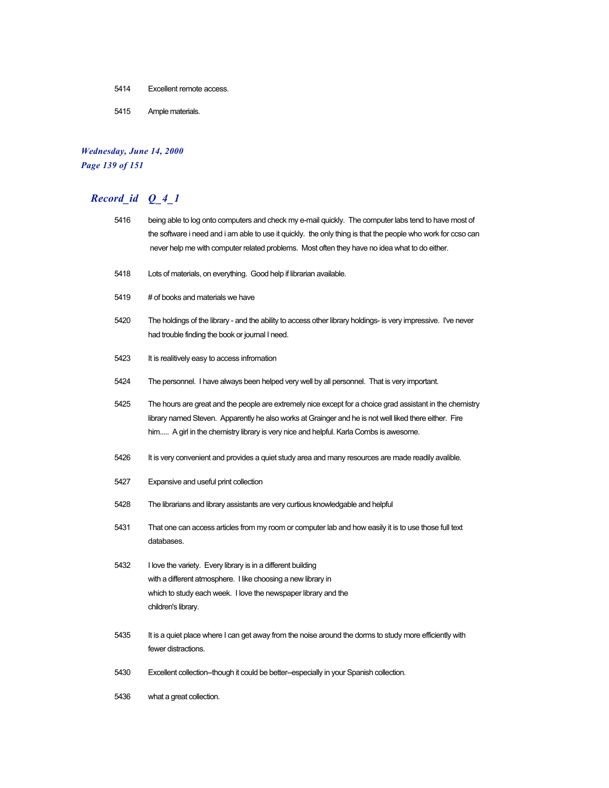- 5414 Excellent remote access.
- 5415 Ample materials.

## *Wednesday, June 14, 2000 Page 139 of 151*

# *Record\_id Q\_4\_1*

| 5416 | being able to log onto computers and check my e-mail quickly. The computer labs tend to have most of<br>the software i need and i am able to use it quickly. the only thing is that the people who work for ccso can                                                                                         |
|------|--------------------------------------------------------------------------------------------------------------------------------------------------------------------------------------------------------------------------------------------------------------------------------------------------------------|
|      | never help me with computer related problems. Most often they have no idea what to do either.                                                                                                                                                                                                                |
| 5418 | Lots of materials, on everything. Good help if librarian available.                                                                                                                                                                                                                                          |
| 5419 | # of books and materials we have                                                                                                                                                                                                                                                                             |
| 5420 | The holdings of the library - and the ability to access other library holdings- is very impressive. I've never<br>had trouble finding the book or journal I need.                                                                                                                                            |
| 5423 | It is realitively easy to access infromation                                                                                                                                                                                                                                                                 |
| 5424 | The personnel. I have always been helped very well by all personnel. That is very important.                                                                                                                                                                                                                 |
| 5425 | The hours are great and the people are extremely nice except for a choice grad assistant in the chemistry<br>library named Steven. Apparently he also works at Grainger and he is not well liked there either. Fire<br>him A girl in the chemistry library is very nice and helpful. Karla Combs is awesome. |
| 5426 | It is very convenient and provides a quiet study area and many resources are made readily avalible.                                                                                                                                                                                                          |
| 5427 | Expansive and useful print collection                                                                                                                                                                                                                                                                        |
| 5428 | The librarians and library assistants are very curtious knowledgable and helpful                                                                                                                                                                                                                             |
| 5431 | That one can access articles from my room or computer lab and how easily it is to use those full text<br>databases.                                                                                                                                                                                          |
| 5432 | I love the variety. Every library is in a different building<br>with a different atmosphere. I like choosing a new library in<br>which to study each week. I love the newspaper library and the<br>children's library.                                                                                       |
| 5435 | It is a quiet place where I can get away from the noise around the dorms to study more efficiently with<br>fewer distractions.                                                                                                                                                                               |
| 5430 | Excellent collection-though it could be better-especially in your Spanish collection.                                                                                                                                                                                                                        |

5436 what a great collection.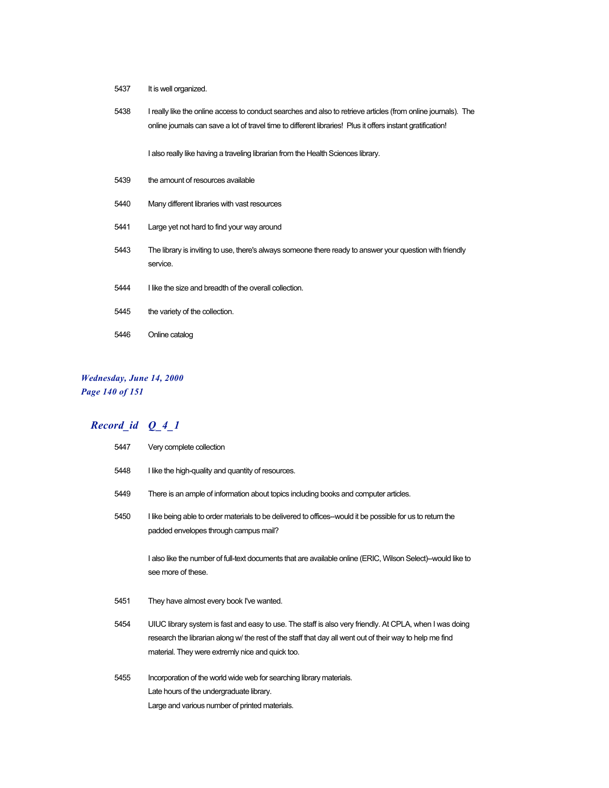- 5437 It is well organized.
- 5438 I really like the online access to conduct searches and also to retrieve articles (from online journals). The online journals can save a lot of travel time to different libraries! Plus it offers instant gratification!

I also really like having a traveling librarian from the Health Sciences library.

- 5439 the amount of resources available
- 5440 Many different libraries with vast resources
- 5441 Large yet not hard to find your way around
- 5443 The library is inviting to use, there's always someone there ready to answer your question with friendly service.
- 5444 I like the size and breadth of the overall collection.
- 5445 the variety of the collection.
- 5446 Online catalog

### *Wednesday, June 14, 2000 Page 140 of 151*

| 5447 | Very complete collection                                                                                                                                                                                                                                                |
|------|-------------------------------------------------------------------------------------------------------------------------------------------------------------------------------------------------------------------------------------------------------------------------|
| 5448 | I like the high-quality and quantity of resources.                                                                                                                                                                                                                      |
| 5449 | There is an ample of information about topics including books and computer articles.                                                                                                                                                                                    |
| 5450 | I like being able to order materials to be delivered to offices--would it be possible for us to return the<br>padded envelopes through campus mail?                                                                                                                     |
|      | I also like the number of full-text documents that are available online (ERIC, Wilson Select)--would like to<br>see more of these.                                                                                                                                      |
| 5451 | They have almost every book I've wanted.                                                                                                                                                                                                                                |
| 5454 | UIUC library system is fast and easy to use. The staff is also very friendly. At CPLA, when I was doing<br>research the librarian along w/ the rest of the staff that day all went out of their way to help me find<br>material. They were extremly nice and quick too. |
| 5455 | Incorporation of the world wide web for searching library materials.<br>Late hours of the undergraduate library.<br>Large and various number of printed materials.                                                                                                      |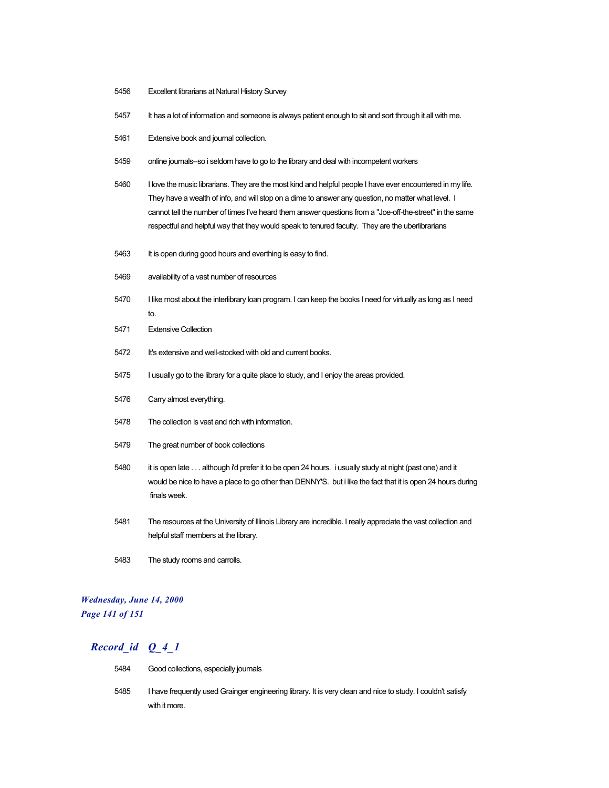- 5456 Excellent librarians at Natural History Survey
- 5457 It has a lot of information and someone is always patient enough to sit and sort through it all with me.
- 5461 Extensive book and journal collection.
- 5459 online journals--so i seldom have to go to the library and deal with incompetent workers
- 5460 I love the music librarians. They are the most kind and helpful people I have ever encountered in my life. They have a wealth of info, and will stop on a dime to answer any question, no matter what level. I cannot tell the number of times I've heard them answer questions from a "Joe-off-the-street" in the same respectful and helpful way that they would speak to tenured faculty. They are the uberlibrarians
- 5463 It is open during good hours and everthing is easy to find.
- 5469 availability of a vast number of resources
- 5470 I like most about the interlibrary loan program. I can keep the books I need for virtually as long as I need to.
- 5471 Extensive Collection
- 5472 It's extensive and well-stocked with old and current books.
- 5475 I usually go to the library for a quite place to study, and I enjoy the areas provided.
- 5476 Carry almost everything.
- 5478 The collection is vast and rich with information.
- 5479 The great number of book collections
- 5480 it is open late . . . although i'd prefer it to be open 24 hours. i usually study at night (past one) and it would be nice to have a place to go other than DENNY'S. but i like the fact that it is open 24 hours during finals week.
- 5481 The resources at the University of Illinois Library are incredible. I really appreciate the vast collection and helpful staff members at the library.
- 5483 The study rooms and carrolls.

#### *Wednesday, June 14, 2000 Page 141 of 151*

| 5484 | Good collections, especially journals                                                                       |
|------|-------------------------------------------------------------------------------------------------------------|
| 5485 | I have frequently used Grainger engineering library. It is very clean and nice to study. I couldn't satisfy |
|      | with it more.                                                                                               |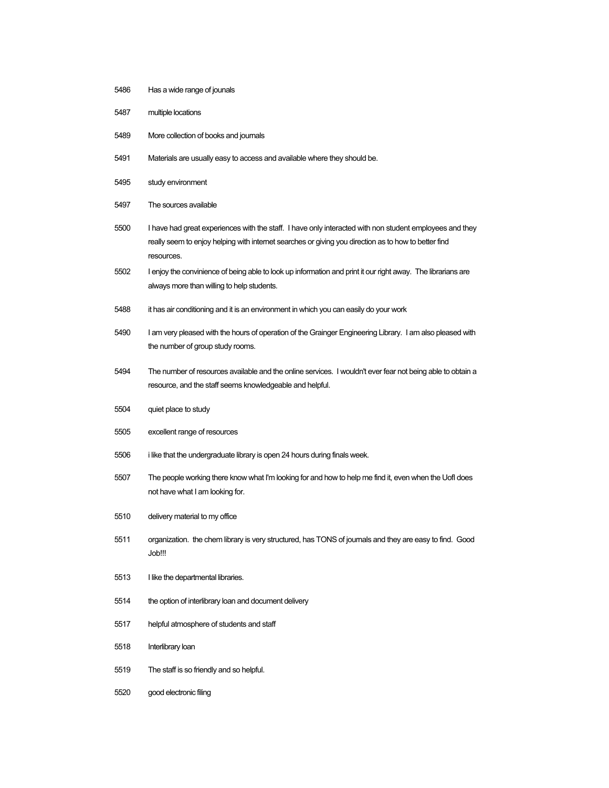- Has a wide range of jounals
- multiple locations
- More collection of books and journals
- Materials are usually easy to access and available where they should be.
- study environment
- The sources available
- I have had great experiences with the staff. I have only interacted with non student employees and they really seem to enjoy helping with internet searches or giving you direction as to how to better find resources.
- I enjoy the convinience of being able to look up information and print it our right away. The librarians are always more than willing to help students.
- it has air conditioning and it is an environment in which you can easily do your work
- I am very pleased with the hours of operation of the Grainger Engineering Library. I am also pleased with the number of group study rooms.
- The number of resources available and the online services. I wouldn't ever fear not being able to obtain a resource, and the staff seems knowledgeable and helpful.
- quiet place to study
- excellent range of resources
- i like that the undergraduate library is open 24 hours during finals week.
- The people working there know what I'm looking for and how to help me find it, even when the UofI does not have what I am looking for.
- delivery material to my office
- organization. the chem library is very structured, has TONS of journals and they are easy to find. Good Job!!!
- I like the departmental libraries.
- the option of interlibrary loan and document delivery
- helpful atmosphere of students and staff
- Interlibrary loan
- The staff is so friendly and so helpful.
- good electronic filing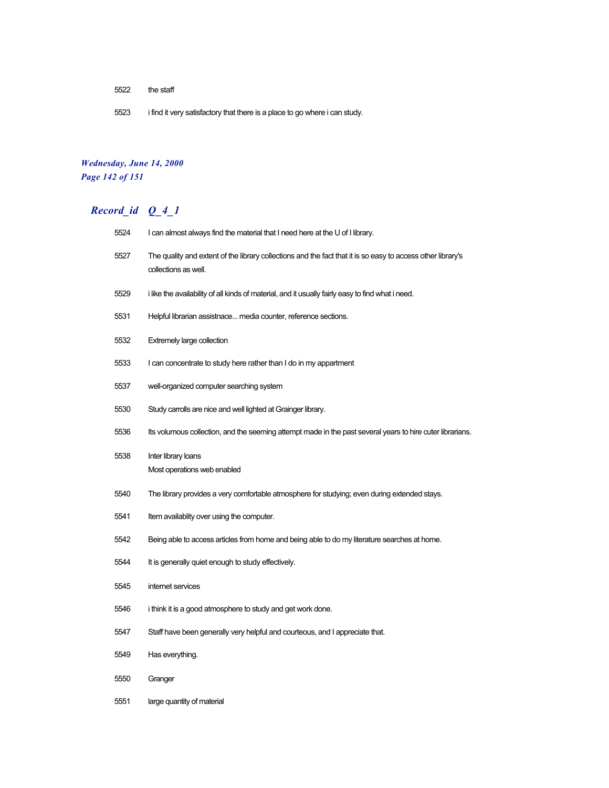- the staff
- i find it very satisfactory that there is a place to go where i can study.

### *Wednesday, June 14, 2000 Page 142 of 151*

| 5524 | I can almost always find the material that I need here at the U of I library.                                                       |
|------|-------------------------------------------------------------------------------------------------------------------------------------|
| 5527 | The quality and extent of the library collections and the fact that it is so easy to access other library's<br>collections as well. |
| 5529 | i like the availability of all kinds of material, and it usually fairly easy to find what i need.                                   |
| 5531 | Helpful librarian assistnace media counter, reference sections.                                                                     |
| 5532 | Extremely large collection                                                                                                          |
| 5533 | I can concentrate to study here rather than I do in my appartment                                                                   |
| 5537 | well-organized computer searching system                                                                                            |
| 5530 | Study carrolls are nice and well lighted at Grainger library.                                                                       |
| 5536 | Its volumous collection, and the seeming attempt made in the past several years to hire cuter librarians.                           |
| 5538 | Inter library loans<br>Most operations web enabled                                                                                  |
| 5540 | The library provides a very comfortable atmosphere for studying; even during extended stays.                                        |
| 5541 | Item availablity over using the computer.                                                                                           |
| 5542 | Being able to access articles from home and being able to do my literature searches at home.                                        |
| 5544 | It is generally quiet enough to study effectively.                                                                                  |
| 5545 | internet services                                                                                                                   |
| 5546 | i think it is a good atmosphere to study and get work done.                                                                         |
| 5547 | Staff have been generally very helpful and courteous, and I appreciate that.                                                        |
| 5549 | Has everything.                                                                                                                     |
| 5550 | Granger                                                                                                                             |
| 5551 | large quantity of material                                                                                                          |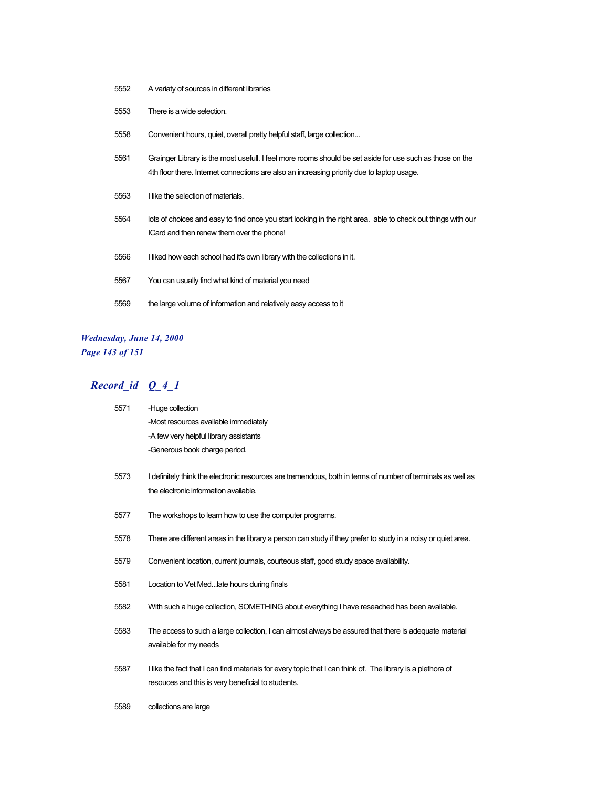- 5552 A variaty of sources in different libraries
- 5553 There is a wide selection.
- 5558 Convenient hours, quiet, overall pretty helpful staff, large collection...
- 5561 Grainger Library is the most usefull. I feel more rooms should be set aside for use such as those on the 4th floor there. Internet connections are also an increasing priority due to laptop usage.
- 5563 I like the selection of materials.
- 5564 lots of choices and easy to find once you start looking in the right area. able to check out things with our ICard and then renew them over the phone!
- 5566 I liked how each school had it's own library with the collections in it.
- 5567 You can usually find what kind of material you need
- 5569 the large volume of information and relatively easy access to it

#### *Wednesday, June 14, 2000 Page 143 of 151*

| 5571 | -Huge collection                       |
|------|----------------------------------------|
|      | -Most resources available immediately  |
|      | -A few very helpful library assistants |
|      | -Generous book charge period.          |

- 5573 I definitely think the electronic resources are tremendous, both in terms of number of terminals as well as the electronic information available.
- 5577 The workshops to learn how to use the computer programs.
- 5578 There are different areas in the library a person can study if they prefer to study in a noisy or quiet area.
- 5579 Convenient location, current journals, courteous staff, good study space availability.
- 5581 Location to Vet Med...late hours during finals
- 5582 With such a huge collection, SOMETHING about everything I have reseached has been available.
- 5583 The access to such a large collection, I can almost always be assured that there is adequate material available for my needs
- 5587 I like the fact that I can find materials for every topic that I can think of. The library is a plethora of resouces and this is very beneficial to students.
- 5589 collections are large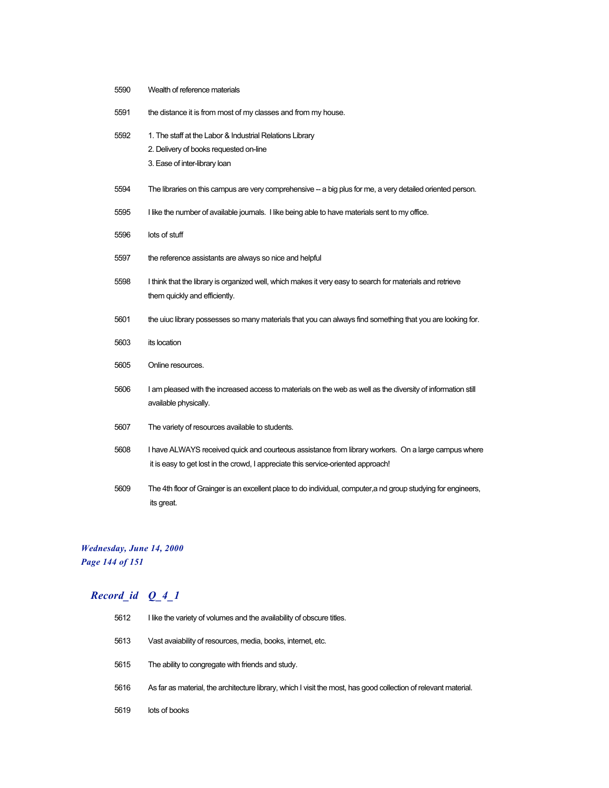| 5590 | Wealth of reference materials                                                                                                                                                            |
|------|------------------------------------------------------------------------------------------------------------------------------------------------------------------------------------------|
| 5591 | the distance it is from most of my classes and from my house.                                                                                                                            |
| 5592 | 1. The staff at the Labor & Industrial Relations Library<br>2. Delivery of books requested on-line<br>3. Ease of inter-library loan                                                      |
|      |                                                                                                                                                                                          |
| 5594 | The libraries on this campus are very comprehensive - a big plus for me, a very detailed oriented person.                                                                                |
| 5595 | I like the number of available journals. I like being able to have materials sent to my office.                                                                                          |
| 5596 | lots of stuff                                                                                                                                                                            |
| 5597 | the reference assistants are always so nice and helpful                                                                                                                                  |
| 5598 | I think that the library is organized well, which makes it very easy to search for materials and retrieve<br>them quickly and efficiently.                                               |
| 5601 | the uiuc library possesses so many materials that you can always find something that you are looking for.                                                                                |
| 5603 | its location                                                                                                                                                                             |
| 5605 | Online resources.                                                                                                                                                                        |
| 5606 | I am pleased with the increased access to materials on the web as well as the diversity of information still<br>available physically.                                                    |
| 5607 | The variety of resources available to students.                                                                                                                                          |
| 5608 | I have ALWAYS received quick and courteous assistance from library workers. On a large campus where<br>it is easy to get lost in the crowd, I appreciate this service-oriented approach! |
| 5609 | The 4th floor of Grainger is an excellent place to do individual, computer, and group studying for engineers,<br>its great.                                                              |

# *Wednesday, June 14, 2000 Page 144 of 151*

| 5612 | I like the variety of volumes and the availability of obscure titles.                                           |
|------|-----------------------------------------------------------------------------------------------------------------|
| 5613 | Vast avaiability of resources, media, books, internet, etc.                                                     |
| 5615 | The ability to congregate with friends and study.                                                               |
| 5616 | As far as material, the architecture library, which I visit the most, has good collection of relevant material. |
| 5619 | lots of books                                                                                                   |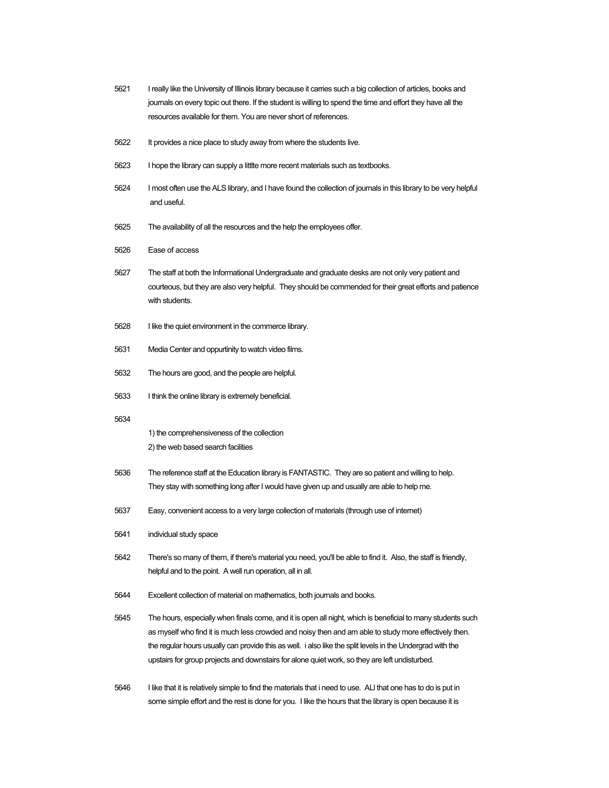- 5621 I really like the University of Illinois library because it carries such a big collection of articles, books and journals on every topic out there. If the student is willing to spend the time and effort they have all the resources available for them. You are never short of references.
- 5622 It provides a nice place to study away from where the students live.
- 5623 I hope the library can supply a littlte more recent materials such as textbooks.
- 5624 I most often use the ALS library, and I have found the collection of journals in this library to be very helpful and useful.
- 5625 The availability of all the resources and the help the employees offer.
- 5626 Ease of access
- 5627 The staff at both the Informational Undergraduate and graduate desks are not only very patient and courteous, but they are also very helpful. They should be commended for their great efforts and patience with students.
- 5628 I like the quiet environment in the commerce library.
- 5631 Media Center and oppurtinity to watch video films.
- 5632 The hours are good, and the people are helpful.
- 5633 I think the online library is extremely beneficial.
- 5634

1) the comprehensiveness of the collection

- 2) the web based search facilities
- 5636 The reference staff at the Education library is FANTASTIC. They are so patient and willing to help. They stay with something long after I would have given up and usually are able to help me.
- 5637 Easy, convenient access to a very large collection of materials (through use of internet)
- 5641 individual study space
- 5642 There's so many of them, if there's material you need, you'll be able to find it. Also, the staff is friendly, helpful and to the point. A well run operation, all in all.
- 5644 Excellent collection of material on mathematics, both journals and books.
- 5645 The hours, especially when finals come, and it is open all night, which is beneficial to many students such as myself who find it is much less crowded and noisy then and am able to study more effectively then. the regular hours usually can provide this as well. i also like the split levels in the Undergrad with the upstairs for group projects and downstairs for alone quiet work, so they are left undisturbed.
- 5646 I like that it is relatively simple to find the materials that i need to use. ALl that one has to do is put in some simple effort and the rest is done for you. I like the hours that the library is open because it is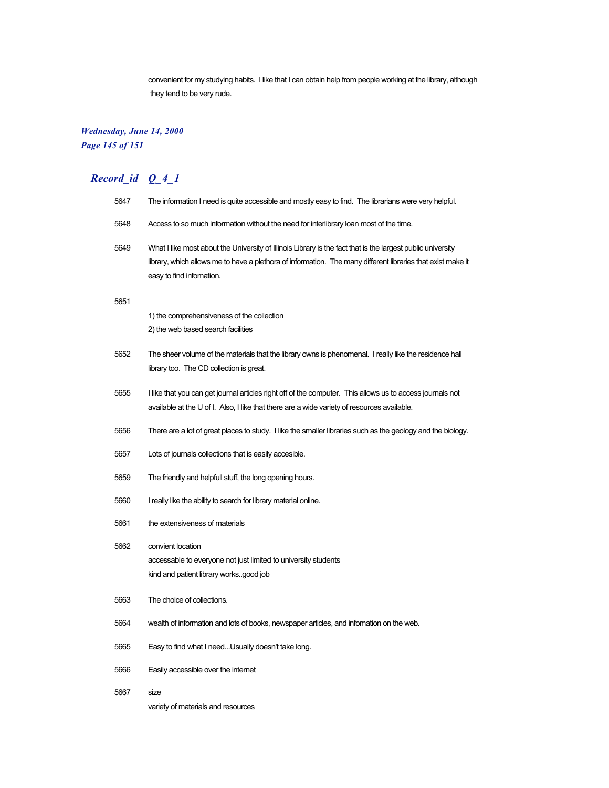convenient for my studying habits. I like that I can obtain help from people working at the library, although they tend to be very rude.

# *Wednesday, June 14, 2000 Page 145 of 151*

| 5647 | The information I need is quite accessible and mostly easy to find. The librarians were very helpful.                                                                                                                                                  |
|------|--------------------------------------------------------------------------------------------------------------------------------------------------------------------------------------------------------------------------------------------------------|
| 5648 | Access to so much information without the need for interlibrary loan most of the time.                                                                                                                                                                 |
| 5649 | What I like most about the University of Illinois Library is the fact that is the largest public university<br>library, which allows me to have a plethora of information. The many different libraries that exist make it<br>easy to find infomation. |
| 5651 |                                                                                                                                                                                                                                                        |
|      | 1) the comprehensiveness of the collection<br>2) the web based search facilities                                                                                                                                                                       |
| 5652 | The sheer volume of the materials that the library owns is phenomenal. I really like the residence hall<br>library too. The CD collection is great.                                                                                                    |
| 5655 | I like that you can get journal articles right off of the computer. This allows us to access journals not<br>available at the U of I. Also, I like that there are a wide variety of resources available.                                               |
| 5656 | There are a lot of great places to study. I like the smaller libraries such as the geology and the biology.                                                                                                                                            |
| 5657 | Lots of journals collections that is easily accesible.                                                                                                                                                                                                 |
| 5659 | The friendly and helpfull stuff, the long opening hours.                                                                                                                                                                                               |
| 5660 | I really like the ability to search for library material online.                                                                                                                                                                                       |
| 5661 | the extensiveness of materials                                                                                                                                                                                                                         |
| 5662 | convient location<br>accessable to everyone not just limited to university students<br>kind and patient library worksgood job                                                                                                                          |
| 5663 | The choice of collections.                                                                                                                                                                                                                             |
| 5664 | wealth of information and lots of books, newspaper articles, and infomation on the web.                                                                                                                                                                |
| 5665 | Easy to find what I needUsually doesn't take long.                                                                                                                                                                                                     |
| 5666 | Easily accessible over the internet                                                                                                                                                                                                                    |
| 5667 | size<br>variety of materials and resources                                                                                                                                                                                                             |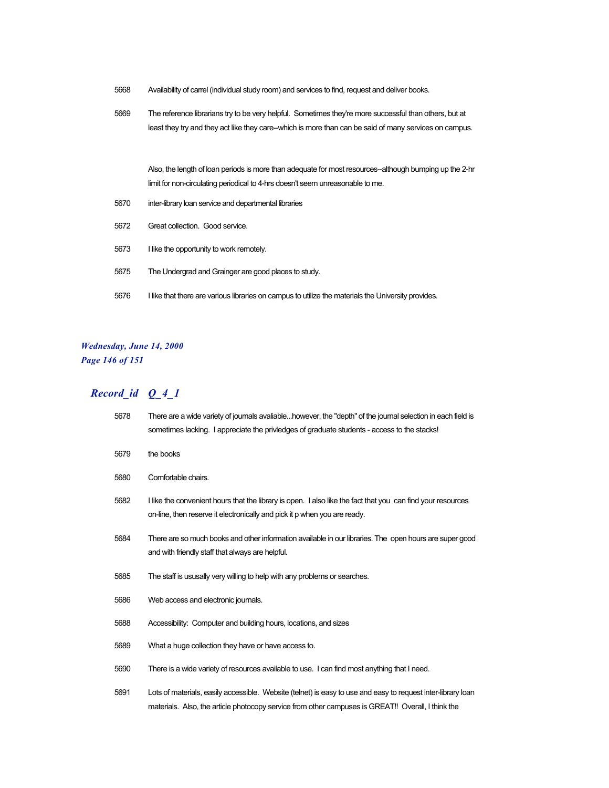- Availability of carrel (individual study room) and services to find, request and deliver books.
- The reference librarians try to be very helpful. Sometimes they're more successful than others, but at least they try and they act like they care--which is more than can be said of many services on campus.

Also, the length of loan periods is more than adequate for most resources--although bumping up the 2-hr limit for non-circulating periodical to 4-hrs doesn't seem unreasonable to me.

- inter-library loan service and departmental libraries
- Great collection. Good service.
- I like the opportunity to work remotely.
- The Undergrad and Grainger are good places to study.
- I like that there are various libraries on campus to utilize the materials the University provides.

### *Wednesday, June 14, 2000 Page 146 of 151*

| 5678 | There are a wide variety of journals avaliablehowever, the "depth" of the journal selection in each field is<br>sometimes lacking. I appreciate the priviedges of graduate students - access to the stacks!        |
|------|--------------------------------------------------------------------------------------------------------------------------------------------------------------------------------------------------------------------|
| 5679 | the books                                                                                                                                                                                                          |
| 5680 | Comfortable chairs.                                                                                                                                                                                                |
| 5682 | I like the convenient hours that the library is open. I also like the fact that you can find your resources<br>on-line, then reserve it electronically and pick it p when you are ready.                           |
| 5684 | There are so much books and other information available in our libraries. The open hours are super good<br>and with friendly staff that always are helpful.                                                        |
| 5685 | The staff is ususally very willing to help with any problems or searches.                                                                                                                                          |
| 5686 | Web access and electronic journals.                                                                                                                                                                                |
| 5688 | Accessibility: Computer and building hours, locations, and sizes                                                                                                                                                   |
| 5689 | What a huge collection they have or have access to.                                                                                                                                                                |
| 5690 | There is a wide variety of resources available to use. I can find most anything that I need.                                                                                                                       |
| 5691 | Lots of materials, easily accessible. Website (telnet) is easy to use and easy to request inter-library loan<br>materials. Also, the article photocopy service from other campuses is GREAT!! Overall, I think the |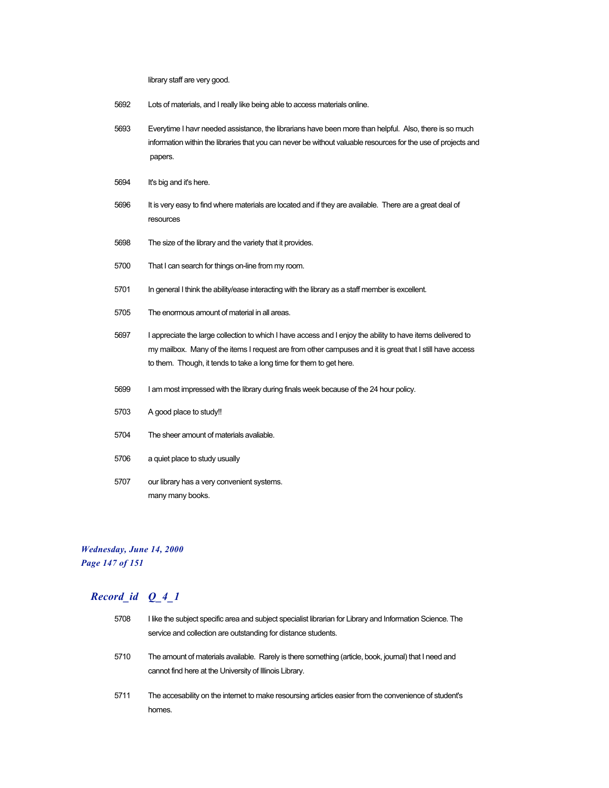library staff are very good.

- 5692 Lots of materials, and I really like being able to access materials online.
- 5693 Everytime I havr needed assistance, the librarians have been more than helpful. Also, there is so much information within the libraries that you can never be without valuable resources for the use of projects and papers.
- 5694 It's big and it's here.
- 5696 It is very easy to find where materials are located and if they are available. There are a great deal of resources
- 5698 The size of the library and the variety that it provides.
- 5700 That I can search for things on-line from my room.
- 5701 In general I think the ability/ease interacting with the library as a staff member is excellent.
- 5705 The enormous amount of material in all areas.
- 5697 I appreciate the large collection to which I have access and I enjoy the ability to have items delivered to my mailbox. Many of the items I request are from other campuses and it is great that I still have access to them. Though, it tends to take a long time for them to get here.
- 5699 I am most impressed with the library during finals week because of the 24 hour policy.
- 5703 A good place to study!!
- 5704 The sheer amount of materials avaliable.
- 5706 a quiet place to study usually
- 5707 our library has a very convenient systems. many many books.

#### *Wednesday, June 14, 2000 Page 147 of 151*

| 5708 | I like the subject specific area and subject specialist librarian for Library and Information Science. The<br>service and collection are outstanding for distance students. |
|------|-----------------------------------------------------------------------------------------------------------------------------------------------------------------------------|
| 5710 | The amount of materials available. Rarely is there something (article, book, journal) that I need and<br>cannot find here at the University of Illinois Library.            |
| 5711 | The accesability on the internet to make resoursing articles easier from the convenience of student's<br>homes.                                                             |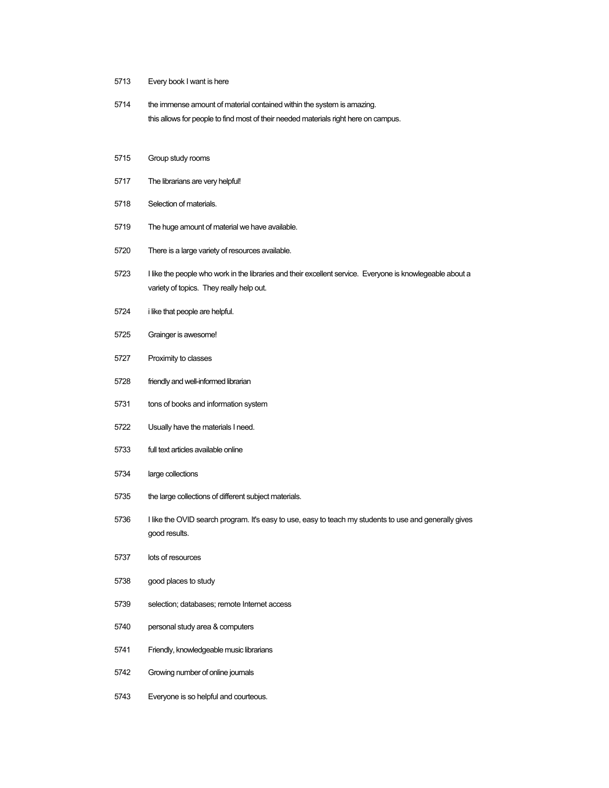- Every book I want is here
- the immense amount of material contained within the system is amazing. this allows for people to find most of their needed materials right here on campus.
- Group study rooms
- The librarians are very helpful!
- Selection of materials.
- The huge amount of material we have available.
- There is a large variety of resources available.
- I like the people who work in the libraries and their excellent service. Everyone is knowlegeable about a variety of topics. They really help out.
- i like that people are helpful.
- Grainger is awesome!
- Proximity to classes
- friendly and well-informed librarian
- tons of books and information system
- Usually have the materials I need.
- full text articles available online
- large collections
- the large collections of different subject materials.
- 5736 I like the OVID search program. It's easy to use, easy to teach my students to use and generally gives good results.
- lots of resources
- good places to study
- selection; databases; remote Internet access
- personal study area & computers
- Friendly, knowledgeable music librarians
- Growing number of online journals
- Everyone is so helpful and courteous.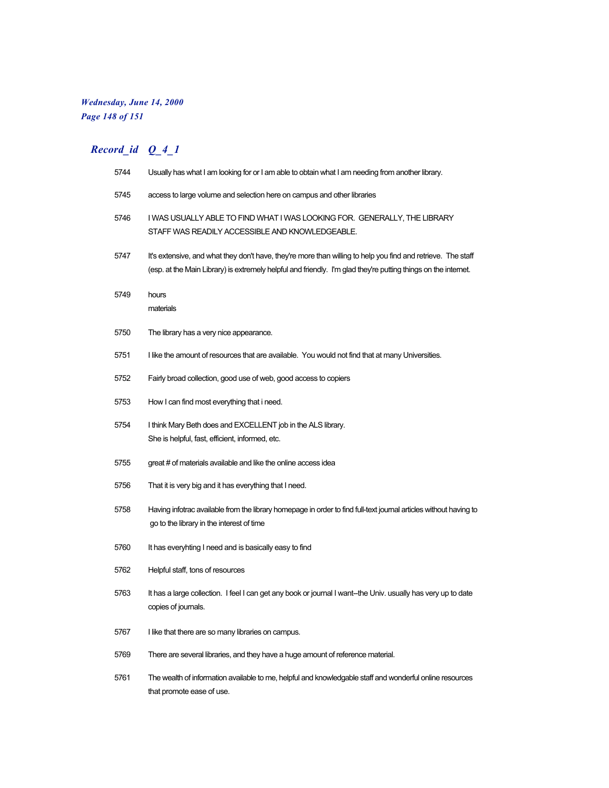# *Wednesday, June 14, 2000 Page 148 of 151*

| 5744 | Usually has what I am looking for or I am able to obtain what I am needing from another library.                                                                                                                               |
|------|--------------------------------------------------------------------------------------------------------------------------------------------------------------------------------------------------------------------------------|
| 5745 | access to large volume and selection here on campus and other libraries                                                                                                                                                        |
| 5746 | I WAS USUALLY ABLE TO FIND WHAT I WAS LOOKING FOR. GENERALLY, THE LIBRARY<br>STAFF WAS READILY ACCESSIBLE AND KNOWLEDGEABLE.                                                                                                   |
| 5747 | It's extensive, and what they don't have, they're more than willing to help you find and retrieve. The staff<br>(esp. at the Main Library) is extremely helpful and friendly. I'm glad they're putting things on the internet. |
| 5749 | hours<br>materials                                                                                                                                                                                                             |
| 5750 | The library has a very nice appearance.                                                                                                                                                                                        |
| 5751 | I like the amount of resources that are available. You would not find that at many Universities.                                                                                                                               |
| 5752 | Fairly broad collection, good use of web, good access to copiers                                                                                                                                                               |
| 5753 | How I can find most everything that i need.                                                                                                                                                                                    |
| 5754 | I think Mary Beth does and EXCELLENT job in the ALS library.<br>She is helpful, fast, efficient, informed, etc.                                                                                                                |
| 5755 | great # of materials available and like the online access idea                                                                                                                                                                 |
| 5756 | That it is very big and it has everything that I need.                                                                                                                                                                         |
| 5758 | Having infotrac available from the library homepage in order to find full-text journal articles without having to<br>go to the library in the interest of time                                                                 |
| 5760 | It has everyhting I need and is basically easy to find                                                                                                                                                                         |
| 5762 | Helpful staff, tons of resources                                                                                                                                                                                               |
| 5763 | It has a large collection. I feel I can get any book or journal I want-the Univ. usually has very up to date<br>copies of journals.                                                                                            |
| 5767 | I like that there are so many libraries on campus.                                                                                                                                                                             |
| 5769 | There are several libraries, and they have a huge amount of reference material.                                                                                                                                                |
| 5761 | The wealth of information available to me, helpful and knowledgable staff and wonderful online resources<br>that promote ease of use.                                                                                          |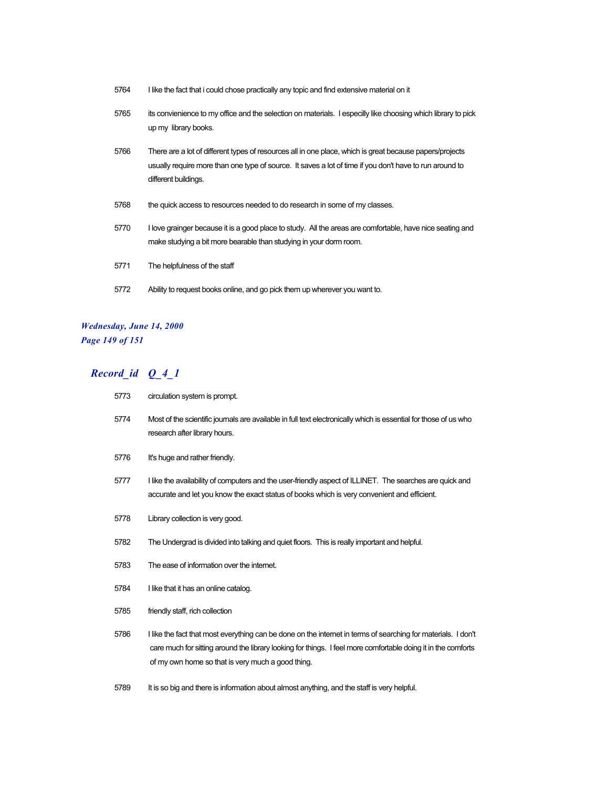- I like the fact that i could chose practically any topic and find extensive material on it
- its convienience to my office and the selection on materials. I especilly like choosing which library to pick up my library books.
- There are a lot of different types of resources all in one place, which is great because papers/projects usually require more than one type of source. It saves a lot of time if you don't have to run around to different buildings.
- the quick access to resources needed to do research in some of my classes.
- I love grainger because it is a good place to study. All the areas are comfortable, have nice seating and make studying a bit more bearable than studying in your dorm room.
- The helpfulness of the staff
- Ability to request books online, and go pick them up wherever you want to.

#### *Wednesday, June 14, 2000 Page 149 of 151*

| 5773 | circulation system is prompt.                                                                                                                                                                                                                                                       |
|------|-------------------------------------------------------------------------------------------------------------------------------------------------------------------------------------------------------------------------------------------------------------------------------------|
| 5774 | Most of the scientific journals are available in full text electronically which is essential for those of us who<br>research after library hours.                                                                                                                                   |
| 5776 | It's huge and rather friendly.                                                                                                                                                                                                                                                      |
| 5777 | I like the availability of computers and the user-friendly aspect of ILLINET. The searches are quick and<br>accurate and let you know the exact status of books which is very convenient and efficient.                                                                             |
| 5778 | Library collection is very good.                                                                                                                                                                                                                                                    |
| 5782 | The Undergrad is divided into talking and quiet floors. This is really important and helpful.                                                                                                                                                                                       |
| 5783 | The ease of information over the internet.                                                                                                                                                                                                                                          |
| 5784 | I like that it has an online catalog.                                                                                                                                                                                                                                               |
| 5785 | friendly staff, rich collection                                                                                                                                                                                                                                                     |
| 5786 | I like the fact that most everything can be done on the internet in terms of searching for materials. I don't<br>care much for sitting around the library looking for things. I feel more comfortable doing it in the comforts<br>of my own home so that is very much a good thing. |
| 5789 | It is so big and there is information about almost anything, and the staff is very helpful.                                                                                                                                                                                         |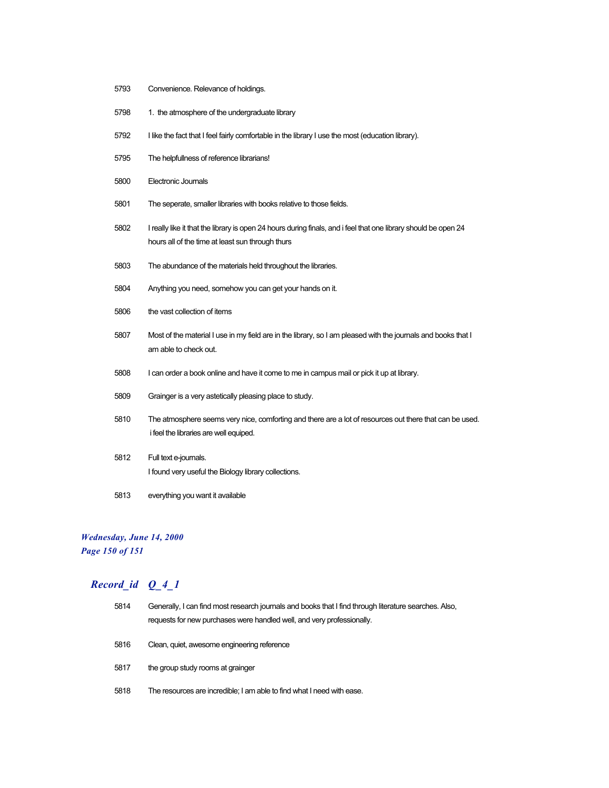- Convenience. Relevance of holdings.
- 5798 1. the atmosphere of the undergraduate library
- I like the fact that I feel fairly comfortable in the library I use the most (education library).
- The helpfullness of reference librarians!
- Electronic Journals
- The seperate, smaller libraries with books relative to those fields.
- I really like it that the library is open 24 hours during finals, and i feel that one library should be open 24 hours all of the time at least sun through thurs
- The abundance of the materials held throughout the libraries.
- Anything you need, somehow you can get your hands on it.
- the vast collection of items
- Most of the material I use in my field are in the library, so I am pleased with the journals and books that I am able to check out.
- I can order a book online and have it come to me in campus mail or pick it up at library.
- Grainger is a very astetically pleasing place to study.
- The atmosphere seems very nice, comforting and there are a lot of resources out there that can be used. i feel the libraries are well equiped.
- Full text e-journals. I found very useful the Biology library collections.
- everything you want it available

#### *Wednesday, June 14, 2000*

*Page 150 of 151*

| 5814 | Generally, I can find most research journals and books that I find through literature searches. Also,<br>requests for new purchases were handled well, and very professionally. |
|------|---------------------------------------------------------------------------------------------------------------------------------------------------------------------------------|
| 5816 | Clean, quiet, awesome engineering reference                                                                                                                                     |
| 5817 | the group study rooms at grainger                                                                                                                                               |
| 5818 | The resources are incredible; I am able to find what I need with ease.                                                                                                          |